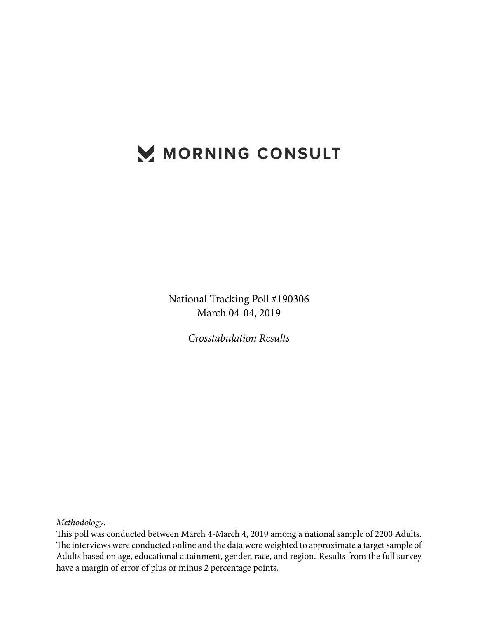# MORNING CONSULT

National Tracking Poll #190306 March 04-04, 2019

*Crosstabulation Results*

*Methodology:*

This poll was conducted between March 4-March 4, 2019 among a national sample of 2200 Adults. The interviews were conducted online and the data were weighted to approximate a target sample of Adults based on age, educational attainment, gender, race, and region. Results from the full survey have a margin of error of plus or minus 2 percentage points.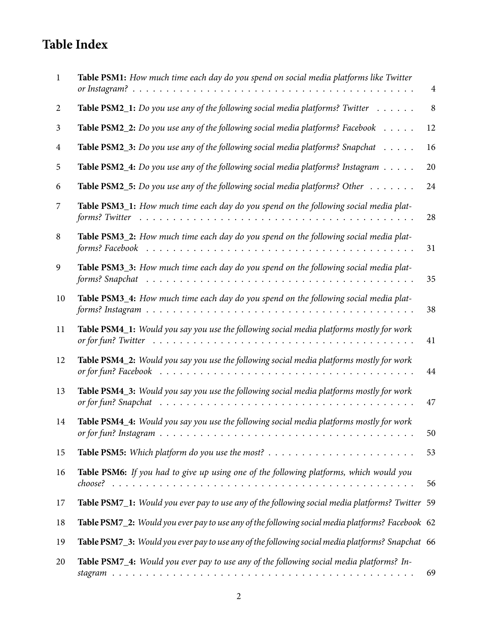# **Table Index**

| -1             | Table PSM1: How much time each day do you spend on social media platforms like Twitter                           | $\overline{4}$ |
|----------------|------------------------------------------------------------------------------------------------------------------|----------------|
| $\overline{2}$ | <b>Table PSM2_1:</b> Do you use any of the following social media platforms? Twitter $\dots \dots$               | $\,8\,$        |
| 3              | Table PSM2_2: Do you use any of the following social media platforms? Facebook                                   | 12             |
| 4              | <b>Table PSM2_3:</b> Do you use any of the following social media platforms? Snapchat $\dots$                    | 16             |
| 5              | <b>Table PSM2_4:</b> Do you use any of the following social media platforms? Instagram $\ldots \ldots$           | 20             |
| 6              | <b>Table PSM2_5:</b> Do you use any of the following social media platforms? Other $\dots \dots$                 | 24             |
| 7              | Table PSM3_1: How much time each day do you spend on the following social media plat-<br>forms? Twitter          | 28             |
| 8              | Table PSM3_2: How much time each day do you spend on the following social media plat-                            | 31             |
| 9              | Table PSM3_3: How much time each day do you spend on the following social media plat-<br>forms? Snapchat         | 35             |
| 10             | Table PSM3_4: How much time each day do you spend on the following social media plat-                            | 38             |
| 11             | Table PSM4_1: Would you say you use the following social media platforms mostly for work                         | 41             |
| 12             | Table PSM4_2: Would you say you use the following social media platforms mostly for work                         | 44             |
| 13             | Table PSM4_3: Would you say you use the following social media platforms mostly for work<br>or for fun? Snapchat | 47             |
| 14             | Table PSM4_4: Would you say you use the following social media platforms mostly for work                         | 50             |
| 15             |                                                                                                                  | 53             |
| 16             | Table PSM6: If you had to give up using one of the following platforms, which would you                          | 56             |
| 17             | Table PSM7_1: Would you ever pay to use any of the following social media platforms? Twitter 59                  |                |
| 18             | Table PSM7_2: Would you ever pay to use any of the following social media platforms? Facebook 62                 |                |
| 19             | Table PSM7_3: Would you ever pay to use any of the following social media platforms? Snapchat 66                 |                |
| 20             | Table PSM7_4: Would you ever pay to use any of the following social media platforms? In-                         | 69             |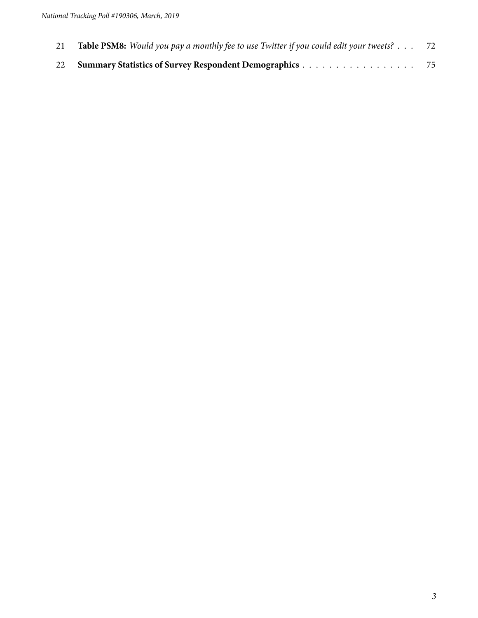| 21 | Table PSM8: Would you pay a monthly fee to use Twitter if you could edit your tweets? 72 |  |
|----|------------------------------------------------------------------------------------------|--|
|    | 22 Summary Statistics of Survey Respondent Demographics 75                               |  |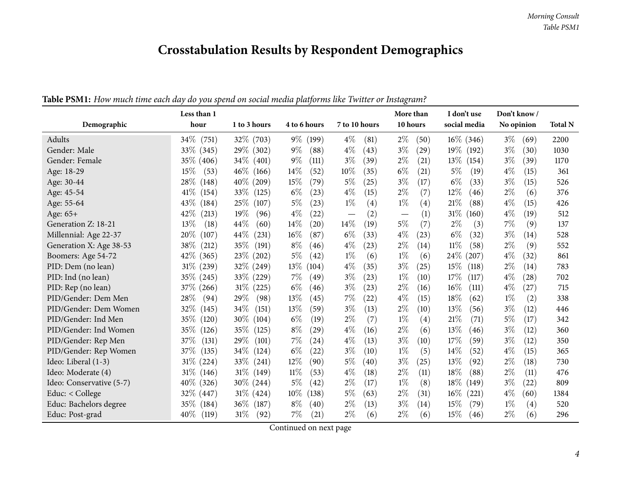# **Crosstabulation Results by Respondent Demographics**

<span id="page-3-0"></span>

|                          | Less than 1     |                 |                 |                | More than                       | I don't use     | Don't know /                |                |
|--------------------------|-----------------|-----------------|-----------------|----------------|---------------------------------|-----------------|-----------------------------|----------------|
| Demographic              | hour            | 1 to 3 hours    | 4 to 6 hours    | 7 to 10 hours  | 10 hours                        | social media    | No opinion                  | <b>Total N</b> |
| Adults                   | $34\%$ (751)    | 32\% (703)      | $9\%$ (199)     | $4\%$<br>(81)  | $2\%$<br>(50)                   | $16\%$ (346)    | $3\%$<br>(69)               | 2200           |
| Gender: Male             | 33\% (345)      | 29\% (302)      | $9\%$<br>(88)   | $4\%$<br>(43)  | $3\%$<br>(29)                   | $19\%$<br>(192) | $3\%$<br>(30)               | 1030           |
| Gender: Female           | 35\% (406)      | $34\%$<br>(401) | $9\%$<br>(111)  | $3\%$<br>(39)  | $2\%$<br>(21)                   | 13\%<br>(154)   | $3\%$<br>(39)               | 1170           |
| Age: 18-29               | 15%<br>(53)     | $46\%$<br>(166) | $14\%$<br>(52)  | 10%<br>(35)    | $6\%$<br>(21)                   | $5\%$<br>(19)   | $4\%$<br>(15)               | 361            |
| Age: 30-44               | 28\%<br>(148)   | 40\% (209)      | 15%<br>(79)     | $5\%$<br>(25)  | $3\%$<br>(17)                   | $6\%$<br>(33)   | 3%<br>(15)                  | 526            |
| Age: 45-54               | $41\%$<br>(154) | 33\%<br>(125)   | $6\%$<br>(23)   | $4\%$<br>(15)  | $2\%$<br>(7)                    | 12%<br>(46)     | $2\%$<br>(6)                | 376            |
| Age: 55-64               | 43\%<br>(184)   | 25\%<br>(107)   | $5\%$<br>(23)   | $1\%$<br>(4)   | $1\%$<br>(4)                    | $21\%$<br>(88)  | $4\%$<br>(15)               | 426            |
| Age: 65+                 | 42%<br>(213)    | 19%<br>(96)     | $4\%$<br>(22)   | (2)            | (1)<br>$\overline{\phantom{m}}$ | $31\%$<br>(160) | $4\%$<br>(19)               | 512            |
| Generation Z: 18-21      | 13\%<br>(18)    | 44%<br>(60)     | 14\%<br>(20)    | $14\%$<br>(19) | 5%<br>(7)                       | $2\%$<br>(3)    | 7%<br>(9)                   | 137            |
| Millennial: Age 22-37    | 20%<br>(107)    | 44\%<br>(231)   | $16\%$<br>(87)  | $6\%$<br>(33)  | $4\%$<br>(23)                   | $6\%$<br>(32)   | $3\%$<br>(14)               | 528            |
| Generation X: Age 38-53  | 38\%<br>(212)   | 35\%<br>(191)   | $8\%$<br>(46)   | $4\%$<br>(23)  | $2\%$<br>(14)                   | $11\%$<br>(58)  | $2\%$<br>(9)                | 552            |
| Boomers: Age 54-72       | $42\%$ (365)    | 23\% (202)      | $5\%$<br>(42)   | $1\%$<br>(6)   | $1\%$<br>(6)                    | 24\%<br>(207)   | $4\%$<br>(32)               | 861            |
| PID: Dem (no lean)       | 31\% (239)      | 32% (249)       | 13%<br>(104)    | $4\%$<br>(35)  | $3\%$<br>(25)                   | 15%<br>(118)    | $2\%$<br>(14)               | 783            |
| PID: Ind (no lean)       | 35\% (245)      | 33% (229)       | $7\%$<br>(49)   | $3\%$<br>(23)  | $1\%$<br>(10)                   | 17%<br>(117)    | $4\%$<br>(28)               | 702            |
| PID: Rep (no lean)       | 37\% (266)      | $31\%$<br>(225) | $6\%$<br>(46)   | $3\%$<br>(23)  | $2\%$<br>(16)                   | 16%<br>(111)    | $4\%$<br>(27)               | 715            |
| PID/Gender: Dem Men      | 28\%<br>(94)    | 29\%<br>(98)    | 13\%<br>(45)    | $7\%$<br>(22)  | $4\%$<br>(15)                   | 18%<br>(62)     | $1\%$<br>(2)                | 338            |
| PID/Gender: Dem Women    | 32%<br>(145)    | 34\%<br>(151)   | 13%<br>(59)     | $3\%$<br>(13)  | $2\%$<br>(10)                   | 13%<br>(56)     | $3\%$<br>(12)               | 446            |
| PID/Gender: Ind Men      | 35\%<br>(120)   | $30\%$<br>(104) | $6\%$<br>(19)   | $2\%$<br>(7)   | $1\%$<br>(4)                    | 21%<br>(71)     | $5\%$<br>(17)               | 342            |
| PID/Gender: Ind Women    | 35%<br>(126)    | 35%<br>(125)    | $8\%$<br>(29)   | $4\%$<br>(16)  | $2\%$<br>(6)                    | 13%<br>(46)     | $3\%$<br>(12)               | 360            |
| PID/Gender: Rep Men      | 37\%<br>(131)   | 29\%<br>(101)   | $7\%$<br>(24)   | $4\%$<br>(13)  | $3\%$<br>(10)                   | 17%<br>(59)     | $3\%$<br>(12)               | 350            |
| PID/Gender: Rep Women    | 37\%<br>(135)   | 34\%<br>(124)   | $6\%$<br>(22)   | $3\%$<br>(10)  | $1\%$<br>(5)                    | 14\%<br>(52)    | $4\%$<br>(15)               | 365            |
| Ideo: Liberal (1-3)      | $31\%$ (224)    | 33\%<br>(241)   | $12\%$<br>(90)  | $5\%$<br>(40)  | $3\%$<br>(25)                   | 13%<br>(92)     | $2\%$<br>(18)               | 730            |
| Ideo: Moderate (4)       | $31\%$<br>(146) | $31\%$ (149)    | 11%<br>(53)     | $4\%$<br>(18)  | $2\%$<br>(11)                   | 18%<br>(88)     | $2\%$<br>(11)               | 476            |
| Ideo: Conservative (5-7) | $40\%$ (326)    | 30\% (244)      | $5\%$<br>(42)   | $2\%$<br>(17)  | $1\%$<br>(8)                    | 18\%<br>(149)   | $3\%$<br>$\left( 22\right)$ | 809            |
| Educ: $<$ College        | 32% (447)       | $31\%$ (424)    | $10\%$<br>(138) | 5%<br>(63)     | $2\%$<br>(31)                   | $16\%$<br>(221) | $4\%$<br>(60)               | 1384           |
| Educ: Bachelors degree   | $35\%$<br>(184) | $36\%$<br>(187) | $8\%$<br>(40)   | $2\%$<br>(13)  | $3\%$<br>(14)                   | 15%<br>(79)     | $1\%$<br>(4)                | 520            |
| Educ: Post-grad          | 40\%<br>(119)   | $31\%$<br>(92)  | $7\%$<br>(21)   | $2\%$<br>(6)   | $2\%$<br>(6)                    | 15%<br>(46)     | $2\%$<br>(6)                | 296            |

Table PSM1: How much time each day do you spend on social media platforms like Twitter or Instagram?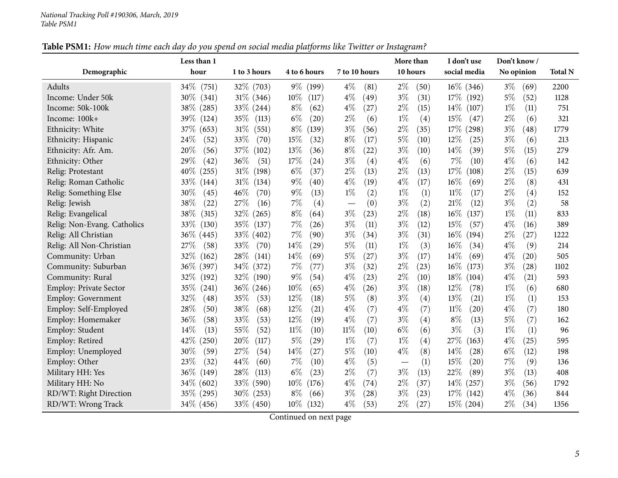|                               | Less than 1     |                 |                 |                | More than                       | I don't use                | Don't know /  |                |
|-------------------------------|-----------------|-----------------|-----------------|----------------|---------------------------------|----------------------------|---------------|----------------|
| Demographic                   | hour            | 1 to 3 hours    | 4 to 6 hours    | 7 to 10 hours  | 10 hours                        | social media               | No opinion    | <b>Total N</b> |
| Adults                        | $34\%$<br>(751) | $32\%$ (703)    | $9\%$ (199)     | $4\%$<br>(81)  | $2\%$<br>(50)                   | $16\%$ (346)               | $3\%$<br>(69) | 2200           |
| Income: Under 50k             | $30\%$<br>(341) | $31\%$ (346)    | $10\%$<br>(117) | $4\%$<br>(49)  | $3\%$<br>(31)                   | 17\% (192)                 | $5\%$<br>(52) | 1128           |
| Income: 50k-100k              | 38\% (285)      | $33\% (244)$    | $8\%$<br>(62)   | $4\%$<br>(27)  | $2\%$<br>(15)                   | $14\%$<br>(107)            | $1\%$<br>(11) | 751            |
| Income: 100k+                 | 39\% (124)      | 35\%<br>(113)   | $6\%$<br>(20)   | $2\%$<br>(6)   | $1\%$<br>(4)                    | 15%<br>(47)                | $2\%$<br>(6)  | 321            |
| Ethnicity: White              | 37\%<br>(653)   | 31%<br>(551)    | $8\%$<br>(139)  | $3\%$<br>(56)  | $2\%$<br>(35)                   | $17\%$<br>(298)            | $3\%$<br>(48) | 1779           |
| Ethnicity: Hispanic           | 24%<br>(52)     | 33%<br>(70)     | 15%<br>(32)     | $8\%$<br>(17)  | $5\%$<br>(10)                   | 12%<br>(25)                | $3\%$<br>(6)  | 213            |
| Ethnicity: Afr. Am.           | 20%<br>(56)     | 37\%<br>(102)   | 13%<br>(36)     | $8\%$<br>(22)  | $3\%$<br>(10)                   | 14%<br>(39)                | $5\%$<br>(15) | 279            |
| Ethnicity: Other              | 29\%<br>(42)    | 36%<br>(51)     | 17%<br>(24)     | $3\%$<br>(4)   | $4\%$<br>(6)                    | 7%<br>(10)                 | $4\%$<br>(6)  | 142            |
| Relig: Protestant             | $40\%$<br>(255) | 31%<br>(198)    | $6\%$<br>(37)   | $2\%$<br>(13)  | $2\%$<br>(13)                   | 17%<br>(108)               | $2\%$<br>(15) | 639            |
| Relig: Roman Catholic         | 33%<br>(144)    | $31\%$<br>(134) | $9\%$<br>(40)   | $4\%$<br>(19)  | $4\%$<br>(17)                   | 16%<br>(69)                | $2\%$<br>(8)  | 431            |
| Relig: Something Else         | 30%<br>(45)     | 46%<br>(70)     | $9\%$<br>(13)   | $1\%$<br>(2)   | $1\%$<br>(1)                    | $11\%$<br>(17)             | $2\%$<br>(4)  | 152            |
| Relig: Jewish                 | 38%<br>(22)     | 27%<br>(16)     | 7%<br>(4)       | (0)            | $3\%$<br>(2)                    | 21%<br>(12)                | $3\%$<br>(2)  | 58             |
| Relig: Evangelical            | 38%<br>(315)    | 32%<br>(265)    | $8\%$<br>(64)   | $3\%$<br>(23)  | $2\%$<br>(18)                   | $16\%$<br>(137)            | $1\%$<br>(11) | 833            |
| Relig: Non-Evang. Catholics   | 33\%<br>(130)   | 35\%<br>(137)   | 7%<br>(26)      | $3\%$<br>(11)  | $3\%$<br>(12)                   | 15%<br>(57)                | $4\%$<br>(16) | 389            |
| Relig: All Christian          | 36\% (445)      | 33% (402)       | 7%<br>(90)      | $3\%$<br>(34)  | $3\%$<br>(31)                   | $16\%$<br>(194)            | $2\%$<br>(27) | 1222           |
| Relig: All Non-Christian      | 27%<br>(58)     | 33%<br>(70)     | 14\%<br>(29)    | $5\%$<br>(11)  | $1\%$<br>(3)                    | 16%<br>(34)                | $4\%$<br>(9)  | 214            |
| Community: Urban              | 32%<br>(162)    | 28%<br>(141)    | 14%<br>(69)     | $5\%$<br>(27)  | $3\%$<br>(17)                   | 14%<br>(69)                | $4\%$<br>(20) | 505            |
| Community: Suburban           | $36\%$<br>(397) | 34\%<br>(372)   | 7%<br>(77)      | $3\%$<br>(32)  | $2\%$<br>(23)                   | 16%<br>(173)               | $3\%$<br>(28) | 1102           |
| Community: Rural              | 32%<br>(192)    | 32\%<br>(190)   | $9\%$<br>(54)   | $4\%$<br>(23)  | $2\%$<br>(10)                   | 18%<br>(104)               | $4\%$<br>(21) | 593            |
| <b>Employ: Private Sector</b> | 35%<br>(241)    | $36\%$ (246)    | 10%<br>(65)     | $4\%$<br>(26)  | $3\%$<br>(18)                   | $12\%$<br>(78)             | $1\%$<br>(6)  | 680            |
| <b>Employ: Government</b>     | 32%<br>(48)     | 35%<br>(53)     | 12%<br>(18)     | $5\%$<br>(8)   | $3\%$<br>(4)                    | 13%<br>(21)                | $1\%$<br>(1)  | 153            |
| Employ: Self-Employed         | 28%<br>(50)     | 38%<br>(68)     | 12%<br>(21)     | $4\%$<br>(7)   | $4\%$<br>(7)                    | 11%<br>(20)                | $4\%$<br>(7)  | 180            |
| Employ: Homemaker             | 36%<br>(58)     | 33%<br>(53)     | $12\%$<br>(19)  | $4\%$<br>(7)   | $3\%$<br>(4)                    | $8\%$<br>(13)              | 5%<br>(7)     | 162            |
| Employ: Student               | 14\%<br>(13)    | 55%<br>(52)     | 11%<br>(10)     | $11\%$<br>(10) | $6\%$<br>(6)                    | $3\%$<br>(3)               | $1\%$<br>(1)  | 96             |
| Employ: Retired               | 42%<br>(250)    | 20%<br>(117)    | $5\%$<br>(29)   | $1\%$<br>(7)   | $1\%$<br>(4)                    | 27%<br>(163)               | $4\%$<br>(25) | 595            |
| Employ: Unemployed            | 30%<br>(59)     | 27%<br>(54)     | 14\%<br>(27)    | $5\%$<br>(10)  | $4\%$<br>(8)                    | 14\%<br>$\left( 28\right)$ | $6\%$<br>(12) | 198            |
| Employ: Other                 | 23\%<br>(32)    | 44\%<br>(60)    | 7%<br>(10)      | $4\%$<br>(5)   | (1)<br>$\overline{\phantom{m}}$ | 15%<br>(20)                | 7%<br>(9)     | 136            |
| Military HH: Yes              | $36\%$<br>(149) | 28\%<br>(113)   | $6\%$<br>(23)   | $2\%$<br>(7)   | $3\%$<br>(13)                   | 22%<br>(89)                | $3\%$<br>(13) | 408            |
| Military HH: No               | 34\% (602)      | 33% (590)       | 10%<br>(176)    | $4\%$<br>(74)  | $2\%$<br>(37)                   | $14\%$<br>(257)            | $3\%$<br>(56) | 1792           |
| RD/WT: Right Direction        | 35\% (295)      | $30\%$ (253)    | $8\%$<br>(66)   | $3\%$<br>(28)  | $3\%$<br>(23)                   | 17%<br>(142)               | $4\%$<br>(36) | 844            |
| RD/WT: Wrong Track            | 34\% (456)      | 33% (450)       | $10\%$<br>(132) | $4\%$<br>(53)  | $2\%$<br>(27)                   | $15\%$ (204)               | $2\%$<br>(34) | 1356           |

Table PSM1: How much time each day do you spend on social media platforms like Twitter or Instagram?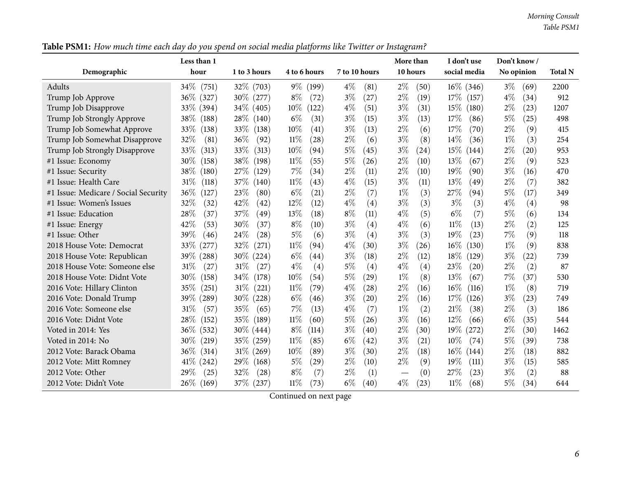*Morning Consult Table PSM1*

|                                      | Less than 1     |                 |                 |                             | More than     | I don't use     | Don't know/   |                |
|--------------------------------------|-----------------|-----------------|-----------------|-----------------------------|---------------|-----------------|---------------|----------------|
| Demographic                          | hour            | 1 to 3 hours    | 4 to 6 hours    | 7 to 10 hours               | 10 hours      | social media    | No opinion    | <b>Total N</b> |
| <b>Adults</b>                        | 34\% (751)      | $32\%$ (703)    | $9\%$<br>(199)  | $4\%$<br>(81)               | $2\%$<br>(50) | $16\%$ (346)    | $3\%$<br>(69) | 2200           |
| Trump Job Approve                    | 36\% (327)      | $30\%$ (277)    | $8\%$<br>(72)   | $3\%$<br>(27)               | $2\%$<br>(19) | $17\%$<br>(157) | $4\%$<br>(34) | 912            |
| Trump Job Disapprove                 | 33\% (394)      | 34\% (405)      | $10\%$<br>(122) | $4\%$<br>(51)               | $3\%$<br>(31) | $15\%$<br>(180) | $2\%$<br>(23) | 1207           |
| Trump Job Strongly Approve           | 38\%<br>(188)   | 28\%<br>(140)   | $6\%$<br>(31)   | $3\%$<br>(15)               | $3\%$<br>(13) | 17%<br>(86)     | 5%<br>(25)    | 498            |
| Trump Job Somewhat Approve           | 33\%<br>(138)   | 33\%<br>(138)   | 10%<br>(41)     | $3\%$<br>(13)               | $2\%$<br>(6)  | 17%<br>(70)     | $2\%$<br>(9)  | 415            |
| Trump Job Somewhat Disapprove        | 32%<br>(81)     | 36%<br>(92)     | 11%<br>(28)     | $2\%$<br>(6)                | $3\%$<br>(8)  | 14%<br>(36)     | $1\%$<br>(3)  | 254            |
| Trump Job Strongly Disapprove        | 33\%<br>(313)   | 33\%<br>(313)   | $10\%$<br>(94)  | $5\%$<br>(45)               | $3\%$<br>(24) | 15%<br>(144)    | $2\%$<br>(20) | 953            |
| #1 Issue: Economy                    | 30\%<br>(158)   | 38%<br>(198)    | $11\%$<br>(55)  | 5%<br>(26)                  | $2\%$<br>(10) | 13%<br>(67)     | $2\%$<br>(9)  | 523            |
| #1 Issue: Security                   | 38%<br>(180)    | 27%<br>(129)    | 7%<br>(34)      | $2\%$<br>(11)               | $2\%$<br>(10) | 19%<br>(90)     | $3\%$<br>(16) | 470            |
| #1 Issue: Health Care                | $31\%$<br>(118) | 37%<br>(140)    | $11\%$<br>(43)  | $4\%$<br>(15)               | $3\%$<br>(11) | 13%<br>(49)     | $2\%$<br>(7)  | 382            |
| #1 Issue: Medicare / Social Security | $36\%$<br>(127) | 23\%<br>(80)    | $6\%$<br>(21)   | $2\%$<br>(7)                | $1\%$<br>(3)  | 27%<br>(94)     | 5%<br>(17)    | 349            |
| #1 Issue: Women's Issues             | 32%<br>(32)     | 42\%<br>(42)    | $12\%$<br>(12)  | $4\%$<br>(4)                | $3\%$<br>(3)  | $3\%$<br>(3)    | $4\%$<br>(4)  | 98             |
| #1 Issue: Education                  | 28%<br>(37)     | 37%<br>(49)     | 13%<br>(18)     | $8\%$<br>(11)               | $4\%$<br>(5)  | $6\%$<br>(7)    | 5%<br>(6)     | 134            |
| #1 Issue: Energy                     | 42\%<br>(53)    | $30\%$<br>(37)  | $8\%$<br>(10)   | $3\%$<br>(4)                | $4\%$<br>(6)  | 11%<br>(13)     | $2\%$<br>(2)  | 125            |
| #1 Issue: Other                      | 39%<br>(46)     | 24%<br>(28)     | $5\%$<br>(6)    | $3\%$<br>(4)                | $3\%$<br>(3)  | 19%<br>(23)     | 7%<br>(9)     | 118            |
| 2018 House Vote: Democrat            | 33\%<br>(277)   | 32%<br>(271)    | $11\%$<br>(94)  | $4\%$<br>(30)               | $3\%$<br>(26) | $16\%$<br>(130) | $1\%$<br>(9)  | 838            |
| 2018 House Vote: Republican          | 39\% (288)      | $30\%$ (224)    | $6\%$<br>(44)   | $3\%$<br>(18)               | $2\%$<br>(12) | 18%<br>(129)    | $3\%$<br>(22) | 739            |
| 2018 House Vote: Someone else        | $31\%$<br>(27)  | 31%<br>(27)     | $4\%$<br>(4)    | $5\%$<br>(4)                | $4\%$<br>(4)  | 23\%<br>(20)    | $2\%$<br>(2)  | 87             |
| 2018 House Vote: Didnt Vote          | $30\%$<br>(158) | 34\%<br>(178)   | $10\%$<br>(54)  | $5\%$<br>$\left( 29\right)$ | $1\%$<br>(8)  | 13%<br>(67)     | $7\%$<br>(37) | 530            |
| 2016 Vote: Hillary Clinton           | $35\%$<br>(251) | $31\%$<br>(221) | $11\%$<br>(79)  | $4\%$<br>(28)               | $2\%$<br>(16) | 16%<br>(116)    | $1\%$<br>(8)  | 719            |
| 2016 Vote: Donald Trump              | 39% (289)       | $30\%$<br>(228) | $6\%$<br>(46)   | $3\%$<br>(20)               | $2\%$<br>(16) | 17%<br>(126)    | $3\%$<br>(23) | 749            |
| 2016 Vote: Someone else              | 31%<br>(57)     | 35\%<br>(65)    | $7\%$<br>(13)   | $4\%$<br>(7)                | $1\%$<br>(2)  | 21%<br>(38)     | $2\%$<br>(3)  | 186            |
| 2016 Vote: Didnt Vote                | 28\%<br>(152)   | 35%<br>(189)    | 11%<br>(60)     | $5\%$<br>(26)               | $3\%$<br>(16) | 12%<br>(66)     | $6\%$<br>(35) | 544            |
| Voted in 2014: Yes                   | $36\%$<br>(532) | $30\%$ (444)    | $8\%$<br>(114)  | $3\%$<br>(40)               | $2\%$<br>(30) | $19\%$<br>(272) | $2\%$<br>(30) | 1462           |
| Voted in 2014: No                    | $30\%$ (219)    | 35\% (259)      | 11%<br>(85)     | $6\%$<br>(42)               | $3\%$<br>(21) | 10%<br>(74)     | 5%<br>(39)    | 738            |
| 2012 Vote: Barack Obama              | $36\%$<br>(314) | $31\%$<br>(269) | 10%<br>(89)     | $3\%$<br>(30)               | $2\%$<br>(18) | $16\%$<br>(144) | $2\%$<br>(18) | 882            |
| 2012 Vote: Mitt Romney               | $41\%$ (242)    | 29\%<br>(168)   | $5\%$<br>(29)   | $2\%$<br>(10)               | $2\%$<br>(9)  | 19%<br>(111)    | $3\%$<br>(15) | 585            |
| 2012 Vote: Other                     | $29\%$<br>(25)  | 32%<br>(28)     | $8\%$<br>(7)    | $2\%$<br>(1)                | (0)           | 27%<br>(23)     | $3\%$<br>(2)  | 88             |
| 2012 Vote: Didn't Vote               | $26\%$<br>(169) | 37\% (237)      | 11%<br>(73)     | $6\%$<br>(40)               | $4\%$<br>(23) | 11%<br>(68)     | 5%<br>(34)    | 644            |

Table PSM1: How much time each day do you spend on social media platforms like Twitter or Instagram?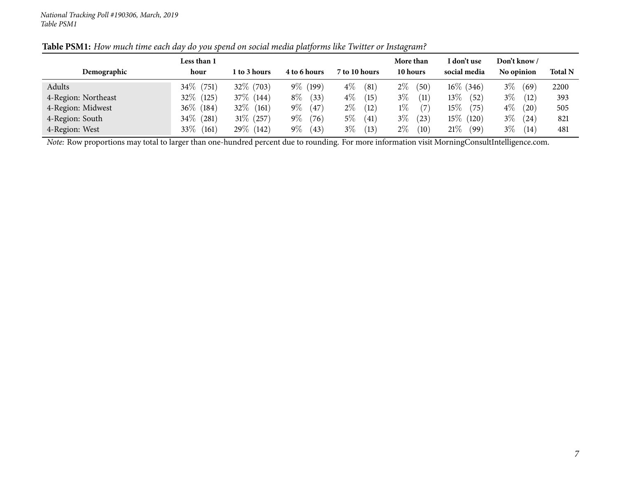| Demographic         | Less than 1<br>hour | 1 to 3 hours | 4 to 6 hours  | 7 to 10 hours | More than<br>10 hours | I don't use<br>social media | Don't know /<br>No opinion | <b>Total N</b> |
|---------------------|---------------------|--------------|---------------|---------------|-----------------------|-----------------------------|----------------------------|----------------|
| Adults              | $34\%$ (751)        | 32\% (703)   | $9\%$ (199)   | $4\%$<br>(81) | $2\%$<br>(50)         | $16\%$ (346)                | $3\%$<br>(69)              | 2200           |
| 4-Region: Northeast | $32\%$ (125)        | 37\% (144)   | $8\%$<br>(33) | $4\%$<br>(15) | $3\%$<br>(11)         | $13\%$<br>(52)              | $3\%$<br>(12)              | 393            |
| 4-Region: Midwest   | $36\%$ (184)        | $32\%$ (161) | $9\%$<br>(47) | $2\%$<br>(12) | $1\%$<br>(7)          | 15 $\%$<br>(75)             | $4\%$<br>(20)              | 505            |
| 4-Region: South     | $34\%$ (281)        | $31\%$ (257) | $9\%$<br>(76) | $5\%$<br>(41) | $3\%$<br>(23)         | 15 $\%$<br>(120)            | $3\%$<br>(24)              | 821            |
| 4-Region: West      | 33\%<br>(161)       | 29\% (142)   | $9\%$<br>(43) | $3\%$<br>(13) | $2\%$<br>(10)         | $21\%$<br>(99)              | $3\%$<br>(14)              | 481            |

Table PSM1: How much time each day do you spend on social media platforms like Twitter or Instagram?

*Note:* Row proportions may total to larger than one-hundred percen<sup>t</sup> due to rounding. For more information visit [MorningConsultIntelligence.com](https://morningconsultintelligence.com).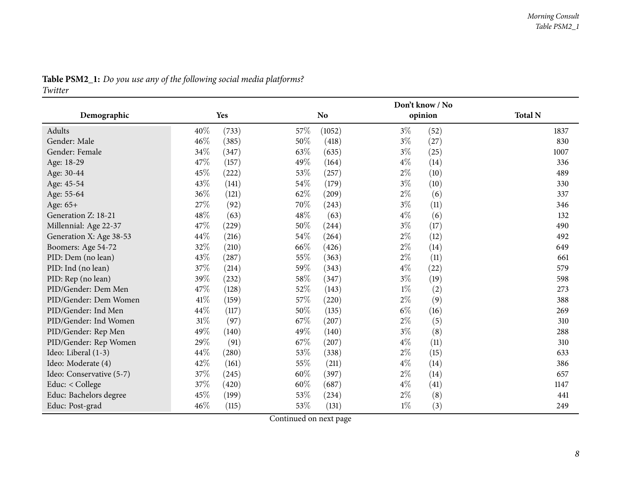<span id="page-7-0"></span>

| Don't know / No          |        |       |        |                |       |         |                |
|--------------------------|--------|-------|--------|----------------|-------|---------|----------------|
| Demographic              |        | Yes   |        | N <sub>o</sub> |       | opinion | <b>Total N</b> |
| Adults                   | 40%    | (733) | 57%    | (1052)         | $3\%$ | (52)    | 1837           |
| Gender: Male             | 46%    | (385) | 50%    | (418)          | $3\%$ | (27)    | 830            |
| Gender: Female           | $34\%$ | (347) | 63%    | (635)          | $3\%$ | (25)    | 1007           |
| Age: 18-29               | 47%    | (157) | 49%    | (164)          | $4\%$ | (14)    | 336            |
| Age: 30-44               | 45%    | (222) | 53%    | (257)          | $2\%$ | (10)    | 489            |
| Age: 45-54               | 43%    | (141) | $54\%$ | (179)          | $3\%$ | (10)    | 330            |
| Age: 55-64               | 36%    | (121) | 62%    | (209)          | $2\%$ | (6)     | 337            |
| Age: 65+                 | 27%    | (92)  | 70%    | (243)          | $3\%$ | (11)    | 346            |
| Generation Z: 18-21      | 48%    | (63)  | $48\%$ | (63)           | $4\%$ | (6)     | 132            |
| Millennial: Age 22-37    | 47%    | (229) | 50%    | (244)          | $3\%$ | (17)    | 490            |
| Generation X: Age 38-53  | 44%    | (216) | 54%    | (264)          | $2\%$ | (12)    | 492            |
| Boomers: Age 54-72       | $32\%$ | (210) | 66\%   | (426)          | $2\%$ | (14)    | 649            |
| PID: Dem (no lean)       | 43%    | (287) | 55%    | (363)          | $2\%$ | (11)    | 661            |
| PID: Ind (no lean)       | 37%    | (214) | 59%    | (343)          | $4\%$ | (22)    | 579            |
| PID: Rep (no lean)       | 39%    | (232) | 58%    | (347)          | $3\%$ | (19)    | 598            |
| PID/Gender: Dem Men      | 47\%   | (128) | 52%    | (143)          | $1\%$ | (2)     | 273            |
| PID/Gender: Dem Women    | 41%    | (159) | 57%    | (220)          | $2\%$ | (9)     | 388            |
| PID/Gender: Ind Men      | $44\%$ | (117) | 50%    | (135)          | $6\%$ | (16)    | 269            |
| PID/Gender: Ind Women    | $31\%$ | (97)  | 67%    | (207)          | $2\%$ | (5)     | 310            |
| PID/Gender: Rep Men      | 49%    | (140) | 49%    | (140)          | $3\%$ | (8)     | 288            |
| PID/Gender: Rep Women    | 29%    | (91)  | 67%    | (207)          | $4\%$ | (11)    | 310            |
| Ideo: Liberal (1-3)      | 44%    | (280) | 53%    | (338)          | $2\%$ | (15)    | 633            |
| Ideo: Moderate (4)       | 42%    | (161) | 55%    | (211)          | $4\%$ | (14)    | 386            |
| Ideo: Conservative (5-7) | 37%    | (245) | 60%    | (397)          | $2\%$ | (14)    | 657            |
| Educ: < College          | 37%    | (420) | 60%    | (687)          | $4\%$ | (41)    | 1147           |
| Educ: Bachelors degree   | 45%    | (199) | 53%    | (234)          | $2\%$ | (8)     | 441            |
| Educ: Post-grad          | 46%    | (115) | 53%    | (131)          | $1\%$ | (3)     | 249            |

### Table PSM2\_1: Do you use any of the following social media platforms?

*Twitter*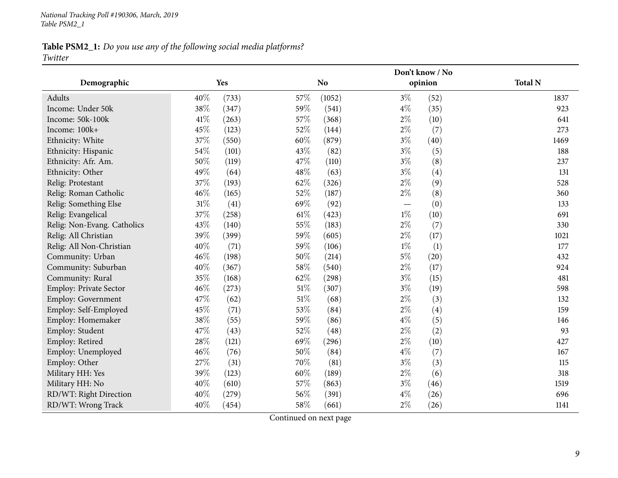### Table PSM2\_1: Do you use any of the following social media platforms? *Twitter*

|                               |        |       |        |                |                   | Don't know / No |                |  |  |
|-------------------------------|--------|-------|--------|----------------|-------------------|-----------------|----------------|--|--|
| Demographic                   |        | Yes   |        | N <sub>o</sub> |                   | opinion         | <b>Total N</b> |  |  |
| Adults                        | 40%    | (733) | 57%    | (1052)         | $3\%$             | (52)            | 1837           |  |  |
| Income: Under 50k             | 38%    | (347) | 59%    | (541)          | $4\%$             | (35)            | 923            |  |  |
| Income: 50k-100k              | $41\%$ | (263) | 57%    | (368)          | $2\%$             | (10)            | 641            |  |  |
| Income: 100k+                 | 45%    | (123) | 52%    | (144)          | $2\%$             | (7)             | 273            |  |  |
| Ethnicity: White              | 37%    | (550) | 60%    | (879)          | $3\%$             | (40)            | 1469           |  |  |
| Ethnicity: Hispanic           | 54%    | (101) | 43%    | (82)           | $3\%$             | (5)             | 188            |  |  |
| Ethnicity: Afr. Am.           | 50%    | (119) | 47%    | (110)          | $3\%$             | (8)             | 237            |  |  |
| Ethnicity: Other              | 49%    | (64)  | 48%    | (63)           | $3\%$             | (4)             | 131            |  |  |
| Relig: Protestant             | 37%    | (193) | 62\%   | (326)          | $2\%$             | (9)             | 528            |  |  |
| Relig: Roman Catholic         | 46%    | (165) | 52%    | (187)          | $2\%$             | (8)             | 360            |  |  |
| Relig: Something Else         | $31\%$ | (41)  | 69%    | (92)           | $\hspace{0.05cm}$ | (0)             | 133            |  |  |
| Relig: Evangelical            | 37%    | (258) | 61\%   | (423)          | $1\%$             | (10)            | 691            |  |  |
| Relig: Non-Evang. Catholics   | 43%    | (140) | 55%    | (183)          | $2\%$             | (7)             | 330            |  |  |
| Relig: All Christian          | 39%    | (399) | 59%    | (605)          | $2\%$             | (17)            | 1021           |  |  |
| Relig: All Non-Christian      | 40%    | (71)  | 59%    | (106)          | $1\%$             | (1)             | 177            |  |  |
| Community: Urban              | 46%    | (198) | 50%    | (214)          | $5\%$             | (20)            | 432            |  |  |
| Community: Suburban           | 40%    | (367) | 58%    | (540)          | $2\%$             | (17)            | 924            |  |  |
| Community: Rural              | 35%    | (168) | 62%    | (298)          | $3\%$             | (15)            | 481            |  |  |
| <b>Employ: Private Sector</b> | 46%    | (273) | 51\%   | (307)          | $3\%$             | (19)            | 598            |  |  |
| <b>Employ: Government</b>     | 47%    | (62)  | $51\%$ | (68)           | $2\%$             | (3)             | 132            |  |  |
| Employ: Self-Employed         | 45%    | (71)  | 53%    | (84)           | $2\%$             | (4)             | 159            |  |  |
| Employ: Homemaker             | 38%    | (55)  | 59%    | (86)           | $4\%$             | (5)             | 146            |  |  |
| Employ: Student               | 47%    | (43)  | 52%    | (48)           | $2\%$             | (2)             | 93             |  |  |
| Employ: Retired               | 28%    | (121) | 69%    | (296)          | $2\%$             | (10)            | 427            |  |  |
| Employ: Unemployed            | 46%    | (76)  | 50%    | (84)           | $4\%$             | (7)             | 167            |  |  |
| Employ: Other                 | 27%    | (31)  | 70%    | (81)           | $3\%$             | (3)             | 115            |  |  |
| Military HH: Yes              | 39%    | (123) | 60%    | (189)          | $2\%$             | (6)             | 318            |  |  |
| Military HH: No               | $40\%$ | (610) | 57%    | (863)          | $3\%$             | (46)            | 1519           |  |  |
| RD/WT: Right Direction        | 40%    | (279) | 56%    | (391)          | $4\%$             | (26)            | 696            |  |  |
| RD/WT: Wrong Track            | 40%    | (454) | 58%    | (661)          | $2\%$             | (26)            | 1141           |  |  |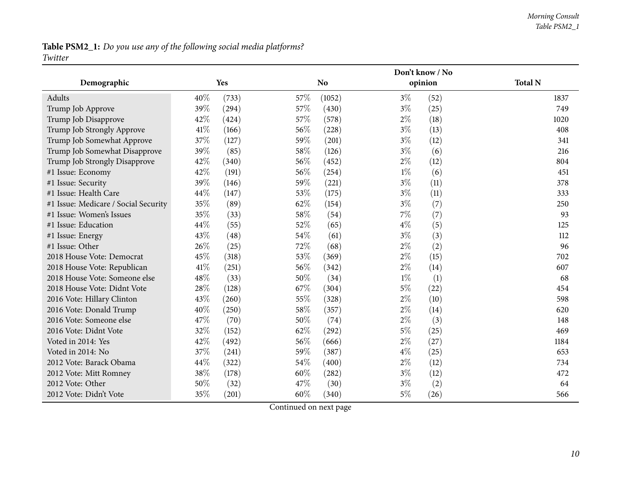#### *Morning Consult Table PSM2\_1*

### Table PSM2\_1: Do you use any of the following social media platforms? *Twitter*

|                                      |      |       |      |                |       | Don't know / No |                |  |  |
|--------------------------------------|------|-------|------|----------------|-------|-----------------|----------------|--|--|
| Demographic                          |      | Yes   |      | N <sub>o</sub> |       | opinion         | <b>Total N</b> |  |  |
| Adults                               | 40%  | (733) | 57%  | (1052)         | $3\%$ | (52)            | 1837           |  |  |
| Trump Job Approve                    | 39%  | (294) | 57%  | (430)          | $3\%$ | (25)            | 749            |  |  |
| Trump Job Disapprove                 | 42%  | (424) | 57%  | (578)          | $2\%$ | (18)            | 1020           |  |  |
| Trump Job Strongly Approve           | 41\% | (166) | 56%  | (228)          | $3\%$ | (13)            | 408            |  |  |
| Trump Job Somewhat Approve           | 37%  | (127) | 59%  | (201)          | $3\%$ | (12)            | 341            |  |  |
| Trump Job Somewhat Disapprove        | 39%  | (85)  | 58%  | (126)          | $3\%$ | (6)             | 216            |  |  |
| Trump Job Strongly Disapprove        | 42%  | (340) | 56%  | (452)          | $2\%$ | (12)            | 804            |  |  |
| #1 Issue: Economy                    | 42%  | (191) | 56%  | (254)          | $1\%$ | (6)             | 451            |  |  |
| #1 Issue: Security                   | 39%  | (146) | 59%  | (221)          | $3\%$ | (11)            | 378            |  |  |
| #1 Issue: Health Care                | 44%  | (147) | 53%  | (175)          | $3\%$ | (11)            | 333            |  |  |
| #1 Issue: Medicare / Social Security | 35%  | (89)  | 62%  | (154)          | $3\%$ | (7)             | 250            |  |  |
| #1 Issue: Women's Issues             | 35%  | (33)  | 58%  | (54)           | $7\%$ | (7)             | 93             |  |  |
| #1 Issue: Education                  | 44%  | (55)  | 52\% | (65)           | $4\%$ | (5)             | 125            |  |  |
| #1 Issue: Energy                     | 43%  | (48)  | 54%  | (61)           | $3\%$ | (3)             | 112            |  |  |
| #1 Issue: Other                      | 26%  | (25)  | 72%  | (68)           | $2\%$ | (2)             | 96             |  |  |
| 2018 House Vote: Democrat            | 45%  | (318) | 53%  | (369)          | $2\%$ | (15)            | 702            |  |  |
| 2018 House Vote: Republican          | 41%  | (251) | 56%  | (342)          | $2\%$ | (14)            | 607            |  |  |
| 2018 House Vote: Someone else        | 48%  | (33)  | 50%  | (34)           | $1\%$ | (1)             | 68             |  |  |
| 2018 House Vote: Didnt Vote          | 28%  | (128) | 67\% | (304)          | $5\%$ | (22)            | 454            |  |  |
| 2016 Vote: Hillary Clinton           | 43%  | (260) | 55%  | (328)          | $2\%$ | (10)            | 598            |  |  |
| 2016 Vote: Donald Trump              | 40%  | (250) | 58%  | (357)          | $2\%$ | (14)            | 620            |  |  |
| 2016 Vote: Someone else              | 47%  | (70)  | 50%  | (74)           | $2\%$ | (3)             | 148            |  |  |
| 2016 Vote: Didnt Vote                | 32%  | (152) | 62%  | (292)          | $5\%$ | (25)            | 469            |  |  |
| Voted in 2014: Yes                   | 42%  | (492) | 56%  | (666)          | $2\%$ | (27)            | 1184           |  |  |
| Voted in 2014: No                    | 37%  | (241) | 59%  | (387)          | $4\%$ | (25)            | 653            |  |  |
| 2012 Vote: Barack Obama              | 44%  | (322) | 54%  | (400)          | $2\%$ | (12)            | 734            |  |  |
| 2012 Vote: Mitt Romney               | 38%  | (178) | 60%  | (282)          | $3\%$ | (12)            | 472            |  |  |
| 2012 Vote: Other                     | 50%  | (32)  | 47%  | (30)           | $3\%$ | (2)             | 64             |  |  |
| 2012 Vote: Didn't Vote               | 35%  | (201) | 60%  | (340)          | $5\%$ | (26)            | 566            |  |  |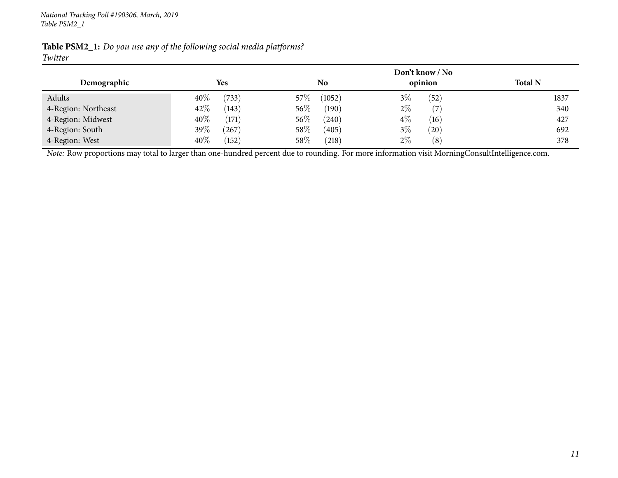|                     |                        |                  | Don't know / No        |                |
|---------------------|------------------------|------------------|------------------------|----------------|
| Demographic         | <b>Yes</b>             | No               | opinion                | <b>Total N</b> |
| Adults              | $40\%$<br>(733)        | $57\%$<br>(1052) | $3\%$<br>(52)          | 1837           |
| 4-Region: Northeast | 42%<br>(143)           | 56%<br>(190)     | $2\%$<br>(7)           | 340            |
| 4-Region: Midwest   | $40\%$<br>(171)        | 56\%<br>(240)    | $4\%$<br>(16)          | 427            |
| 4-Region: South     | 39\%<br>$^{\prime}267$ | 58\%<br>(405)    | $3\%$<br>(20)          | 692            |
| 4-Region: West      | $40\%$<br>(152)        | 58\%<br>(218)    | 2%<br>$\left(8\right)$ | 378            |

Table PSM2\_1: Do you use any of the following social media platforms? *Twitter*

*Note:* Row proportions may total to larger than one-hundred percen<sup>t</sup> due to rounding. For more information visit [MorningConsultIntelligence.com](https://morningconsultintelligence.com).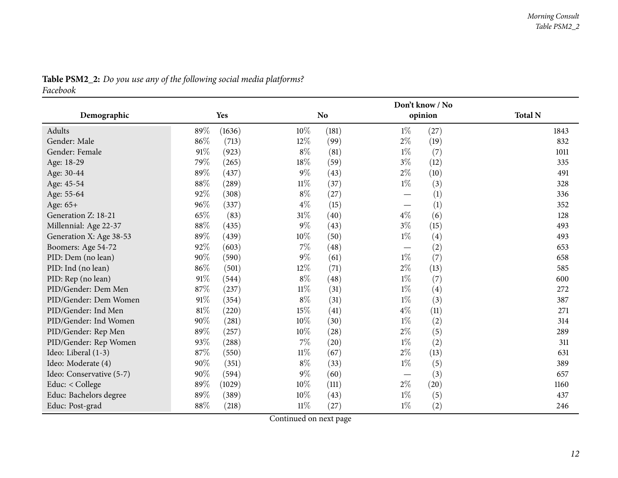<span id="page-11-0"></span>

|                          |        |        |        |           | Don't know / No |         |                |
|--------------------------|--------|--------|--------|-----------|-----------------|---------|----------------|
| Demographic              |        | Yes    |        | <b>No</b> |                 | opinion | <b>Total N</b> |
| Adults                   | 89%    | (1636) | 10%    | (181)     | $1\%$           | (27)    | 1843           |
| Gender: Male             | 86%    | (713)  | $12\%$ | (99)      | $2\%$           | (19)    | 832            |
| Gender: Female           | $91\%$ | (923)  | $8\%$  | (81)      | $1\%$           | (7)     | 1011           |
| Age: 18-29               | 79%    | (265)  | 18%    | (59)      | $3\%$           | (12)    | 335            |
| Age: 30-44               | 89%    | (437)  | $9\%$  | (43)      | $2\%$           | (10)    | 491            |
| Age: 45-54               | $88\%$ | (289)  | $11\%$ | (37)      | $1\%$           | (3)     | 328            |
| Age: 55-64               | $92\%$ | (308)  | $8\%$  | (27)      |                 | (1)     | 336            |
| Age: 65+                 | 96%    | (337)  | $4\%$  | (15)      |                 | (1)     | 352            |
| Generation Z: 18-21      | 65%    | (83)   | $31\%$ | (40)      | $4\%$           | (6)     | 128            |
| Millennial: Age 22-37    | $88\%$ | (435)  | $9\%$  | (43)      | $3\%$           | (15)    | 493            |
| Generation X: Age 38-53  | 89%    | (439)  | 10%    | (50)      | $1\%$           | (4)     | 493            |
| Boomers: Age 54-72       | 92%    | (603)  | $7\%$  | (48)      |                 | (2)     | 653            |
| PID: Dem (no lean)       | $90\%$ | (590)  | $9\%$  | (61)      | $1\%$           | (7)     | 658            |
| PID: Ind (no lean)       | $86\%$ | (501)  | 12%    | (71)      | $2\%$           | (13)    | 585            |
| PID: Rep (no lean)       | $91\%$ | (544)  | $8\%$  | (48)      | $1\%$           | (7)     | 600            |
| PID/Gender: Dem Men      | 87%    | (237)  | $11\%$ | (31)      | $1\%$           | (4)     | 272            |
| PID/Gender: Dem Women    | $91\%$ | (354)  | $8\%$  | (31)      | $1\%$           | (3)     | 387            |
| PID/Gender: Ind Men      | $81\%$ | (220)  | 15%    | (41)      | $4\%$           | (11)    | 271            |
| PID/Gender: Ind Women    | $90\%$ | (281)  | $10\%$ | (30)      | $1\%$           | (2)     | 314            |
| PID/Gender: Rep Men      | 89%    | (257)  | $10\%$ | (28)      | $2\%$           | (5)     | 289            |
| PID/Gender: Rep Women    | 93%    | (288)  | 7%     | (20)      | $1\%$           | (2)     | 311            |
| Ideo: Liberal (1-3)      | $87\%$ | (550)  | $11\%$ | (67)      | $2\%$           | (13)    | 631            |
| Ideo: Moderate (4)       | $90\%$ | (351)  | $8\%$  | (33)      | $1\%$           | (5)     | 389            |
| Ideo: Conservative (5-7) | $90\%$ | (594)  | $9\%$  | (60)      |                 | (3)     | 657            |
| Educ: < College          | $89\%$ | (1029) | $10\%$ | (111)     | $2\%$           | (20)    | 1160           |
| Educ: Bachelors degree   | 89%    | (389)  | 10%    | (43)      | $1\%$           | (5)     | 437            |
| Educ: Post-grad          | $88\%$ | (218)  | $11\%$ | (27)      | $1\%$           | (2)     | 246            |

# Table PSM2\_2: Do you use any of the following social media platforms?

*Facebook*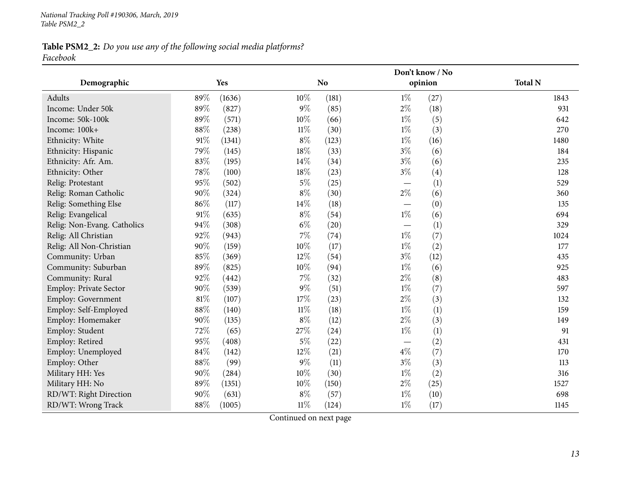### Table PSM2\_2: Do you use any of the following social media platforms? *Facebook*

|                             |        |        |        |                |                                  | Don't know / No |                |
|-----------------------------|--------|--------|--------|----------------|----------------------------------|-----------------|----------------|
| Demographic                 |        | Yes    |        | N <sub>o</sub> |                                  | opinion         | <b>Total N</b> |
| Adults                      | 89%    | (1636) | 10%    | (181)          | $1\%$                            | (27)            | 1843           |
| Income: Under 50k           | 89%    | (827)  | $9\%$  | (85)           | $2\%$                            | (18)            | 931            |
| Income: 50k-100k            | 89%    | (571)  | 10%    | (66)           | $1\%$                            | (5)             | 642            |
| Income: 100k+               | $88\%$ | (238)  | $11\%$ | (30)           | $1\%$                            | (3)             | 270            |
| Ethnicity: White            | $91\%$ | (1341) | $8\%$  | (123)          | $1\%$                            | (16)            | 1480           |
| Ethnicity: Hispanic         | 79%    | (145)  | $18\%$ | (33)           | $3\%$                            | (6)             | 184            |
| Ethnicity: Afr. Am.         | 83%    | (195)  | $14\%$ | (34)           | $3\%$                            | (6)             | 235            |
| Ethnicity: Other            | 78%    | (100)  | 18%    | (23)           | $3\%$                            | (4)             | 128            |
| Relig: Protestant           | 95%    | (502)  | $5\%$  | (25)           |                                  | (1)             | 529            |
| Relig: Roman Catholic       | $90\%$ | (324)  | $8\%$  | (30)           | $2\%$                            | (6)             | 360            |
| Relig: Something Else       | 86%    | (117)  | $14\%$ | (18)           | $\overline{\phantom{0}}$         | (0)             | 135            |
| Relig: Evangelical          | $91\%$ | (635)  | $8\%$  | (54)           | $1\%$                            | (6)             | 694            |
| Relig: Non-Evang. Catholics | 94%    | (308)  | $6\%$  | (20)           | $\overbrace{\phantom{12322111}}$ | (1)             | 329            |
| Relig: All Christian        | 92%    | (943)  | $7\%$  | (74)           | $1\%$                            | (7)             | 1024           |
| Relig: All Non-Christian    | $90\%$ | (159)  | $10\%$ | (17)           | $1\%$                            | (2)             | 177            |
| Community: Urban            | 85%    | (369)  | 12%    | (54)           | $3\%$                            | (12)            | 435            |
| Community: Suburban         | 89%    | (825)  | $10\%$ | (94)           | $1\%$                            | (6)             | 925            |
| Community: Rural            | 92%    | (442)  | $7\%$  | (32)           | $2\%$                            | (8)             | 483            |
| Employ: Private Sector      | $90\%$ | (539)  | $9\%$  | (51)           | $1\%$                            | (7)             | 597            |
| <b>Employ: Government</b>   | $81\%$ | (107)  | 17%    | (23)           | $2\%$                            | (3)             | 132            |
| Employ: Self-Employed       | $88\%$ | (140)  | $11\%$ | (18)           | $1\%$                            | (1)             | 159            |
| Employ: Homemaker           | 90%    | (135)  | $8\%$  | (12)           | $2\%$                            | (3)             | 149            |
| Employ: Student             | 72%    | (65)   | 27\%   | (24)           | $1\%$                            | (1)             | 91             |
| Employ: Retired             | 95%    | (408)  | $5\%$  | (22)           |                                  | (2)             | 431            |
| Employ: Unemployed          | $84\%$ | (142)  | 12%    | (21)           | $4\%$                            | (7)             | 170            |
| Employ: Other               | $88\%$ | (99)   | $9\%$  | (11)           | $3\%$                            | (3)             | 113            |
| Military HH: Yes            | 90%    | (284)  | $10\%$ | (30)           | $1\%$                            | (2)             | 316            |
| Military HH: No             | 89%    | (1351) | $10\%$ | (150)          | $2\%$                            | (25)            | 1527           |
| RD/WT: Right Direction      | 90%    | (631)  | $8\%$  | (57)           | $1\%$                            | (10)            | 698            |
| RD/WT: Wrong Track          | 88%    | (1005) | $11\%$ | (124)          | $1\%$                            | (17)            | 1145           |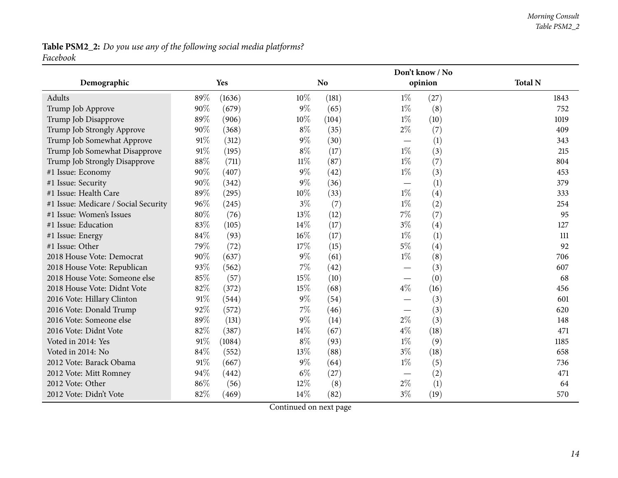### Table PSM2\_2: Do you use any of the following social media platforms? *Facebook*

|                                      |     |        |        | Don't know / No |       |         |                |  |
|--------------------------------------|-----|--------|--------|-----------------|-------|---------|----------------|--|
| Demographic                          |     | Yes    |        | N <sub>o</sub>  |       | opinion | <b>Total N</b> |  |
| Adults                               | 89% | (1636) | $10\%$ | (181)           | $1\%$ | (27)    | 1843           |  |
| Trump Job Approve                    | 90% | (679)  | $9\%$  | (65)            | $1\%$ | (8)     | 752            |  |
| Trump Job Disapprove                 | 89% | (906)  | 10%    | (104)           | $1\%$ | (10)    | 1019           |  |
| Trump Job Strongly Approve           | 90% | (368)  | $8\%$  | (35)            | $2\%$ | (7)     | 409            |  |
| Trump Job Somewhat Approve           | 91% | (312)  | $9\%$  | (30)            |       | (1)     | 343            |  |
| Trump Job Somewhat Disapprove        | 91% | (195)  | $8\%$  | (17)            | $1\%$ | (3)     | 215            |  |
| Trump Job Strongly Disapprove        | 88% | (711)  | $11\%$ | (87)            | $1\%$ | (7)     | 804            |  |
| #1 Issue: Economy                    | 90% | (407)  | $9\%$  | (42)            | $1\%$ | (3)     | 453            |  |
| #1 Issue: Security                   | 90% | (342)  | $9\%$  | (36)            |       | (1)     | 379            |  |
| #1 Issue: Health Care                | 89% | (295)  | 10%    | (33)            | $1\%$ | (4)     | 333            |  |
| #1 Issue: Medicare / Social Security | 96% | (245)  | $3\%$  | (7)             | $1\%$ | (2)     | 254            |  |
| #1 Issue: Women's Issues             | 80% | (76)   | 13%    | (12)            | $7\%$ | (7)     | 95             |  |
| #1 Issue: Education                  | 83% | (105)  | 14%    | (17)            | $3\%$ | (4)     | 127            |  |
| #1 Issue: Energy                     | 84% | (93)   | 16%    | (17)            | $1\%$ | (1)     | 111            |  |
| #1 Issue: Other                      | 79% | (72)   | 17%    | (15)            | $5\%$ | (4)     | 92             |  |
| 2018 House Vote: Democrat            | 90% | (637)  | $9\%$  | (61)            | $1\%$ | (8)     | 706            |  |
| 2018 House Vote: Republican          | 93% | (562)  | 7%     | (42)            |       | (3)     | 607            |  |
| 2018 House Vote: Someone else        | 85% | (57)   | 15%    | (10)            |       | (0)     | 68             |  |
| 2018 House Vote: Didnt Vote          | 82% | (372)  | 15%    | (68)            | $4\%$ | (16)    | 456            |  |
| 2016 Vote: Hillary Clinton           | 91% | (544)  | $9\%$  | (54)            |       | (3)     | 601            |  |
| 2016 Vote: Donald Trump              | 92% | (572)  | 7%     | (46)            |       | (3)     | 620            |  |
| 2016 Vote: Someone else              | 89% | (131)  | $9\%$  | (14)            | $2\%$ | (3)     | 148            |  |
| 2016 Vote: Didnt Vote                | 82% | (387)  | 14%    | (67)            | $4\%$ | (18)    | 471            |  |
| Voted in 2014: Yes                   | 91% | (1084) | $8\%$  | (93)            | $1\%$ | (9)     | 1185           |  |
| Voted in 2014: No                    | 84% | (552)  | 13%    | (88)            | $3\%$ | (18)    | 658            |  |
| 2012 Vote: Barack Obama              | 91% | (667)  | $9\%$  | (64)            | $1\%$ | (5)     | 736            |  |
| 2012 Vote: Mitt Romney               | 94% | (442)  | $6\%$  | (27)            |       | (2)     | 471            |  |
| 2012 Vote: Other                     | 86% | (56)   | $12\%$ | (8)             | $2\%$ | (1)     | 64             |  |
| 2012 Vote: Didn't Vote               | 82% | (469)  | 14%    | (82)            | $3\%$ | (19)    | 570            |  |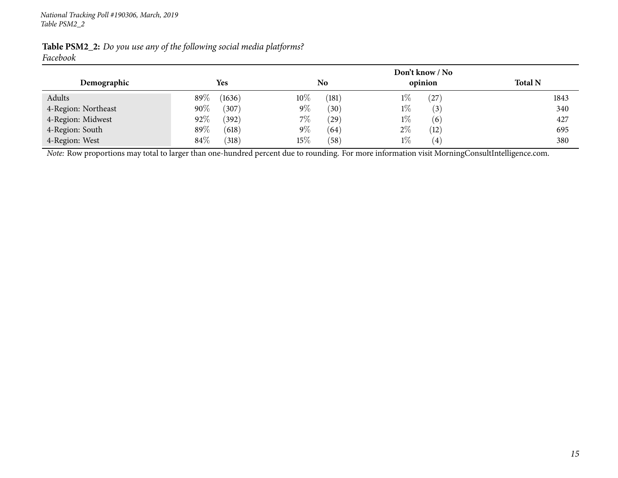|                     |                 |                 | Don't know / No            |                |
|---------------------|-----------------|-----------------|----------------------------|----------------|
| Demographic         | Yes             | N <sub>0</sub>  | opinion                    | <b>Total N</b> |
| Adults              | 89%<br>(1636)   | $10\%$<br>(181) | $1\%$<br>27                | 1843           |
| 4-Region: Northeast | $90\%$<br>(307) | $9\%$<br>(30)   | $1\%$<br>$\left(3\right)$  | 340            |
| 4-Region: Midwest   | 92%<br>(392)    | $7\%$<br>(29)   | $1\%$<br>(6)               | 427            |
| 4-Region: South     | 89%<br>(618)    | $9\%$<br>(64)   | $2\%$<br>(12)              | 695            |
| 4-Region: West      | $84\%$<br>(318) | $15\%$<br>(58)  | $1\%$<br>$\left( 4\right)$ | 380            |

Table PSM2\_2: Do you use any of the following social media platforms? *Facebook*

*Note:* Row proportions may total to larger than one-hundred percen<sup>t</sup> due to rounding. For more information visit [MorningConsultIntelligence.com](https://morningconsultintelligence.com).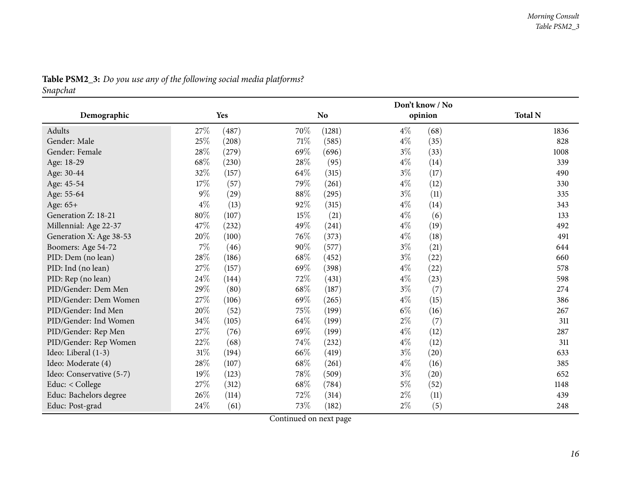<span id="page-15-0"></span>

|                          |        |       |      | Don't know / No |       |         |                |  |
|--------------------------|--------|-------|------|-----------------|-------|---------|----------------|--|
| Demographic              |        | Yes   |      | N <sub>o</sub>  |       | opinion | <b>Total N</b> |  |
| Adults                   | 27%    | (487) | 70%  | (1281)          | $4\%$ | (68)    | 1836           |  |
| Gender: Male             | 25%    | (208) | 71\% | (585)           | $4\%$ | (35)    | 828            |  |
| Gender: Female           | 28\%   | (279) | 69%  | (696)           | $3\%$ | (33)    | 1008           |  |
| Age: 18-29               | 68%    | (230) | 28%  | (95)            | $4\%$ | (14)    | 339            |  |
| Age: 30-44               | 32%    | (157) | 64%  | (315)           | $3\%$ | (17)    | 490            |  |
| Age: 45-54               | 17%    | (57)  | 79%  | (261)           | $4\%$ | (12)    | 330            |  |
| Age: 55-64               | $9\%$  | (29)  | 88%  | (295)           | $3\%$ | (11)    | 335            |  |
| Age: 65+                 | $4\%$  | (13)  | 92%  | (315)           | $4\%$ | (14)    | 343            |  |
| Generation Z: 18-21      | $80\%$ | (107) | 15%  | (21)            | $4\%$ | (6)     | 133            |  |
| Millennial: Age 22-37    | 47%    | (232) | 49%  | (241)           | $4\%$ | (19)    | 492            |  |
| Generation X: Age 38-53  | 20%    | (100) | 76\% | (373)           | $4\%$ | (18)    | 491            |  |
| Boomers: Age 54-72       | 7%     | (46)  | 90%  | (577)           | $3\%$ | (21)    | 644            |  |
| PID: Dem (no lean)       | 28\%   | (186) | 68\% | (452)           | $3\%$ | (22)    | 660            |  |
| PID: Ind (no lean)       | 27\%   | (157) | 69%  | (398)           | $4\%$ | (22)    | 578            |  |
| PID: Rep (no lean)       | 24\%   | (144) | 72%  | (431)           | $4\%$ | (23)    | 598            |  |
| PID/Gender: Dem Men      | 29%    | (80)  | 68%  | (187)           | $3\%$ | (7)     | 274            |  |
| PID/Gender: Dem Women    | 27\%   | (106) | 69%  | (265)           | $4\%$ | (15)    | 386            |  |
| PID/Gender: Ind Men      | 20%    | (52)  | 75%  | (199)           | $6\%$ | (16)    | 267            |  |
| PID/Gender: Ind Women    | 34\%   | (105) | 64%  | (199)           | $2\%$ | (7)     | 311            |  |
| PID/Gender: Rep Men      | 27%    | (76)  | 69%  | (199)           | $4\%$ | (12)    | 287            |  |
| PID/Gender: Rep Women    | $22\%$ | (68)  | 74\% | (232)           | $4\%$ | (12)    | 311            |  |
| Ideo: Liberal (1-3)      | $31\%$ | (194) | 66%  | (419)           | $3\%$ | (20)    | 633            |  |
| Ideo: Moderate (4)       | 28\%   | (107) | 68%  | (261)           | $4\%$ | (16)    | 385            |  |
| Ideo: Conservative (5-7) | 19%    | (123) | 78%  | (509)           | $3\%$ | (20)    | 652            |  |
| Educ: < College          | $27\%$ | (312) | 68%  | (784)           | $5\%$ | (52)    | 1148           |  |
| Educ: Bachelors degree   | 26\%   | (114) | 72%  | (314)           | $2\%$ | (11)    | 439            |  |
| Educ: Post-grad          | 24%    | (61)  | 73%  | (182)           | $2\%$ | (5)     | 248            |  |

# Table PSM2\_3: Do you use any of the following social media platforms?

*Snapchat*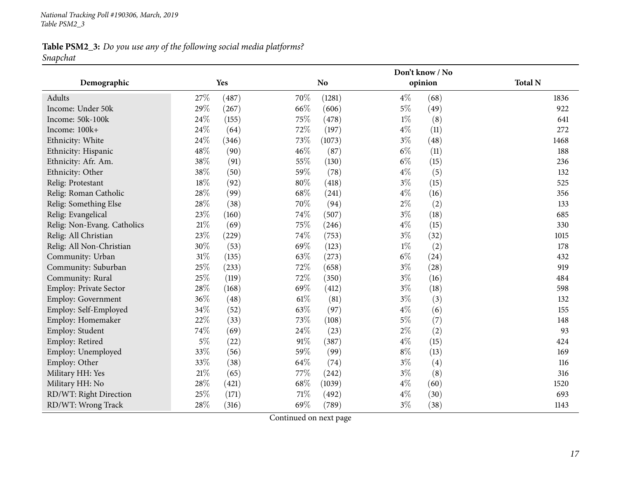### Table PSM2\_3: Do you use any of the following social media platforms? *Snapchat*

|                             |        |       |        | Don't know / No |       |         |                |  |  |
|-----------------------------|--------|-------|--------|-----------------|-------|---------|----------------|--|--|
| Demographic                 |        | Yes   |        | N <sub>o</sub>  |       | opinion | <b>Total N</b> |  |  |
| Adults                      | 27%    | (487) | 70%    | (1281)          | $4\%$ | (68)    | 1836           |  |  |
| Income: Under 50k           | 29%    | (267) | 66%    | (606)           | $5\%$ | (49)    | 922            |  |  |
| Income: 50k-100k            | 24%    | (155) | 75%    | (478)           | $1\%$ | (8)     | 641            |  |  |
| Income: 100k+               | 24%    | (64)  | 72%    | (197)           | $4\%$ | (11)    | 272            |  |  |
| Ethnicity: White            | 24%    | (346) | 73%    | (1073)          | $3\%$ | (48)    | 1468           |  |  |
| Ethnicity: Hispanic         | 48%    | (90)  | 46%    | (87)            | $6\%$ | (11)    | 188            |  |  |
| Ethnicity: Afr. Am.         | 38\%   | (91)  | 55%    | (130)           | $6\%$ | (15)    | 236            |  |  |
| Ethnicity: Other            | 38%    | (50)  | 59%    | (78)            | $4\%$ | (5)     | 132            |  |  |
| Relig: Protestant           | 18%    | (92)  | $80\%$ | (418)           | $3\%$ | (15)    | 525            |  |  |
| Relig: Roman Catholic       | 28%    | (99)  | 68%    | (241)           | $4\%$ | (16)    | 356            |  |  |
| Relig: Something Else       | 28%    | (38)  | 70%    | (94)            | $2\%$ | (2)     | 133            |  |  |
| Relig: Evangelical          | 23%    | (160) | 74%    | (507)           | $3\%$ | (18)    | 685            |  |  |
| Relig: Non-Evang. Catholics | $21\%$ | (69)  | 75%    | (246)           | $4\%$ | (15)    | 330            |  |  |
| Relig: All Christian        | 23%    | (229) | 74%    | (753)           | $3\%$ | (32)    | 1015           |  |  |
| Relig: All Non-Christian    | 30%    | (53)  | 69%    | (123)           | $1\%$ | (2)     | 178            |  |  |
| Community: Urban            | 31%    | (135) | 63%    | (273)           | $6\%$ | (24)    | 432            |  |  |
| Community: Suburban         | 25%    | (233) | 72%    | (658)           | $3\%$ | (28)    | 919            |  |  |
| Community: Rural            | 25%    | (119) | 72%    | (350)           | $3\%$ | (16)    | 484            |  |  |
| Employ: Private Sector      | 28%    | (168) | 69%    | (412)           | $3\%$ | (18)    | 598            |  |  |
| Employ: Government          | 36%    | (48)  | $61\%$ | (81)            | $3\%$ | (3)     | 132            |  |  |
| Employ: Self-Employed       | 34%    | (52)  | 63%    | (97)            | $4\%$ | (6)     | 155            |  |  |
| Employ: Homemaker           | 22%    | (33)  | 73%    | (108)           | $5\%$ | (7)     | 148            |  |  |
| Employ: Student             | 74%    | (69)  | 24%    | (23)            | $2\%$ | (2)     | 93             |  |  |
| Employ: Retired             | $5\%$  | (22)  | $91\%$ | (387)           | $4\%$ | (15)    | 424            |  |  |
| Employ: Unemployed          | 33%    | (56)  | 59%    | (99)            | $8\%$ | (13)    | 169            |  |  |
| Employ: Other               | 33%    | (38)  | 64%    | (74)            | $3\%$ | (4)     | 116            |  |  |
| Military HH: Yes            | 21%    | (65)  | 77%    | (242)           | $3\%$ | (8)     | 316            |  |  |
| Military HH: No             | $28\%$ | (421) | 68%    | (1039)          | $4\%$ | (60)    | 1520           |  |  |
| RD/WT: Right Direction      | 25%    | (171) | $71\%$ | (492)           | $4\%$ | (30)    | 693            |  |  |
| RD/WT: Wrong Track          | 28%    | (316) | 69%    | (789)           | $3\%$ | (38)    | 1143           |  |  |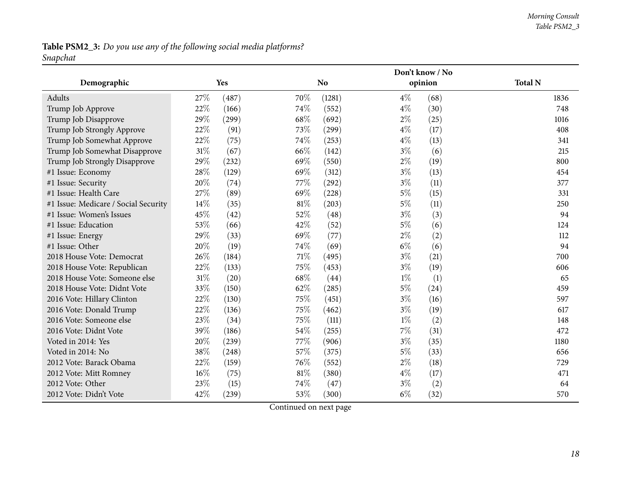### Table PSM2\_3: Do you use any of the following social media platforms? *Snapchat*

|                                      |      |       |        | Don't know / No |       |         |                |  |
|--------------------------------------|------|-------|--------|-----------------|-------|---------|----------------|--|
| Demographic                          |      | Yes   |        | N <sub>o</sub>  |       | opinion | <b>Total N</b> |  |
| Adults                               | 27\% | (487) | 70%    | (1281)          | $4\%$ | (68)    | 1836           |  |
| Trump Job Approve                    | 22%  | (166) | 74%    | (552)           | $4\%$ | (30)    | 748            |  |
| Trump Job Disapprove                 | 29%  | (299) | 68%    | (692)           | $2\%$ | (25)    | 1016           |  |
| Trump Job Strongly Approve           | 22%  | (91)  | 73%    | (299)           | $4\%$ | (17)    | 408            |  |
| Trump Job Somewhat Approve           | 22%  | (75)  | 74%    | (253)           | $4\%$ | (13)    | 341            |  |
| Trump Job Somewhat Disapprove        | 31%  | (67)  | 66\%   | (142)           | $3\%$ | (6)     | 215            |  |
| Trump Job Strongly Disapprove        | 29%  | (232) | 69%    | (550)           | $2\%$ | (19)    | 800            |  |
| #1 Issue: Economy                    | 28%  | (129) | 69%    | (312)           | $3\%$ | (13)    | 454            |  |
| #1 Issue: Security                   | 20%  | (74)  | 77\%   | (292)           | $3\%$ | (11)    | 377            |  |
| #1 Issue: Health Care                | 27%  | (89)  | 69%    | (228)           | $5\%$ | (15)    | 331            |  |
| #1 Issue: Medicare / Social Security | 14%  | (35)  | $81\%$ | (203)           | $5\%$ | (11)    | 250            |  |
| #1 Issue: Women's Issues             | 45%  | (42)  | 52%    | (48)            | $3\%$ | (3)     | 94             |  |
| #1 Issue: Education                  | 53%  | (66)  | 42\%   | (52)            | $5\%$ | (6)     | 124            |  |
| #1 Issue: Energy                     | 29%  | (33)  | 69%    | (77)            | $2\%$ | (2)     | 112            |  |
| #1 Issue: Other                      | 20%  | (19)  | 74%    | (69)            | $6\%$ | (6)     | 94             |  |
| 2018 House Vote: Democrat            | 26%  | (184) | 71%    | (495)           | $3\%$ | (21)    | 700            |  |
| 2018 House Vote: Republican          | 22%  | (133) | 75%    | (453)           | $3\%$ | (19)    | 606            |  |
| 2018 House Vote: Someone else        | 31%  | (20)  | 68\%   | (44)            | $1\%$ | (1)     | 65             |  |
| 2018 House Vote: Didnt Vote          | 33%  | (150) | 62%    | (285)           | $5\%$ | (24)    | 459            |  |
| 2016 Vote: Hillary Clinton           | 22%  | (130) | 75%    | (451)           | $3\%$ | (16)    | 597            |  |
| 2016 Vote: Donald Trump              | 22%  | (136) | 75%    | (462)           | $3\%$ | (19)    | 617            |  |
| 2016 Vote: Someone else              | 23%  | (34)  | 75%    | (111)           | $1\%$ | (2)     | 148            |  |
| 2016 Vote: Didnt Vote                | 39%  | (186) | 54%    | (255)           | $7\%$ | (31)    | 472            |  |
| Voted in 2014: Yes                   | 20%  | (239) | 77\%   | (906)           | $3\%$ | (35)    | 1180           |  |
| Voted in 2014: No                    | 38%  | (248) | 57%    | (375)           | $5\%$ | (33)    | 656            |  |
| 2012 Vote: Barack Obama              | 22%  | (159) | 76%    | (552)           | $2\%$ | (18)    | 729            |  |
| 2012 Vote: Mitt Romney               | 16%  | (75)  | $81\%$ | (380)           | $4\%$ | (17)    | 471            |  |
| 2012 Vote: Other                     | 23%  | (15)  | 74%    | (47)            | $3\%$ | (2)     | 64             |  |
| 2012 Vote: Didn't Vote               | 42%  | (239) | 53%    | (300)           | $6\%$ | (32)    | 570            |  |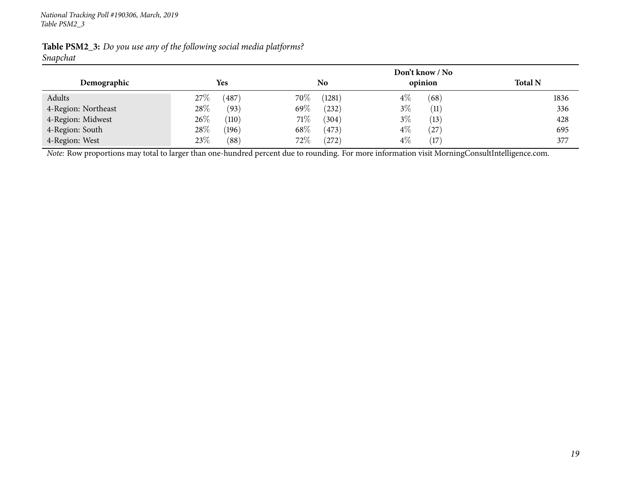|                     |                 |                  | Don't know / No   |                |
|---------------------|-----------------|------------------|-------------------|----------------|
| Demographic         | <b>Yes</b>      | N <sub>o</sub>   | opinion           | <b>Total N</b> |
| Adults              | 487<br>$27\%$   | $70\%$<br>(1281) | $4\%$<br>(68)     | 1836           |
| 4-Region: Northeast | 28%<br>(93)     | 69\%<br>(232)    | $3\%$<br>(11)     | 336            |
| 4-Region: Midwest   | $26\%$<br>(110) | 71\%<br>(304)    | 3%<br>(13)        | 428            |
| 4-Region: South     | $28\%$<br>(196) | 68\%<br>(473)    | $4\%$<br>$^{'}27$ | 695            |
| 4-Region: West      | 23\%<br>(88)    | $72\%$<br>(272)  | $4\%$<br>(17)     | 377            |

Table PSM2\_3: Do you use any of the following social media platforms? *Snapchat*

*Note:* Row proportions may total to larger than one-hundred percen<sup>t</sup> due to rounding. For more information visit [MorningConsultIntelligence.com](https://morningconsultintelligence.com).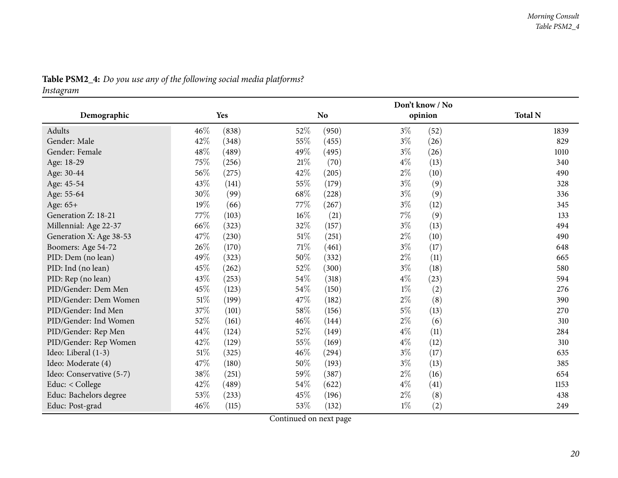<span id="page-19-0"></span>

|                          |        |       |        | Don't know / No |       |         |                |  |
|--------------------------|--------|-------|--------|-----------------|-------|---------|----------------|--|
| Demographic              |        | Yes   |        | <b>No</b>       |       | opinion | <b>Total N</b> |  |
| Adults                   | 46%    | (838) | 52%    | (950)           | $3\%$ | (52)    | 1839           |  |
| Gender: Male             | 42%    | (348) | 55%    | (455)           | $3\%$ | (26)    | 829            |  |
| Gender: Female           | 48\%   | (489) | 49%    | (495)           | $3\%$ | (26)    | 1010           |  |
| Age: 18-29               | 75%    | (256) | 21%    | (70)            | $4\%$ | (13)    | 340            |  |
| Age: 30-44               | 56%    | (275) | 42\%   | (205)           | $2\%$ | (10)    | 490            |  |
| Age: 45-54               | 43%    | (141) | 55\%   | (179)           | $3\%$ | (9)     | 328            |  |
| Age: 55-64               | 30%    | (99)  | 68%    | (228)           | $3\%$ | (9)     | 336            |  |
| Age: 65+                 | 19%    | (66)  | 77\%   | (267)           | $3\%$ | (12)    | 345            |  |
| Generation Z: 18-21      | 77%    | (103) | 16%    | (21)            | $7\%$ | (9)     | 133            |  |
| Millennial: Age 22-37    | $66\%$ | (323) | 32%    | (157)           | $3\%$ | (13)    | 494            |  |
| Generation X: Age 38-53  | 47\%   | (230) | $51\%$ | (251)           | $2\%$ | (10)    | 490            |  |
| Boomers: Age 54-72       | 26%    | (170) | 71\%   | (461)           | $3\%$ | (17)    | 648            |  |
| PID: Dem (no lean)       | 49%    | (323) | 50%    | (332)           | $2\%$ | (11)    | 665            |  |
| PID: Ind (no lean)       | 45%    | (262) | 52%    | (300)           | $3\%$ | (18)    | 580            |  |
| PID: Rep (no lean)       | 43%    | (253) | $54\%$ | (318)           | $4\%$ | (23)    | 594            |  |
| PID/Gender: Dem Men      | 45%    | (123) | 54%    | (150)           | $1\%$ | (2)     | 276            |  |
| PID/Gender: Dem Women    | $51\%$ | (199) | 47%    | (182)           | $2\%$ | (8)     | 390            |  |
| PID/Gender: Ind Men      | 37%    | (101) | 58%    | (156)           | $5\%$ | (13)    | 270            |  |
| PID/Gender: Ind Women    | 52%    | (161) | 46%    | (144)           | $2\%$ | (6)     | 310            |  |
| PID/Gender: Rep Men      | 44%    | (124) | 52%    | (149)           | $4\%$ | (11)    | 284            |  |
| PID/Gender: Rep Women    | $42\%$ | (129) | 55%    | (169)           | $4\%$ | (12)    | 310            |  |
| Ideo: Liberal (1-3)      | $51\%$ | (325) | $46\%$ | (294)           | $3\%$ | (17)    | 635            |  |
| Ideo: Moderate (4)       | 47\%   | (180) | 50%    | (193)           | $3\%$ | (13)    | 385            |  |
| Ideo: Conservative (5-7) | $38\%$ | (251) | 59%    | (387)           | $2\%$ | (16)    | 654            |  |
| Educ: < College          | 42\%   | (489) | 54\%   | (622)           | $4\%$ | (41)    | 1153           |  |
| Educ: Bachelors degree   | 53%    | (233) | 45%    | (196)           | $2\%$ | (8)     | 438            |  |
| Educ: Post-grad          | 46%    | (115) | 53%    | (132)           | $1\%$ | (2)     | 249            |  |

# Table PSM2\_4: Do you use any of the following social media platforms?

*Instagram*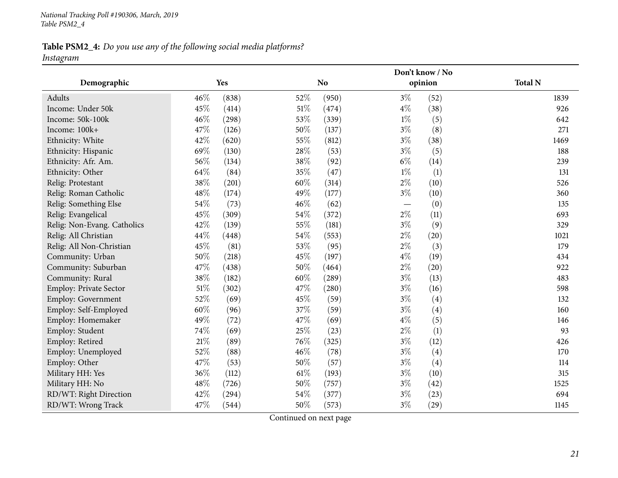#### Table PSM2\_4: Do you use any of the following social media platforms? *Instagram*

**Demographic Yes NoDon't know / Noopinion Total <sup>N</sup>**Adults**s**  $46\%$  (838)  $52\%$  (950)  $3\%$  (52)  $1839$ 926 Income: Under 50kk  $45\%$  (414)  $51\%$  (474)  $4\%$  (38)  $926$ Income: 50k-100kk  $46\%$  (298)  $53\%$  (339)  $1\%$  (5)  $642$ Income: 100k+<br>Ethnicity: White  $+$  47% (126)  $50\%$  (137)  $3\%$  (8) 271 Ethnicity: White  $42\%$   $(620)$   $55\%$   $(812)$   $3\%$   $(38)$   $(38)$   $1469$ 188 Ethnicity: Hispanic  $69\%$   $(130)$   $28\%$   $(53)$   $3\%$   $(5)$   $(5)$   $188$ Ethnicity: Afr. Am.  $56\%$   $(134)$   $38\%$   $(92)$   $6\%$   $(14)$   $239$ 131 Ethnicity: Other 64% (84)  $64\%$  (84)  $35\%$  (47)  $1\%$  (1)  $(1)$ Relig: Protestant  $38\%$   $(201)$   $60\%$   $(314)$   $2\%$   $(10)$  526 360 Relig: Roman Catholic  $48\%$  (174)  $49\%$  (177)  $3\%$  (10)<br>
Relig: Something Else  $54\%$  (73)  $46\%$  (62)  $-$  (0) 135 Relig: Something Else  $54\%$   $(73)$   $46\%$   $(62)$   $-$ <br>Relig: Evangelical  $45\%$   $(309)$   $54\%$   $(372)$   $2\%$  $-$  (0) 135 Relig: Evangelical  $45\%$   $(309)$   $54\%$   $(372)$   $2\%$   $(11)$   $(11)$  693 Relig: Non-Evang. Catholics  $42\%$  (139)  $55\%$  (181)  $3\%$  (9)  $329$ <br>
Relig: All Christian  $44\%$  (448)  $54\%$  (553)  $2\%$  (20)  $1021$ 1021 Relig: All Christiann  $44\%$   $(448)$   $54\%$   $(553)$   $2\%$   $(20)$   $1021$ Relig: All Non-Christiann 45% (81) 53% (95)  $2\%$  (3) 179 Community: Urbann 50% (218) 45% (197) 4% (19) 434 Community: Suburbann 47% (438) 50% (464)  $2\%$  (20) 922 Community: Rural  $38\%$   $(182)$   $60\%$   $(289)$   $3\%$   $(13)$   $(13)$   $483$ Employ: Private Sector 51% (302) 47% (280) 3% (16) 598<br>
Employ: Government 52% (69) 45% (59) 3% (4) 522 Employ: Government 52% (69) 45% (59) 3% (4) 37% (59) 3% (4) 32<br>
Employ: Self-Employed 60% (96) 37% (59) 3% (4) 37% (59) 3% (4) Employ: Self-Employedd 60% (96)  $37\%$  (59)  $3\%$  (4)  $160$ Employ: Homemaker  $49\%$   $(72)$   $47\%$   $(69)$   $4\%$   $(5)$   $146$ 93 Employ: Student  $74\%$  (69)  $25\%$  (23)  $2\%$  (1) 93 Employ: Retiredd  $21\%$  (89)  $76\%$  (325)  $3\%$  (12)  $426$ Employ: Unemployedd 52% (88)  $46\%$  (78)  $3\%$  (4)  $170$ Employ: Other  $47\%$   $(53)$   $50\%$   $(57)$   $3\%$   $(4)$   $(114)$ 315 Military HH: Yes 36% (112)  $36\%$  (112)  $61\%$  (193)  $3\%$  (10)  $315$ Military HH: No**9 48**% (726) **50**% (757) **50**% (757) **50**% (42) RD/WT: Right Directionn  $42\%$  (294)  $54\%$  (377)  $3\%$  (23) 694 RD/WT: Wrong Trackk  $47\%$  (544)  $50\%$  (573)  $3\%$  (29)  $1145$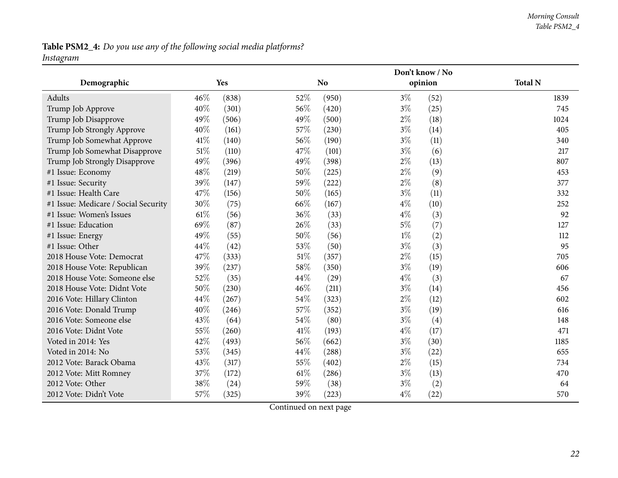#### *Morning Consult Table PSM2\_4*

#### Table PSM2\_4: Do you use any of the following social media platforms? *Instagram*

**Demographic Yes NoDon't know / Noopinion Total <sup>N</sup>**Adults**s**  $46\%$  (838)  $52\%$  (950)  $3\%$  (52)  $1839$ 745 Trump Job Approve  $40\%$   $(301)$   $56\%$   $(420)$   $3\%$   $(25)$   $(25)$   $745$ Trump Job Disapprove 49% (506) 49% (500) 49% (500) 2% (18) 1024<br>
Trump Job Strongly Approve 40% (161) 57% (230) 3% (14) 405 405 Trump Job Strongly Approve  $40\%$  (161)  $57\%$  (230)  $3\%$  (14)  $405$ <br>Trump Job Somewhat Approve  $41\%$  (140)  $56\%$  (190)  $3\%$  (11)  $340$ Trump Job Somewhat Approve  $41\%$  (140)  $56\%$  (190)  $3\%$  (11)<br>Trump Job Somewhat Disapprove  $51\%$  (110)  $47\%$  (101)  $3\%$  (6) 217 Trump Job Somewhat Disapprove 51% (110)  $47\%$  (101)  $3\%$  (6) 217<br>
Trump Job Strongly Disapprove  $49\%$  (396)  $49\%$  (398)  $2\%$  (13) 807 Trump Job Strongly Disapprove  $49\%$  (396)  $49\%$  (398)  $2\%$  (13)<br>
#1 Issue: Economy  $48\%$  (219)  $50\%$  (225)  $2\%$  (9) #1 Issue: Economy  $48\%$  (219)  $50\%$  (225)  $2\%$  (9)  $453$ #1 Issue: Security 39% (147)  $39\%$  (147)  $59\%$  (222)  $2\%$  (8)  $377$ #1 Issue: Health Care  $47\%$  (156)  $50\%$  (165)  $3\%$  (11)  $332$ 41 Issue: Medicare / Social Security  $30\%$  (75) 66% (167) 4% (10) 252<br>
41 Issue: Women's Issues 61% (56) 36% (33) 4% (3) 4% (3) #1 Issue: Women's Issues 61\% (56)  $36\%$  (33)  $4\%$  (3) 92 #1 Issue: Educationn 69% (87)  $26\%$  (33)  $5\%$  (7) 127 #1 Issue: Energy  $49\%$   $(55)$   $50\%$   $(56)$   $1\%$   $(2)$   $(112)$ #1 Issue: Other  $44\%$   $(42)$   $53\%$   $(50)$   $3\%$   $(3)$   $(3)$  $2018$  House Vote: Democrat  $47\%$  (333)  $51\%$  (357)  $2\%$  (15)  $2\%$  (15) 705<br> $2018$  House Vote: Republican  $39\%$  (237)  $58\%$  (350)  $3\%$  (19)  $(19)$  606 <sup>2018</sup> House Vote: Republicann 39% (237) 58% (350) 3% (19) 606  $2018$  House Vote: Someone else  $52\%$   $(35)$   $44\%$   $(29)$   $4\%$   $(3)$   $(4)$   $(5)$   $46\%$   $(211)$   $3\%$   $(14)$   $(15)$   $(16)$   $(17)$   $(18)$   $(19)$   $(19)$   $(11)$   $(19)$   $(19)$   $(11)$   $(19)$   $(19)$   $(19)$   $(19)$   $(19)$   $(19$  $2018$  House Vote: Didnt Vote  $50\%$  (230)  $46\%$  (211)  $3\%$  (14)  $49\%$  (2016 Vote: Hillary Clinton  $44\%$  (267)  $54\%$  (323)  $2\%$  (12)  $54\%$  (202)  $54\%$ 602 <sup>2016</sup> Vote: Hillary Clintonn 44% (267) 54% (323) 2% (12) 602 <sup>2016</sup> Vote: Donald Trump $p$  40% (246) 57% (352) 3% (19) 616 2016 Vote: Someone else  $3\%$   $(64)$   $54\%$   $(80)$   $3\%$   $(4)$   $148$ <br>2016 Vote: Didnt Vote  $55\%$   $(260)$   $41\%$   $(193)$   $4\%$   $(17)$   $(19)$   $471$ 2016 Vote: Didnt Vote  $55\%$   $(260)$   $41\%$   $(193)$   $4\%$   $(17)$   $(17)$   $(193)$   $4\%$   $(17)$ Voted in 2014: Yes  $42\%$   $(493)$   $56\%$   $(662)$   $3\%$   $(30)$   $1185$ Voted in 2014: No**63%** (345) 44% (288) 3% (22) 655  $2012 \text{ Vote: Barack Obama}$ <br>  $2012 \text{ Vote: Hart Romney}$   $37\%$   $317)$   $55\%$   $(402)$   $2\%$   $(15)$   $3\%$   $(13)$   $470$ 470 2012 Vote: Mitt Romney  $37\%$  (172)  $61\%$  (286)  $3\%$  (13)<br>
2012 Vote: Other  $38\%$  (24)  $59\%$  (38)  $3\%$  (2) 64 2012 Vote: Other 38% (24) 59% (38) 3% (2) 64 570 2012 Vote: Didn't Vote  $57\%$   $(325)$   $39\%$   $(223)$   $4\%$   $(22)$   $570$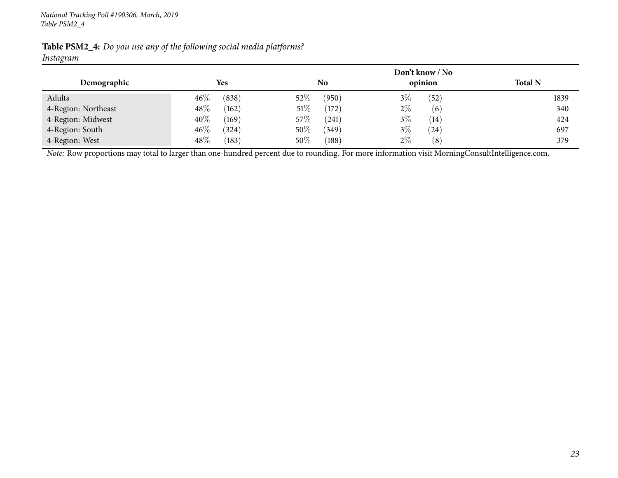|                     |                 |                 | Don't know / No |                |
|---------------------|-----------------|-----------------|-----------------|----------------|
| Demographic         | <b>Yes</b>      | No              | opinion         | <b>Total N</b> |
| Adults              | (838)<br>$46\%$ | $52\%$<br>(950) | $3\%$<br>(52)   | 1839           |
| 4-Region: Northeast | 48\%<br>(162)   | 51%<br>(172)    | $2\%$<br>(6)    | 340            |
| 4-Region: Midwest   | 40%<br>(169)    | 57\%<br>(241)   | $3\%$<br>(14)   | 424            |
| 4-Region: South     | $46\%$<br>(324) | 50%<br>(349)    | $3\%$<br>(24)   | 697            |
| 4-Region: West      | 48%<br>(183)    | 50%<br>(188)    | $2\%$<br>(8)    | 379            |

Table PSM2\_4: Do you use any of the following social media platforms? *Instagram*

*Note:* Row proportions may total to larger than one-hundred percen<sup>t</sup> due to rounding. For more information visit [MorningConsultIntelligence.com](https://morningconsultintelligence.com).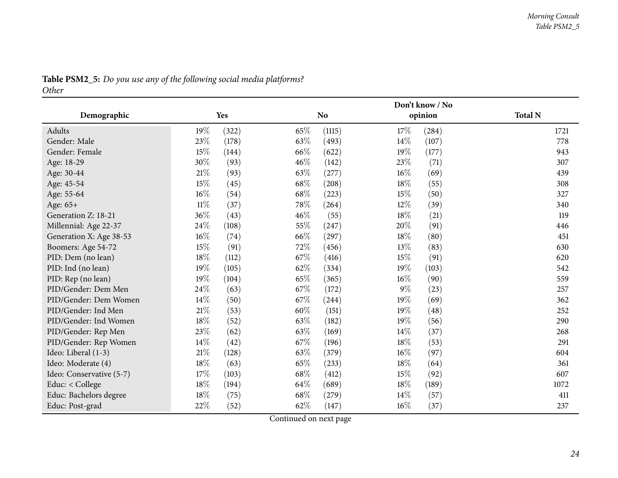<span id="page-23-0"></span>

|                          |        |       |        |                | Don't know / No |         |                |
|--------------------------|--------|-------|--------|----------------|-----------------|---------|----------------|
| Demographic              |        | Yes   |        | N <sub>o</sub> |                 | opinion | <b>Total N</b> |
| Adults                   | 19%    | (322) | 65%    | (1115)         | 17%             | (284)   | 1721           |
| Gender: Male             | 23%    | (178) | 63%    | (493)          | 14%             | (107)   | 778            |
| Gender: Female           | 15%    | (144) | 66\%   | (622)          | $19\%$          | (177)   | 943            |
| Age: 18-29               | 30%    | (93)  | 46%    | (142)          | 23%             | (71)    | 307            |
| Age: 30-44               | $21\%$ | (93)  | 63%    | (277)          | 16%             | (69)    | 439            |
| Age: 45-54               | 15%    | (45)  | 68%    | (208)          | 18%             | (55)    | 308            |
| Age: 55-64               | 16%    | (54)  | 68%    | (223)          | 15%             | (50)    | 327            |
| Age: 65+                 | $11\%$ | (37)  | 78%    | (264)          | 12%             | (39)    | 340            |
| Generation Z: 18-21      | 36\%   | (43)  | $46\%$ | (55)           | $18\%$          | (21)    | 119            |
| Millennial: Age 22-37    | 24%    | (108) | 55%    | (247)          | 20%             | (91)    | 446            |
| Generation X: Age 38-53  | 16%    | (74)  | 66%    | (297)          | 18%             | (80)    | 451            |
| Boomers: Age 54-72       | 15%    | (91)  | 72%    | (456)          | 13%             | (83)    | 630            |
| PID: Dem (no lean)       | 18%    | (112) | 67%    | (416)          | 15%             | (91)    | 620            |
| PID: Ind (no lean)       | 19%    | (105) | 62%    | (334)          | 19%             | (103)   | 542            |
| PID: Rep (no lean)       | 19%    | (104) | 65%    | (365)          | $16\%$          | (90)    | 559            |
| PID/Gender: Dem Men      | 24%    | (63)  | 67%    | (172)          | $9\%$           | (23)    | 257            |
| PID/Gender: Dem Women    | 14%    | (50)  | 67%    | (244)          | 19%             | (69)    | 362            |
| PID/Gender: Ind Men      | 21%    | (53)  | 60%    | (151)          | 19%             | (48)    | 252            |
| PID/Gender: Ind Women    | 18%    | (52)  | 63%    | (182)          | 19%             | (56)    | 290            |
| PID/Gender: Rep Men      | 23%    | (62)  | 63%    | (169)          | 14%             | (37)    | 268            |
| PID/Gender: Rep Women    | 14%    | (42)  | 67%    | (196)          | 18%             | (53)    | 291            |
| Ideo: Liberal (1-3)      | $21\%$ | (128) | 63%    | (379)          | 16%             | (97)    | 604            |
| Ideo: Moderate (4)       | 18%    | (63)  | 65%    | (233)          | 18%             | (64)    | 361            |
| Ideo: Conservative (5-7) | 17%    | (103) | 68%    | (412)          | 15%             | (92)    | 607            |
| Educ: < College          | 18%    | (194) | 64%    | (689)          | 18%             | (189)   | 1072           |
| Educ: Bachelors degree   | 18%    | (75)  | 68%    | (279)          | 14%             | (57)    | 411            |
| Educ: Post-grad          | 22%    | (52)  | 62%    | (147)          | 16%             | (37)    | 237            |

### Table PSM2\_5: Do you use any of the following social media platforms?

*Other*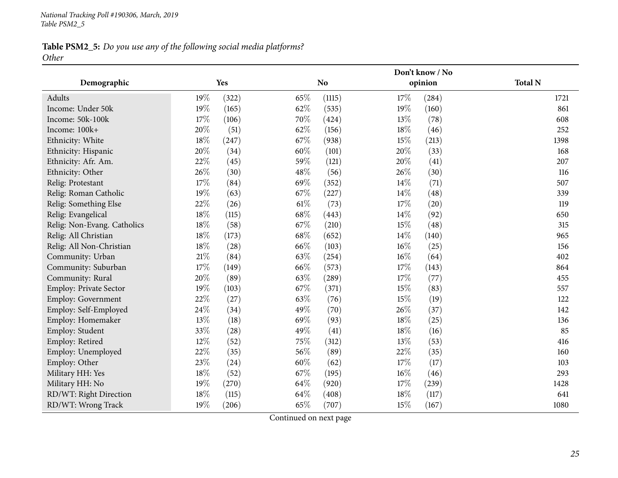### Table PSM2\_5: Do you use any of the following social media platforms? *Other*

|                             |        | Don't know / No |        |                |        |         |                |
|-----------------------------|--------|-----------------|--------|----------------|--------|---------|----------------|
| Demographic                 |        | Yes             |        | N <sub>o</sub> |        | opinion | <b>Total N</b> |
| Adults                      | 19%    | (322)           | 65%    | (1115)         | 17%    | (284)   | 1721           |
| Income: Under 50k           | 19%    | (165)           | 62%    | (535)          | 19%    | (160)   | 861            |
| Income: 50k-100k            | $17\%$ | (106)           | 70%    | (424)          | 13%    | (78)    | 608            |
| Income: 100k+               | 20%    | (51)            | 62%    | (156)          | 18%    | (46)    | 252            |
| Ethnicity: White            | $18\%$ | (247)           | 67%    | (938)          | 15%    | (213)   | 1398           |
| Ethnicity: Hispanic         | 20%    | (34)            | 60%    | (101)          | 20%    | (33)    | 168            |
| Ethnicity: Afr. Am.         | 22%    | (45)            | 59%    | (121)          | 20%    | (41)    | 207            |
| Ethnicity: Other            | 26%    | (30)            | 48%    | (56)           | 26\%   | (30)    | 116            |
| Relig: Protestant           | 17%    | (84)            | 69%    | (352)          | 14\%   | (71)    | 507            |
| Relig: Roman Catholic       | 19%    | (63)            | 67%    | (227)          | 14\%   | (48)    | 339            |
| Relig: Something Else       | 22%    | (26)            | $61\%$ | (73)           | 17%    | (20)    | 119            |
| Relig: Evangelical          | $18\%$ | (115)           | 68%    | (443)          | 14\%   | (92)    | 650            |
| Relig: Non-Evang. Catholics | $18\%$ | (58)            | 67\%   | (210)          | 15%    | (48)    | 315            |
| Relig: All Christian        | 18%    | (173)           | 68\%   | (652)          | 14\%   | (140)   | 965            |
| Relig: All Non-Christian    | 18%    | (28)            | 66%    | (103)          | $16\%$ | (25)    | 156            |
| Community: Urban            | $21\%$ | (84)            | 63%    | (254)          | $16\%$ | (64)    | 402            |
| Community: Suburban         | 17%    | (149)           | 66%    | (573)          | 17%    | (143)   | 864            |
| Community: Rural            | 20%    | (89)            | 63%    | (289)          | 17%    | (77)    | 455            |
| Employ: Private Sector      | 19%    | (103)           | 67%    | (371)          | 15%    | (83)    | 557            |
| Employ: Government          | 22%    | (27)            | 63%    | (76)           | 15%    | (19)    | 122            |
| Employ: Self-Employed       | 24\%   | (34)            | 49%    | (70)           | 26%    | (37)    | 142            |
| Employ: Homemaker           | 13%    | (18)            | 69%    | (93)           | $18\%$ | (25)    | 136            |
| Employ: Student             | 33%    | (28)            | 49%    | (41)           | 18%    | (16)    | 85             |
| Employ: Retired             | 12%    | (52)            | 75%    | (312)          | 13%    | (53)    | 416            |
| Employ: Unemployed          | 22%    | (35)            | 56%    | (89)           | 22%    | (35)    | 160            |
| Employ: Other               | 23%    | (24)            | 60%    | (62)           | 17%    | (17)    | 103            |
| Military HH: Yes            | $18\%$ | (52)            | 67%    | (195)          | $16\%$ | (46)    | 293            |
| Military HH: No             | 19%    | (270)           | 64%    | (920)          | 17%    | (239)   | 1428           |
| RD/WT: Right Direction      | 18%    | (115)           | 64%    | (408)          | 18%    | (117)   | 641            |
| RD/WT: Wrong Track          | 19%    | (206)           | 65%    | (707)          | 15%    | (167)   | 1080           |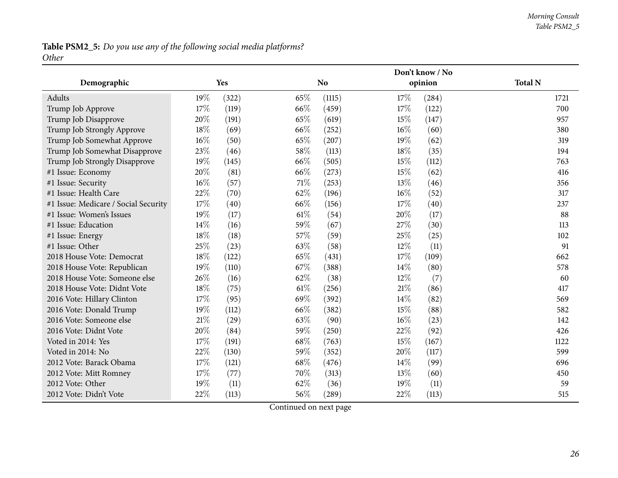### Table PSM2\_5: Do you use any of the following social media platforms? *Other*

|                                      |        |       | Don't know / No |           |        |         |                |
|--------------------------------------|--------|-------|-----------------|-----------|--------|---------|----------------|
| Demographic                          |        | Yes   |                 | <b>No</b> |        | opinion | <b>Total N</b> |
| Adults                               | 19%    | (322) | 65%             | (1115)    | 17%    | (284)   | 1721           |
| Trump Job Approve                    | $17\%$ | (119) | 66%             | (459)     | 17%    | (122)   | 700            |
| Trump Job Disapprove                 | 20%    | (191) | 65%             | (619)     | 15%    | (147)   | 957            |
| Trump Job Strongly Approve           | 18%    | (69)  | 66%             | (252)     | $16\%$ | (60)    | 380            |
| Trump Job Somewhat Approve           | $16\%$ | (50)  | 65%             | (207)     | 19%    | (62)    | 319            |
| Trump Job Somewhat Disapprove        | 23%    | (46)  | 58%             | (113)     | 18%    | (35)    | 194            |
| Trump Job Strongly Disapprove        | 19%    | (145) | 66\%            | (505)     | 15%    | (112)   | 763            |
| #1 Issue: Economy                    | 20%    | (81)  | 66\%            | (273)     | 15%    | (62)    | 416            |
| #1 Issue: Security                   | 16%    | (57)  | 71%             | (253)     | 13%    | (46)    | 356            |
| #1 Issue: Health Care                | 22%    | (70)  | 62%             | (196)     | $16\%$ | (52)    | 317            |
| #1 Issue: Medicare / Social Security | 17%    | (40)  | 66%             | (156)     | 17%    | (40)    | 237            |
| #1 Issue: Women's Issues             | 19%    | (17)  | $61\%$          | (54)      | 20%    | (17)    | 88             |
| #1 Issue: Education                  | 14%    | (16)  | 59%             | (67)      | 27%    | (30)    | 113            |
| #1 Issue: Energy                     | 18%    | (18)  | 57%             | (59)      | 25%    | (25)    | 102            |
| #1 Issue: Other                      | 25%    | (23)  | 63%             | (58)      | 12%    | (11)    | 91             |
| 2018 House Vote: Democrat            | 18%    | (122) | 65%             | (431)     | 17%    | (109)   | 662            |
| 2018 House Vote: Republican          | 19%    | (110) | 67%             | (388)     | 14\%   | (80)    | 578            |
| 2018 House Vote: Someone else        | 26%    | (16)  | 62%             | (38)      | $12\%$ | (7)     | 60             |
| 2018 House Vote: Didnt Vote          | 18%    | (75)  | $61\%$          | (256)     | 21%    | (86)    | 417            |
| 2016 Vote: Hillary Clinton           | 17%    | (95)  | 69%             | (392)     | 14%    | (82)    | 569            |
| 2016 Vote: Donald Trump              | 19%    | (112) | 66\%            | (382)     | 15%    | (88)    | 582            |
| 2016 Vote: Someone else              | 21%    | (29)  | 63%             | (90)      | 16%    | (23)    | 142            |
| 2016 Vote: Didnt Vote                | 20%    | (84)  | 59%             | (250)     | 22%    | (92)    | 426            |
| Voted in 2014: Yes                   | 17%    | (191) | 68\%            | (763)     | 15%    | (167)   | 1122           |
| Voted in 2014: No                    | 22%    | (130) | 59%             | (352)     | 20%    | (117)   | 599            |
| 2012 Vote: Barack Obama              | $17\%$ | (121) | 68\%            | (476)     | 14\%   | (99)    | 696            |
| 2012 Vote: Mitt Romney               | 17%    | (77)  | 70%             | (313)     | 13%    | (60)    | 450            |
| 2012 Vote: Other                     | 19%    | (11)  | 62%             | (36)      | 19%    | (11)    | 59             |
| 2012 Vote: Didn't Vote               | 22%    | (113) | 56%             | (289)     | 22%    | (113)   | 515            |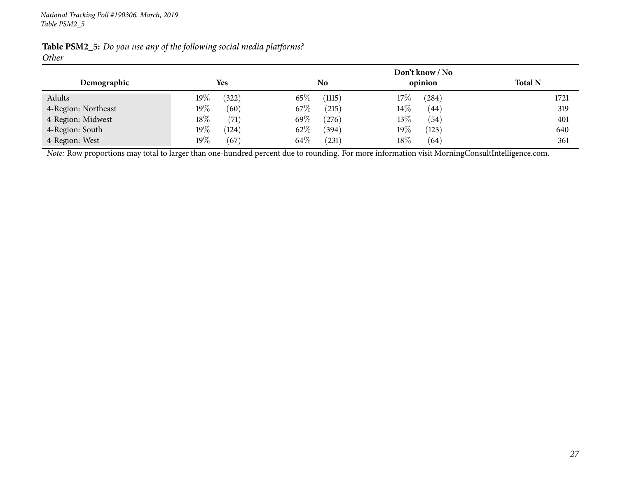| Demographic         | <b>Yes</b>      | N <sub>o</sub> | Don't know / No<br>opinion | <b>Total N</b> |
|---------------------|-----------------|----------------|----------------------------|----------------|
| Adults              | 322)<br>19%     | 65\%<br>(1115) | $17\%$<br>(284)            | 1721           |
| 4-Region: Northeast | 19%<br>(60)     | 67\%<br>(215)  | $14\%$<br>(44)             | 319            |
| 4-Region: Midwest   | 18%<br>(71)     | 69\%<br>(276)  | 13%<br>(54)                | 401            |
| 4-Region: South     | $19\%$<br>(124) | 62\%<br>(394)  | 19%<br>(123)               | 640            |
| 4-Region: West      | 19%<br>(67)     | 64\%<br>(231)  | 18%<br>(64)                | 361            |

Table PSM2\_5: Do you use any of the following social media platforms? *Other*

*Note:* Row proportions may total to larger than one-hundred percen<sup>t</sup> due to rounding. For more information visit [MorningConsultIntelligence.com](https://morningconsultintelligence.com).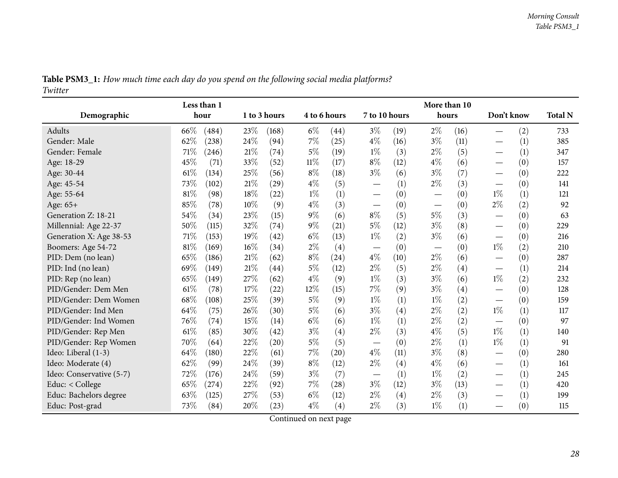<span id="page-27-0"></span>

|                          | Less than 1     |              |                |                                         | More than 10                    |                                        |                |
|--------------------------|-----------------|--------------|----------------|-----------------------------------------|---------------------------------|----------------------------------------|----------------|
| Demographic              | hour            | 1 to 3 hours | 4 to 6 hours   | 7 to 10 hours                           | hours                           | Don't know                             | <b>Total N</b> |
| Adults                   | 66%<br>(484)    | 23%<br>(168) | $6\%$<br>(44)  | $3\%$<br>(19)                           | $2\%$<br>(16)                   | (2)                                    | 733            |
| Gender: Male             | 62%<br>(238)    | 24%<br>(94)  | 7%<br>(25)     | $4\%$<br>(16)                           | $3\%$<br>(11)                   | (1)                                    | 385            |
| Gender: Female           | 71\%<br>(246)   | 21%<br>(74)  | $5\%$<br>(19)  | $1\%$<br>(3)                            | $2\%$<br>(5)                    | (1)                                    | 347            |
| Age: 18-29               | 45%<br>(71)     | 33%<br>(52)  | $11\%$<br>(17) | $8\%$<br>(12)                           | $4\%$<br>(6)                    | (0)                                    | 157            |
| Age: 30-44               | 61\%<br>(134)   | 25%<br>(56)  | $8\%$<br>(18)  | $3\%$<br>(6)                            | $3\%$<br>(7)                    | (0)<br>$\hspace{0.1mm}-\hspace{0.1mm}$ | 222            |
| Age: 45-54               | 73%<br>(102)    | 21%<br>(29)  | $4\%$<br>(5)   | (1)                                     | $2\%$<br>(3)                    | (0)                                    | 141            |
| Age: 55-64               | $81\%$<br>(98)  | 18%<br>(22)  | (1)<br>$1\%$   | (0)<br>$\overbrace{\phantom{12322111}}$ | (0)<br>$\overline{\phantom{0}}$ | $1\%$<br>(1)                           | 121            |
| Age: 65+                 | 85%<br>(78)     | 10%<br>(9)   | $4\%$<br>(3)   | (0)                                     | (0)<br>$\overline{\phantom{0}}$ | $2\%$<br>(2)                           | 92             |
| Generation Z: 18-21      | 54%<br>(34)     | 23%<br>(15)  | $9\%$<br>(6)   | $8\%$<br>(5)                            | $5\%$<br>(3)                    | (0)                                    | 63             |
| Millennial: Age 22-37    | 50%<br>(115)    | 32%<br>(74)  | $9\%$<br>(21)  | $5\%$<br>(12)                           | $3\%$<br>(8)                    | (0)                                    | 229            |
| Generation X: Age 38-53  | 71%<br>(153)    | 19%<br>(42)  | $6\%$<br>(13)  | (2)<br>$1\%$                            | $3\%$<br>(6)                    | (0)                                    | 216            |
| Boomers: Age 54-72       | $81\%$<br>(169) | 16%<br>(34)  | $2\%$<br>(4)   | (0)                                     | (0)                             | $1\%$<br>(2)                           | 210            |
| PID: Dem (no lean)       | 65%<br>(186)    | 21%<br>(62)  | $8\%$<br>(24)  | $4\%$<br>(10)                           | $2\%$<br>(6)                    | (0)                                    | 287            |
| PID: Ind (no lean)       | 69%<br>(149)    | 21%<br>(44)  | $5\%$<br>(12)  | $2\%$<br>(5)                            | $2\%$<br>(4)                    | (1)<br>$\hspace{0.1mm}-\hspace{0.1mm}$ | 214            |
| PID: Rep (no lean)       | 65%<br>(149)    | 27%<br>(62)  | $4\%$<br>(9)   | $1\%$<br>(3)                            | $3\%$<br>(6)                    | $1\%$<br>(2)                           | 232            |
| PID/Gender: Dem Men      | 61\%<br>(78)    | 17%<br>(22)  | $12\%$<br>(15) | $7\%$<br>(9)                            | $3\%$<br>(4)                    | (0)                                    | 128            |
| PID/Gender: Dem Women    | 68%<br>(108)    | 25%<br>(39)  | $5\%$<br>(9)   | $1\%$<br>(1)                            | $1\%$<br>(2)                    | (0)                                    | 159            |
| PID/Gender: Ind Men      | 64\%<br>(75)    | 26%<br>(30)  | $5\%$<br>(6)   | $3\%$<br>(4)                            | $2\%$<br>(2)                    | $1\%$<br>(1)                           | 117            |
| PID/Gender: Ind Women    | 76%<br>(74)     | 15%<br>(14)  | $6\%$<br>(6)   | $1\%$<br>(1)                            | $2\%$<br>(2)                    | (0)<br>—                               | 97             |
| PID/Gender: Rep Men      | $61\%$<br>(85)  | 30%<br>(42)  | $3\%$<br>(4)   | $2\%$<br>(3)                            | $4\%$<br>(5)                    | $1\%$<br>(1)                           | 140            |
| PID/Gender: Rep Women    | 70%<br>(64)     | 22%<br>(20)  | $5\%$<br>(5)   | (0)                                     | $2\%$<br>(1)                    | $1\%$<br>(1)                           | 91             |
| Ideo: Liberal (1-3)      | 64%<br>(180)    | 22%<br>(61)  | $7\%$<br>(20)  | $4\%$<br>(11)                           | $3\%$<br>(8)                    | (0)                                    | 280            |
| Ideo: Moderate (4)       | 62%<br>(99)     | 24%<br>(39)  | $8\%$<br>(12)  | $2\%$<br>(4)                            | $4\%$<br>(6)                    | (1)                                    | 161            |
| Ideo: Conservative (5-7) | 72%<br>(176)    | 24%<br>(59)  | $3\%$<br>(7)   | (1)                                     | $1\%$<br>(2)                    | (1)                                    | 245            |
| Educ: < College          | 65%<br>(274)    | 22%<br>(92)  | 7%<br>(28)     | $3\%$<br>(12)                           | $3\%$<br>(13)                   | (1)                                    | 420            |
| Educ: Bachelors degree   | 63%<br>(125)    | 27%<br>(53)  | $6\%$<br>(12)  | $2\%$<br>(4)                            | $2\%$<br>(3)                    | (1)                                    | 199            |
| Educ: Post-grad          | 73%<br>(84)     | 20%<br>(23)  | $4\%$<br>(4)   | $2\%$<br>(3)                            | $1\%$<br>(1)                    | (0)                                    | 115            |

Table PSM3\_1: How much time each day do you spend on the following social media platforms? *Twitter*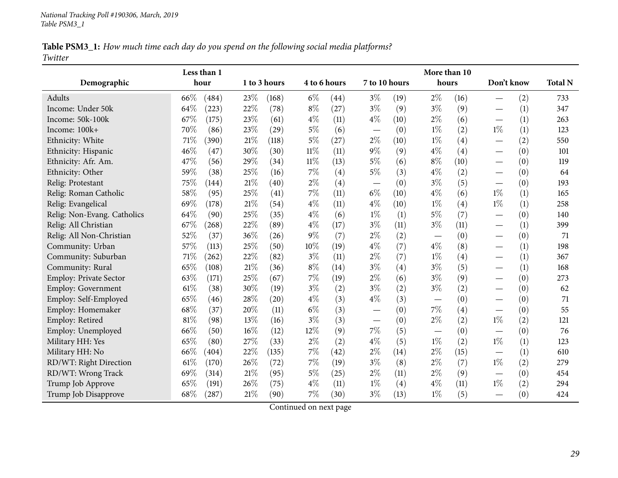Table PSM3\_1: How much time each day do you spend on the following social media platforms? *Twitter*

|                             |     | Less than 1 |     |                    |        |              | More than 10  |      |                          |      |                               |     |                |
|-----------------------------|-----|-------------|-----|--------------------|--------|--------------|---------------|------|--------------------------|------|-------------------------------|-----|----------------|
| Demographic                 |     | hour        |     | 1 to 3 hours       |        | 4 to 6 hours | 7 to 10 hours |      | hours                    |      | Don't know                    |     | <b>Total N</b> |
| Adults                      | 66% | (484)       | 23% | (168)              | $6\%$  | (44)         | $3\%$         | (19) | $2\%$                    | (16) | $\overline{\phantom{0}}$      | (2) | 733            |
| Income: Under 50k           | 64% | (223)       | 22% | (78)               | $8\%$  | (27)         | $3\%$         | (9)  | $3\%$                    | (9)  |                               | (1) | 347            |
| Income: 50k-100k            | 67% | (175)       | 23% | (61)               | $4\%$  | (11)         | $4\%$         | (10) | $2\%$                    | (6)  | $\overline{\phantom{0}}$      | (1) | 263            |
| Income: 100k+               | 70% | (86)        | 23% | (29)               | $5\%$  | (6)          |               | (0)  | $1\%$                    | (2)  | $1\%$                         | (1) | 123            |
| Ethnicity: White            | 71% | (390)       | 21% | (118)              | $5\%$  | (27)         | $2\%$         | (10) | $1\%$                    | (4)  | $\overline{\phantom{0}}$      | (2) | 550            |
| Ethnicity: Hispanic         | 46% | (47)        | 30% | (30)               | $11\%$ | (11)         | $9\%$         | (9)  | $4\%$                    | (4)  | $\overline{\phantom{0}}$      | (0) | 101            |
| Ethnicity: Afr. Am.         | 47% | (56)        | 29% | (34)               | $11\%$ | (13)         | $5\%$         | (6)  | $8\%$                    | (10) | $\overline{\phantom{0}}$      | (0) | 119            |
| Ethnicity: Other            | 59% | (38)        | 25% | (16)               | $7\%$  | (4)          | $5\%$         | (3)  | $4\%$                    | (2)  | $\overline{\phantom{0}}$      | (0) | 64             |
| Relig: Protestant           | 75% | (144)       | 21% | $\left( 40\right)$ | $2\%$  | (4)          |               | (0)  | $3\%$                    | (5)  | $\overline{\phantom{0}}$      | (0) | 193            |
| Relig: Roman Catholic       | 58% | (95)        | 25% | (41)               | 7%     | (11)         | $6\%$         | (10) | $4\%$                    | (6)  | $1\%$                         | (1) | 165            |
| Relig: Evangelical          | 69% | (178)       | 21% | (54)               | $4\%$  | (11)         | $4\%$         | (10) | $1\%$                    | (4)  | $1\%$                         | (1) | 258            |
| Relig: Non-Evang. Catholics | 64% | (90)        | 25% | (35)               | $4\%$  | (6)          | $1\%$         | (1)  | 5%                       | (7)  |                               | (0) | 140            |
| Relig: All Christian        | 67% | (268)       | 22% | (89)               | $4\%$  | (17)         | $3\%$         | (11) | $3\%$                    | (11) | $\overline{\phantom{0}}$      | (1) | 399            |
| Relig: All Non-Christian    | 52% | (37)        | 36% | (26)               | $9\%$  | (7)          | $2\%$         | (2)  |                          | (0)  | $\overbrace{\phantom{12333}}$ | (0) | 71             |
| Community: Urban            | 57% | (113)       | 25% | (50)               | $10\%$ | (19)         | $4\%$         | (7)  | $4\%$                    | (8)  | $\overline{\phantom{0}}$      | (1) | 198            |
| Community: Suburban         | 71% | (262)       | 22% | (82)               | $3\%$  | (11)         | $2\%$         | (7)  | $1\%$                    | (4)  | $\overline{\phantom{0}}$      | (1) | 367            |
| Community: Rural            | 65% | (108)       | 21% | (36)               | $8\%$  | (14)         | $3\%$         | (4)  | $3\%$                    | (5)  | $\overline{\phantom{0}}$      | (1) | 168            |
| Employ: Private Sector      | 63% | (171)       | 25% | (67)               | $7\%$  | (19)         | $2\%$         | (6)  | $3\%$                    | (9)  | $\overline{\phantom{0}}$      | (0) | 273            |
| Employ: Government          | 61% | (38)        | 30% | (19)               | $3\%$  | (2)          | $3\%$         | (2)  | $3\%$                    | (2)  |                               | (0) | 62             |
| Employ: Self-Employed       | 65% | (46)        | 28% | (20)               | $4\%$  | (3)          | $4\%$         | (3)  | $\overline{\phantom{0}}$ | (0)  | $\overline{\phantom{0}}$      | (0) | 71             |
| Employ: Homemaker           | 68% | (37)        | 20% | (11)               | $6\%$  | (3)          |               | (0)  | 7%                       | (4)  | $\overline{\phantom{0}}$      | (0) | 55             |
| Employ: Retired             | 81% | (98)        | 13% | (16)               | $3\%$  | (3)          |               | (0)  | $2\%$                    | (2)  | $1\%$                         | (2) | 121            |
| Employ: Unemployed          | 66% | (50)        | 16% | (12)               | 12%    | (9)          | 7%            | (5)  |                          | (0)  |                               | (0) | 76             |
| Military HH: Yes            | 65% | (80)        | 27% | (33)               | $2\%$  | (2)          | $4\%$         | (5)  | $1\%$                    | (2)  | $1\%$                         | (1) | 123            |
| Military HH: No             | 66% | (404)       | 22% | (135)              | $7\%$  | (42)         | $2\%$         | (14) | $2\%$                    | (15) |                               | (1) | 610            |
| RD/WT: Right Direction      | 61% | (170)       | 26% | (72)               | 7%     | (19)         | $3\%$         | (8)  | $2\%$                    | (7)  | $1\%$                         | (2) | 279            |
| RD/WT: Wrong Track          | 69% | (314)       | 21% | (95)               | $5\%$  | (25)         | $2\%$         | (11) | $2\%$                    | (9)  |                               | (0) | 454            |
| Trump Job Approve           | 65% | (191)       | 26% | (75)               | $4\%$  | (11)         | $1\%$         | (4)  | $4\%$                    | (11) | $1\%$                         | (2) | 294            |
| Trump Job Disapprove        | 68% | (287)       | 21% | (90)               | $7\%$  | (30)         | $3\%$         | (13) | $1\%$                    | (5)  |                               | (0) | 424            |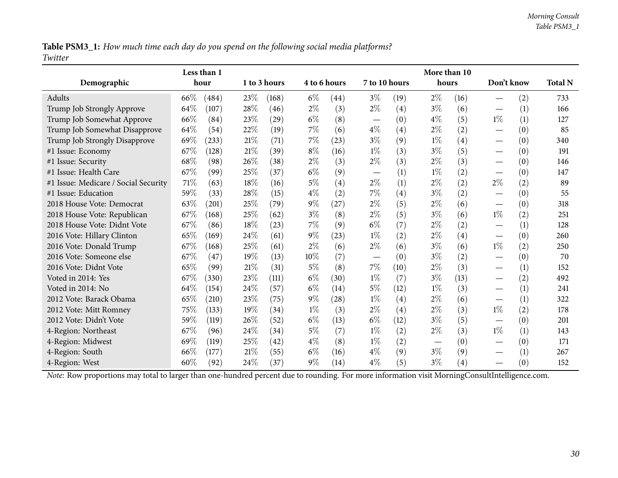Table PSM3\_1: How much time each day do you spend on the following social media platforms? *Twitter*

|                                                                                                                                                |      | Less than 1 |      |              |       |              |                               |      | More than 10 |                   |                                   |     |                |
|------------------------------------------------------------------------------------------------------------------------------------------------|------|-------------|------|--------------|-------|--------------|-------------------------------|------|--------------|-------------------|-----------------------------------|-----|----------------|
| Demographic                                                                                                                                    |      | hour        |      | 1 to 3 hours |       | 4 to 6 hours | 7 to 10 hours                 |      | hours        |                   | Don't know                        |     | <b>Total N</b> |
| Adults                                                                                                                                         | 66%  | (484)       | 23%  | (168)        | $6\%$ | (44)         | $3\%$                         | (19) | $2\%$        | (16)              |                                   | (2) | 733            |
| Trump Job Strongly Approve                                                                                                                     | 64%  | (107)       | 28\% | (46)         | $2\%$ | (3)          | $2\%$                         | (4)  | $3\%$        | (6)               |                                   | (1) | 166            |
| Trump Job Somewhat Approve                                                                                                                     | 66%  | (84)        | 23%  | (29)         | $6\%$ | (8)          | $\overbrace{\phantom{13333}}$ | (0)  | $4\%$        | (5)               | $1\%$                             | (1) | 127            |
| Trump Job Somewhat Disapprove                                                                                                                  | 64%  | (54)        | 22%  | (19)         | $7\%$ | (6)          | $4\%$                         | (4)  | $2\%$        | (2)               | $\overbrace{\phantom{12322111}}$  | (0) | 85             |
| Trump Job Strongly Disapprove                                                                                                                  | 69%  | (233)       | 21%  | (71)         | 7%    | (23)         | $3\%$                         | (9)  | $1\%$        | (4)               |                                   | (0) | 340            |
| #1 Issue: Economy                                                                                                                              | 67\% | (128)       | 21%  | (39)         | $8\%$ | (16)         | $1\%$                         | (3)  | $3\%$        | (5)               | $\hspace{0.1mm}-\hspace{0.1mm}$   | (0) | 191            |
| #1 Issue: Security                                                                                                                             | 68%  | (98)        | 26\% | (38)         | $2\%$ | (3)          | $2\%$                         | (3)  | $2\%$        | (3)               |                                   | (0) | 146            |
| #1 Issue: Health Care                                                                                                                          | 67%  | (99)        | 25%  | (37)         | $6\%$ | (9)          | $\overline{\phantom{m}}$      | (1)  | $1\%$        | (2)               | $\overbrace{\phantom{12322111}}$  | (0) | 147            |
| #1 Issue: Medicare / Social Security                                                                                                           | 71%  | (63)        | 18%  | (16)         | $5\%$ | (4)          | $2\%$                         | (1)  | $2\%$        | (2)               | $2\%$                             | (2) | 89             |
| #1 Issue: Education                                                                                                                            | 59%  | (33)        | 28%  | (15)         | $4\%$ | (2)          | $7\%$                         | (4)  | $3\%$        | (2)               | $\hspace{0.05cm}$                 | (0) | 55             |
| 2018 House Vote: Democrat                                                                                                                      | 63%  | (201)       | 25%  | (79)         | 9%    | (27)         | $2\%$                         | (5)  | $2\%$        | (6)               |                                   | (0) | 318            |
| 2018 House Vote: Republican                                                                                                                    | 67\% | (168)       | 25%  | (62)         | $3\%$ | (8)          | $2\%$                         | (5)  | $3\%$        | (6)               | $1\%$                             | (2) | 251            |
| 2018 House Vote: Didnt Vote                                                                                                                    | 67%  | (86)        | 18%  | (23)         | 7%    | (9)          | $6\%$                         | (7)  | $2\%$        | (2)               |                                   | (1) | 128            |
| 2016 Vote: Hillary Clinton                                                                                                                     | 65%  | (169)       | 24%  | (61)         | $9\%$ | (23)         | $1\%$                         | (2)  | $2\%$        | (4)               | $\hspace{0.1mm}-\hspace{0.1mm}$   | (0) | 260            |
| 2016 Vote: Donald Trump                                                                                                                        | 67\% | (168)       | 25%  | (61)         | $2\%$ | (6)          | $2\%$                         | (6)  | $3\%$        | (6)               | $1\%$                             | (2) | 250            |
| 2016 Vote: Someone else                                                                                                                        | 67\% | (47)        | 19%  | (13)         | 10%   | (7)          | $\overline{\phantom{m}}$      | (0)  | $3\%$        | (2)               | $\overbrace{\phantom{123221111}}$ | (0) | 70             |
| 2016 Vote: Didnt Vote                                                                                                                          | 65%  | (99)        | 21%  | (31)         | $5\%$ | (8)          | $7\%$                         | (10) | $2\%$        | (3)               |                                   | (1) | 152            |
| Voted in 2014: Yes                                                                                                                             | 67%  | (330)       | 23%  | (111)        | $6\%$ | (30)         | $1\%$                         | (7)  | $3\%$        | (13)              |                                   | (2) | 492            |
| Voted in 2014: No                                                                                                                              | 64%  | (154)       | 24%  | (57)         | $6\%$ | (14)         | $5\%$                         | (12) | $1\%$        | (3)               |                                   | (1) | 241            |
| 2012 Vote: Barack Obama                                                                                                                        | 65\% | (210)       | 23%  | (75)         | $9\%$ | (28)         | $1\%$                         | (4)  | $2\%$        | (6)               | $\hspace{0.1mm}-\hspace{0.1mm}$   | (1) | 322            |
| 2012 Vote: Mitt Romney                                                                                                                         | 75%  | (133)       | 19%  | (34)         | $1\%$ | (3)          | $2\%$                         | (4)  | $2\%$        | (3)               | $1\%$                             | (2) | 178            |
| 2012 Vote: Didn't Vote                                                                                                                         | 59%  | (119)       | 26%  | (52)         | $6\%$ | (13)         | $6\%$                         | (12) | $3\%$        | (5)               | $\hspace{0.1mm}-\hspace{0.1mm}$   | (0) | 201            |
| 4-Region: Northeast                                                                                                                            | 67%  | (96)        | 24%  | (34)         | $5\%$ | (7)          | $1\%$                         | (2)  | $2\%$        | (3)               | $1\%$                             | (1) | 143            |
| 4-Region: Midwest                                                                                                                              | 69%  | (119)       | 25%  | (42)         | $4\%$ | (8)          | $1\%$                         | (2)  |              | (0)               | $\hspace{0.1mm}-\hspace{0.1mm}$   | (0) | 171            |
| 4-Region: South                                                                                                                                | 66%  | (177)       | 21%  | (55)         | $6\%$ | (16)         | $4\%$                         | (9)  | $3\%$        | (9)               |                                   | (1) | 267            |
| 4-Region: West                                                                                                                                 | 60%  | (92)        | 24%  | (37)         | $9\%$ | (14)         | $4\%$                         | (5)  | $3\%$        | $\left( 4\right)$ |                                   | (0) | 152            |
| Note: Row proportions may total to larger than one-hundred percent due to rounding. For more information visit MorningConsultIntelligence.com. |      |             |      |              |       |              |                               |      |              |                   |                                   |     |                |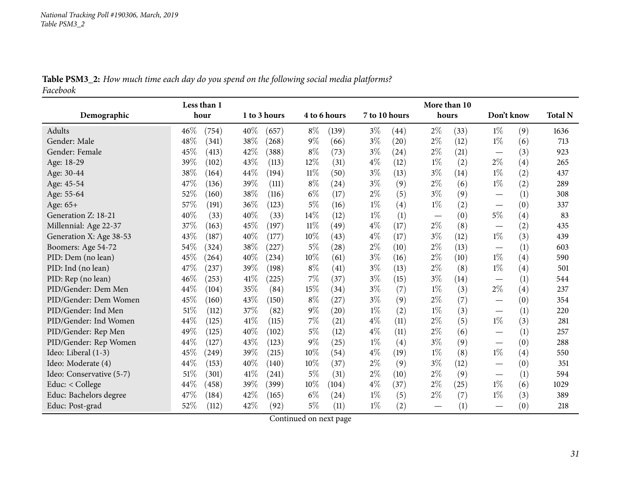|          |  |  | Table PSM3_2: How much time each day do you spend on the following social media platforms? |  |
|----------|--|--|--------------------------------------------------------------------------------------------|--|
| Facebook |  |  |                                                                                            |  |

<span id="page-30-0"></span>

|                          | Less than 1 |       |      |              |        |              | More than 10  |      |       |      |                                 |     |                |
|--------------------------|-------------|-------|------|--------------|--------|--------------|---------------|------|-------|------|---------------------------------|-----|----------------|
| Demographic              | hour        |       |      | 1 to 3 hours |        | 4 to 6 hours | 7 to 10 hours |      | hours |      | Don't know                      |     | <b>Total N</b> |
| Adults                   | 46%         | (754) | 40%  | (657)        | $8\%$  | (139)        | $3\%$         | (44) | $2\%$ | (33) | $1\%$                           | (9) | 1636           |
| Gender: Male             | 48%         | (341) | 38%  | (268)        | $9\%$  | (66)         | $3\%$         | (20) | $2\%$ | (12) | $1\%$                           | (6) | 713            |
| Gender: Female           | 45%         | (413) | 42%  | (388)        | $8\%$  | (73)         | $3\%$         | (24) | $2\%$ | (21) | $\hspace{0.1mm}-\hspace{0.1mm}$ | (3) | 923            |
| Age: 18-29               | 39%         | (102) | 43%  | (113)        | $12\%$ | (31)         | $4\%$         | (12) | $1\%$ | (2)  | $2\%$                           | (4) | 265            |
| Age: 30-44               | 38%         | (164) | 44%  | (194)        | 11%    | (50)         | $3\%$         | (13) | $3\%$ | (14) | $1\%$                           | (2) | 437            |
| Age: 45-54               | 47%         | (136) | 39%  | (111)        | $8\%$  | (24)         | $3\%$         | (9)  | $2\%$ | (6)  | $1\%$                           | (2) | 289            |
| Age: 55-64               | 52%         | (160) | 38%  | (116)        | $6\%$  | (17)         | $2\%$         | (5)  | $3\%$ | (9)  |                                 | (1) | 308            |
| Age: 65+                 | 57%         | (191) | 36%  | (123)        | $5\%$  | (16)         | $1\%$         | (4)  | $1\%$ | (2)  |                                 | (0) | 337            |
| Generation Z: 18-21      | 40%         | (33)  | 40%  | (33)         | 14%    | (12)         | $1\%$         | (1)  |       | (0)  | $5\%$                           | (4) | 83             |
| Millennial: Age 22-37    | 37%         | (163) | 45%  | (197)        | 11%    | (49)         | $4\%$         | (17) | $2\%$ | (8)  |                                 | (2) | 435            |
| Generation X: Age 38-53  | 43%         | (187) | 40%  | (177)        | 10%    | (43)         | $4\%$         | (17) | $3\%$ | (12) | $1\%$                           | (3) | 439            |
| Boomers: Age 54-72       | 54%         | (324) | 38%  | (227)        | $5\%$  | (28)         | $2\%$         | (10) | $2\%$ | (13) | $\hspace{0.1mm}-\hspace{0.1mm}$ | (1) | 603            |
| PID: Dem (no lean)       | 45%         | (264) | 40%  | (234)        | $10\%$ | (61)         | $3\%$         | (16) | $2\%$ | (10) | $1\%$                           | (4) | 590            |
| PID: Ind (no lean)       | 47%         | (237) | 39%  | (198)        | $8\%$  | (41)         | $3\%$         | (13) | $2\%$ | (8)  | $1\%$                           | (4) | 501            |
| PID: Rep (no lean)       | 46%         | (253) | 41\% | $^{'}225)$   | $7\%$  | (37)         | $3\%$         | (15) | $3\%$ | (14) | $\hspace{0.1mm}-\hspace{0.1mm}$ | (1) | 544            |
| PID/Gender: Dem Men      | 44%         | (104) | 35%  | (84)         | 15%    | (34)         | $3\%$         | (7)  | $1\%$ | (3)  | $2\%$                           | (4) | 237            |
| PID/Gender: Dem Women    | 45%         | (160) | 43%  | (150)        | $8\%$  | (27)         | $3\%$         | (9)  | $2\%$ | (7)  |                                 | (0) | 354            |
| PID/Gender: Ind Men      | 51%         | (112) | 37%  | (82)         | $9\%$  | (20)         | $1\%$         | (2)  | $1\%$ | (3)  |                                 | (1) | 220            |
| PID/Gender: Ind Women    | 44%         | (125) | 41%  | (115)        | $7\%$  | (21)         | $4\%$         | (11) | $2\%$ | (5)  | $1\%$                           | (3) | 281            |
| PID/Gender: Rep Men      | 49%         | (125) | 40%  | (102)        | $5\%$  | (12)         | $4\%$         | (11) | $2\%$ | (6)  |                                 | (1) | 257            |
| PID/Gender: Rep Women    | 44\%        | (127) | 43%  | (123)        | $9\%$  | (25)         | $1\%$         | (4)  | $3\%$ | (9)  |                                 | (0) | 288            |
| Ideo: Liberal (1-3)      | 45%         | (249) | 39%  | (215)        | 10%    | (54)         | $4\%$         | (19) | $1\%$ | (8)  | $1\%$                           | (4) | 550            |
| Ideo: Moderate (4)       | 44%         | (153) | 40%  | (140)        | 10%    | (37)         | $2\%$         | (9)  | $3\%$ | (12) | $\hspace{0.1mm}-\hspace{0.1mm}$ | (0) | 351            |
| Ideo: Conservative (5-7) | 51%         | (301) | 41%  | (241)        | $5\%$  | (31)         | $2\%$         | (10) | $2\%$ | (9)  |                                 | (1) | 594            |
| Educ: < College          | 44%         | (458) | 39%  | (399)        | $10\%$ | (104)        | $4\%$         | (37) | $2\%$ | (25) | $1\%$                           | (6) | 1029           |
| Educ: Bachelors degree   | 47%         | (184) | 42%  | (165)        | $6\%$  | (24)         | $1\%$         | (5)  | $2\%$ | (7)  | $1\%$                           | (3) | 389            |
| Educ: Post-grad          | 52%         | (112) | 42%  | (92)         | 5%     | (11)         | $1\%$         | (2)  |       | (1)  | $\overbrace{\phantom{12333}}$   | (0) | 218            |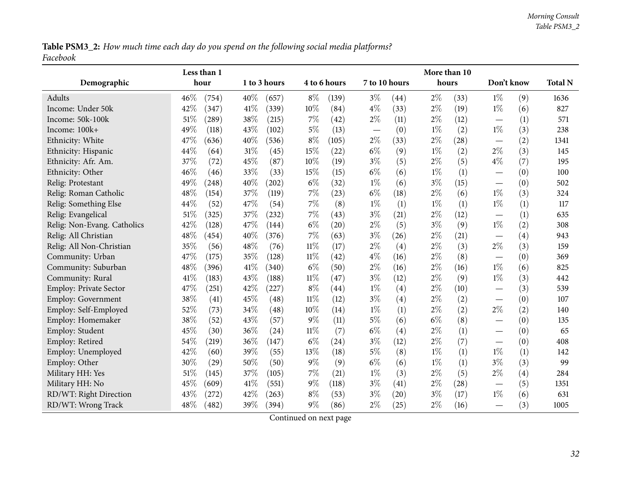Table PSM3\_2: How much time each day do you spend on the following social media platforms? *Facebook*

|                             | Less than 1   |               |              |       |                                   |      | More than 10 |      |                                   |     |                |
|-----------------------------|---------------|---------------|--------------|-------|-----------------------------------|------|--------------|------|-----------------------------------|-----|----------------|
| Demographic                 | hour          | 1 to 3 hours  | 4 to 6 hours |       | 7 to 10 hours                     |      | hours        |      | Don't know                        |     | <b>Total N</b> |
| Adults                      | 46%<br>(754)  | 40%<br>(657)  | $8\%$        | (139) | $3\%$                             | (44) | $2\%$        | (33) | $1\%$                             | (9) | 1636           |
| Income: Under 50k           | 42%<br>(347)  | 41\%<br>(339) | 10%          | (84)  | $4\%$                             | (33) | $2\%$        | (19) | $1\%$                             | (6) | 827            |
| Income: 50k-100k            | 51%<br>(289)  | 38%<br>(215)  | 7%           | (42)  | $2\%$                             | (11) | $2\%$        | (12) |                                   | (1) | 571            |
| Income: 100k+               | 49%<br>(118)  | 43%<br>(102)  | $5\%$        | (13)  | $\overbrace{\phantom{123221111}}$ | (0)  | $1\%$        | (2)  | $1\%$                             | (3) | 238            |
| Ethnicity: White            | 47%<br>(636)  | 40%<br>(536)  | $8\%$        | (105) | $2\%$                             | (33) | $2\%$        | (28) |                                   | (2) | 1341           |
| Ethnicity: Hispanic         | 44%<br>(64)   | 31%<br>(45)   | 15%          | (22)  | $6\%$                             | (9)  | $1\%$        | (2)  | $2\%$                             | (3) | 145            |
| Ethnicity: Afr. Am.         | 37%<br>(72)   | 45%<br>(87)   | 10%          | (19)  | $3\%$                             | (5)  | 2%           | (5)  | $4\%$                             | (7) | 195            |
| Ethnicity: Other            | 46%<br>(46)   | 33%<br>(33)   | 15%          | (15)  | $6\%$                             | (6)  | $1\%$        | (1)  |                                   | (0) | 100            |
| Relig: Protestant           | 49%<br>(248)  | 40%<br>(202)  | $6\%$        | (32)  | $1\%$                             | (6)  | $3\%$        | (15) |                                   | (0) | 502            |
| Relig: Roman Catholic       | 48%<br>(154)  | 37%<br>(119)  | 7%           | (23)  | $6\%$                             | (18) | $2\%$        | (6)  | $1\%$                             | (3) | 324            |
| Relig: Something Else       | 44%<br>(52)   | 47%<br>(54)   | 7%           | (8)   | $1\%$                             | (1)  | $1\%$        | (1)  | $1\%$                             | (1) | 117            |
| Relig: Evangelical          | 51%<br>(325)  | 37%<br>(232)  | 7%           | (43)  | $3\%$                             | (21) | $2\%$        | (12) |                                   | (1) | 635            |
| Relig: Non-Evang. Catholics | 42%<br>(128)  | 47%<br>(144)  | $6\%$        | (20)  | $2\%$                             | (5)  | $3\%$        | (9)  | $1\%$                             | (2) | 308            |
| Relig: All Christian        | 48%<br>(454)  | 40%<br>(376)  | 7%           | (63)  | $3\%$                             | (26) | $2\%$        | (21) | $\overbrace{\phantom{123221111}}$ | (4) | 943            |
| Relig: All Non-Christian    | 35%<br>(56)   | 48%<br>(76)   | $11\%$       | (17)  | $2\%$                             | (4)  | $2\%$        | (3)  | $2\%$                             | (3) | 159            |
| Community: Urban            | 47%<br>(175)  | 35%<br>(128)  | 11%          | (42)  | $4\%$                             | (16) | $2\%$        | (8)  |                                   | (0) | 369            |
| Community: Suburban         | 48%<br>(396)  | 41\%<br>(340) | $6\%$        | (50)  | $2\%$                             | (16) | $2\%$        | (16) | $1\%$                             | (6) | 825            |
| Community: Rural            | 41\%<br>(183) | 43%<br>(188)  | 11%          | (47)  | $3\%$                             | (12) | $2\%$        | (9)  | $1\%$                             | (3) | 442            |
| Employ: Private Sector      | 47%<br>(251)  | 42%<br>(227)  | $8\%$        | (44)  | $1\%$                             | (4)  | $2\%$        | (10) |                                   | (3) | 539            |
| Employ: Government          | 38%<br>(41)   | 45%<br>(48)   | 11%          | (12)  | $3\%$                             | (4)  | $2\%$        | (2)  |                                   | (0) | 107            |
| Employ: Self-Employed       | 52%<br>(73)   | 34%<br>(48)   | 10%          | (14)  | $1\%$                             | (1)  | $2\%$        | (2)  | $2\%$                             | (2) | 140            |
| Employ: Homemaker           | 38%<br>(52)   | 43%<br>(57)   | 9%           | (11)  | $5\%$                             | (6)  | $6\%$        | (8)  |                                   | (0) | 135            |
| Employ: Student             | 45%<br>(30)   | 36%<br>(24)   | $11\%$       | (7)   | $6\%$                             | (4)  | $2\%$        | (1)  | $\hspace{0.1mm}-\hspace{0.1mm}$   | (0) | 65             |
| Employ: Retired             | 54%<br>(219)  | 36%<br>(147)  | $6\%$        | (24)  | $3\%$                             | (12) | $2\%$        | (7)  |                                   | (0) | 408            |
| Employ: Unemployed          | 42%<br>(60)   | 39%<br>(55)   | 13%          | (18)  | $5\%$                             | (8)  | $1\%$        | (1)  | $1\%$                             | (1) | 142            |
| Employ: Other               | 30%<br>(29)   | 50%<br>(50)   | $9\%$        | (9)   | $6\%$                             | (6)  | $1\%$        | (1)  | $3\%$                             | (3) | 99             |
| Military HH: Yes            | 51%<br>(145)  | 37%<br>(105)  | 7%           | (21)  | $1\%$                             | (3)  | $2\%$        | (5)  | $2\%$                             | (4) | 284            |
| Military HH: No             | 45%<br>(609)  | 41\%<br>(551) | 9%           | (118) | $3\%$                             | (41) | $2\%$        | (28) |                                   | (5) | 1351           |
| RD/WT: Right Direction      | 43%<br>(272)  | 42%<br>(263)  | $8\%$        | (53)  | $3\%$                             | (20) | $3\%$        | (17) | $1\%$                             | (6) | 631            |
| RD/WT: Wrong Track          | 48%<br>(482)  | 39%<br>(394)  | $9\%$        | (86)  | $2\%$                             | (25) | $2\%$        | (16) |                                   | (3) | 1005           |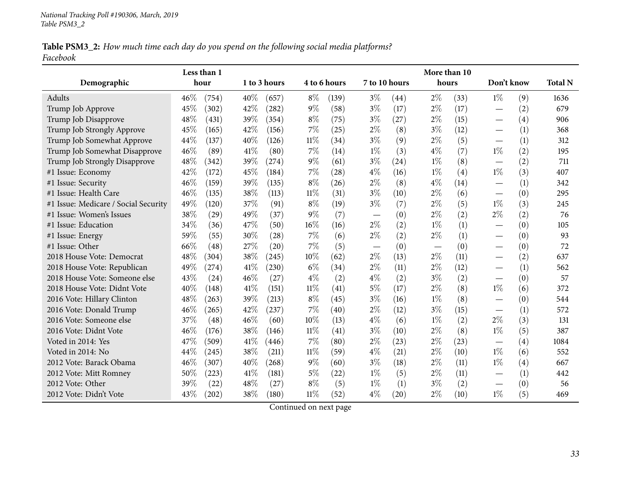Table PSM3\_2: How much time each day do you spend on the following social media platforms? *Facebook*

|                                      |      | Less than 1 |      |              |        |              |                                   |               | More than 10 |      |                                 |     |                |
|--------------------------------------|------|-------------|------|--------------|--------|--------------|-----------------------------------|---------------|--------------|------|---------------------------------|-----|----------------|
| Demographic                          |      | hour        |      | 1 to 3 hours |        | 4 to 6 hours |                                   | 7 to 10 hours | hours        |      | Don't know                      |     | <b>Total N</b> |
| Adults                               | 46%  | (754)       | 40%  | (657)        | $8\%$  | (139)        | $3\%$                             | (44)          | $2\%$        | (33) | $1\%$                           | (9) | 1636           |
| Trump Job Approve                    | 45%  | (302)       | 42%  | (282)        | $9\%$  | (58)         | $3\%$                             | (17)          | $2\%$        | (17) |                                 | (2) | 679            |
| Trump Job Disapprove                 | 48%  | (431)       | 39%  | (354)        | $8\%$  | (75)         | $3\%$                             | (27)          | $2\%$        | (15) | $\overline{\phantom{0}}$        | (4) | 906            |
| Trump Job Strongly Approve           | 45%  | (165)       | 42%  | (156)        | 7%     | (25)         | $2\%$                             | (8)           | $3\%$        | (12) |                                 | (1) | 368            |
| Trump Job Somewhat Approve           | 44%  | (137)       | 40%  | (126)        | $11\%$ | (34)         | $3\%$                             | (9)           | $2\%$        | (5)  | $\overline{\phantom{0}}$        | (1) | 312            |
| Trump Job Somewhat Disapprove        | 46%  | (89)        | 41%  | (80)         | $7\%$  | (14)         | $1\%$                             | (3)           | $4\%$        | (7)  | $1\%$                           | (2) | 195            |
| Trump Job Strongly Disapprove        | 48%  | (342)       | 39%  | (274)        | $9\%$  | (61)         | $3\%$                             | (24)          | $1\%$        | (8)  |                                 | (2) | 711            |
| #1 Issue: Economy                    | 42%  | (172)       | 45%  | (184)        | $7\%$  | (28)         | $4\%$                             | (16)          | $1\%$        | (4)  | $1\%$                           | (3) | 407            |
| #1 Issue: Security                   | 46%  | (159)       | 39%  | (135)        | $8\%$  | (26)         | $2\%$                             | (8)           | $4\%$        | (14) |                                 | (1) | 342            |
| #1 Issue: Health Care                | 46%  | (135)       | 38%  | (113)        | $11\%$ | (31)         | $3\%$                             | (10)          | $2\%$        | (6)  |                                 | (0) | 295            |
| #1 Issue: Medicare / Social Security | 49%  | (120)       | 37%  | (91)         | $8\%$  | (19)         | $3\%$                             | (7)           | $2\%$        | (5)  | $1\%$                           | (3) | 245            |
| #1 Issue: Women's Issues             | 38%  | (29)        | 49%  | (37)         | $9\%$  | (7)          |                                   | (0)           | $2\%$        | (2)  | $2\%$                           | (2) | 76             |
| #1 Issue: Education                  | 34%  | (36)        | 47\% | (50)         | $16\%$ | (16)         | $2\%$                             | (2)           | $1\%$        | (1)  |                                 | (0) | 105            |
| #1 Issue: Energy                     | 59%  | (55)        | 30%  | (28)         | $7\%$  | (6)          | $2\%$                             | (2)           | $2\%$        | (1)  | $\overline{\phantom{0}}$        | (0) | 93             |
| #1 Issue: Other                      | 66\% | (48)        | 27\% | (20)         | 7%     | (5)          | $\overbrace{\phantom{123221111}}$ | (0)           |              | (0)  |                                 | (0) | 72             |
| 2018 House Vote: Democrat            | 48%  | (304)       | 38%  | (245)        | 10%    | (62)         | $2\%$                             | (13)          | $2\%$        | (11) | $\overline{\phantom{0}}$        | (2) | 637            |
| 2018 House Vote: Republican          | 49%  | (274)       | 41%  | (230)        | $6\%$  | (34)         | $2\%$                             | (11)          | $2\%$        | (12) |                                 | (1) | 562            |
| 2018 House Vote: Someone else        | 43%  | (24)        | 46%  | (27)         | $4\%$  | (2)          | $4\%$                             | (2)           | $3\%$        | (2)  |                                 | (0) | 57             |
| 2018 House Vote: Didnt Vote          | 40%  | (148)       | 41%  | (151)        | 11%    | (41)         | 5%                                | (17)          | $2\%$        | (8)  | $1\%$                           | (6) | 372            |
| 2016 Vote: Hillary Clinton           | 48%  | (263)       | 39%  | (213)        | $8\%$  | (45)         | $3\%$                             | (16)          | $1\%$        | (8)  |                                 | (0) | 544            |
| 2016 Vote: Donald Trump              | 46%  | (265)       | 42%  | $^{(237)}$   | 7%     | (40)         | $2\%$                             | (12)          | $3\%$        | (15) |                                 | (1) | 572            |
| 2016 Vote: Someone else              | 37%  | (48)        | 46%  | (60)         | 10%    | (13)         | $4\%$                             | (6)           | $1\%$        | (2)  | $2\%$                           | (3) | 131            |
| 2016 Vote: Didnt Vote                | 46%  | (176)       | 38%  | (146)        | $11\%$ | (41)         | $3\%$                             | (10)          | $2\%$        | (8)  | $1\%$                           | (5) | 387            |
| Voted in 2014: Yes                   | 47%  | (509)       | 41%  | (446)        | 7%     | (80)         | $2\%$                             | (23)          | $2\%$        | (23) |                                 | (4) | 1084           |
| Voted in 2014: No                    | 44%  | (245)       | 38%  | (211)        | 11%    | (59)         | $4\%$                             | (21)          | $2\%$        | (10) | $1\%$                           | (6) | 552            |
| 2012 Vote: Barack Obama              | 46%  | (307)       | 40%  | (268)        | $9\%$  | (60)         | $3\%$                             | (18)          | $2\%$        | (11) | $1\%$                           | (4) | 667            |
| 2012 Vote: Mitt Romney               | 50%  | (223)       | 41\% | (181)        | $5\%$  | (22)         | $1\%$                             | (5)           | $2\%$        | (11) |                                 | (1) | 442            |
| 2012 Vote: Other                     | 39%  | (22)        | 48%  | (27)         | $8\%$  | (5)          | $1\%$                             | (1)           | $3\%$        | (2)  | $\hspace{0.1mm}-\hspace{0.1mm}$ | (0) | 56             |
| 2012 Vote: Didn't Vote               | 43%  | (202)       | 38%  | (180)        | $11\%$ | (52)         | $4\%$                             | (20)          | $2\%$        | (10) | $1\%$                           | (5) | 469            |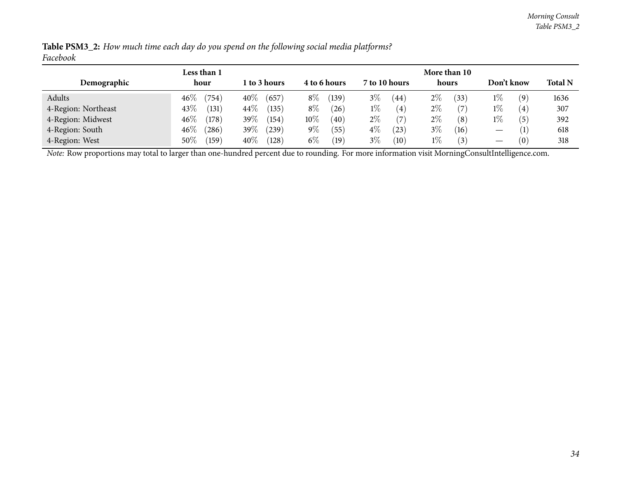| Demographic                                                                                                                                    | Less than 1<br>hour | 1 to 3 hours       | 4 to 6 hours           | 7 to 10 hours | More than 10<br>hours | Don't know                 | <b>Total N</b> |
|------------------------------------------------------------------------------------------------------------------------------------------------|---------------------|--------------------|------------------------|---------------|-----------------------|----------------------------|----------------|
| Adults                                                                                                                                         | $46\%$<br>(754)     | $40\%$<br>(657)    | $8\%$<br>(139          | $3\%$<br>(44) | $2\%$<br>(33)         | $1\%$<br>$\left( 9\right)$ | 1636           |
| 4-Region: Northeast                                                                                                                            | 43\%<br>(131)       | 44\%<br>(135)      | $8\%$<br>$^{'}26$      | $1\%$<br>(4)  | $2\%$                 | $1\%$<br>$\left( 4\right)$ | 307            |
| 4-Region: Midwest                                                                                                                              | $46\%$<br>(178)     | 39\%<br>(154)      | $10\%$<br>$40^{\circ}$ | $2\%$<br>(7)  | $2\%$<br>(8)          | $1\%$<br>(5)               | 392            |
| 4-Region: South                                                                                                                                | $46\%$<br>(286)     | 39\%<br>$^{'}239)$ | $9\%$<br>(55)          | $4\%$<br>(23) | $3\%$<br>(16)         |                            | 618            |
| 4-Region: West                                                                                                                                 | 50\%<br>(159)       | 40\%<br>(128)      | $6\%$<br>$^{'}19$      | $3\%$<br>(10) | $1\%$<br>(3)          | $\left 0\right\rangle$     | 318            |
| Note: Row proportions may total to larger than one-hundred percent due to rounding. For more information visit MorningConsultIntelligence.com. |                     |                    |                        |               |                       |                            |                |

Table PSM3\_2: How much time each day do you spend on the following social media platforms? *Facebook*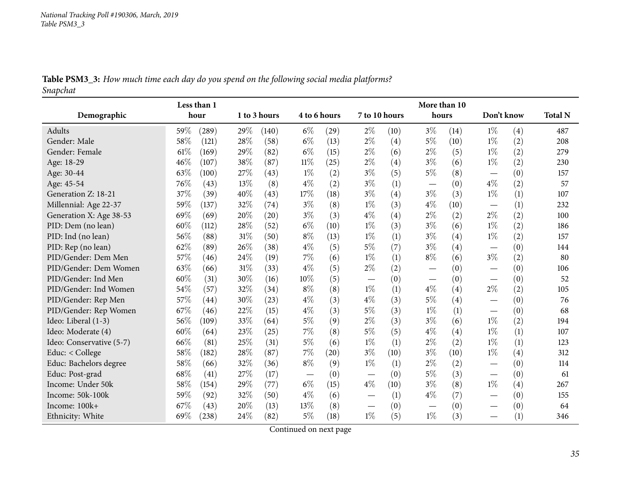Table PSM3\_3: How much time each day do you spend on the following social media platforms? *Snapchat*

<span id="page-34-0"></span>

|                          |      | Less than 1 |     |              |                          |      |       |               | More than 10             |      |                                  |     |                |
|--------------------------|------|-------------|-----|--------------|--------------------------|------|-------|---------------|--------------------------|------|----------------------------------|-----|----------------|
| Demographic              |      | hour        |     | 1 to 3 hours | 4 to 6 hours             |      |       | 7 to 10 hours | hours                    |      | Don't know                       |     | <b>Total N</b> |
| Adults                   | 59%  | (289)       | 29% | (140)        | $6\%$                    | (29) | $2\%$ | (10)          | $3\%$                    | (14) | $1\%$                            | (4) | 487            |
| Gender: Male             | 58%  | (121)       | 28% | (58)         | $6\%$                    | (13) | 2%    | (4)           | $5\%$                    | (10) | $1\%$                            | (2) | 208            |
| Gender: Female           | 61\% | (169)       | 29% | (82)         | $6\%$                    | (15) | $2\%$ | (6)           | $2\%$                    | (5)  | $1\%$                            | (2) | 279            |
| Age: 18-29               | 46%  | (107)       | 38% | (87)         | $11\%$                   | (25) | $2\%$ | (4)           | 3%                       | (6)  | $1\%$                            | (2) | 230            |
| Age: 30-44               | 63%  | (100)       | 27% | (43)         | $1\%$                    | (2)  | $3\%$ | (5)           | $5\%$                    | (8)  |                                  | (0) | 157            |
| Age: 45-54               | 76%  | (43)        | 13% | (8)          | $4\%$                    | (2)  | $3\%$ | (1)           |                          | (0)  | $4\%$                            | (2) | 57             |
| Generation Z: 18-21      | 37%  | (39)        | 40% | (43)         | 17%                      | (18) | $3\%$ | (4)           | $3\%$                    | (3)  | $1\%$                            | (1) | 107            |
| Millennial: Age 22-37    | 59%  | (137)       | 32% | (74)         | $3\%$                    | (8)  | $1\%$ | (3)           | $4\%$                    | (10) | $\overbrace{\phantom{12322111}}$ | (1) | 232            |
| Generation X: Age 38-53  | 69%  | (69)        | 20% | (20)         | $3\%$                    | (3)  | $4\%$ | (4)           | $2\%$                    | (2)  | $2\%$                            | (2) | 100            |
| PID: Dem (no lean)       | 60%  | (112)       | 28% | (52)         | $6\%$                    | (10) | $1\%$ | (3)           | $3\%$                    | (6)  | $1\%$                            | (2) | 186            |
| PID: Ind (no lean)       | 56%  | (88)        | 31% | (50)         | $8\%$                    | (13) | $1\%$ | (1)           | $3\%$                    | (4)  | $1\%$                            | (2) | 157            |
| PID: Rep (no lean)       | 62%  | (89)        | 26% | (38)         | $4\%$                    | (5)  | $5\%$ | (7)           | $3\%$                    | (4)  |                                  | (0) | 144            |
| PID/Gender: Dem Men      | 57%  | (46)        | 24% | (19)         | $7\%$                    | (6)  | $1\%$ | (1)           | $8\%$                    | (6)  | $3\%$                            | (2) | 80             |
| PID/Gender: Dem Women    | 63%  | (66)        | 31% | (33)         | $4\%$                    | (5)  | $2\%$ | (2)           | $\overline{\phantom{0}}$ | (0)  | $\overline{\phantom{0}}$         | (0) | 106            |
| PID/Gender: Ind Men      | 60%  | (31)        | 30% | (16)         | 10%                      | (5)  |       | (0)           |                          | (0)  |                                  | (0) | 52             |
| PID/Gender: Ind Women    | 54%  | (57)        | 32% | (34)         | $8\%$                    | (8)  | $1\%$ | (1)           | $4\%$                    | (4)  | $2\%$                            | (2) | 105            |
| PID/Gender: Rep Men      | 57%  | (44)        | 30% | (23)         | $4\%$                    | (3)  | $4\%$ | (3)           | $5\%$                    | (4)  |                                  | (0) | 76             |
| PID/Gender: Rep Women    | 67%  | (46)        | 22% | (15)         | $4\%$                    | (3)  | $5\%$ | (3)           | $1\%$                    | (1)  |                                  | (0) | 68             |
| Ideo: Liberal (1-3)      | 56%  | (109)       | 33% | (64)         | $5\%$                    | (9)  | $2\%$ | (3)           | $3\%$                    | (6)  | $1\%$                            | (2) | 194            |
| Ideo: Moderate (4)       | 60%  | (64)        | 23% | (25)         | $7\%$                    | (8)  | $5\%$ | (5)           | $4\%$                    | (4)  | $1\%$                            | (1) | 107            |
| Ideo: Conservative (5-7) | 66%  | (81)        | 25% | (31)         | $5\%$                    | (6)  | $1\%$ | (1)           | $2\%$                    | (2)  | $1\%$                            | (1) | 123            |
| Educ: < College          | 58%  | (182)       | 28% | (87)         | 7%                       | (20) | $3\%$ | (10)          | $3\%$                    | (10) | $1\%$                            | (4) | 312            |
| Educ: Bachelors degree   | 58%  | (66)        | 32% | (36)         | $8\%$                    | (9)  | $1\%$ | (1)           | $2\%$                    | (2)  |                                  | (0) | 114            |
| Educ: Post-grad          | 68%  | (41)        | 27% | (17)         | $\overline{\phantom{0}}$ | (0)  |       | (0)           | $5\%$                    | (3)  |                                  | (0) | 61             |
| Income: Under 50k        | 58%  | (154)       | 29% | (77)         | $6\%$                    | (15) | $4\%$ | (10)          | $3\%$                    | (8)  | $1\%$                            | (4) | 267            |
| Income: 50k-100k         | 59%  | (92)        | 32% | (50)         | $4\%$                    | (6)  |       | (1)           | $4\%$                    | (7)  |                                  | (0) | 155            |
| Income: 100k+            | 67%  | (43)        | 20% | (13)         | 13\%                     | (8)  |       | (0)           |                          | (0)  |                                  | (0) | 64             |
| Ethnicity: White         | 69%  | (238)       | 24% | (82)         | $5\%$                    | (18) | $1\%$ | (5)           | $1\%$                    | (3)  |                                  | (1) | 346            |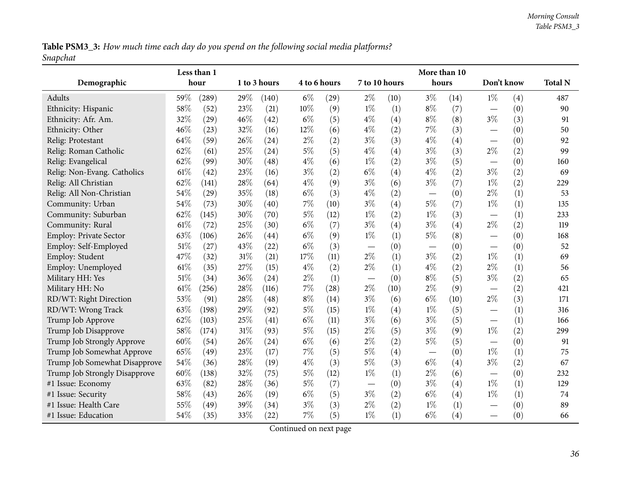Table PSM3\_3: How much time each day do you spend on the following social media platforms? *Snapchat*

|                               |      | Less than 1 |        |              |       |              |                          |      | More than 10    |      |                                  |     |                |
|-------------------------------|------|-------------|--------|--------------|-------|--------------|--------------------------|------|-----------------|------|----------------------------------|-----|----------------|
| Demographic                   |      | hour        |        | 1 to 3 hours |       | 4 to 6 hours | 7 to 10 hours            |      | hours           |      | Don't know                       |     | <b>Total N</b> |
| Adults                        | 59%  | (289)       | 29%    | (140)        | $6\%$ | (29)         | $2\%$                    | (10) | $3\%$           | (14) | $1\%$                            | (4) | 487            |
| Ethnicity: Hispanic           | 58%  | (52)        | 23%    | (21)         | 10%   | (9)          | $1\%$                    | (1)  | $8\%$           | (7)  |                                  | (0) | 90             |
| Ethnicity: Afr. Am.           | 32%  | (29)        | 46%    | (42)         | $6\%$ | (5)          | $4\%$                    | (4)  | $8\%$           | (8)  | $3\%$                            | (3) | 91             |
| Ethnicity: Other              | 46%  | (23)        | 32%    | (16)         | 12%   | (6)          | $4\%$                    | (2)  | $7\%$           | (3)  | $\overline{\phantom{0}}$         | (0) | 50             |
| Relig: Protestant             | 64%  | (59)        | 26%    | (24)         | $2\%$ | (2)          | $3\%$                    | (3)  | $4\%$           | (4)  |                                  | (0) | 92             |
| Relig: Roman Catholic         | 62%  | (61)        | 25%    | (24)         | $5\%$ | (5)          | $4\%$                    | (4)  | $3\%$           | (3)  | $2\%$                            | (2) | 99             |
| Relig: Evangelical            | 62%  | (99)        | 30%    | (48)         | $4\%$ | (6)          | $1\%$                    | (2)  | $3\%$           | (5)  | $\overbrace{\phantom{12322111}}$ | (0) | 160            |
| Relig: Non-Evang. Catholics   | 61\% | (42)        | 23%    | (16)         | $3\%$ | (2)          | $6\%$                    | (4)  | $4\%$           | (2)  | $3\%$                            | (2) | 69             |
| Relig: All Christian          | 62%  | (141)       | 28%    | (64)         | $4\%$ | (9)          | $3\%$                    | (6)  | $3\%$           | (7)  | $1\%$                            | (2) | 229            |
| Relig: All Non-Christian      | 54%  | (29)        | 35%    | (18)         | $6\%$ | (3)          | $4\%$                    | (2)  |                 | (0)  | $2\%$                            | (1) | 53             |
| Community: Urban              | 54%  | (73)        | 30%    | (40)         | $7\%$ | (10)         | $3\%$                    | (4)  | $5\%$           | (7)  | $1\%$                            | (1) | 135            |
| Community: Suburban           | 62%  | (145)       | 30%    | (70)         | $5\%$ | (12)         | $1\%$                    | (2)  | $1\%$           | (3)  |                                  | (1) | 233            |
| Community: Rural              | 61\% | (72)        | 25%    | (30)         | $6\%$ | (7)          | $3\%$                    | (4)  | $3\%$           | (4)  | $2\%$                            | (2) | 119            |
| Employ: Private Sector        | 63%  | (106)       | 26%    | (44)         | $6\%$ | (9)          | $1\%$                    | (1)  | $5\%$           | (8)  | $\overline{\phantom{0}}$         | (0) | 168            |
| Employ: Self-Employed         | 51%  | (27)        | 43%    | (22)         | $6\%$ | (3)          |                          | (0)  | $\qquad \qquad$ | (0)  |                                  | (0) | 52             |
| Employ: Student               | 47%  | (32)        | 31%    | (21)         | 17\%  | (11)         | $2\%$                    | (1)  | $3\%$           | (2)  | $1\%$                            | (1) | 69             |
| Employ: Unemployed            | 61\% | (35)        | 27%    | (15)         | $4\%$ | (2)          | $2\%$                    | (1)  | $4\%$           | (2)  | $2\%$                            | (1) | 56             |
| Military HH: Yes              | 51%  | (34)        | 36%    | (24)         | $2\%$ | (1)          | $\overline{\phantom{m}}$ | (0)  | $8\%$           | (5)  | $3\%$                            | (2) | 65             |
| Military HH: No               | 61\% | (256)       | 28%    | (116)        | $7\%$ | (28)         | $2\%$                    | (10) | $2\%$           | (9)  |                                  | (2) | 421            |
| RD/WT: Right Direction        | 53%  | (91)        | 28%    | (48)         | $8\%$ | (14)         | $3\%$                    | (6)  | $6\%$           | (10) | $2\%$                            | (3) | 171            |
| RD/WT: Wrong Track            | 63%  | (198)       | 29%    | (92)         | $5\%$ | (15)         | $1\%$                    | (4)  | $1\%$           | (5)  |                                  | (1) | 316            |
| Trump Job Approve             | 62%  | (103)       | 25%    | (41)         | $6\%$ | (11)         | $3\%$                    | (6)  | $3\%$           | (5)  |                                  | (1) | 166            |
| Trump Job Disapprove          | 58%  | (174)       | $31\%$ | (93)         | $5\%$ | (15)         | $2\%$                    | (5)  | $3\%$           | (9)  | $1\%$                            | (2) | 299            |
| Trump Job Strongly Approve    | 60%  | (54)        | 26%    | (24)         | $6\%$ | (6)          | $2\%$                    | (2)  | $5\%$           | (5)  |                                  | (0) | 91             |
| Trump Job Somewhat Approve    | 65%  | (49)        | 23%    | (17)         | 7%    | (5)          | $5\%$                    | (4)  |                 | (0)  | $1\%$                            | (1) | 75             |
| Trump Job Somewhat Disapprove | 54%  | (36)        | 28\%   | (19)         | $4\%$ | (3)          | $5\%$                    | (3)  | $6\%$           | (4)  | $3\%$                            | (2) | 67             |
| Trump Job Strongly Disapprove | 60%  | (138)       | 32%    | (75)         | $5\%$ | (12)         | $1\%$                    | (1)  | $2\%$           | (6)  |                                  | (0) | 232            |
| #1 Issue: Economy             | 63%  | (82)        | 28%    | (36)         | $5\%$ | (7)          | $\overline{\phantom{m}}$ | (0)  | $3\%$           | (4)  | $1\%$                            | (1) | 129            |
| #1 Issue: Security            | 58%  | (43)        | 26%    | (19)         | $6\%$ | (5)          | $3\%$                    | (2)  | $6\%$           | (4)  | $1\%$                            | (1) | 74             |
| #1 Issue: Health Care         | 55%  | (49)        | 39%    | (34)         | $3\%$ | (3)          | $2\%$                    | (2)  | $1\%$           | (1)  | $\overline{\phantom{0}}$         | (0) | 89             |
| #1 Issue: Education           | 54%  | (35)        | 33%    | (22)         | $7\%$ | (5)          | $1\%$                    | (1)  | $6\%$           | (4)  |                                  | (0) | 66             |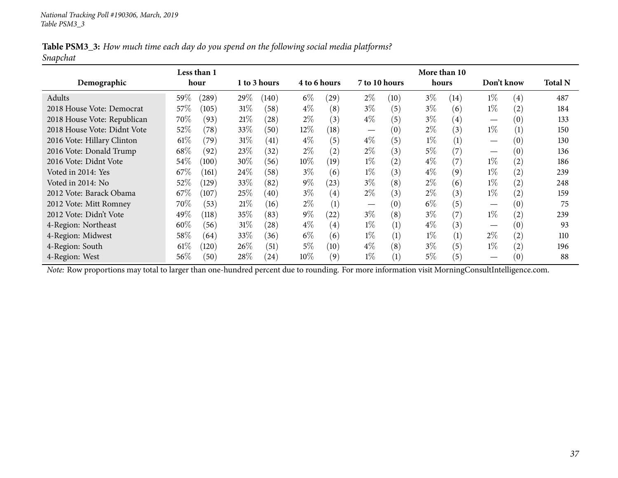| Table PSM3_3: How much time each day do you spend on the following social media platforms? |  |  |  |  |  |  |
|--------------------------------------------------------------------------------------------|--|--|--|--|--|--|
| Snapchat                                                                                   |  |  |  |  |  |  |

|                                                                                                                                                | Less than 1 |                     |        |              |              |                   |                                  |                   | More than 10 |                   |                                |     |                |
|------------------------------------------------------------------------------------------------------------------------------------------------|-------------|---------------------|--------|--------------|--------------|-------------------|----------------------------------|-------------------|--------------|-------------------|--------------------------------|-----|----------------|
| Demographic                                                                                                                                    | hour        |                     |        | 1 to 3 hours | 4 to 6 hours |                   | 7 to 10 hours                    |                   | hours        |                   | Don't know                     |     | <b>Total N</b> |
| Adults                                                                                                                                         | $59\%$      | $\left( 289\right)$ | 29\%   | (140)        | $6\%$        | (29)              | $2\%$                            | (10)              | $3\%$        | (14)              | $1\%$                          | (4) | 487            |
| 2018 House Vote: Democrat                                                                                                                      | 57%         | (105)               | $31\%$ | (58)         | $4\%$        | (8)               | $3\%$                            | (5)               | $3\%$        | (6)               | $1\%$                          | (2) | 184            |
| 2018 House Vote: Republican                                                                                                                    | 70%         | (93)                | 21%    | (28)         | $2\%$        | (3)               | $4\%$                            | (5)               | $3\%$        | $\left( 4\right)$ |                                | (0) | 133            |
| 2018 House Vote: Didnt Vote                                                                                                                    | 52%         | (78)                | 33\%   | (50)         | $12\%$       | (18)              | $\overbrace{\phantom{12322111}}$ | (0)               | $2\%$        | (3)               | $1\%$                          | (1) | 150            |
| 2016 Vote: Hillary Clinton                                                                                                                     | $61\%$      | (79)                | 31%    | (41)         | $4\%$        | (5)               | $4\%$                            | (5)               | $1\%$        | (1)               |                                | (0) | 130            |
| 2016 Vote: Donald Trump                                                                                                                        | $68\%$      | (92)                | 23\%   | (32)         | $2\%$        | $\left( 2\right)$ | $2\%$                            | (3)               | $5\%$        | (7)               | $\overbrace{\phantom{123321}}$ | (0) | 136            |
| 2016 Vote: Didnt Vote                                                                                                                          | 54\%        | (100)               | 30%    | (56)         | 10%          | (19)              | $1\%$                            | $\left( 2\right)$ | $4\%$        | (7)               | $1\%$                          | (2) | 186            |
| Voted in 2014: Yes                                                                                                                             | 67\%        | (161)               | 24\%   | (58)         | $3\%$        | (6)               | $1\%$                            | (3)               | $4\%$        | (9)               | $1\%$                          | (2) | 239            |
| Voted in 2014: No                                                                                                                              | 52%         | (129)               | 33\%   | (82)         | $9\%$        | (23)              | $3\%$                            | (8)               | $2\%$        | (6)               | $1\%$                          | (2) | 248            |
| 2012 Vote: Barack Obama                                                                                                                        | 67\%        | (107)               | 25\%   | (40)         | $3\%$        | $\left( 4\right)$ | $2\%$                            | (3)               | $2\%$        | (3)               | $1\%$                          | (2) | 159            |
| 2012 Vote: Mitt Romney                                                                                                                         | $70\%$      | (53)                | 21%    | (16)         | $2\%$        | (1)               | $\overbrace{\phantom{123321}}$   | (0)               | $6\%$        | (5)               |                                | (0) | 75             |
| 2012 Vote: Didn't Vote                                                                                                                         | 49\%        | (118)               | 35\%   | (83)         | $9\%$        | (22)              | $3\%$                            | (8)               | $3\%$        | (7)               | $1\%$                          | (2) | 239            |
| 4-Region: Northeast                                                                                                                            | $60\%$      | (56)                | 31%    | (28)         | $4\%$        | $\left( 4\right)$ | $1\%$                            | (1)               | $4\%$        | (3)               |                                | (0) | 93             |
| 4-Region: Midwest                                                                                                                              | 58%         | (64)                | 33\%   | (36)         | $6\%$        | (6)               | $1\%$                            | (1)               | $1\%$        | (1)               | $2\%$                          | (2) | 110            |
| 4-Region: South                                                                                                                                | 61%         | (120)               | $26\%$ | (51)         | $5\%$        | (10)              | $4\%$                            | (8)               | $3\%$        | (5)               | $1\%$                          | (2) | 196            |
| 4-Region: West                                                                                                                                 | 56\%        | (50)                | 28\%   | (24)         | $10\%$       | (9)               | $1\%$                            | (1)               | $5\%$        | (5)               |                                | (0) | 88             |
| Note: Row proportions may total to larger than one-hundred percent due to rounding. For more information visit MorningConsultIntelligence.com. |             |                     |        |              |              |                   |                                  |                   |              |                   |                                |     |                |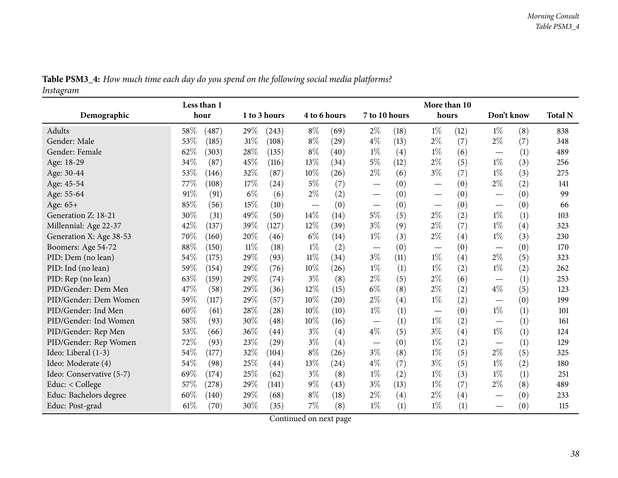|                          |        | Less than 1 |        |                    |       |              |                                 |                   | More than 10                    |      |            |     |                |
|--------------------------|--------|-------------|--------|--------------------|-------|--------------|---------------------------------|-------------------|---------------------------------|------|------------|-----|----------------|
| Demographic              |        | hour        |        | 1 to 3 hours       |       | 4 to 6 hours | 7 to 10 hours                   |                   | hours                           |      | Don't know |     | <b>Total N</b> |
| Adults                   | 58\%   | (487)       | 29%    | (243)              | $8\%$ | (69)         | $2\%$                           | (18)              | $1\%$                           | (12) | $1\%$      | (8) | 838            |
| Gender: Male             | 53%    | (185)       | 31%    | (108)              | $8\%$ | (29)         | $4\%$                           | (13)              | $2\%$                           | (7)  | $2\%$      | (7) | 348            |
| Gender: Female           | 62%    | (303)       | 28\%   | (135)              | $8\%$ | (40)         | $1\%$                           | (4)               | $1\%$                           | (6)  |            | (1) | 489            |
| Age: 18-29               | 34%    | (87)        | 45%    | (116)              | 13%   | (34)         | $5\%$                           | (12)              | $2\%$                           | (5)  | $1\%$      | (3) | 256            |
| Age: 30-44               | 53%    | (146)       | 32%    | (87)               | 10%   | (26)         | $2\%$                           | (6)               | $3\%$                           | (7)  | $1\%$      | (3) | 275            |
| Age: 45-54               | 77\%   | (108)       | 17\%   | (24)               | $5\%$ | (7)          | $\hspace{0.1mm}-\hspace{0.1mm}$ | (0)               | $\hspace{0.1mm}-\hspace{0.1mm}$ | (0)  | $2\%$      | (2) | 141            |
| Age: 55-64               | 91%    | (91)        | $6\%$  | (6)                | $2\%$ | (2)          | $\hspace{0.1mm}-\hspace{0.1mm}$ | (0)               |                                 | (0)  |            | (0) | 99             |
| Age: 65+                 | 85%    | (56)        | 15%    | (10)               |       | (0)          | $\hspace{0.05cm}$               | (0)               |                                 | (0)  |            | (0) | 66             |
| Generation Z: 18-21      | 30%    | (31)        | 49%    | (50)               | 14%   | (14)         | $5\%$                           | (5)               | $2\%$                           | (2)  | $1\%$      | (1) | 103            |
| Millennial: Age 22-37    | 42%    | (137)       | 39%    | (127)              | 12%   | (39)         | $3\%$                           | (9)               | $2\%$                           | (7)  | $1\%$      | (4) | 323            |
| Generation X: Age 38-53  | 70%    | (160)       | 20%    | (46)               | $6\%$ | (14)         | $1\%$                           | (3)               | $2\%$                           | (4)  | $1\%$      | (3) | 230            |
| Boomers: Age 54-72       | 88%    | (150)       | $11\%$ | (18)               | $1\%$ | (2)          | $\overline{\phantom{m}}$        | (0)               | $\overbrace{\phantom{aaaaa}}$   | (0)  |            | (0) | 170            |
| PID: Dem (no lean)       | 54%    | (175)       | 29%    | (93)               | 11%   | (34)         | $3\%$                           | (11)              | $1\%$                           | (4)  | $2\%$      | (5) | 323            |
| PID: Ind (no lean)       | 59%    | (154)       | 29%    | (76)               | 10%   | (26)         | $1\%$                           | (1)               | $1\%$                           | (2)  | $1\%$      | (2) | 262            |
| PID: Rep (no lean)       | 63%    | (159)       | 29%    | (74)               | $3\%$ | (8)          | $2\%$                           | (5)               | $2\%$                           | (6)  |            | (1) | 253            |
| PID/Gender: Dem Men      | 47%    | (58)        | 29%    | (36)               | 12%   | (15)         | $6\%$                           | (8)               | $2\%$                           | (2)  | $4\%$      | (5) | 123            |
| PID/Gender: Dem Women    | 59%    | (117)       | 29%    | (57)               | 10%   | (20)         | $2\%$                           | $\left( 4\right)$ | $1\%$                           | (2)  |            | (0) | 199            |
| PID/Gender: Ind Men      | 60%    | (61)        | 28%    | (28)               | 10%   | (10)         | $1\%$                           | (1)               | $\hspace{0.1mm}-\hspace{0.1mm}$ | (0)  | $1\%$      | (1) | 101            |
| PID/Gender: Ind Women    | 58%    | (93)        | 30%    | (48)               | 10%   | (16)         |                                 | (1)               | $1\%$                           | (2)  |            | (1) | 161            |
| PID/Gender: Rep Men      | 53%    | (66)        | 36%    | $\left( 44\right)$ | $3\%$ | (4)          | $4\%$                           | (5)               | $3\%$                           | (4)  | $1\%$      | (1) | 124            |
| PID/Gender: Rep Women    | 72%    | (93)        | 23%    | (29)               | $3\%$ | (4)          | $\hspace{0.1mm}-\hspace{0.1mm}$ | (0)               | $1\%$                           | (2)  |            | (1) | 129            |
| Ideo: Liberal (1-3)      | 54%    | (177)       | 32%    | (104)              | $8\%$ | (26)         | $3\%$                           | (8)               | $1\%$                           | (5)  | $2\%$      | (5) | 325            |
| Ideo: Moderate (4)       | $54\%$ | (98)        | 25%    | (44)               | 13%   | (24)         | $4\%$                           | (7)               | $3\%$                           | (5)  | $1\%$      | (2) | 180            |
| Ideo: Conservative (5-7) | 69%    | (174)       | 25%    | (62)               | $3\%$ | (8)          | $1\%$                           | (2)               | $1\%$                           | (3)  | $1\%$      | (1) | 251            |
| Educ: $<$ College        | 57%    | (278)       | 29%    | (141)              | $9\%$ | (43)         | $3\%$                           | (13)              | $1\%$                           | (7)  | $2\%$      | (8) | 489            |
| Educ: Bachelors degree   | 60%    | (140)       | 29%    | (68)               | $8\%$ | (18)         | $2\%$                           | (4)               | $2\%$                           | (4)  |            | (0) | 233            |
| Educ: Post-grad          | 61\%   | (70)        | 30%    | (35)               | 7%    | (8)          | $1\%$                           | (1)               | $1\%$                           | (1)  |            | (0) | 115            |

Table PSM3\_4: How much time each day do you spend on the following social media platforms? *Instagram*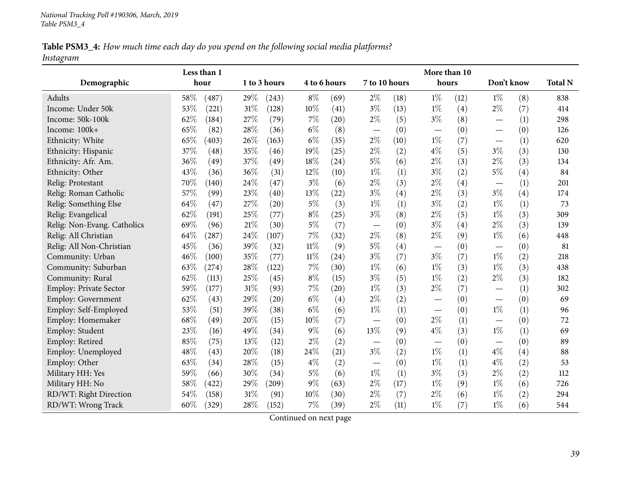Table PSM3\_4: How much time each day do you spend on the following social media platforms? *Instagram*

|                               |     | Less than 1 |        |              |              |                    |                          |      | More than 10             |      |                          |     |                |
|-------------------------------|-----|-------------|--------|--------------|--------------|--------------------|--------------------------|------|--------------------------|------|--------------------------|-----|----------------|
| Demographic                   |     | hour        |        | 1 to 3 hours | 4 to 6 hours |                    | 7 to 10 hours            |      | hours                    |      | Don't know               |     | <b>Total N</b> |
| Adults                        | 58% | (487)       | 29%    | (243)        | $8\%$        | (69)               | $2\%$                    | (18) | $1\%$                    | (12) | $1\%$                    | (8) | 838            |
| Income: Under 50k             | 53% | (221)       | $31\%$ | (128)        | $10\%$       | (41)               | $3\%$                    | (13) | $1\%$                    | (4)  | $2\%$                    | (7) | 414            |
| Income: 50k-100k              | 62% | (184)       | 27%    | (79)         | $7\%$        | $\left( 20\right)$ | $2\%$                    | (5)  | $3\%$                    | (8)  |                          | (1) | 298            |
| Income: 100k+                 | 65% | (82)        | 28%    | (36)         | $6\%$        | (8)                |                          | (0)  | $\overline{\phantom{0}}$ | (0)  |                          | (0) | 126            |
| Ethnicity: White              | 65% | (403)       | 26%    | (163)        | $6\%$        | (35)               | $2\%$                    | (10) | $1\%$                    | (7)  |                          | (1) | 620            |
| Ethnicity: Hispanic           | 37% | (48)        | 35%    | (46)         | 19%          | (25)               | $2\%$                    | (2)  | $4\%$                    | (5)  | $3\%$                    | (3) | 130            |
| Ethnicity: Afr. Am.           | 36% | (49)        | 37%    | (49)         | 18%          | (24)               | $5\%$                    | (6)  | 2%                       | (3)  | $2\%$                    | (3) | 134            |
| Ethnicity: Other              | 43% | (36)        | 36%    | (31)         | $12\%$       | (10)               | $1\%$                    | (1)  | $3\%$                    | (2)  | $5\%$                    | (4) | 84             |
| Relig: Protestant             | 70% | (140)       | 24\%   | (47)         | $3\%$        | (6)                | $2\%$                    | (3)  | $2\%$                    | (4)  |                          | (1) | 201            |
| Relig: Roman Catholic         | 57% | (99)        | 23%    | (40)         | 13%          | (22)               | $3\%$                    | (4)  | $2\%$                    | (3)  | $3\%$                    | (4) | 174            |
| Relig: Something Else         | 64% | (47)        | 27%    | (20)         | $5\%$        | (3)                | $1\%$                    | (1)  | $3\%$                    | (2)  | $1\%$                    | (1) | 73             |
| Relig: Evangelical            | 62% | (191)       | 25%    | (77)         | $8\%$        | (25)               | $3\%$                    | (8)  | $2\%$                    | (5)  | $1\%$                    | (3) | 309            |
| Relig: Non-Evang. Catholics   | 69% | (96)        | $21\%$ | (30)         | $5\%$        | (7)                |                          | (0)  | $3\%$                    | (4)  | $2\%$                    | (3) | 139            |
| Relig: All Christian          | 64% | (287)       | 24%    | (107)        | $7\%$        | (32)               | $2\%$                    | (8)  | $2\%$                    | (9)  | $1\%$                    | (6) | 448            |
| Relig: All Non-Christian      | 45% | (36)        | 39%    | (32)         | $11\%$       | (9)                | $5\%$                    | (4)  | $\overline{\phantom{0}}$ | (0)  |                          | (0) | 81             |
| Community: Urban              | 46% | (100)       | 35%    | (77)         | $11\%$       | (24)               | $3\%$                    | (7)  | $3\%$                    | (7)  | $1\%$                    | (2) | 218            |
| Community: Suburban           | 63% | (274)       | 28%    | (122)        | $7\%$        | (30)               | $1\%$                    | (6)  | $1\%$                    | (3)  | $1\%$                    | (3) | 438            |
| Community: Rural              | 62% | (113)       | 25%    | (45)         | $8\%$        | (15)               | $3\%$                    | (5)  | $1\%$                    | (2)  | $2\%$                    | (3) | 182            |
| <b>Employ: Private Sector</b> | 59% | (177)       | 31%    | (93)         | $7\%$        | (20)               | $1\%$                    | (3)  | $2\%$                    | (7)  |                          | (1) | 302            |
| Employ: Government            | 62% | (43)        | 29%    | (20)         | $6\%$        | (4)                | $2\%$                    | (2)  |                          | (0)  |                          | (0) | 69             |
| Employ: Self-Employed         | 53% | (51)        | 39%    | (38)         | $6\%$        | (6)                | $1\%$                    | (1)  |                          | (0)  | $1\%$                    | (1) | 96             |
| Employ: Homemaker             | 68% | (49)        | 20%    | (15)         | 10%          | (7)                | $\overline{\phantom{0}}$ | (0)  | $2\%$                    | (1)  |                          | (0) | 72             |
| Employ: Student               | 23% | (16)        | 49%    | (34)         | $9\%$        | (6)                | 13%                      | (9)  | $4\%$                    | (3)  | $1\%$                    | (1) | 69             |
| Employ: Retired               | 85% | (75)        | 13%    | (12)         | $2\%$        | (2)                |                          | (0)  |                          | (0)  | $\overline{\phantom{m}}$ | (0) | 89             |
| Employ: Unemployed            | 48% | (43)        | 20%    | (18)         | 24%          | (21)               | $3\%$                    | (2)  | $1\%$                    | (1)  | $4\%$                    | (4) | 88             |
| Employ: Other                 | 63% | (34)        | 28%    | (15)         | $4\%$        | (2)                | $\overline{\phantom{0}}$ | (0)  | $1\%$                    | (1)  | $4\%$                    | (2) | 53             |
| Military HH: Yes              | 59% | (66)        | 30%    | (34)         | $5\%$        | (6)                | $1\%$                    | (1)  | $3\%$                    | (3)  | $2\%$                    | (2) | 112            |
| Military HH: No               | 58% | (422)       | 29%    | (209)        | $9\%$        | (63)               | $2\%$                    | (17) | $1\%$                    | (9)  | $1\%$                    | (6) | 726            |
| RD/WT: Right Direction        | 54% | (158)       | 31%    | (91)         | $10\%$       | (30)               | $2\%$                    | (7)  | $2\%$                    | (6)  | $1\%$                    | (2) | 294            |
| RD/WT: Wrong Track            | 60% | (329)       | 28%    | (152)        | 7%           | (39)               | $2\%$                    | (11) | $1\%$                    | (7)  | $1\%$                    | (6) | 544            |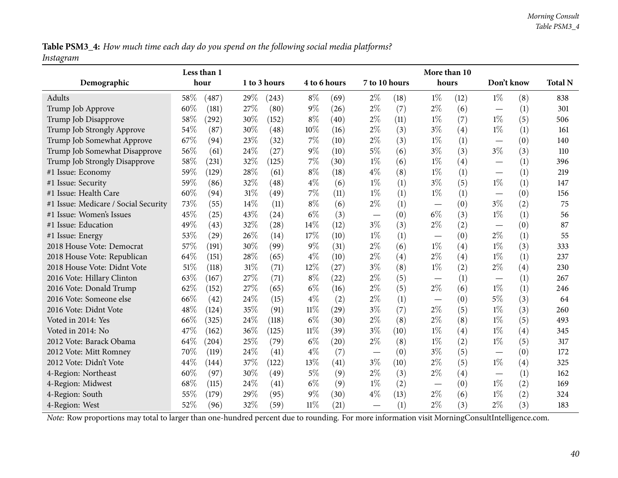Table PSM3\_4: How much time each day do you spend on the following social media platforms? *Instagram*

|                                                                                                                                                |      | Less than 1 |      |              |              |      |                                   |      | More than 10 |      |                                   |     |                |
|------------------------------------------------------------------------------------------------------------------------------------------------|------|-------------|------|--------------|--------------|------|-----------------------------------|------|--------------|------|-----------------------------------|-----|----------------|
| Demographic                                                                                                                                    |      | hour        |      | 1 to 3 hours | 4 to 6 hours |      | 7 to 10 hours                     |      | hours        |      | Don't know                        |     | <b>Total N</b> |
| Adults                                                                                                                                         | 58%  | (487)       | 29%  | (243)        | $8\%$        | (69) | $2\%$                             | (18) | $1\%$        | (12) | $1\%$                             | (8) | 838            |
| Trump Job Approve                                                                                                                              | 60%  | (181)       | 27%  | (80)         | $9\%$        | (26) | $2\%$                             | (7)  | $2\%$        | (6)  | $\overbrace{\phantom{123221111}}$ | (1) | 301            |
| Trump Job Disapprove                                                                                                                           | 58%  | (292)       | 30%  | (152)        | $8\%$        | (40) | $2\%$                             | (11) | $1\%$        | (7)  | $1\%$                             | (5) | 506            |
| Trump Job Strongly Approve                                                                                                                     | 54%  | (87)        | 30%  | (48)         | 10%          | (16) | $2\%$                             | (3)  | $3\%$        | (4)  | $1\%$                             | (1) | 161            |
| Trump Job Somewhat Approve                                                                                                                     | 67\% | (94)        | 23%  | (32)         | 7%           | (10) | $2\%$                             | (3)  | $1\%$        | (1)  |                                   | (0) | 140            |
| Trump Job Somewhat Disapprove                                                                                                                  | 56%  | (61)        | 24\% | (27)         | 9%           | (10) | $5\%$                             | (6)  | $3\%$        | (3)  | $3\%$                             | (3) | 110            |
| Trump Job Strongly Disapprove                                                                                                                  | 58%  | (231)       | 32%  | (125)        | 7%           | (30) | $1\%$                             | (6)  | $1\%$        | (4)  | $\hspace{0.05cm}$                 | (1) | 396            |
| #1 Issue: Economy                                                                                                                              | 59%  | (129)       | 28%  | (61)         | $8\%$        | (18) | $4\%$                             | (8)  | $1\%$        | (1)  | $\overbrace{\phantom{12322111}}$  | (1) | 219            |
| #1 Issue: Security                                                                                                                             | 59%  | (86)        | 32%  | (48)         | $4\%$        | (6)  | $1\%$                             | (1)  | $3\%$        | (5)  | $1\%$                             | (1) | 147            |
| #1 Issue: Health Care                                                                                                                          | 60%  | (94)        | 31%  | (49)         | 7%           | (11) | $1\%$                             | (1)  | $1\%$        | (1)  |                                   | (0) | 156            |
| #1 Issue: Medicare / Social Security                                                                                                           | 73%  | (55)        | 14%  | (11)         | $8\%$        | (6)  | $2\%$                             | (1)  |              | (0)  | $3\%$                             | (2) | 75             |
| #1 Issue: Women's Issues                                                                                                                       | 45%  | (25)        | 43%  | (24)         | $6\%$        | (3)  | $\overbrace{\phantom{123221111}}$ | (0)  | $6\%$        | (3)  | $1\%$                             | (1) | 56             |
| #1 Issue: Education                                                                                                                            | 49%  | (43)        | 32%  | (28)         | 14%          | (12) | $3\%$                             | (3)  | $2\%$        | (2)  | $\overbrace{\phantom{123221111}}$ | (0) | 87             |
| #1 Issue: Energy                                                                                                                               | 53%  | (29)        | 26%  | (14)         | 17%          | (10) | $1\%$                             | (1)  |              | (0)  | $2\%$                             | (1) | 55             |
| 2018 House Vote: Democrat                                                                                                                      | 57%  | (191)       | 30%  | (99)         | 9%           | (31) | $2\%$                             | (6)  | $1\%$        | (4)  | $1\%$                             | (3) | 333            |
| 2018 House Vote: Republican                                                                                                                    | 64%  | (151)       | 28%  | (65)         | $4\%$        | (10) | $2\%$                             | (4)  | $2\%$        | (4)  | $1\%$                             | (1) | 237            |
| 2018 House Vote: Didnt Vote                                                                                                                    | 51%  | (118)       | 31%  | (71)         | 12%          | (27) | $3\%$                             | (8)  | $1\%$        | (2)  | $2\%$                             | (4) | 230            |
| 2016 Vote: Hillary Clinton                                                                                                                     | 63%  | (167)       | 27%  | (71)         | $8\%$        | (22) | $2\%$                             | (5)  |              | (1)  | $\overbrace{\phantom{12322111}}$  | (1) | 267            |
| 2016 Vote: Donald Trump                                                                                                                        | 62%  | (152)       | 27%  | (65)         | $6\%$        | (16) | $2\%$                             | (5)  | $2\%$        | (6)  | $1\%$                             | (1) | 246            |
| 2016 Vote: Someone else                                                                                                                        | 66%  | (42)        | 24%  | (15)         | $4\%$        | (2)  | $2\%$                             | (1)  |              | (0)  | $5\%$                             | (3) | 64             |
| 2016 Vote: Didnt Vote                                                                                                                          | 48%  | (124)       | 35%  | (91)         | $11\%$       | (29) | $3\%$                             | (7)  | $2\%$        | (5)  | $1\%$                             | (3) | 260            |
| Voted in 2014: Yes                                                                                                                             | 66%  | (325)       | 24%  | (118)        | $6\%$        | (30) | $2\%$                             | (8)  | $2\%$        | (8)  | $1\%$                             | (5) | 493            |
| Voted in 2014: No                                                                                                                              | 47%  | (162)       | 36%  | (125)        | $11\%$       | (39) | $3\%$                             | (10) | $1\%$        | (4)  | $1\%$                             | (4) | 345            |
| 2012 Vote: Barack Obama                                                                                                                        | 64%  | (204)       | 25%  | (79)         | $6\%$        | (20) | $2\%$                             | (8)  | $1\%$        | (2)  | $1\%$                             | (5) | 317            |
| 2012 Vote: Mitt Romney                                                                                                                         | 70%  | (119)       | 24%  | (41)         | $4\%$        | (7)  |                                   | (0)  | $3\%$        | (5)  |                                   | (0) | 172            |
| 2012 Vote: Didn't Vote                                                                                                                         | 44%  | (144)       | 37%  | (122)        | 13%          | (41) | $3\%$                             | (10) | $2\%$        | (5)  | $1\%$                             | (4) | 325            |
| 4-Region: Northeast                                                                                                                            | 60%  | (97)        | 30%  | (49)         | $5\%$        | (9)  | $2\%$                             | (3)  | $2\%$        | (4)  |                                   | (1) | 162            |
| 4-Region: Midwest                                                                                                                              | 68%  | (115)       | 24\% | (41)         | $6\%$        | (9)  | $1\%$                             | (2)  |              | (0)  | $1\%$                             | (2) | 169            |
| 4-Region: South                                                                                                                                | 55%  | (179)       | 29%  | (95)         | $9\%$        | (30) | $4\%$                             | (13) | $2\%$        | (6)  | $1\%$                             | (2) | 324            |
| 4-Region: West                                                                                                                                 | 52%  | (96)        | 32%  | (59)         | $11\%$       | (21) |                                   | (1)  | $2\%$        | (3)  | $2\%$                             | (3) | 183            |
| Note: Row proportions may total to larger than one-hundred percent due to rounding. For more information visit MorningConsultIntelligence.com. |      |             |      |              |              |      |                                   |      |              |      |                                   |     |                |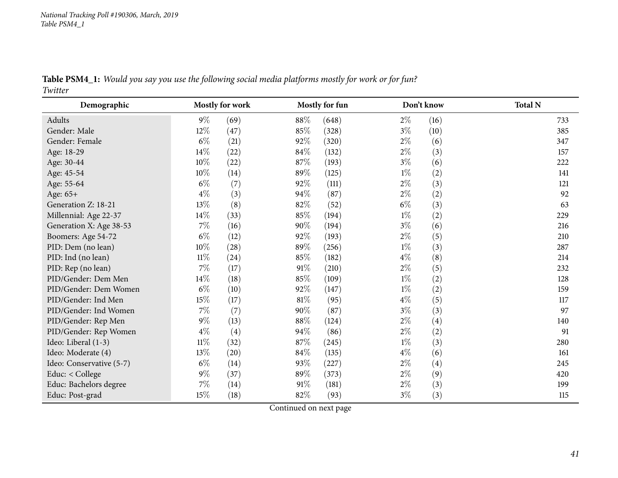Table PSM4\_1: Would you say you use the following social media platforms mostly for work or for fun? *Twitter*

| Demographic              |        | <b>Mostly for work</b> |        | Mostly for fun |       | Don't know | <b>Total N</b> |
|--------------------------|--------|------------------------|--------|----------------|-------|------------|----------------|
| Adults                   | $9\%$  | (69)                   | 88%    | (648)          | $2\%$ | (16)       | 733            |
| Gender: Male             | 12\%   | (47)                   | 85%    | (328)          | $3\%$ | (10)       | 385            |
| Gender: Female           | $6\%$  | (21)                   | 92%    | (320)          | $2\%$ | (6)        | 347            |
| Age: 18-29               | $14\%$ | (22)                   | $84\%$ | (132)          | $2\%$ | (3)        | 157            |
| Age: 30-44               | $10\%$ | (22)                   | 87%    | (193)          | $3\%$ | (6)        | 222            |
| Age: 45-54               | 10%    | (14)                   | 89%    | (125)          | $1\%$ | (2)        | 141            |
| Age: 55-64               | $6\%$  | (7)                    | 92%    | (111)          | $2\%$ | (3)        | 121            |
| Age: 65+                 | $4\%$  | (3)                    | 94\%   | (87)           | $2\%$ | (2)        | 92             |
| Generation Z: 18-21      | 13%    | (8)                    | $82\%$ | (52)           | $6\%$ | (3)        | 63             |
| Millennial: Age 22-37    | 14\%   | (33)                   | 85%    | (194)          | $1\%$ | (2)        | 229            |
| Generation X: Age 38-53  | $7\%$  | (16)                   | $90\%$ | (194)          | $3\%$ | (6)        | 216            |
| Boomers: Age 54-72       | $6\%$  | (12)                   | 92%    | (193)          | $2\%$ | (5)        | 210            |
| PID: Dem (no lean)       | $10\%$ | (28)                   | 89%    | (256)          | $1\%$ | (3)        | 287            |
| PID: Ind (no lean)       | $11\%$ | $^{(24)}$              | 85%    | (182)          | $4\%$ | (8)        | 214            |
| PID: Rep (no lean)       | 7%     | (17)                   | 91%    | (210)          | $2\%$ | (5)        | 232            |
| PID/Gender: Dem Men      | 14\%   | (18)                   | 85%    | (109)          | $1\%$ | (2)        | 128            |
| PID/Gender: Dem Women    | $6\%$  | (10)                   | 92%    | (147)          | $1\%$ | (2)        | 159            |
| PID/Gender: Ind Men      | 15\%   | (17)                   | $81\%$ | (95)           | $4\%$ | (5)        | 117            |
| PID/Gender: Ind Women    | $7\%$  | (7)                    | $90\%$ | (87)           | $3\%$ | (3)        | 97             |
| PID/Gender: Rep Men      | $9\%$  | (13)                   | 88\%   | (124)          | $2\%$ | (4)        | 140            |
| PID/Gender: Rep Women    | $4\%$  | (4)                    | 94%    | (86)           | $2\%$ | (2)        | 91             |
| Ideo: Liberal (1-3)      | $11\%$ | (32)                   | 87%    | (245)          | $1\%$ | (3)        | 280            |
| Ideo: Moderate (4)       | 13\%   | (20)                   | $84\%$ | (135)          | $4\%$ | (6)        | 161            |
| Ideo: Conservative (5-7) | $6\%$  | (14)                   | 93%    | (227)          | $2\%$ | (4)        | 245            |
| Educ: < College          | $9\%$  | (37)                   | 89%    | (373)          | $2\%$ | (9)        | 420            |
| Educ: Bachelors degree   | 7%     | (14)                   | 91%    | (181)          | $2\%$ | (3)        | 199            |
| Educ: Post-grad          | 15%    | (18)                   | 82\%   | (93)           | $3\%$ | (3)        | 115            |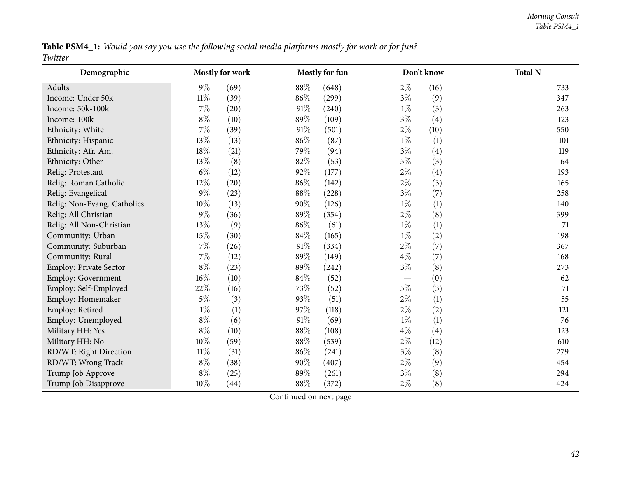Table PSM4\_1: Would you say you use the following social media platforms mostly for work or for fun? *Twitter*

| Demographic                 |        | Mostly for work |        | Mostly for fun |       | Don't know | <b>Total N</b> |
|-----------------------------|--------|-----------------|--------|----------------|-------|------------|----------------|
| Adults                      | $9\%$  | (69)            | 88\%   | (648)          | $2\%$ | (16)       | 733            |
| Income: Under 50k           | $11\%$ | (39)            | 86%    | (299)          | $3\%$ | (9)        | 347            |
| Income: 50k-100k            | $7\%$  | (20)            | 91%    | (240)          | $1\%$ | (3)        | 263            |
| Income: 100k+               | $8\%$  | (10)            | 89%    | (109)          | $3\%$ | (4)        | 123            |
| Ethnicity: White            | $7\%$  | (39)            | 91%    | (501)          | $2\%$ | (10)       | 550            |
| Ethnicity: Hispanic         | 13%    | (13)            | 86%    | (87)           | $1\%$ | (1)        | 101            |
| Ethnicity: Afr. Am.         | 18%    | (21)            | 79%    | (94)           | $3\%$ | (4)        | 119            |
| Ethnicity: Other            | 13%    | (8)             | 82%    | (53)           | $5\%$ | (3)        | 64             |
| Relig: Protestant           | $6\%$  | (12)            | 92%    | (177)          | $2\%$ | (4)        | 193            |
| Relig: Roman Catholic       | 12%    | (20)            | 86%    | (142)          | $2\%$ | (3)        | 165            |
| Relig: Evangelical          | $9\%$  | (23)            | 88%    | (228)          | $3\%$ | (7)        | 258            |
| Relig: Non-Evang. Catholics | 10%    | (13)            | 90%    | (126)          | $1\%$ | (1)        | 140            |
| Relig: All Christian        | $9\%$  | (36)            | 89%    | (354)          | $2\%$ | (8)        | 399            |
| Relig: All Non-Christian    | 13%    | (9)             | 86%    | (61)           | $1\%$ | (1)        | 71             |
| Community: Urban            | 15%    | (30)            | 84\%   | (165)          | $1\%$ | (2)        | 198            |
| Community: Suburban         | $7\%$  | (26)            | 91%    | (334)          | $2\%$ | (7)        | 367            |
| Community: Rural            | $7\%$  | (12)            | 89%    | (149)          | $4\%$ | (7)        | 168            |
| Employ: Private Sector      | $8\%$  | (23)            | 89%    | (242)          | $3\%$ | (8)        | 273            |
| Employ: Government          | $16\%$ | (10)            | 84\%   | (52)           |       | (0)        | 62             |
| Employ: Self-Employed       | 22%    | (16)            | 73\%   | (52)           | $5\%$ | (3)        | 71             |
| Employ: Homemaker           | $5\%$  | (3)             | 93%    | (51)           | $2\%$ | (1)        | 55             |
| Employ: Retired             | $1\%$  | (1)             | 97%    | (118)          | $2\%$ | (2)        | 121            |
| Employ: Unemployed          | $8\%$  | (6)             | 91%    | (69)           | $1\%$ | (1)        | 76             |
| Military HH: Yes            | $8\%$  | (10)            | 88%    | (108)          | $4\%$ | (4)        | 123            |
| Military HH: No             | 10%    | (59)            | 88%    | (539)          | $2\%$ | (12)       | 610            |
| RD/WT: Right Direction      | $11\%$ | (31)            | $86\%$ | (241)          | $3\%$ | (8)        | 279            |
| RD/WT: Wrong Track          | $8\%$  | (38)            | 90%    | (407)          | $2\%$ | (9)        | 454            |
| Trump Job Approve           | $8\%$  | (25)            | 89%    | (261)          | $3\%$ | (8)        | 294            |
| Trump Job Disapprove        | $10\%$ | (44)            | $88\%$ | (372)          | $2\%$ | (8)        | 424            |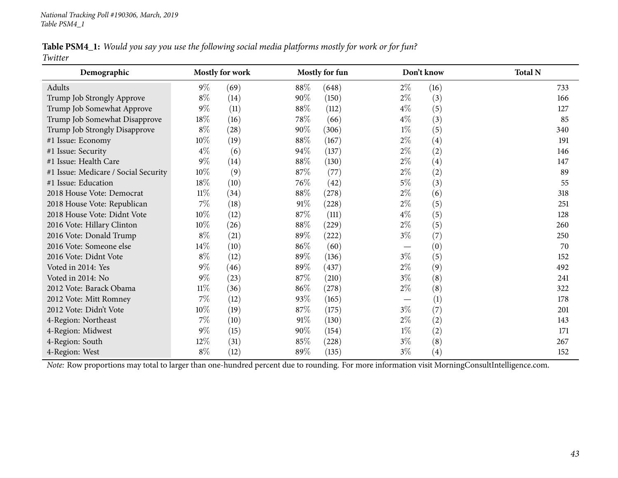Table PSM4\_1: Would you say you use the following social media platforms mostly for work or for fun? *Twitter*

| Demographic                          | <b>Mostly for work</b> |      | <b>Mostly for fun</b> |       | Don't know | <b>Total N</b>    |     |
|--------------------------------------|------------------------|------|-----------------------|-------|------------|-------------------|-----|
| Adults                               | $9\%$                  | (69) | 88%                   | (648) | $2\%$      | (16)              | 733 |
| Trump Job Strongly Approve           | $8\%$                  | (14) | 90%                   | (150) | $2\%$      | (3)               | 166 |
| Trump Job Somewhat Approve           | $9\%$                  | (11) | 88\%                  | (112) | $4\%$      | (5)               | 127 |
| Trump Job Somewhat Disapprove        | 18%                    | (16) | 78\%                  | (66)  | $4\%$      | (3)               | 85  |
| Trump Job Strongly Disapprove        | $8\%$                  | (28) | $90\%$                | (306) | $1\%$      | (5)               | 340 |
| #1 Issue: Economy                    | $10\%$                 | (19) | 88%                   | (167) | $2\%$      | (4)               | 191 |
| #1 Issue: Security                   | $4\%$                  | (6)  | 94%                   | (137) | $2\%$      | (2)               | 146 |
| #1 Issue: Health Care                | $9\%$                  | (14) | 88\%                  | (130) | $2\%$      | (4)               | 147 |
| #1 Issue: Medicare / Social Security | $10\%$                 | (9)  | 87\%                  | (77)  | $2\%$      | (2)               | 89  |
| #1 Issue: Education                  | 18%                    | (10) | 76\%                  | (42)  | $5\%$      | (3)               | 55  |
| 2018 House Vote: Democrat            | $11\%$                 | (34) | 88\%                  | (278) | $2\%$      | (6)               | 318 |
| 2018 House Vote: Republican          | $7\%$                  | (18) | 91%                   | (228) | $2\%$      | (5)               | 251 |
| 2018 House Vote: Didnt Vote          | $10\%$                 | (12) | 87\%                  | (111) | $4\%$      | (5)               | 128 |
| 2016 Vote: Hillary Clinton           | $10\%$                 | (26) | $88\%$                | (229) | $2\%$      | (5)               | 260 |
| 2016 Vote: Donald Trump              | $8\%$                  | (21) | 89\%                  | (222) | $3\%$      | (7)               | 250 |
| 2016 Vote: Someone else              | 14\%                   | (10) | 86%                   | (60)  |            | (0)               | 70  |
| 2016 Vote: Didnt Vote                | $8\%$                  | (12) | 89%                   | (136) | $3\%$      | (5)               | 152 |
| Voted in 2014: Yes                   | $9\%$                  | (46) | 89%                   | (437) | $2\%$      | (9)               | 492 |
| Voted in 2014: No                    | $9\%$                  | (23) | 87\%                  | (210) | 3%         | (8)               | 241 |
| 2012 Vote: Barack Obama              | $11\%$                 | (36) | 86%                   | (278) | $2\%$      | (8)               | 322 |
| 2012 Vote: Mitt Romney               | $7\%$                  | (12) | 93%                   | (165) |            | (1)               | 178 |
| 2012 Vote: Didn't Vote               | $10\%$                 | (19) | 87\%                  | (175) | $3\%$      | (7)               | 201 |
| 4-Region: Northeast                  | $7\%$                  | (10) | 91%                   | (130) | $2\%$      | (2)               | 143 |
| 4-Region: Midwest                    | $9\%$                  | (15) | $90\%$                | (154) | $1\%$      | (2)               | 171 |
| 4-Region: South                      | 12\%                   | (31) | 85%                   | (228) | $3\%$      | (8)               | 267 |
| 4-Region: West                       | $8\%$                  | (12) | 89%                   | (135) | $3\%$      | $\left( 4\right)$ | 152 |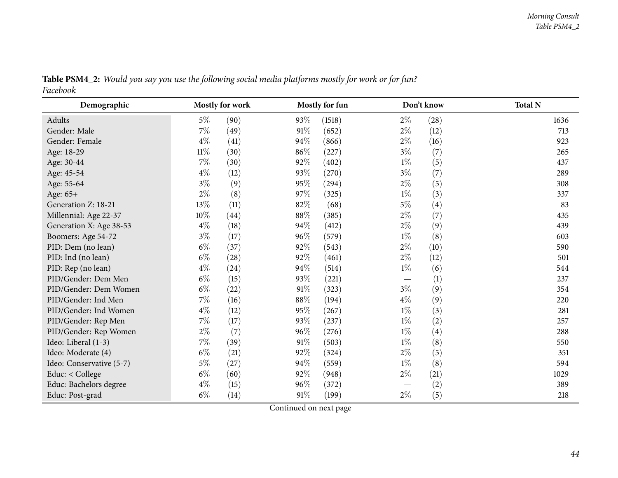| Demographic              |        | Mostly for work |        | Mostly for fun |       | Don't know | <b>Total N</b> |
|--------------------------|--------|-----------------|--------|----------------|-------|------------|----------------|
| Adults                   | $5\%$  | (90)            | 93%    | (1518)         | $2\%$ | (28)       | 1636           |
| Gender: Male             | $7\%$  | (49)            | $91\%$ | (652)          | $2\%$ | (12)       | 713            |
| Gender: Female           | $4\%$  | (41)            | 94%    | (866)          | $2\%$ | (16)       | 923            |
| Age: 18-29               | $11\%$ | (30)            | 86%    | (227)          | $3\%$ | (7)        | 265            |
| Age: 30-44               | $7\%$  | (30)            | 92%    | (402)          | $1\%$ | (5)        | 437            |
| Age: 45-54               | $4\%$  | (12)            | 93%    | (270)          | $3\%$ | (7)        | 289            |
| Age: 55-64               | $3\%$  | (9)             | 95%    | (294)          | $2\%$ | (5)        | 308            |
| Age: $65+$               | $2\%$  | (8)             | 97%    | (325)          | $1\%$ | (3)        | 337            |
| Generation Z: 18-21      | 13%    | (11)            | 82\%   | (68)           | $5\%$ | (4)        | 83             |
| Millennial: Age 22-37    | $10\%$ | (44)            | $88\%$ | (385)          | $2\%$ | (7)        | 435            |
| Generation X: Age 38-53  | $4\%$  | (18)            | 94%    | (412)          | $2\%$ | (9)        | 439            |
| Boomers: Age 54-72       | $3\%$  | (17)            | 96%    | (579)          | $1\%$ | (8)        | 603            |
| PID: Dem (no lean)       | $6\%$  | (37)            | 92%    | (543)          | $2\%$ | (10)       | 590            |
| PID: Ind (no lean)       | $6\%$  | (28)            | 92%    | (461)          | $2\%$ | (12)       | 501            |
| PID: Rep (no lean)       | $4\%$  | (24)            | 94%    | (514)          | $1\%$ | (6)        | 544            |
| PID/Gender: Dem Men      | $6\%$  | (15)            | 93%    | (221)          |       | (1)        | 237            |
| PID/Gender: Dem Women    | $6\%$  | (22)            | $91\%$ | (323)          | $3\%$ | (9)        | 354            |
| PID/Gender: Ind Men      | $7\%$  | (16)            | 88%    | (194)          | $4\%$ | (9)        | 220            |
| PID/Gender: Ind Women    | $4\%$  | (12)            | 95%    | (267)          | $1\%$ | (3)        | 281            |
| PID/Gender: Rep Men      | $7\%$  | (17)            | 93%    | (237)          | $1\%$ | (2)        | 257            |
| PID/Gender: Rep Women    | $2\%$  | (7)             | 96%    | (276)          | $1\%$ | (4)        | 288            |
| Ideo: Liberal (1-3)      | $7\%$  | (39)            | $91\%$ | (503)          | $1\%$ | (8)        | 550            |
| Ideo: Moderate (4)       | $6\%$  | (21)            | 92%    | (324)          | $2\%$ | (5)        | 351            |
| Ideo: Conservative (5-7) | $5\%$  | (27)            | 94%    | (559)          | $1\%$ | (8)        | 594            |
| Educ: < College          | $6\%$  | (60)            | 92%    | (948)          | $2\%$ | (21)       | 1029           |
| Educ: Bachelors degree   | $4\%$  | (15)            | 96%    | (372)          |       | (2)        | 389            |
| Educ: Post-grad          | $6\%$  | (14)            | $91\%$ | (199)          | $2\%$ | (5)        | 218            |

Table PSM4\_2: Would you say you use the following social media platforms mostly for work or for fun? *Facebook*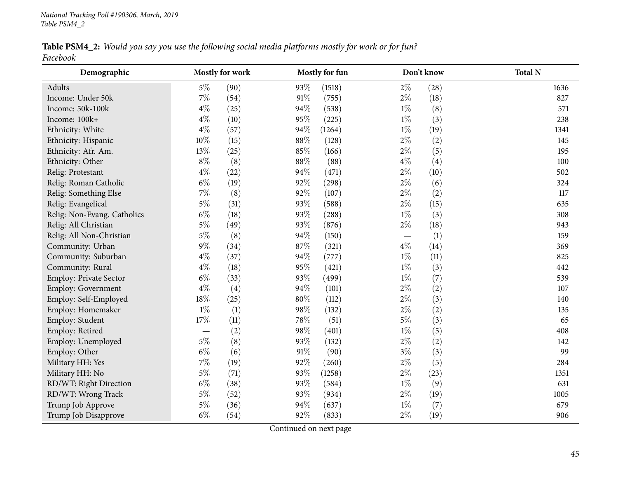Table PSM4\_2: Would you say you use the following social media platforms mostly for work or for fun? *Facebook*

| Demographic                 |        | <b>Mostly for work</b> |        | Mostly for fun |       | Don't know | <b>Total N</b> |
|-----------------------------|--------|------------------------|--------|----------------|-------|------------|----------------|
| Adults                      | $5\%$  | (90)                   | 93%    | (1518)         | $2\%$ | (28)       | 1636           |
| Income: Under 50k           | $7\%$  | (54)                   | $91\%$ | (755)          | $2\%$ | (18)       | 827            |
| Income: 50k-100k            | $4\%$  | (25)                   | 94%    | (538)          | $1\%$ | (8)        | 571            |
| Income: 100k+               | $4\%$  | (10)                   | 95%    | (225)          | $1\%$ | (3)        | 238            |
| Ethnicity: White            | $4\%$  | (57)                   | 94%    | (1264)         | $1\%$ | (19)       | 1341           |
| Ethnicity: Hispanic         | $10\%$ | (15)                   | $88\%$ | (128)          | $2\%$ | (2)        | 145            |
| Ethnicity: Afr. Am.         | $13\%$ | (25)                   | 85%    | (166)          | $2\%$ | (5)        | 195            |
| Ethnicity: Other            | $8\%$  | (8)                    | $88\%$ | (88)           | $4\%$ | (4)        | 100            |
| Relig: Protestant           | $4\%$  | (22)                   | 94%    | (471)          | $2\%$ | (10)       | 502            |
| Relig: Roman Catholic       | $6\%$  | (19)                   | 92%    | (298)          | $2\%$ | (6)        | 324            |
| Relig: Something Else       | $7\%$  | (8)                    | 92%    | (107)          | $2\%$ | (2)        | 117            |
| Relig: Evangelical          | $5\%$  | (31)                   | 93%    | (588)          | $2\%$ | (15)       | 635            |
| Relig: Non-Evang. Catholics | $6\%$  | (18)                   | 93%    | (288)          | $1\%$ | (3)        | 308            |
| Relig: All Christian        | $5\%$  | (49)                   | 93%    | (876)          | $2\%$ | (18)       | 943            |
| Relig: All Non-Christian    | $5\%$  | (8)                    | 94%    | (150)          |       | (1)        | 159            |
| Community: Urban            | $9\%$  | (34)                   | 87%    | (321)          | $4\%$ | (14)       | 369            |
| Community: Suburban         | $4\%$  | (37)                   | 94%    | (777)          | $1\%$ | (11)       | 825            |
| Community: Rural            | $4\%$  | (18)                   | 95%    | (421)          | $1\%$ | (3)        | 442            |
| Employ: Private Sector      | $6\%$  | (33)                   | 93%    | (499)          | $1\%$ | (7)        | 539            |
| Employ: Government          | $4\%$  | (4)                    | 94%    | (101)          | $2\%$ | (2)        | 107            |
| Employ: Self-Employed       | $18\%$ | (25)                   | $80\%$ | (112)          | $2\%$ | (3)        | 140            |
| Employ: Homemaker           | $1\%$  | (1)                    | 98%    | (132)          | $2\%$ | (2)        | 135            |
| Employ: Student             | $17\%$ | (11)                   | 78%    | (51)           | $5\%$ | (3)        | 65             |
| Employ: Retired             |        | (2)                    | 98%    | (401)          | $1\%$ | (5)        | 408            |
| Employ: Unemployed          | $5\%$  | (8)                    | 93%    | (132)          | $2\%$ | (2)        | 142            |
| Employ: Other               | $6\%$  | (6)                    | $91\%$ | (90)           | $3\%$ | (3)        | 99             |
| Military HH: Yes            | $7\%$  | (19)                   | 92%    | (260)          | $2\%$ | (5)        | 284            |
| Military HH: No             | $5\%$  | (71)                   | 93%    | (1258)         | $2\%$ | (23)       | 1351           |
| RD/WT: Right Direction      | $6\%$  | (38)                   | 93%    | (584)          | $1\%$ | (9)        | 631            |
| RD/WT: Wrong Track          | $5\%$  | (52)                   | 93%    | (934)          | $2\%$ | (19)       | 1005           |
| Trump Job Approve           | $5\%$  | (36)                   | 94%    | (637)          | $1\%$ | (7)        | 679            |
| Trump Job Disapprove        | $6\%$  | (54)                   | 92%    | (833)          | $2\%$ | (19)       | 906            |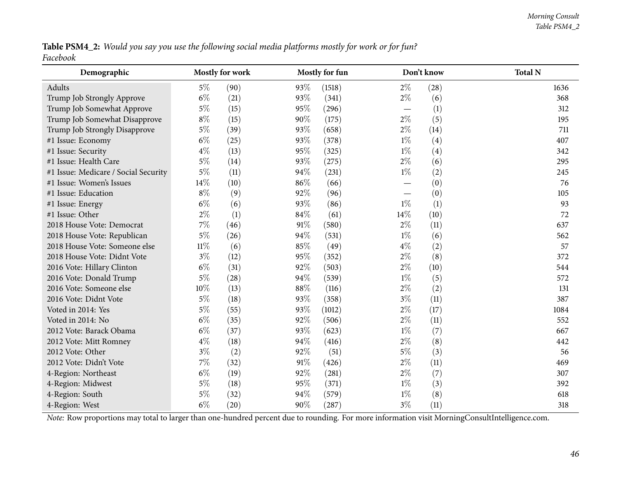Table PSM4\_2: Would you say you use the following social media platforms mostly for work or for fun? *Facebook*

| Demographic                          | <b>Mostly for work</b> |      |      | Mostly for fun |                          | Don't know | <b>Total N</b> |
|--------------------------------------|------------------------|------|------|----------------|--------------------------|------------|----------------|
| Adults                               | $5\%$                  | (90) | 93%  | (1518)         | $2\%$                    | (28)       | 1636           |
| Trump Job Strongly Approve           | $6\%$                  | (21) | 93%  | (341)          | $2\%$                    | (6)        | 368            |
| Trump Job Somewhat Approve           | $5\%$                  | (15) | 95%  | (296)          |                          | (1)        | 312            |
| Trump Job Somewhat Disapprove        | $8\%$                  | (15) | 90%  | (175)          | $2\%$                    | (5)        | 195            |
| Trump Job Strongly Disapprove        | $5\%$                  | (39) | 93%  | (658)          | $2\%$                    | (14)       | 711            |
| #1 Issue: Economy                    | $6\%$                  | (25) | 93%  | (378)          | $1\%$                    | (4)        | 407            |
| #1 Issue: Security                   | $4\%$                  | (13) | 95%  | (325)          | $1\%$                    | (4)        | 342            |
| #1 Issue: Health Care                | $5\%$                  | (14) | 93%  | (275)          | $2\%$                    | (6)        | 295            |
| #1 Issue: Medicare / Social Security | $5\%$                  | (11) | 94%  | (231)          | $1\%$                    | (2)        | 245            |
| #1 Issue: Women's Issues             | 14%                    | (10) | 86%  | (66)           |                          | (0)        | 76             |
| #1 Issue: Education                  | $8\%$                  | (9)  | 92%  | (96)           | $\overline{\phantom{0}}$ | (0)        | 105            |
| #1 Issue: Energy                     | $6\%$                  | (6)  | 93%  | (86)           | $1\%$                    | (1)        | 93             |
| #1 Issue: Other                      | $2\%$                  | (1)  | 84\% | (61)           | 14%                      | (10)       | 72             |
| 2018 House Vote: Democrat            | $7\%$                  | (46) | 91%  | (580)          | $2\%$                    | (11)       | 637            |
| 2018 House Vote: Republican          | $5\%$                  | (26) | 94%  | (531)          | $1\%$                    | (6)        | 562            |
| 2018 House Vote: Someone else        | $11\%$                 | (6)  | 85%  | (49)           | $4\%$                    | (2)        | 57             |
| 2018 House Vote: Didnt Vote          | $3\%$                  | (12) | 95%  | (352)          | $2\%$                    | (8)        | 372            |
| 2016 Vote: Hillary Clinton           | $6\%$                  | (31) | 92%  | (503)          | $2\%$                    | (10)       | 544            |
| 2016 Vote: Donald Trump              | $5\%$                  | (28) | 94%  | (539)          | $1\%$                    | (5)        | 572            |
| 2016 Vote: Someone else              | $10\%$                 | (13) | 88\% | (116)          | $2\%$                    | (2)        | 131            |
| 2016 Vote: Didnt Vote                | $5\%$                  | (18) | 93%  | (358)          | $3\%$                    | (11)       | 387            |
| Voted in 2014: Yes                   | $5\%$                  | (55) | 93%  | (1012)         | $2\%$                    | (17)       | 1084           |
| Voted in 2014: No                    | $6\%$                  | (35) | 92%  | (506)          | $2\%$                    | (11)       | 552            |
| 2012 Vote: Barack Obama              | $6\%$                  | (37) | 93%  | (623)          | $1\%$                    | (7)        | 667            |
| 2012 Vote: Mitt Romney               | $4\%$                  | (18) | 94%  | (416)          | $2\%$                    | (8)        | 442            |
| 2012 Vote: Other                     | $3\%$                  | (2)  | 92%  | (51)           | $5\%$                    | (3)        | 56             |
| 2012 Vote: Didn't Vote               | $7\%$                  | (32) | 91%  | (426)          | $2\%$                    | (11)       | 469            |
| 4-Region: Northeast                  | $6\%$                  | (19) | 92%  | (281)          | $2\%$                    | (7)        | 307            |
| 4-Region: Midwest                    | $5\%$                  | (18) | 95%  | (371)          | $1\%$                    | (3)        | 392            |
| 4-Region: South                      | $5\%$                  | (32) | 94%  | (579)          | $1\%$                    | (8)        | 618            |
| 4-Region: West                       | $6\%$                  | (20) | 90%  | (287)          | $3\%$                    | (11)       | 318            |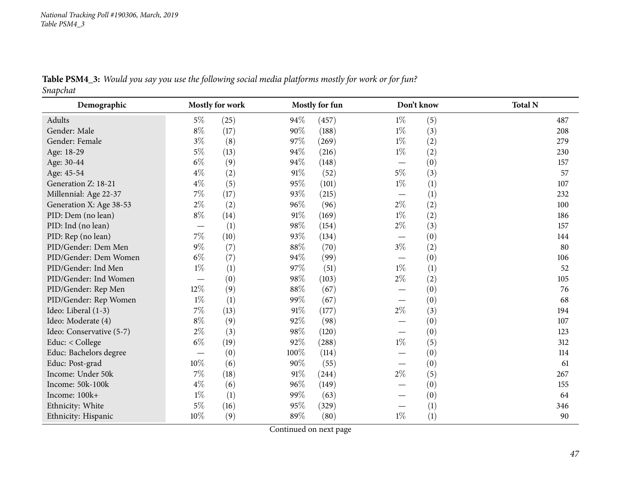Table PSM4\_3: Would you say you use the following social media platforms mostly for work or for fun? *Snapchat*

| Demographic              |                                  | Mostly for work |      | <b>Mostly for fun</b> |                                 | Don't know       | <b>Total N</b> |
|--------------------------|----------------------------------|-----------------|------|-----------------------|---------------------------------|------------------|----------------|
| Adults                   | $5\%$                            | (25)            | 94%  | (457)                 | $1\%$                           | (5)              | 487            |
| Gender: Male             | $8\%$                            | (17)            | 90%  | (188)                 | $1\%$                           | (3)              | 208            |
| Gender: Female           | $3\%$                            | (8)             | 97%  | (269)                 | $1\%$                           | (2)              | 279            |
| Age: 18-29               | $5\%$                            | (13)            | 94%  | (216)                 | $1\%$                           | (2)              | 230            |
| Age: 30-44               | $6\%$                            | (9)             | 94%  | (148)                 | —                               | (0)              | 157            |
| Age: 45-54               | $4\%$                            | (2)             | 91%  | (52)                  | $5\%$                           | (3)              | 57             |
| Generation Z: 18-21      | $4\%$                            | (5)             | 95%  | (101)                 | $1\%$                           | (1)              | 107            |
| Millennial: Age 22-37    | $7\%$                            | (17)            | 93%  | (215)                 | $\hspace{0.1mm}-\hspace{0.1mm}$ | (1)              | 232            |
| Generation X: Age 38-53  | $2\%$                            | (2)             | 96%  | (96)                  | $2\%$                           | (2)              | 100            |
| PID: Dem (no lean)       | $8\%$                            | (14)            | 91%  | (169)                 | $1\%$                           | (2)              | 186            |
| PID: Ind (no lean)       |                                  | (1)             | 98%  | (154)                 | $2\%$                           | (3)              | 157            |
| PID: Rep (no lean)       | $7\%$                            | (10)            | 93%  | (134)                 | —                               | (0)              | 144            |
| PID/Gender: Dem Men      | $9\%$                            | (7)             | 88%  | (70)                  | $3\%$                           | (2)              | 80             |
| PID/Gender: Dem Women    | $6\%$                            | (7)             | 94%  | (99)                  |                                 | (0)              | 106            |
| PID/Gender: Ind Men      | $1\%$                            | (1)             | 97%  | (51)                  | $1\%$                           | (1)              | 52             |
| PID/Gender: Ind Women    |                                  | (0)             | 98%  | (103)                 | $2\%$                           | (2)              | 105            |
| PID/Gender: Rep Men      | 12%                              | (9)             | 88%  | (67)                  | $\overline{\phantom{0}}$        | (0)              | 76             |
| PID/Gender: Rep Women    | $1\%$                            | (1)             | 99%  | (67)                  | $\hspace{0.1mm}-\hspace{0.1mm}$ | (0)              | 68             |
| Ideo: Liberal (1-3)      | $7\%$                            | (13)            | 91%  | (177)                 | $2\%$                           | (3)              | 194            |
| Ideo: Moderate (4)       | $8\%$                            | (9)             | 92%  | (98)                  | —                               | (0)              | 107            |
| Ideo: Conservative (5-7) | $2\%$                            | (3)             | 98%  | (120)                 |                                 | (0)              | 123            |
| Educ: $<$ College        | $6\%$                            | (19)            | 92%  | (288)                 | $1\%$                           | (5)              | 312            |
| Educ: Bachelors degree   | $\overbrace{\phantom{12322111}}$ | (0)             | 100% | (114)                 |                                 | (0)              | 114            |
| Educ: Post-grad          | 10%                              | (6)             | 90%  | (55)                  |                                 | (0)              | 61             |
| Income: Under 50k        | $7\%$                            | (18)            | 91\% | (244)                 | $2\%$                           | (5)              | 267            |
| Income: 50k-100k         | $4\%$                            | (6)             | 96%  | (149)                 |                                 | (0)              | 155            |
| Income: 100k+            | $1\%$                            | (1)             | 99%  | (63)                  | $\overline{\phantom{0}}$        | (0)              | 64             |
| Ethnicity: White         | 5%                               | (16)            | 95%  | (329)                 |                                 | $\left(1\right)$ | 346            |
| Ethnicity: Hispanic      | 10%                              | (9)             | 89%  | (80)                  | $1\%$                           | (1)              | 90             |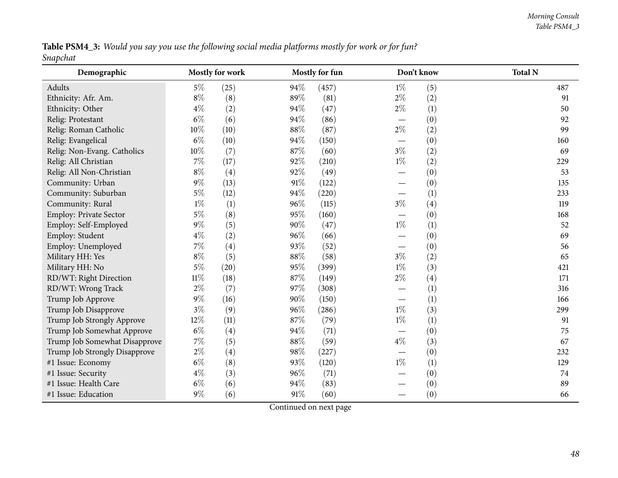Table PSM4\_3: Would you say you use the following social media platforms mostly for work or for fun? *Snapchat*

| Demographic                   |        | Mostly for work | Mostly for fun |       |                          | Don't know | <b>Total N</b> |
|-------------------------------|--------|-----------------|----------------|-------|--------------------------|------------|----------------|
| Adults                        | $5\%$  | (25)            | 94%            | (457) | $1\%$                    | (5)        | 487            |
| Ethnicity: Afr. Am.           | $8\%$  | (8)             | 89%            | (81)  | $2\%$                    | (2)        | 91             |
| Ethnicity: Other              | $4\%$  | (2)             | 94%            | (47)  | $2\%$                    | (1)        | 50             |
| Relig: Protestant             | $6\%$  | (6)             | 94%            | (86)  | $\overline{\phantom{0}}$ | (0)        | 92             |
| Relig: Roman Catholic         | 10%    | (10)            | 88%            | (87)  | $2\%$                    | (2)        | 99             |
| Relig: Evangelical            | $6\%$  | (10)            | 94%            | (150) |                          | (0)        | 160            |
| Relig: Non-Evang. Catholics   | 10%    | (7)             | 87%            | (60)  | $3\%$                    | (2)        | 69             |
| Relig: All Christian          | $7\%$  | (17)            | 92%            | (210) | $1\%$                    | (2)        | 229            |
| Relig: All Non-Christian      | $8\%$  | (4)             | 92%            | (49)  |                          | (0)        | 53             |
| Community: Urban              | 9%     | (13)            | 91%            | (122) |                          | (0)        | 135            |
| Community: Suburban           | $5\%$  | (12)            | 94%            | (220) |                          | (1)        | 233            |
| Community: Rural              | $1\%$  | (1)             | 96%            | (115) | $3\%$                    | (4)        | 119            |
| Employ: Private Sector        | $5\%$  | (8)             | 95%            | (160) |                          | (0)        | 168            |
| Employ: Self-Employed         | 9%     | (5)             | 90%            | (47)  | $1\%$                    | (1)        | 52             |
| Employ: Student               | $4\%$  | (2)             | 96%            | (66)  |                          | (0)        | 69             |
| Employ: Unemployed            | 7%     | (4)             | 93%            | (52)  |                          | (0)        | 56             |
| Military HH: Yes              | $8\%$  | (5)             | 88%            | (58)  | $3\%$                    | (2)        | 65             |
| Military HH: No               | 5%     | (20)            | 95%            | (399) | $1\%$                    | (3)        | 421            |
| RD/WT: Right Direction        | $11\%$ | (18)            | 87%            | (149) | $2\%$                    | (4)        | 171            |
| RD/WT: Wrong Track            | $2\%$  | (7)             | 97%            | (308) |                          | (1)        | 316            |
| Trump Job Approve             | 9%     | (16)            | 90%            | (150) |                          | (1)        | 166            |
| Trump Job Disapprove          | $3\%$  | (9)             | 96%            | (286) | $1\%$                    | (3)        | 299            |
| Trump Job Strongly Approve    | 12%    | (11)            | 87%            | (79)  | $1\%$                    | (1)        | 91             |
| Trump Job Somewhat Approve    | $6\%$  | (4)             | 94%            | (71)  |                          | (0)        | 75             |
| Trump Job Somewhat Disapprove | $7\%$  | (5)             | 88%            | (59)  | $4\%$                    | (3)        | 67             |
| Trump Job Strongly Disapprove | $2\%$  | (4)             | 98%            | (227) |                          | (0)        | 232            |
| #1 Issue: Economy             | $6\%$  | (8)             | 93%            | (120) | $1\%$                    | (1)        | 129            |
| #1 Issue: Security            | $4\%$  | (3)             | 96%            | (71)  |                          | (0)        | 74             |
| #1 Issue: Health Care         | $6\%$  | (6)             | 94%            | (83)  |                          | (0)        | 89             |
| #1 Issue: Education           | 9%     | (6)             | 91%            | (60)  |                          | (0)        | 66             |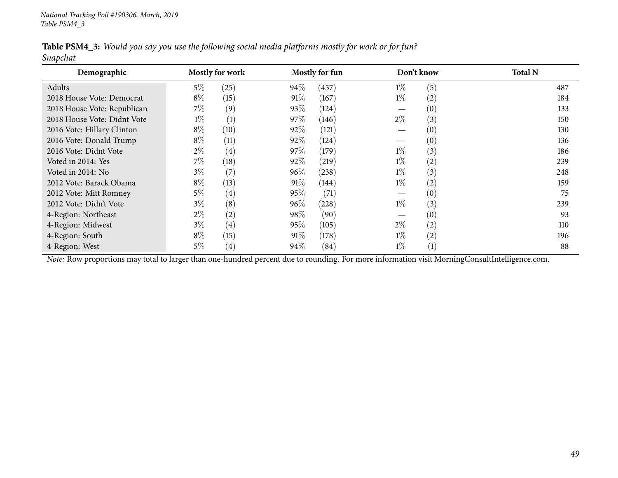|          | Table PSM4_3: Would you say you use the following social media platforms mostly for work or for fun? |  |  |
|----------|------------------------------------------------------------------------------------------------------|--|--|
| Snapchat |                                                                                                      |  |  |

| Demographic                 | <b>Mostly for work</b>     |        | Mostly for fun |       | Don't know | <b>Total N</b> |
|-----------------------------|----------------------------|--------|----------------|-------|------------|----------------|
| Adults                      | 5%<br>(25)                 | 94%    | (457)          | $1\%$ | (5)        | 487            |
| 2018 House Vote: Democrat   | $8\%$<br>(15)              | 91%    | (167)          | $1\%$ | (2)        | 184            |
| 2018 House Vote: Republican | $7\%$<br>(9)               | 93\%   | (124)          |       | (0)        | 133            |
| 2018 House Vote: Didnt Vote | $1\%$<br>(1)               | 97%    | (146)          | $2\%$ | (3)        | 150            |
| 2016 Vote: Hillary Clinton  | $8\%$<br>(10)              | 92\%   | (121)          |       | (0)        | 130            |
| 2016 Vote: Donald Trump     | $8\%$<br>(11)              | 92\%   | (124)          | —     | (0)        | 136            |
| 2016 Vote: Didnt Vote       | $2\%$<br>$\left( 4\right)$ | 97\%   | (179)          | $1\%$ | (3)        | 186            |
| Voted in 2014: Yes          | $7\%$<br>(18)              | 92%    | (219)          | $1\%$ | (2)        | 239            |
| Voted in 2014: No           | $3\%$<br>(7)               | 96%    | (238)          | $1\%$ | (3)        | 248            |
| 2012 Vote: Barack Obama     | $8\%$<br>(13)              | 91%    | (144)          | $1\%$ | (2)        | 159            |
| 2012 Vote: Mitt Romney      | $5\%$<br>$\left( 4\right)$ | 95%    | (71)           |       | (0)        | 75             |
| 2012 Vote: Didn't Vote      | $3\%$<br>(8)               | 96%    | (228)          | $1\%$ | (3)        | 239            |
| 4-Region: Northeast         | $2\%$<br>(2)               | $98\%$ | (90)           |       | (0)        | 93             |
| 4-Region: Midwest           | $3\%$<br>$\left( 4\right)$ | 95%    | (105)          | $2\%$ | (2)        | 110            |
| 4-Region: South             | $8\%$<br>(15)              | 91%    | (178)          | $1\%$ | (2)        | 196            |
| 4-Region: West              | $5\%$<br>$\left( 4\right)$ | $94\%$ | (84)           | $1\%$ | (1)        | 88             |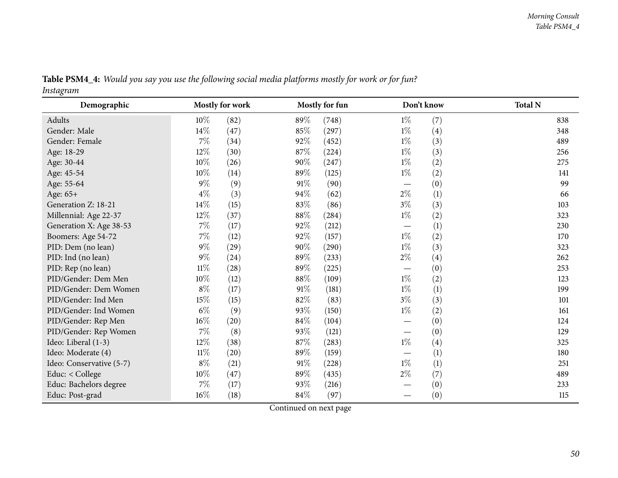| Demographic              |        | Mostly for work |        | <b>Mostly for fun</b> |                                 | Don't know | <b>Total N</b> |
|--------------------------|--------|-----------------|--------|-----------------------|---------------------------------|------------|----------------|
| Adults                   | $10\%$ | (82)            | 89%    | (748)                 | $1\%$                           | (7)        | 838            |
| Gender: Male             | 14%    | (47)            | 85%    | (297)                 | $1\%$                           | (4)        | 348            |
| Gender: Female           | $7\%$  | (34)            | 92%    | (452)                 | $1\%$                           | (3)        | 489            |
| Age: 18-29               | 12%    | (30)            | 87\%   | (224)                 | $1\%$                           | (3)        | 256            |
| Age: 30-44               | 10%    | (26)            | 90%    | (247)                 | $1\%$                           | (2)        | 275            |
| Age: 45-54               | 10%    | (14)            | 89%    | (125)                 | $1\%$                           | (2)        | 141            |
| Age: 55-64               | $9\%$  | (9)             | 91%    | (90)                  |                                 | (0)        | 99             |
| Age: 65+                 | $4\%$  | (3)             | 94%    | (62)                  | $2\%$                           | (1)        | 66             |
| Generation Z: 18-21      | $14\%$ | (15)            | 83%    | (86)                  | $3\%$                           | (3)        | 103            |
| Millennial: Age 22-37    | 12%    | (37)            | 88\%   | (284)                 | $1\%$                           | (2)        | 323            |
| Generation X: Age 38-53  | $7\%$  | (17)            | 92%    | (212)                 | $\hspace{0.1mm}-\hspace{0.1mm}$ | (1)        | 230            |
| Boomers: Age 54-72       | $7\%$  | (12)            | 92%    | (157)                 | $1\%$                           | (2)        | 170            |
| PID: Dem (no lean)       | $9\%$  | (29)            | 90%    | (290)                 | $1\%$                           | (3)        | 323            |
| PID: Ind (no lean)       | $9\%$  | (24)            | 89%    | (233)                 | $2\%$                           | (4)        | 262            |
| PID: Rep (no lean)       | $11\%$ | (28)            | 89%    | (225)                 |                                 | (0)        | 253            |
| PID/Gender: Dem Men      | 10%    | (12)            | 88\%   | (109)                 | $1\%$                           | (2)        | 123            |
| PID/Gender: Dem Women    | $8\%$  | (17)            | $91\%$ | (181)                 | $1\%$                           | (1)        | 199            |
| PID/Gender: Ind Men      | 15%    | (15)            | 82%    | (83)                  | $3\%$                           | (3)        | 101            |
| PID/Gender: Ind Women    | $6\%$  | (9)             | 93%    | (150)                 | $1\%$                           | (2)        | 161            |
| PID/Gender: Rep Men      | $16\%$ | (20)            | $84\%$ | (104)                 |                                 | (0)        | 124            |
| PID/Gender: Rep Women    | $7\%$  | (8)             | 93%    | (121)                 |                                 | (0)        | 129            |
| Ideo: Liberal (1-3)      | $12\%$ | (38)            | 87\%   | (283)                 | $1\%$                           | (4)        | 325            |
| Ideo: Moderate (4)       | $11\%$ | (20)            | 89%    | (159)                 |                                 | (1)        | 180            |
| Ideo: Conservative (5-7) | $8\%$  | (21)            | $91\%$ | (228)                 | $1\%$                           | (1)        | 251            |
| Educ: < College          | $10\%$ | (47)            | 89%    | (435)                 | $2\%$                           | (7)        | 489            |
| Educ: Bachelors degree   | $7\%$  | (17)            | 93%    | (216)                 |                                 | (0)        | 233            |
| Educ: Post-grad          | 16%    | (18)            | $84\%$ | (97)                  |                                 | (0)        | 115            |

Table PSM4\_4: Would you say you use the following social media platforms mostly for work or for fun? *Instagram*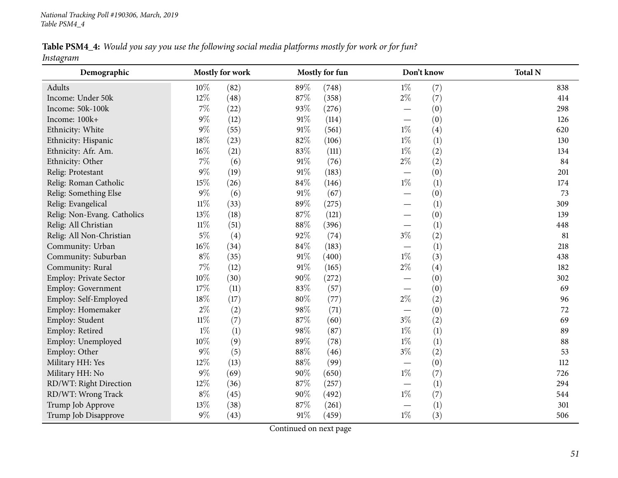Table PSM4\_4: Would you say you use the following social media platforms mostly for work or for fun? *Instagram*

| Demographic                 |        | Mostly for work |        | Mostly for fun |                          | Don't know | <b>Total N</b> |
|-----------------------------|--------|-----------------|--------|----------------|--------------------------|------------|----------------|
| Adults                      | $10\%$ | (82)            | 89%    | (748)          | $1\%$                    | (7)        | 838            |
| Income: Under 50k           | 12%    | (48)            | 87%    | (358)          | $2\%$                    | (7)        | 414            |
| Income: 50k-100k            | $7\%$  | (22)            | 93%    | (276)          |                          | (0)        | 298            |
| Income: 100k+               | $9\%$  | (12)            | 91%    | (114)          |                          | (0)        | 126            |
| Ethnicity: White            | $9\%$  | (55)            | 91%    | (561)          | $1\%$                    | (4)        | 620            |
| Ethnicity: Hispanic         | $18\%$ | (23)            | 82%    | (106)          | $1\%$                    | (1)        | 130            |
| Ethnicity: Afr. Am.         | $16\%$ | (21)            | 83%    | (111)          | $1\%$                    | (2)        | 134            |
| Ethnicity: Other            | $7\%$  | (6)             | 91%    | (76)           | $2\%$                    | (2)        | 84             |
| Relig: Protestant           | $9\%$  | (19)            | 91%    | (183)          | $\overline{\phantom{0}}$ | (0)        | 201            |
| Relig: Roman Catholic       | 15%    | (26)            | $84\%$ | (146)          | $1\%$                    | (1)        | 174            |
| Relig: Something Else       | $9\%$  | (6)             | 91%    | (67)           |                          | (0)        | 73             |
| Relig: Evangelical          | $11\%$ | (33)            | 89%    | (275)          |                          | (1)        | 309            |
| Relig: Non-Evang. Catholics | 13%    | (18)            | 87%    | (121)          |                          | (0)        | 139            |
| Relig: All Christian        | $11\%$ | (51)            | 88%    | (396)          |                          | (1)        | 448            |
| Relig: All Non-Christian    | $5\%$  | (4)             | 92%    | (74)           | $3\%$                    | (2)        | 81             |
| Community: Urban            | $16\%$ | (34)            | 84%    | (183)          |                          | (1)        | 218            |
| Community: Suburban         | $8\%$  | (35)            | $91\%$ | (400)          | $1\%$                    | (3)        | 438            |
| Community: Rural            | $7\%$  | (12)            | $91\%$ | (165)          | $2\%$                    | (4)        | 182            |
| Employ: Private Sector      | $10\%$ | (30)            | $90\%$ | (272)          |                          | (0)        | 302            |
| Employ: Government          | 17%    | (11)            | 83%    | (57)           |                          | (0)        | 69             |
| Employ: Self-Employed       | $18\%$ | (17)            | $80\%$ | (77)           | $2\%$                    | (2)        | 96             |
| Employ: Homemaker           | $2\%$  | (2)             | 98%    | (71)           |                          | (0)        | 72             |
| Employ: Student             | $11\%$ | (7)             | 87%    | (60)           | $3\%$                    | (2)        | 69             |
| Employ: Retired             | $1\%$  | (1)             | 98%    | (87)           | $1\%$                    | (1)        | 89             |
| Employ: Unemployed          | 10%    | (9)             | 89%    | (78)           | $1\%$                    | (1)        | 88             |
| Employ: Other               | $9\%$  | (5)             | 88%    | (46)           | $3\%$                    | (2)        | 53             |
| Military HH: Yes            | $12\%$ | (13)            | 88%    | (99)           | $\overline{\phantom{0}}$ | (0)        | 112            |
| Military HH: No             | $9\%$  | (69)            | $90\%$ | (650)          | $1\%$                    | (7)        | 726            |
| RD/WT: Right Direction      | 12%    | (36)            | 87%    | (257)          |                          | (1)        | 294            |
| RD/WT: Wrong Track          | $8\%$  | (45)            | 90%    | (492)          | $1\%$                    | (7)        | 544            |
| Trump Job Approve           | $13\%$ | (38)            | 87%    | (261)          |                          | (1)        | 301            |
| Trump Job Disapprove        | $9\%$  | (43)            | $91\%$ | (459)          | $1\%$                    | (3)        | 506            |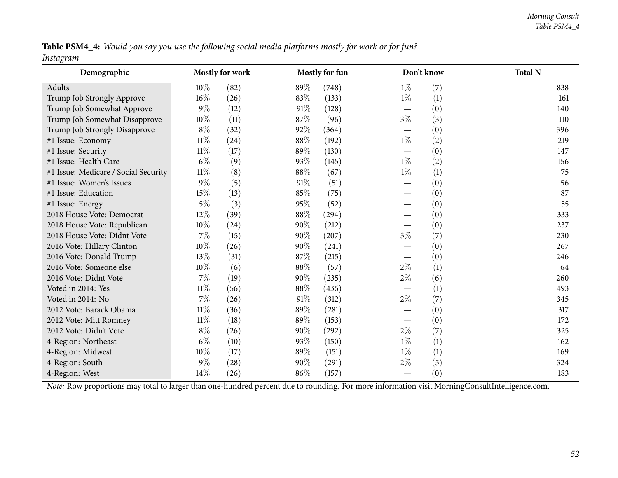Table PSM4\_4: Would you say you use the following social media platforms mostly for work or for fun? *Instagram*

| Demographic                                                                                                                                    |        | <b>Mostly for work</b> |      | Mostly for fun |                                  | Don't know | <b>Total N</b> |
|------------------------------------------------------------------------------------------------------------------------------------------------|--------|------------------------|------|----------------|----------------------------------|------------|----------------|
| Adults                                                                                                                                         | 10\%   | (82)                   | 89%  | (748)          | $1\%$                            | (7)        | 838            |
| Trump Job Strongly Approve                                                                                                                     | 16%    | (26)                   | 83%  | (133)          | $1\%$                            | (1)        | 161            |
| Trump Job Somewhat Approve                                                                                                                     | $9\%$  | (12)                   | 91%  | (128)          | $\overbrace{\phantom{12322111}}$ | (0)        | 140            |
| Trump Job Somewhat Disapprove                                                                                                                  | 10%    | (11)                   | 87%  | (96)           | $3\%$                            | (3)        | 110            |
| Trump Job Strongly Disapprove                                                                                                                  | $8\%$  | (32)                   | 92%  | (364)          |                                  | (0)        | 396            |
| #1 Issue: Economy                                                                                                                              | $11\%$ | (24)                   | 88%  | (192)          | $1\%$                            | (2)        | 219            |
| #1 Issue: Security                                                                                                                             | $11\%$ | (17)                   | 89%  | (130)          |                                  | (0)        | 147            |
| #1 Issue: Health Care                                                                                                                          | $6\%$  | (9)                    | 93%  | (145)          | $1\%$                            | (2)        | 156            |
| #1 Issue: Medicare / Social Security                                                                                                           | $11\%$ | (8)                    | 88%  | (67)           | $1\%$                            | (1)        | 75             |
| #1 Issue: Women's Issues                                                                                                                       | $9\%$  | (5)                    | 91%  | (51)           |                                  | (0)        | 56             |
| #1 Issue: Education                                                                                                                            | 15%    | (13)                   | 85%  | (75)           |                                  | (0)        | 87             |
| #1 Issue: Energy                                                                                                                               | $5\%$  | (3)                    | 95%  | (52)           |                                  | (0)        | 55             |
| 2018 House Vote: Democrat                                                                                                                      | 12%    | (39)                   | 88\% | (294)          |                                  | (0)        | 333            |
| 2018 House Vote: Republican                                                                                                                    | $10\%$ | (24)                   | 90%  | (212)          |                                  | (0)        | 237            |
| 2018 House Vote: Didnt Vote                                                                                                                    | $7\%$  | (15)                   | 90%  | (207)          | $3\%$                            | (7)        | 230            |
| 2016 Vote: Hillary Clinton                                                                                                                     | $10\%$ | (26)                   | 90%  | (241)          |                                  | (0)        | 267            |
| 2016 Vote: Donald Trump                                                                                                                        | 13%    | (31)                   | 87%  | (215)          |                                  | (0)        | 246            |
| 2016 Vote: Someone else                                                                                                                        | 10%    | (6)                    | 88\% | (57)           | $2\%$                            | (1)        | 64             |
| 2016 Vote: Didnt Vote                                                                                                                          | $7\%$  | (19)                   | 90%  | (235)          | $2\%$                            | (6)        | 260            |
| Voted in 2014: Yes                                                                                                                             | $11\%$ | (56)                   | 88%  | (436)          |                                  | (1)        | 493            |
| Voted in 2014: No                                                                                                                              | $7\%$  | (26)                   | 91%  | (312)          | $2\%$                            | (7)        | 345            |
| 2012 Vote: Barack Obama                                                                                                                        | $11\%$ | (36)                   | 89%  | (281)          |                                  | (0)        | 317            |
| 2012 Vote: Mitt Romney                                                                                                                         | $11\%$ | (18)                   | 89%  | (153)          |                                  | (0)        | 172            |
| 2012 Vote: Didn't Vote                                                                                                                         | $8\%$  | (26)                   | 90%  | (292)          | $2\%$                            | (7)        | 325            |
| 4-Region: Northeast                                                                                                                            | $6\%$  | (10)                   | 93%  | (150)          | $1\%$                            | (1)        | 162            |
| 4-Region: Midwest                                                                                                                              | 10%    | (17)                   | 89%  | (151)          | $1\%$                            | (1)        | 169            |
| 4-Region: South                                                                                                                                | $9\%$  | (28)                   | 90%  | (291)          | $2\%$                            | (5)        | 324            |
| 4-Region: West                                                                                                                                 | $14\%$ | (26)                   | 86%  | (157)          |                                  | (0)        | 183            |
| Note: Row proportions may total to larger than one-hundred percent due to rounding. For more information visit MorningConsultIntelligence.com. |        |                        |      |                |                                  |            |                |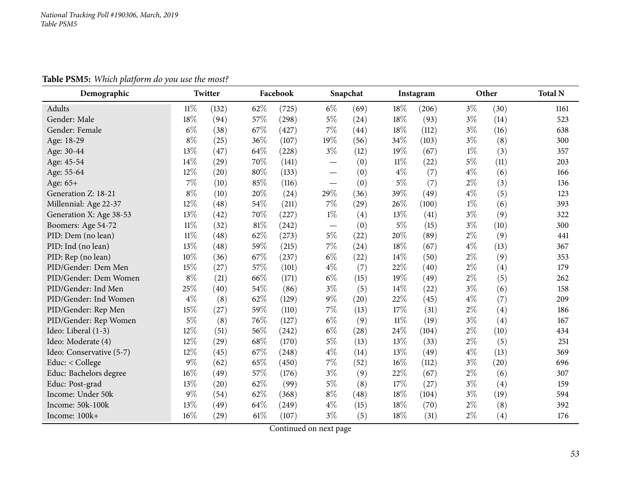**Table PSM5:** *Which <sup>p</sup>latform do you use the most?*

| Demographic              |        | Twitter |        | Facebook |                          | Snapchat |        | Instagram |       | Other | <b>Total N</b> |
|--------------------------|--------|---------|--------|----------|--------------------------|----------|--------|-----------|-------|-------|----------------|
| <b>Adults</b>            | $11\%$ | (132)   | 62%    | (725)    | $6\%$                    | (69)     | 18%    | (206)     | $3\%$ | (30)  | 1161           |
| Gender: Male             | 18%    | (94)    | 57%    | (298)    | $5\%$                    | (24)     | 18%    | (93)      | $3\%$ | (14)  | 523            |
| Gender: Female           | $6\%$  | (38)    | 67%    | (427)    | $7\%$                    | (44)     | 18%    | (112)     | $3\%$ | (16)  | 638            |
| Age: 18-29               | $8\%$  | (25)    | 36%    | (107)    | 19%                      | (56)     | 34%    | (103)     | $3\%$ | (8)   | 300            |
| Age: 30-44               | 13%    | (47)    | 64%    | (228)    | $3\%$                    | (12)     | 19%    | (67)      | $1\%$ | (3)   | 357            |
| Age: 45-54               | 14%    | (29)    | 70%    | (141)    |                          | (0)      | $11\%$ | (22)      | $5\%$ | (11)  | 203            |
| Age: 55-64               | 12%    | (20)    | 80%    | (133)    |                          | (0)      | $4\%$  | (7)       | $4\%$ | (6)   | 166            |
| Age: 65+                 | $7\%$  | (10)    | 85%    | (116)    |                          | (0)      | $5\%$  | (7)       | $2\%$ | (3)   | 136            |
| Generation Z: 18-21      | $8\%$  | (10)    | 20%    | (24)     | 29%                      | (36)     | 39%    | (49)      | $4\%$ | (5)   | 123            |
| Millennial: Age 22-37    | 12%    | (48)    | 54%    | (211)    | $7\%$                    | (29)     | 26%    | (100)     | $1\%$ | (6)   | 393            |
| Generation X: Age 38-53  | 13%    | (42)    | 70%    | (227)    | $1\%$                    | (4)      | 13%    | (41)      | $3\%$ | (9)   | 322            |
| Boomers: Age 54-72       | $11\%$ | (32)    | $81\%$ | (242)    | $\overline{\phantom{0}}$ | (0)      | 5%     | (15)      | $3\%$ | (10)  | 300            |
| PID: Dem (no lean)       | $11\%$ | (48)    | 62%    | (273)    | $5\%$                    | (22)     | 20%    | (89)      | $2\%$ | (9)   | 441            |
| PID: Ind (no lean)       | 13%    | (48)    | 59%    | (215)    | $7\%$                    | (24)     | 18%    | (67)      | $4\%$ | (13)  | 367            |
| PID: Rep (no lean)       | 10%    | (36)    | 67%    | (237)    | $6\%$                    | (22)     | 14%    | (50)      | $2\%$ | (9)   | 353            |
| PID/Gender: Dem Men      | 15%    | (27)    | 57%    | (101)    | $4\%$                    | (7)      | 22%    | (40)      | $2\%$ | (4)   | 179            |
| PID/Gender: Dem Women    | $8\%$  | (21)    | 66%    | (171)    | $6\%$                    | (15)     | 19%    | (49)      | $2\%$ | (5)   | 262            |
| PID/Gender: Ind Men      | 25%    | (40)    | 54%    | (86)     | $3\%$                    | (5)      | 14%    | (22)      | $3\%$ | (6)   | 158            |
| PID/Gender: Ind Women    | $4\%$  | (8)     | 62%    | (129)    | $9\%$                    | (20)     | 22%    | (45)      | $4\%$ | (7)   | 209            |
| PID/Gender: Rep Men      | 15%    | (27)    | 59%    | (110)    | $7\%$                    | (13)     | 17%    | (31)      | $2\%$ | (4)   | 186            |
| PID/Gender: Rep Women    | $5\%$  | (8)     | 76%    | (127)    | $6\%$                    | (9)      | $11\%$ | (19)      | $3\%$ | (4)   | 167            |
| Ideo: Liberal (1-3)      | $12\%$ | (51)    | 56%    | (242)    | $6\%$                    | (28)     | 24%    | (104)     | $2\%$ | (10)  | 434            |
| Ideo: Moderate (4)       | 12%    | (29)    | 68%    | (170)    | $5\%$                    | (13)     | 13%    | (33)      | $2\%$ | (5)   | 251            |
| Ideo: Conservative (5-7) | 12%    | (45)    | 67%    | (248)    | $4\%$                    | (14)     | 13%    | (49)      | $4\%$ | (13)  | 369            |
| Educ: < College          | 9%     | (62)    | 65%    | (450)    | 7%                       | (52)     | 16%    | (112)     | $3\%$ | (20)  | 696            |
| Educ: Bachelors degree   | 16%    | (49)    | 57%    | (176)    | $3\%$                    | (9)      | 22%    | (67)      | $2\%$ | (6)   | 307            |
| Educ: Post-grad          | 13%    | (20)    | 62%    | (99)     | $5\%$                    | (8)      | 17%    | (27)      | $3\%$ | (4)   | 159            |
| Income: Under 50k        | 9%     | (54)    | 62%    | (368)    | $8\%$                    | (48)     | 18%    | (104)     | $3\%$ | (19)  | 594            |
| Income: 50k-100k         | 13%    | (49)    | 64%    | (249)    | $4\%$                    | (15)     | 18%    | (70)      | $2\%$ | (8)   | 392            |
| Income: 100k+            | 16%    | (29)    | 61\%   | (107)    | $3\%$                    | (5)      | 18%    | (31)      | $2\%$ | (4)   | 176            |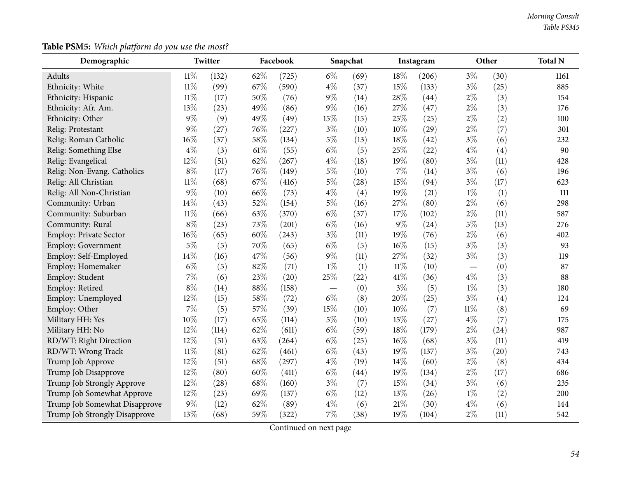# **Table PSM5:** *Which <sup>p</sup>latform do you use the most?*

| Demographic                   |        | Twitter |        | Facebook |       | Snapchat |        | Instagram |        | Other | <b>Total N</b> |
|-------------------------------|--------|---------|--------|----------|-------|----------|--------|-----------|--------|-------|----------------|
| Adults                        | $11\%$ | (132)   | 62%    | (725)    | $6\%$ | (69)     | 18%    | (206)     | $3\%$  | (30)  | 1161           |
| Ethnicity: White              | $11\%$ | (99)    | 67\%   | (590)    | $4\%$ | (37)     | 15%    | (133)     | $3\%$  | (25)  | 885            |
| Ethnicity: Hispanic           | $11\%$ | (17)    | $50\%$ | (76)     | $9\%$ | (14)     | 28\%   | (44)      | $2\%$  | (3)   | 154            |
| Ethnicity: Afr. Am.           | 13%    | (23)    | 49%    | (86)     | $9\%$ | (16)     | 27%    | (47)      | $2\%$  | (3)   | 176            |
| Ethnicity: Other              | $9\%$  | (9)     | 49%    | (49)     | 15%   | (15)     | 25%    | (25)      | $2\%$  | (2)   | 100            |
| Relig: Protestant             | 9%     | (27)    | 76%    | (227)    | $3\%$ | (10)     | 10%    | (29)      | $2\%$  | (7)   | 301            |
| Relig: Roman Catholic         | 16%    | (37)    | 58\%   | (134)    | $5\%$ | (13)     | 18%    | (42)      | $3\%$  | (6)   | 232            |
| Relig: Something Else         | $4\%$  | (3)     | $61\%$ | (55)     | $6\%$ | (5)      | 25%    | (22)      | $4\%$  | (4)   | 90             |
| Relig: Evangelical            | 12%    | (51)    | 62%    | (267)    | $4\%$ | (18)     | 19%    | (80)      | $3\%$  | (11)  | 428            |
| Relig: Non-Evang. Catholics   | $8\%$  | (17)    | 76%    | (149)    | $5\%$ | (10)     | $7\%$  | (14)      | $3\%$  | (6)   | 196            |
| Relig: All Christian          | $11\%$ | (68)    | 67%    | (416)    | $5\%$ | (28)     | 15%    | (94)      | $3\%$  | (17)  | 623            |
| Relig: All Non-Christian      | 9%     | (10)    | 66%    | (73)     | $4\%$ | (4)      | 19%    | (21)      | $1\%$  | (1)   | 111            |
| Community: Urban              | 14%    | (43)    | 52%    | (154)    | $5\%$ | (16)     | 27%    | (80)      | $2\%$  | (6)   | 298            |
| Community: Suburban           | $11\%$ | (66)    | 63%    | (370)    | $6\%$ | (37)     | 17%    | (102)     | $2\%$  | (11)  | 587            |
| Community: Rural              | $8\%$  | (23)    | 73%    | (201)    | $6\%$ | (16)     | $9\%$  | (24)      | $5\%$  | (13)  | 276            |
| Employ: Private Sector        | 16%    | (65)    | 60%    | (243)    | $3\%$ | (11)     | 19%    | (76)      | $2\%$  | (6)   | 402            |
| Employ: Government            | $5\%$  | (5)     | 70%    | (65)     | $6\%$ | (5)      | $16\%$ | (15)      | $3\%$  | (3)   | 93             |
| Employ: Self-Employed         | 14%    | (16)    | 47%    | (56)     | $9\%$ | (11)     | 27%    | (32)      | $3\%$  | (3)   | 119            |
| Employ: Homemaker             | $6\%$  | (5)     | 82%    | (71)     | $1\%$ | (1)      | $11\%$ | (10)      |        | (0)   | 87             |
| Employ: Student               | $7\%$  | (6)     | 23%    | (20)     | 25%   | (22)     | 41\%   | (36)      | $4\%$  | (3)   | 88             |
| Employ: Retired               | $8\%$  | (14)    | $88\%$ | (158)    |       | (0)      | $3\%$  | (5)       | $1\%$  | (3)   | 180            |
| Employ: Unemployed            | 12%    | (15)    | 58\%   | (72)     | $6\%$ | (8)      | 20%    | (25)      | $3\%$  | (4)   | 124            |
| Employ: Other                 | 7%     | (5)     | 57\%   | (39)     | 15%   | (10)     | 10%    | (7)       | $11\%$ | (8)   | 69             |
| Military HH: Yes              | 10%    | (17)    | 65%    | (114)    | $5\%$ | (10)     | 15%    | (27)      | $4\%$  | (7)   | 175            |
| Military HH: No               | 12%    | (114)   | 62%    | (611)    | $6\%$ | (59)     | 18%    | (179)     | $2\%$  | (24)  | 987            |
| RD/WT: Right Direction        | 12%    | (51)    | 63%    | (264)    | $6\%$ | (25)     | 16%    | (68)      | $3\%$  | (11)  | 419            |
| RD/WT: Wrong Track            | $11\%$ | (81)    | 62%    | (461)    | $6\%$ | (43)     | 19%    | (137)     | $3\%$  | (20)  | 743            |
| Trump Job Approve             | 12%    | (51)    | 68%    | (297)    | $4\%$ | (19)     | 14%    | (60)      | $2\%$  | (8)   | 434            |
| Trump Job Disapprove          | 12%    | (80)    | 60%    | (411)    | $6\%$ | (44)     | 19%    | (134)     | $2\%$  | (17)  | 686            |
| Trump Job Strongly Approve    | 12%    | (28)    | 68\%   | (160)    | $3\%$ | (7)      | 15%    | (34)      | $3\%$  | (6)   | 235            |
| Trump Job Somewhat Approve    | 12%    | (23)    | 69%    | (137)    | $6\%$ | (12)     | 13%    | (26)      | $1\%$  | (2)   | 200            |
| Trump Job Somewhat Disapprove | $9\%$  | (12)    | 62%    | (89)     | $4\%$ | (6)      | $21\%$ | (30)      | $4\%$  | (6)   | 144            |
| Trump Job Strongly Disapprove | 13%    | (68)    | 59%    | (322)    | $7\%$ | (38)     | 19%    | (104)     | $2\%$  | (11)  | 542            |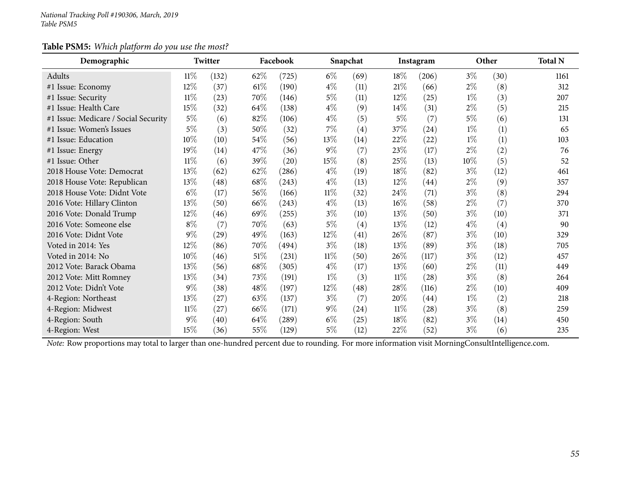### **Table PSM5:** *Which <sup>p</sup>latform do you use the most?*

| Demographic                          |        | Twitter |        | Facebook |        | Snapchat          |        | Instagram |        | Other | <b>Total N</b> |
|--------------------------------------|--------|---------|--------|----------|--------|-------------------|--------|-----------|--------|-------|----------------|
| Adults                               | $11\%$ | (132)   | $62\%$ | (725)    | $6\%$  | (69)              | $18\%$ | (206)     | $3\%$  | (30)  | 1161           |
| #1 Issue: Economy                    | 12\%   | (37)    | $61\%$ | (190)    | $4\%$  | (11)              | 21%    | (66)      | $2\%$  | (8)   | 312            |
| #1 Issue: Security                   | $11\%$ | (23)    | 70\%   | (146)    | $5\%$  | (11)              | $12\%$ | (25)      | $1\%$  | (3)   | 207            |
| #1 Issue: Health Care                | 15%    | (32)    | 64\%   | (138)    | $4\%$  | (9)               | $14\%$ | (31)      | $2\%$  | (5)   | 215            |
| #1 Issue: Medicare / Social Security | $5\%$  | (6)     | 82%    | (106)    | $4\%$  | (5)               | $5\%$  | (7)       | $5\%$  | (6)   | 131            |
| #1 Issue: Women's Issues             | 5%     | (3)     | 50%    | (32)     | $7\%$  | $\left( 4\right)$ | 37%    | (24)      | $1\%$  | (1)   | 65             |
| #1 Issue: Education                  | 10%    | (10)    | 54\%   | (56)     | 13\%   | (14)              | 22%    | (22)      | $1\%$  | (1)   | 103            |
| #1 Issue: Energy                     | 19%    | (14)    | 47%    | (36)     | $9\%$  | (7)               | 23\%   | (17)      | $2\%$  | (2)   | 76             |
| #1 Issue: Other                      | $11\%$ | (6)     | 39%    | (20)     | 15%    | (8)               | 25%    | (13)      | $10\%$ | (5)   | 52             |
| 2018 House Vote: Democrat            | 13\%   | (62)    | 62%    | (286)    | $4\%$  | (19)              | 18%    | (82)      | 3%     | (12)  | 461            |
| 2018 House Vote: Republican          | 13\%   | (48)    | 68\%   | (243)    | $4\%$  | (13)              | 12%    | (44)      | $2\%$  | (9)   | 357            |
| 2018 House Vote: Didnt Vote          | $6\%$  | (17)    | 56\%   | (166)    | $11\%$ | (32)              | 24\%   | (71)      | $3\%$  | (8)   | 294            |
| 2016 Vote: Hillary Clinton           | 13\%   | (50)    | 66\%   | (243)    | $4\%$  | (13)              | $16\%$ | (58)      | $2\%$  | (7)   | 370            |
| 2016 Vote: Donald Trump              | 12\%   | (46)    | 69%    | (255)    | $3\%$  | (10)              | 13%    | (50)      | $3\%$  | (10)  | 371            |
| 2016 Vote: Someone else              | $8\%$  | (7)     | 70\%   | (63)     | $5\%$  | (4)               | 13%    | (12)      | $4\%$  | (4)   | 90             |
| 2016 Vote: Didnt Vote                | $9\%$  | (29)    | 49%    | (163)    | $12\%$ | (41)              | 26\%   | (87)      | $3\%$  | (10)  | 329            |
| Voted in 2014: Yes                   | 12\%   | (86)    | 70\%   | (494)    | $3\%$  | (18)              | 13\%   | (89)      | $3\%$  | (18)  | 705            |
| Voted in 2014: No                    | 10%    | (46)    | $51\%$ | (231)    | $11\%$ | (50)              | 26\%   | (117)     | $3\%$  | (12)  | 457            |
| 2012 Vote: Barack Obama              | 13%    | (56)    | 68\%   | (305)    | $4\%$  | (17)              | 13%    | (60)      | $2\%$  | (11)  | 449            |
| 2012 Vote: Mitt Romney               | 13\%   | (34)    | 73\%   | (191)    | $1\%$  | (3)               | $11\%$ | (28)      | $3\%$  | (8)   | 264            |
| 2012 Vote: Didn't Vote               | $9\%$  | (38)    | 48\%   | (197)    | 12\%   | (48)              | 28\%   | (116)     | $2\%$  | (10)  | 409            |
| 4-Region: Northeast                  | 13%    | (27)    | 63%    | (137)    | $3\%$  | (7)               | 20%    | (44)      | $1\%$  | (2)   | 218            |
| 4-Region: Midwest                    | $11\%$ | (27)    | 66\%   | (171)    | $9\%$  | (24)              | $11\%$ | (28)      | $3\%$  | (8)   | 259            |
| 4-Region: South                      | $9\%$  | (40)    | 64\%   | (289)    | $6\%$  | (25)              | $18\%$ | (82)      | $3\%$  | (14)  | 450            |
| 4-Region: West                       | 15%    | (36)    | 55%    | (129)    | $5\%$  | (12)              | 22%    | (52)      | $3\%$  | (6)   | 235            |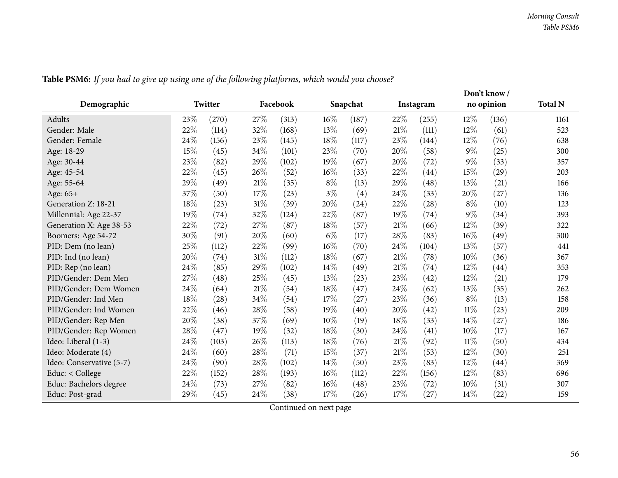|                          |      |         |        |          |        |          |        |           |        | Don't know/ |                |
|--------------------------|------|---------|--------|----------|--------|----------|--------|-----------|--------|-------------|----------------|
| Demographic              |      | Twitter |        | Facebook |        | Snapchat |        | Instagram |        | no opinion  | <b>Total N</b> |
| Adults                   | 23%  | (270)   | 27\%   | (313)    | 16%    | (187)    | 22%    | (255)     | 12%    | (136)       | 1161           |
| Gender: Male             | 22%  | (114)   | 32%    | (168)    | 13%    | (69)     | $21\%$ | (111)     | 12%    | (61)        | 523            |
| Gender: Female           | 24%  | (156)   | 23%    | (145)    | 18%    | (117)    | 23%    | (144)     | 12%    | (76)        | 638            |
| Age: 18-29               | 15%  | (45)    | 34%    | (101)    | 23%    | (70)     | 20%    | (58)      | $9\%$  | (25)        | 300            |
| Age: 30-44               | 23%  | (82)    | 29%    | (102)    | 19%    | (67)     | 20%    | (72)      | $9\%$  | (33)        | 357            |
| Age: 45-54               | 22%  | (45)    | 26%    | (52)     | 16%    | (33)     | 22%    | (44)      | 15%    | (29)        | 203            |
| Age: 55-64               | 29%  | (49)    | $21\%$ | (35)     | $8\%$  | (13)     | 29%    | (48)      | 13%    | (21)        | 166            |
| Age: 65+                 | 37%  | (50)    | $17\%$ | (23)     | $3\%$  | (4)      | 24%    | (33)      | 20%    | (27)        | 136            |
| Generation Z: 18-21      | 18%  | (23)    | 31%    | (39)     | 20%    | (24)     | 22%    | (28)      | $8\%$  | (10)        | 123            |
| Millennial: Age 22-37    | 19%  | (74)    | 32%    | (124)    | 22%    | (87)     | 19%    | (74)      | $9\%$  | (34)        | 393            |
| Generation X: Age 38-53  | 22\% | (72)    | 27%    | (87)     | 18%    | (57)     | 21%    | (66)      | 12%    | (39)        | 322            |
| Boomers: Age 54-72       | 30%  | (91)    | 20%    | (60)     | $6\%$  | (17)     | 28%    | (83)      | 16%    | (49)        | 300            |
| PID: Dem (no lean)       | 25%  | (112)   | 22%    | (99)     | 16%    | (70)     | 24%    | (104)     | 13%    | (57)        | 441            |
| PID: Ind (no lean)       | 20%  | (74)    | $31\%$ | (112)    | 18%    | (67)     | 21%    | (78)      | 10%    | (36)        | 367            |
| PID: Rep (no lean)       | 24%  | (85)    | 29%    | (102)    | 14%    | (49)     | 21%    | (74)      | $12\%$ | (44)        | 353            |
| PID/Gender: Dem Men      | 27%  | (48)    | 25%    | (45)     | 13%    | (23)     | 23%    | (42)      | $12\%$ | (21)        | 179            |
| PID/Gender: Dem Women    | 24%  | (64)    | 21%    | (54)     | 18%    | (47)     | 24\%   | (62)      | 13%    | (35)        | 262            |
| PID/Gender: Ind Men      | 18%  | (28)    | 34%    | (54)     | 17%    | (27)     | 23%    | (36)      | $8\%$  | (13)        | 158            |
| PID/Gender: Ind Women    | 22%  | (46)    | 28%    | (58)     | 19%    | (40)     | 20%    | (42)      | $11\%$ | (23)        | 209            |
| PID/Gender: Rep Men      | 20%  | (38)    | 37%    | (69)     | 10%    | (19)     | 18%    | (33)      | 14\%   | (27)        | 186            |
| PID/Gender: Rep Women    | 28%  | (47)    | 19%    | (32)     | 18%    | (30)     | 24%    | (41)      | $10\%$ | (17)        | 167            |
| Ideo: Liberal (1-3)      | 24%  | (103)   | 26\%   | (113)    | 18%    | (76)     | $21\%$ | (92)      | $11\%$ | (50)        | 434            |
| Ideo: Moderate (4)       | 24%  | (60)    | 28%    | (71)     | 15%    | (37)     | 21%    | (53)      | 12%    | (30)        | 251            |
| Ideo: Conservative (5-7) | 24%  | (90)    | 28\%   | (102)    | 14%    | (50)     | 23%    | (83)      | $12\%$ | (44)        | 369            |
| Educ: $<$ College        | 22%  | (152)   | $28\%$ | (193)    | 16%    | (112)    | 22%    | (156)     | $12\%$ | (83)        | 696            |
| Educ: Bachelors degree   | 24%  | (73)    | 27\%   | (82)     | $16\%$ | (48)     | 23%    | (72)      | $10\%$ | (31)        | 307            |
| Educ: Post-grad          | 29%  | (45)    | 24%    | (38)     | 17%    | (26)     | 17%    | (27)      | 14%    | (22)        | 159            |

Table PSM6: If you had to give up using one of the following platforms, which would you choose?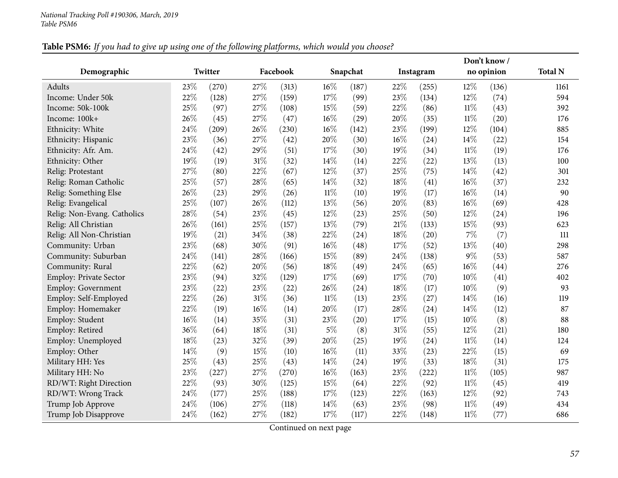# Table PSM6: If you had to give up using one of the following platforms, which would you choose?

|                             |     |         |        |          |        |          |        |           |        | Don't know/ |                |
|-----------------------------|-----|---------|--------|----------|--------|----------|--------|-----------|--------|-------------|----------------|
| Demographic                 |     | Twitter |        | Facebook |        | Snapchat |        | Instagram |        | no opinion  | <b>Total N</b> |
| Adults                      | 23% | (270)   | 27%    | (313)    | $16\%$ | (187)    | 22%    | (255)     | 12%    | (136)       | 1161           |
| Income: Under 50k           | 22% | (128)   | $27\%$ | (159)    | 17%    | (99)     | 23%    | (134)     | 12%    | (74)        | 594            |
| Income: 50k-100k            | 25% | (97)    | 27%    | (108)    | 15%    | (59)     | 22%    | (86)      | $11\%$ | (43)        | 392            |
| Income: 100k+               | 26% | (45)    | 27%    | (47)     | 16%    | (29)     | 20%    | (35)      | $11\%$ | (20)        | 176            |
| Ethnicity: White            | 24% | (209)   | 26%    | (230)    | 16%    | (142)    | 23%    | (199)     | 12%    | (104)       | 885            |
| Ethnicity: Hispanic         | 23% | (36)    | 27%    | (42)     | 20%    | (30)     | 16%    | (24)      | 14%    | (22)        | 154            |
| Ethnicity: Afr. Am.         | 24% | (42)    | 29%    | (51)     | 17%    | (30)     | 19%    | (34)      | $11\%$ | (19)        | 176            |
| Ethnicity: Other            | 19% | (19)    | $31\%$ | (32)     | 14%    | (14)     | 22%    | (22)      | 13%    | (13)        | 100            |
| Relig: Protestant           | 27% | (80)    | 22%    | (67)     | 12%    | (37)     | 25%    | (75)      | 14%    | (42)        | 301            |
| Relig: Roman Catholic       | 25% | (57)    | 28\%   | (65)     | 14%    | (32)     | 18%    | (41)      | 16%    | (37)        | 232            |
| Relig: Something Else       | 26% | (23)    | 29%    | (26)     | $11\%$ | (10)     | 19%    | (17)      | $16\%$ | (14)        | 90             |
| Relig: Evangelical          | 25% | (107)   | 26%    | (112)    | 13%    | (56)     | 20%    | (83)      | 16%    | (69)        | 428            |
| Relig: Non-Evang. Catholics | 28% | (54)    | 23%    | (45)     | 12%    | (23)     | 25%    | (50)      | 12%    | (24)        | 196            |
| Relig: All Christian        | 26% | (161)   | $25\%$ | (157)    | 13%    | (79)     | $21\%$ | (133)     | 15%    | (93)        | 623            |
| Relig: All Non-Christian    | 19% | (21)    | 34%    | (38)     | 22%    | (24)     | 18%    | (20)      | 7%     | (7)         | 111            |
| Community: Urban            | 23% | (68)    | 30%    | (91)     | 16%    | (48)     | 17%    | (52)      | 13%    | (40)        | 298            |
| Community: Suburban         | 24% | (141)   | 28\%   | (166)    | 15%    | (89)     | 24%    | (138)     | $9\%$  | (53)        | 587            |
| Community: Rural            | 22% | (62)    | 20%    | (56)     | 18%    | (49)     | 24%    | (65)      | 16%    | (44)        | 276            |
| Employ: Private Sector      | 23% | (94)    | 32%    | (129)    | 17%    | (69)     | 17%    | (70)      | 10%    | (41)        | 402            |
| Employ: Government          | 23% | (22)    | 23%    | (22)     | 26%    | (24)     | $18\%$ | (17)      | $10\%$ | (9)         | 93             |
| Employ: Self-Employed       | 22% | (26)    | 31%    | (36)     | $11\%$ | (13)     | 23%    | (27)      | 14%    | (16)        | 119            |
| Employ: Homemaker           | 22% | (19)    | 16%    | (14)     | 20%    | (17)     | 28\%   | (24)      | 14%    | (12)        | 87             |
| Employ: Student             | 16% | (14)    | 35%    | (31)     | 23%    | (20)     | $17\%$ | (15)      | $10\%$ | (8)         | 88             |
| Employ: Retired             | 36% | (64)    | $18\%$ | (31)     | $5\%$  | (8)      | 31%    | (55)      | 12%    | (21)        | 180            |
| Employ: Unemployed          | 18% | (23)    | 32%    | (39)     | 20%    | (25)     | 19%    | (24)      | $11\%$ | (14)        | 124            |
| Employ: Other               | 14% | (9)     | 15%    | (10)     | 16%    | (11)     | 33%    | (23)      | 22%    | (15)        | 69             |
| Military HH: Yes            | 25% | (43)    | 25%    | (43)     | 14%    | (24)     | 19%    | (33)      | 18%    | (31)        | 175            |
| Military HH: No             | 23% | (227)   | 27%    | (270)    | 16%    | (163)    | 23%    | (222)     | $11\%$ | (105)       | 987            |
| RD/WT: Right Direction      | 22% | (93)    | 30%    | (125)    | 15%    | (64)     | 22%    | (92)      | $11\%$ | (45)        | 419            |
| RD/WT: Wrong Track          | 24% | (177)   | 25%    | (188)    | 17%    | (123)    | 22%    | (163)     | 12%    | (92)        | 743            |
| Trump Job Approve           | 24% | (106)   | 27%    | (118)    | 14%    | (63)     | 23%    | (98)      | $11\%$ | (49)        | 434            |
| Trump Job Disapprove        | 24% | (162)   | 27%    | (182)    | 17%    | (117)    | 22%    | (148)     | $11\%$ | (77)        | 686            |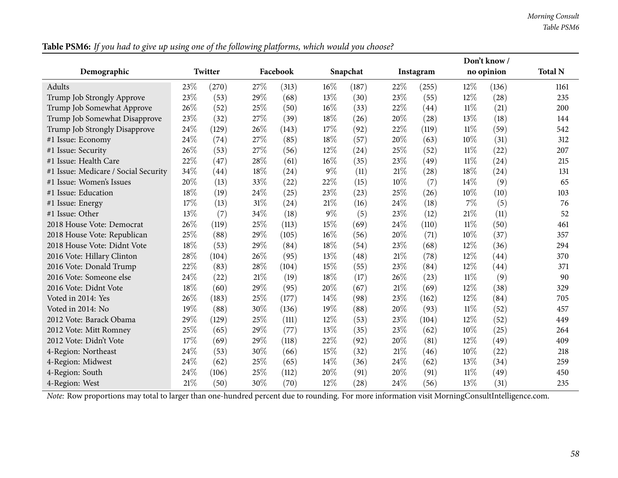| Demographic                          |      | Twitter |     | Facebook |       | Snapchat |      | Instagram |        | no opinion | <b>Total N</b> |
|--------------------------------------|------|---------|-----|----------|-------|----------|------|-----------|--------|------------|----------------|
| <b>Adults</b>                        | 23%  | (270)   | 27% | (313)    | 16%   | (187)    | 22%  | (255)     | 12%    | (136)      | 1161           |
| Trump Job Strongly Approve           | 23%  | (53)    | 29% | (68)     | 13%   | (30)     | 23\% | (55)      | 12%    | (28)       | 235            |
| Trump Job Somewhat Approve           | 26%  | (52)    | 25% | (50)     | 16%   | (33)     | 22%  | (44)      | $11\%$ | (21)       | 200            |
| Trump Job Somewhat Disapprove        | 23%  | (32)    | 27% | (39)     | 18%   | (26)     | 20%  | (28)      | 13%    | (18)       | 144            |
| Trump Job Strongly Disapprove        | 24%  | (129)   | 26% | (143)    | 17%   | (92)     | 22%  | (119)     | $11\%$ | (59)       | 542            |
| #1 Issue: Economy                    | 24%  | (74)    | 27% | (85)     | 18%   | (57)     | 20%  | (63)      | 10%    | (31)       | 312            |
| #1 Issue: Security                   | 26%  | (53)    | 27% | (56)     | 12%   | (24)     | 25\% | (52)      | 11%    | (22)       | 207            |
| #1 Issue: Health Care                | 22%  | (47)    | 28% | (61)     | 16%   | (35)     | 23\% | (49)      | $11\%$ | (24)       | 215            |
| #1 Issue: Medicare / Social Security | 34%  | (44)    | 18% | (24)     | 9%    | (11)     | 21%  | (28)      | 18%    | (24)       | 131            |
| #1 Issue: Women's Issues             | 20%  | (13)    | 33% | (22)     | 22%   | (15)     | 10%  | (7)       | 14%    | (9)        | 65             |
| #1 Issue: Education                  | 18%  | (19)    | 24% | (25)     | 23%   | (23)     | 25%  | (26)      | 10%    | (10)       | 103            |
| #1 Issue: Energy                     | 17%  | (13)    | 31% | (24)     | 21%   | (16)     | 24%  | (18)      | 7%     | (5)        | 76             |
| #1 Issue: Other                      | 13%  | (7)     | 34% | (18)     | $9\%$ | (5)      | 23\% | (12)      | 21%    | (11)       | 52             |
| 2018 House Vote: Democrat            | 26%  | (119)   | 25% | (113)    | 15%   | (69)     | 24%  | (110)     | $11\%$ | (50)       | 461            |
| 2018 House Vote: Republican          | 25%  | (88)    | 29% | (105)    | 16%   | (56)     | 20%  | (71)      | 10%    | (37)       | 357            |
| 2018 House Vote: Didnt Vote          | 18%  | (53)    | 29% | (84)     | 18%   | (54)     | 23%  | (68)      | 12%    | (36)       | 294            |
| 2016 Vote: Hillary Clinton           | 28%  | (104)   | 26% | (95)     | 13%   | (48)     | 21%  | (78)      | 12%    | (44)       | 370            |
| 2016 Vote: Donald Trump              | 22%  | (83)    | 28% | (104)    | 15%   | (55)     | 23%  | (84)      | 12%    | (44)       | 371            |
| 2016 Vote: Someone else              | 24\% | (22)    | 21% | (19)     | 18%   | (17)     | 26%  | (23)      | 11%    | (9)        | 90             |
| 2016 Vote: Didnt Vote                | 18%  | (60)    | 29% | (95)     | 20%   | (67)     | 21%  | (69)      | 12%    | (38)       | 329            |
| Voted in 2014: Yes                   | 26%  | (183)   | 25% | (177)    | 14%   | (98)     | 23%  | (162)     | 12%    | (84)       | 705            |
| Voted in 2014: No                    | 19%  | (88)    | 30% | (136)    | 19%   | (88)     | 20%  | (93)      | $11\%$ | (52)       | 457            |
| 2012 Vote: Barack Obama              | 29%  | (129)   | 25% | (111)    | 12%   | (53)     | 23%  | (104)     | 12%    | (52)       | 449            |
| 2012 Vote: Mitt Romney               | 25%  | (65)    | 29% | (77)     | 13%   | (35)     | 23\% | (62)      | 10%    | (25)       | 264            |
| 2012 Vote: Didn't Vote               | 17%  | (69)    | 29% | (118)    | 22%   | (92)     | 20%  | (81)      | 12%    | (49)       | 409            |
| 4-Region: Northeast                  | 24%  | (53)    | 30% | (66)     | 15%   | (32)     | 21%  | (46)      | 10%    | (22)       | 218            |
| 4-Region: Midwest                    | 24%  | (62)    | 25% | (65)     | 14%   | (36)     | 24\% | (62)      | 13%    | (34)       | 259            |
| 4-Region: South                      | 24%  | (106)   | 25% | (112)    | 20%   | (91)     | 20%  | (91)      | 11%    | (49)       | 450            |
| 4-Region: West                       | 21%  | (50)    | 30% | (70)     | 12%   | (28)     | 24%  | (56)      | 13%    | (31)       | 235            |

Table PSM6: If you had to give up using one of the following platforms, which would you choose?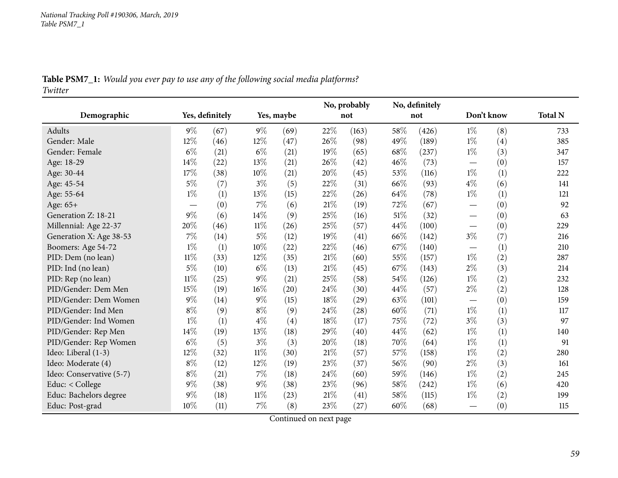## Table PSM7\_1: Would you ever pay to use any of the following social media platforms? *Twitter*

|                          |                                 |                 |        |            |        | No, probably |     | No, definitely |                   |     |                |
|--------------------------|---------------------------------|-----------------|--------|------------|--------|--------------|-----|----------------|-------------------|-----|----------------|
| Demographic              |                                 | Yes, definitely |        | Yes, maybe |        | not          |     | not            | Don't know        |     | <b>Total N</b> |
| Adults                   | $9\%$                           | (67)            | $9\%$  | (69)       | 22%    | (163)        | 58% | (426)          | $1\%$             | (8) | 733            |
| Gender: Male             | 12%                             | (46)            | 12%    | (47)       | 26%    | (98)         | 49% | (189)          | $1\%$             | (4) | 385            |
| Gender: Female           | $6\%$                           | (21)            | $6\%$  | (21)       | 19%    | (65)         | 68% | (237)          | $1\%$             | (3) | 347            |
| Age: 18-29               | 14%                             | (22)            | 13%    | (21)       | 26%    | (42)         | 46% | (73)           |                   | (0) | 157            |
| Age: 30-44               | 17%                             | (38)            | 10%    | (21)       | 20%    | (45)         | 53% | (116)          | $1\%$             | (1) | 222            |
| Age: 45-54               | $5\%$                           | (7)             | $3\%$  | (5)        | 22%    | (31)         | 66% | (93)           | $4\%$             | (6) | 141            |
| Age: 55-64               | $1\%$                           | (1)             | $13\%$ | (15)       | 22%    | (26)         | 64% | (78)           | $1\%$             | (1) | 121            |
| Age: 65+                 | $\hspace{0.1mm}-\hspace{0.1mm}$ | (0)             | $7\%$  | (6)        | 21%    | (19)         | 72% | (67)           | $\hspace{0.05cm}$ | (0) | 92             |
| Generation Z: 18-21      | $9\%$                           | (6)             | 14%    | (9)        | 25%    | (16)         | 51% | (32)           |                   | (0) | 63             |
| Millennial: Age 22-37    | 20%                             | (46)            | $11\%$ | (26)       | 25%    | (57)         | 44% | (100)          |                   | (0) | 229            |
| Generation X: Age 38-53  | 7%                              | (14)            | $5\%$  | (12)       | 19%    | (41)         | 66% | (142)          | $3\%$             | (7) | 216            |
| Boomers: Age 54-72       | $1\%$                           | (1)             | $10\%$ | (22)       | 22%    | (46)         | 67% | (140)          |                   | (1) | 210            |
| PID: Dem (no lean)       | $11\%$                          | (33)            | 12%    | (35)       | 21%    | (60)         | 55% | (157)          | $1\%$             | (2) | 287            |
| PID: Ind (no lean)       | $5\%$                           | (10)            | $6\%$  | (13)       | $21\%$ | (45)         | 67% | (143)          | $2\%$             | (3) | 214            |
| PID: Rep (no lean)       | $11\%$                          | (25)            | $9\%$  | (21)       | 25%    | (58)         | 54% | (126)          | $1\%$             | (2) | 232            |
| PID/Gender: Dem Men      | 15%                             | (19)            | $16\%$ | (20)       | $24\%$ | (30)         | 44% | (57)           | $2\%$             | (2) | 128            |
| PID/Gender: Dem Women    | $9\%$                           | (14)            | $9\%$  | (15)       | 18%    | (29)         | 63% | (101)          |                   | (0) | 159            |
| PID/Gender: Ind Men      | $8\%$                           | (9)             | $8\%$  | (9)        | 24\%   | (28)         | 60% | (71)           | $1\%$             | (1) | 117            |
| PID/Gender: Ind Women    | $1\%$                           | (1)             | $4\%$  | (4)        | $18\%$ | (17)         | 75% | (72)           | $3\%$             | (3) | 97             |
| PID/Gender: Rep Men      | 14%                             | (19)            | 13%    | (18)       | 29%    | (40)         | 44% | (62)           | $1\%$             | (1) | 140            |
| PID/Gender: Rep Women    | $6\%$                           | (5)             | $3\%$  | (3)        | 20%    | (18)         | 70% | (64)           | $1\%$             | (1) | 91             |
| Ideo: Liberal (1-3)      | $12\%$                          | (32)            | $11\%$ | (30)       | 21%    | (57)         | 57% | (158)          | $1\%$             | (2) | 280            |
| Ideo: Moderate (4)       | $8\%$                           | (12)            | 12%    | (19)       | 23%    | (37)         | 56% | (90)           | $2\%$             | (3) | 161            |
| Ideo: Conservative (5-7) | $8\%$                           | (21)            | $7\%$  | (18)       | 24%    | (60)         | 59% | (146)          | $1\%$             | (2) | 245            |
| Educ: < College          | $9\%$                           | (38)            | $9\%$  | (38)       | 23%    | (96)         | 58% | (242)          | $1\%$             | (6) | 420            |
| Educ: Bachelors degree   | $9\%$                           | (18)            | $11\%$ | (23)       | $21\%$ | (41)         | 58% | (115)          | $1\%$             | (2) | 199            |
| Educ: Post-grad          | 10%                             | (11)            | 7%     | (8)        | 23%    | (27)         | 60% | (68)           |                   | (0) | 115            |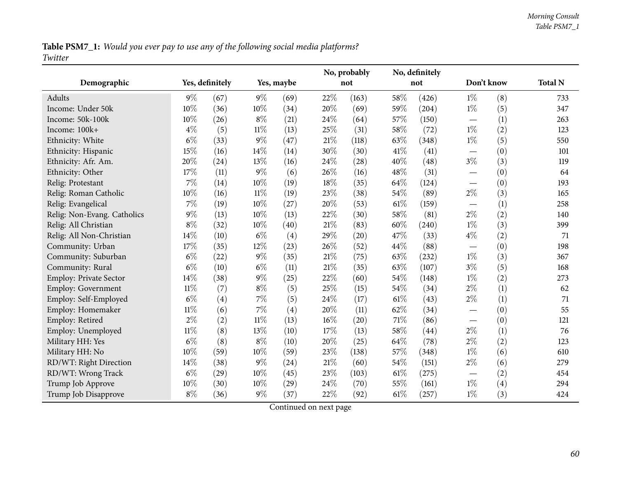Table PSM7\_1: Would you ever pay to use any of the following social media platforms? *Twitter*

|                               |        |                 |        |            |     | No, probably |      | No, definitely |                                  |     |                |
|-------------------------------|--------|-----------------|--------|------------|-----|--------------|------|----------------|----------------------------------|-----|----------------|
| Demographic                   |        | Yes, definitely |        | Yes, maybe |     | not          |      | not            | Don't know                       |     | <b>Total N</b> |
| Adults                        | $9\%$  | (67)            | $9\%$  | (69)       | 22% | (163)        | 58%  | (426)          | $1\%$                            | (8) | 733            |
| Income: Under 50k             | 10%    | (36)            | 10%    | (34)       | 20% | (69)         | 59%  | (204)          | $1\%$                            | (5) | 347            |
| Income: 50k-100k              | 10%    | (26)            | $8\%$  | (21)       | 24% | (64)         | 57%  | (150)          | $\overbrace{\phantom{12322111}}$ | (1) | 263            |
| Income: 100k+                 | $4\%$  | (5)             | $11\%$ | (13)       | 25% | (31)         | 58%  | (72)           | $1\%$                            | (2) | 123            |
| Ethnicity: White              | $6\%$  | (33)            | $9\%$  | (47)       | 21% | (118)        | 63%  | (348)          | $1\%$                            | (5) | 550            |
| Ethnicity: Hispanic           | 15%    | (16)            | 14%    | (14)       | 30% | (30)         | 41\% | (41)           |                                  | (0) | 101            |
| Ethnicity: Afr. Am.           | 20%    | (24)            | 13%    | (16)       | 24% | (28)         | 40%  | (48)           | $3\%$                            | (3) | 119            |
| Ethnicity: Other              | 17%    | (11)            | 9%     | (6)        | 26% | (16)         | 48%  | (31)           |                                  | (0) | 64             |
| Relig: Protestant             | 7%     | (14)            | 10%    | (19)       | 18% | (35)         | 64%  | (124)          |                                  | (0) | 193            |
| Relig: Roman Catholic         | 10%    | (16)            | $11\%$ | (19)       | 23% | (38)         | 54%  | (89)           | $2\%$                            | (3) | 165            |
| Relig: Evangelical            | 7%     | (19)            | $10\%$ | (27)       | 20% | (53)         | 61\% | (159)          | $\hspace{0.1mm}-\hspace{0.1mm}$  | (1) | 258            |
| Relig: Non-Evang. Catholics   | $9\%$  | (13)            | 10%    | (13)       | 22% | (30)         | 58%  | (81)           | $2\%$                            | (2) | 140            |
| Relig: All Christian          | $8\%$  | (32)            | 10%    | (40)       | 21% | (83)         | 60%  | (240)          | $1\%$                            | (3) | 399            |
| Relig: All Non-Christian      | 14%    | (10)            | $6\%$  | (4)        | 29% | (20)         | 47%  | (33)           | $4\%$                            | (2) | 71             |
| Community: Urban              | 17%    | (35)            | 12%    | (23)       | 26% | (52)         | 44%  | (88)           |                                  | (0) | 198            |
| Community: Suburban           | $6\%$  | (22)            | $9\%$  | (35)       | 21% | (75)         | 63%  | (232)          | $1\%$                            | (3) | 367            |
| Community: Rural              | $6\%$  | (10)            | $6\%$  | (11)       | 21% | (35)         | 63%  | (107)          | $3\%$                            | (5) | 168            |
| <b>Employ: Private Sector</b> | 14%    | (38)            | $9\%$  | (25)       | 22% | (60)         | 54%  | (148)          | $1\%$                            | (2) | 273            |
| <b>Employ: Government</b>     | $11\%$ | (7)             | $8\%$  | (5)        | 25% | (15)         | 54%  | (34)           | $2\%$                            | (1) | 62             |
| Employ: Self-Employed         | $6\%$  | (4)             | 7%     | (5)        | 24% | (17)         | 61\% | (43)           | $2\%$                            | (1) | 71             |
| Employ: Homemaker             | $11\%$ | (6)             | 7%     | (4)        | 20% | (11)         | 62%  | (34)           |                                  | (0) | 55             |
| Employ: Retired               | $2\%$  | (2)             | $11\%$ | (13)       | 16% | (20)         | 71%  | (86)           | $\overbrace{\phantom{12322111}}$ | (0) | 121            |
| Employ: Unemployed            | $11\%$ | (8)             | 13%    | (10)       | 17% | (13)         | 58%  | (44)           | $2\%$                            | (1) | 76             |
| Military HH: Yes              | $6\%$  | (8)             | $8\%$  | (10)       | 20% | (25)         | 64\% | (78)           | $2\%$                            | (2) | 123            |
| Military HH: No               | 10%    | (59)            | 10%    | (59)       | 23% | (138)        | 57%  | (348)          | $1\%$                            | (6) | 610            |
| RD/WT: Right Direction        | 14%    | (38)            | 9%     | (24)       | 21% | (60)         | 54%  | (151)          | $2\%$                            | (6) | 279            |
| RD/WT: Wrong Track            | $6\%$  | (29)            | 10%    | (45)       | 23% | (103)        | 61\% | (275)          |                                  | (2) | 454            |
| Trump Job Approve             | 10%    | (30)            | 10%    | (29)       | 24% | (70)         | 55%  | (161)          | $1\%$                            | (4) | 294            |
| Trump Job Disapprove          | $8\%$  | (36)            | 9%     | (37)       | 22% | (92)         | 61\% | (257)          | $1\%$                            | (3) | 424            |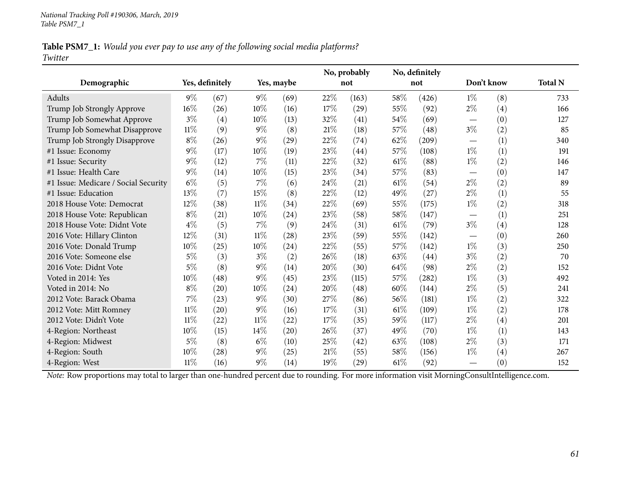#### Table PSM7\_1: Would you ever pay to use any of the following social media platforms? *Twitter*

|                                                                                                                                                |        |                 |        |            |        | No, probably |      | No, definitely |                                 |            |                |
|------------------------------------------------------------------------------------------------------------------------------------------------|--------|-----------------|--------|------------|--------|--------------|------|----------------|---------------------------------|------------|----------------|
| Demographic                                                                                                                                    |        | Yes, definitely |        | Yes, maybe |        | not          |      | not            |                                 | Don't know | <b>Total N</b> |
| Adults                                                                                                                                         | $9\%$  | (67)            | $9\%$  | (69)       | 22%    | (163)        | 58%  | (426)          | $1\%$                           | (8)        | 733            |
| Trump Job Strongly Approve                                                                                                                     | 16%    | (26)            | 10%    | (16)       | 17%    | (29)         | 55%  | (92)           | $2\%$                           | (4)        | 166            |
| Trump Job Somewhat Approve                                                                                                                     | $3\%$  | (4)             | 10%    | (13)       | 32%    | (41)         | 54%  | (69)           |                                 | (0)        | 127            |
| Trump Job Somewhat Disapprove                                                                                                                  | $11\%$ | (9)             | $9\%$  | (8)        | $21\%$ | (18)         | 57%  | (48)           | $3\%$                           | (2)        | 85             |
| Trump Job Strongly Disapprove                                                                                                                  | $8\%$  | (26)            | $9\%$  | (29)       | $22\%$ | (74)         | 62%  | (209)          | $\hspace{0.05cm}$               | (1)        | 340            |
| #1 Issue: Economy                                                                                                                              | $9\%$  | (17)            | 10%    | (19)       | 23\%   | (44)         | 57%  | (108)          | $1\%$                           | (1)        | 191            |
| #1 Issue: Security                                                                                                                             | $9\%$  | (12)            | 7%     | (11)       | 22%    | (32)         | 61\% | (88)           | $1\%$                           | (2)        | 146            |
| #1 Issue: Health Care                                                                                                                          | $9\%$  | (14)            | $10\%$ | (15)       | 23\%   | (34)         | 57%  | (83)           | $\hspace{0.05cm}$               | (0)        | 147            |
| #1 Issue: Medicare / Social Security                                                                                                           | $6\%$  | (5)             | 7%     | (6)        | 24%    | (21)         | 61\% | (54)           | $2\%$                           | (2)        | 89             |
| #1 Issue: Education                                                                                                                            | 13%    | (7)             | 15%    | (8)        | 22%    | (12)         | 49%  | (27)           | $2\%$                           | (1)        | 55             |
| 2018 House Vote: Democrat                                                                                                                      | 12%    | (38)            | $11\%$ | (34)       | 22%    | (69)         | 55%  | (175)          | $1\%$                           | (2)        | 318            |
| 2018 House Vote: Republican                                                                                                                    | $8\%$  | (21)            | 10%    | (24)       | $23\%$ | (58)         | 58%  | (147)          |                                 | (1)        | 251            |
| 2018 House Vote: Didnt Vote                                                                                                                    | $4\%$  | (5)             | 7%     | (9)        | $24\%$ | (31)         | 61\% | (79)           | $3\%$                           | (4)        | 128            |
| 2016 Vote: Hillary Clinton                                                                                                                     | 12%    | (31)            | $11\%$ | (28)       | 23\%   | (59)         | 55%  | (142)          | $\hspace{0.05cm}$               | (0)        | 260            |
| 2016 Vote: Donald Trump                                                                                                                        | 10%    | (25)            | 10%    | (24)       | 22%    | (55)         | 57%  | (142)          | $1\%$                           | (3)        | 250            |
| 2016 Vote: Someone else                                                                                                                        | $5\%$  | (3)             | $3\%$  | (2)        | 26%    | (18)         | 63%  | (44)           | $3\%$                           | (2)        | 70             |
| 2016 Vote: Didnt Vote                                                                                                                          | $5\%$  | (8)             | $9\%$  | (14)       | 20%    | (30)         | 64%  | (98)           | $2\%$                           | (2)        | 152            |
| Voted in 2014: Yes                                                                                                                             | 10%    | (48)            | $9\%$  | (45)       | 23%    | (115)        | 57%  | (282)          | $1\%$                           | (3)        | 492            |
| Voted in 2014: No                                                                                                                              | $8\%$  | (20)            | 10%    | (24)       | 20%    | (48)         | 60%  | (144)          | $2\%$                           | (5)        | 241            |
| 2012 Vote: Barack Obama                                                                                                                        | 7%     | (23)            | $9\%$  | (30)       | 27%    | (86)         | 56%  | (181)          | $1\%$                           | (2)        | 322            |
| 2012 Vote: Mitt Romney                                                                                                                         | $11\%$ | (20)            | $9\%$  | (16)       | 17%    | (31)         | 61\% | (109)          | $1\%$                           | (2)        | 178            |
| 2012 Vote: Didn't Vote                                                                                                                         | $11\%$ | (22)            | $11\%$ | (22)       | $17\%$ | (35)         | 59%  | (117)          | $2\%$                           | (4)        | 201            |
| 4-Region: Northeast                                                                                                                            | 10%    | (15)            | 14%    | (20)       | 26%    | (37)         | 49%  | (70)           | $1\%$                           | (1)        | 143            |
| 4-Region: Midwest                                                                                                                              | $5\%$  | (8)             | $6\%$  | (10)       | 25%    | (42)         | 63%  | (108)          | $2\%$                           | (3)        | 171            |
| 4-Region: South                                                                                                                                | 10%    | (28)            | $9\%$  | (25)       | 21\%   | (55)         | 58%  | (156)          | $1\%$                           | (4)        | 267            |
| 4-Region: West                                                                                                                                 | $11\%$ | (16)            | $9\%$  | (14)       | 19%    | (29)         | 61\% | (92)           | $\hspace{0.1mm}-\hspace{0.1mm}$ | (0)        | 152            |
| Note: Row proportions may total to larger than one-hundred percent due to rounding. For more information visit MorningConsultIntelligence.com. |        |                 |        |            |        |              |      |                |                                 |            |                |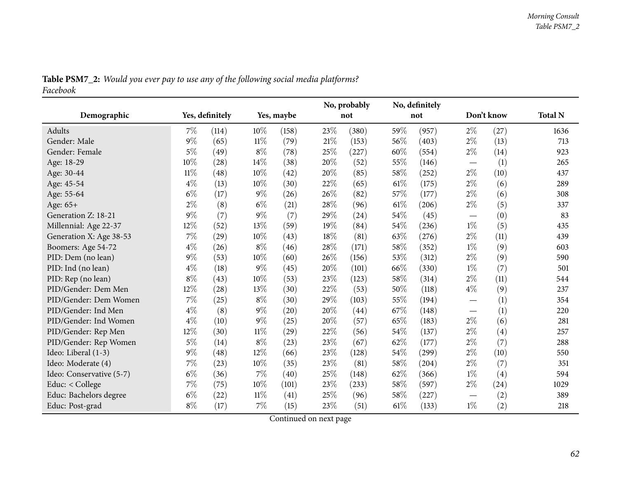|                          |        |                 |        |            |      | No, probably |        | No, definitely |                          |            |                |
|--------------------------|--------|-----------------|--------|------------|------|--------------|--------|----------------|--------------------------|------------|----------------|
| Demographic              |        | Yes, definitely |        | Yes, maybe |      | not          |        | not            |                          | Don't know | <b>Total N</b> |
| <b>Adults</b>            | 7%     | (114)           | 10%    | (158)      | 23\% | (380)        | 59%    | (957)          | $2\%$                    | (27)       | 1636           |
| Gender: Male             | $9\%$  | (65)            | $11\%$ | (79)       | 21\% | (153)        | 56%    | (403)          | $2\%$                    | (13)       | 713            |
| Gender: Female           | $5\%$  | (49)            | $8\%$  | (78)       | 25%  | (227)        | 60%    | (554)          | $2\%$                    | (14)       | 923            |
| Age: 18-29               | 10%    | (28)            | 14\%   | (38)       | 20%  | (52)         | 55%    | (146)          | $\overline{\phantom{m}}$ | (1)        | 265            |
| Age: 30-44               | $11\%$ | (48)            | 10%    | (42)       | 20%  | (85)         | 58%    | (252)          | $2\%$                    | (10)       | 437            |
| Age: 45-54               | $4\%$  | (13)            | 10%    | (30)       | 22%  | (65)         | 61\%   | (175)          | $2\%$                    | (6)        | 289            |
| Age: 55-64               | $6\%$  | (17)            | $9\%$  | (26)       | 26%  | (82)         | 57%    | (177)          | $2\%$                    | (6)        | 308            |
| Age: 65+                 | $2\%$  | (8)             | $6\%$  | (21)       | 28%  | (96)         | $61\%$ | (206)          | $2\%$                    | (5)        | 337            |
| Generation Z: 18-21      | $9\%$  | (7)             | $9\%$  | (7)        | 29%  | (24)         | 54%    | (45)           |                          | (0)        | 83             |
| Millennial: Age 22-37    | 12%    | (52)            | 13%    | (59)       | 19%  | (84)         | 54%    | (236)          | $1\%$                    | (5)        | 435            |
| Generation X: Age 38-53  | 7%     | (29)            | 10%    | (43)       | 18%  | (81)         | 63%    | (276)          | $2\%$                    | (11)       | 439            |
| Boomers: Age 54-72       | $4\%$  | (26)            | $8\%$  | (46)       | 28%  | (171)        | $58\%$ | (352)          | $1\%$                    | (9)        | 603            |
| PID: Dem (no lean)       | $9\%$  | (53)            | 10%    | (60)       | 26%  | (156)        | 53%    | (312)          | $2\%$                    | (9)        | 590            |
| PID: Ind (no lean)       | $4\%$  | (18)            | 9%     | (45)       | 20%  | (101)        | 66%    | (330)          | $1\%$                    | (7)        | 501            |
| PID: Rep (no lean)       | $8\%$  | (43)            | 10%    | (53)       | 23%  | (123)        | 58\%   | (314)          | $2\%$                    | (11)       | 544            |
| PID/Gender: Dem Men      | 12%    | (28)            | 13\%   | (30)       | 22%  | (53)         | 50%    | (118)          | $4\%$                    | (9)        | 237            |
| PID/Gender: Dem Women    | 7%     | (25)            | $8\%$  | (30)       | 29%  | (103)        | $55\%$ | (194)          |                          | (1)        | 354            |
| PID/Gender: Ind Men      | $4\%$  | (8)             | $9\%$  | (20)       | 20%  | (44)         | 67\%   | (148)          |                          | (1)        | 220            |
| PID/Gender: Ind Women    | $4\%$  | (10)            | $9\%$  | (25)       | 20%  | (57)         | 65%    | (183)          | $2\%$                    | (6)        | 281            |
| PID/Gender: Rep Men      | 12%    | (30)            | $11\%$ | (29)       | 22%  | (56)         | 54\%   | (137)          | $2\%$                    | (4)        | 257            |
| PID/Gender: Rep Women    | $5\%$  | (14)            | $8\%$  | (23)       | 23\% | (67)         | 62%    | (177)          | $2\%$                    | (7)        | 288            |
| Ideo: Liberal (1-3)      | $9\%$  | (48)            | 12%    | (66)       | 23\% | (128)        | 54\%   | (299)          | $2\%$                    | (10)       | 550            |
| Ideo: Moderate (4)       | 7%     | (23)            | 10%    | (35)       | 23%  | (81)         | $58\%$ | (204)          | $2\%$                    | (7)        | 351            |
| Ideo: Conservative (5-7) | $6\%$  | (36)            | 7%     | (40)       | 25%  | (148)        | 62%    | (366)          | $1\%$                    | (4)        | 594            |
| Educ: $<$ College        | 7%     | (75)            | 10%    | (101)      | 23\% | (233)        | $58\%$ | (597)          | $2\%$                    | (24)       | 1029           |
| Educ: Bachelors degree   | $6\%$  | (22)            | $11\%$ | (41)       | 25%  | (96)         | $58\%$ | (227)          |                          | (2)        | 389            |
| Educ: Post-grad          | $8\%$  | (17)            | 7%     | (15)       | 23%  | (51)         | 61\%   | (133)          | $1\%$                    | (2)        | 218            |

Table PSM7\_2: Would you ever pay to use any of the following social media platforms? *Facebook*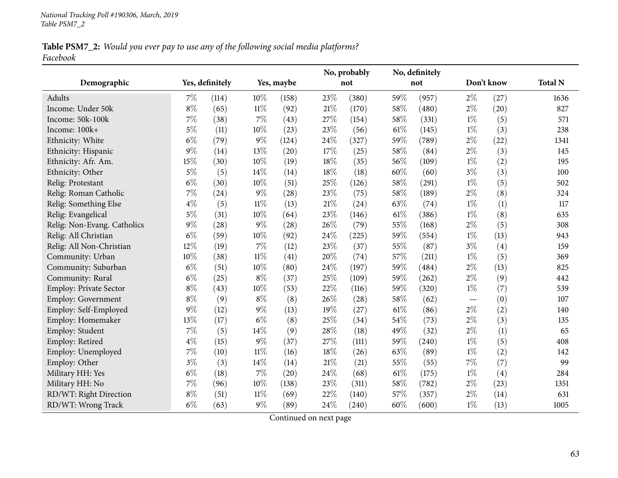## Table PSM7\_2: Would you ever pay to use any of the following social media platforms? *Facebook*

|                             |       |                 |        |            |        | No, probably |      | No, definitely |       |            |                |
|-----------------------------|-------|-----------------|--------|------------|--------|--------------|------|----------------|-------|------------|----------------|
| Demographic                 |       | Yes, definitely |        | Yes, maybe |        | not          |      | not            |       | Don't know | <b>Total N</b> |
| Adults                      | $7\%$ | (114)           | 10%    | (158)      | 23%    | (380)        | 59%  | (957)          | $2\%$ | (27)       | 1636           |
| Income: Under 50k           | $8\%$ | (65)            | $11\%$ | (92)       | $21\%$ | (170)        | 58%  | (480)          | $2\%$ | (20)       | 827            |
| Income: 50k-100k            | $7\%$ | (38)            | $7\%$  | (43)       | 27%    | (154)        | 58%  | (331)          | $1\%$ | (5)        | 571            |
| Income: 100k+               | $5\%$ | (11)            | 10%    | (23)       | 23%    | (56)         | 61\% | (145)          | $1\%$ | (3)        | 238            |
| Ethnicity: White            | $6\%$ | (79)            | $9\%$  | (124)      | 24%    | (327)        | 59%  | (789)          | $2\%$ | (22)       | 1341           |
| Ethnicity: Hispanic         | 9%    | (14)            | 13%    | (20)       | 17%    | (25)         | 58%  | (84)           | $2\%$ | (3)        | 145            |
| Ethnicity: Afr. Am.         | 15%   | (30)            | $10\%$ | (19)       | 18%    | (35)         | 56%  | (109)          | $1\%$ | (2)        | 195            |
| Ethnicity: Other            | $5\%$ | (5)             | 14%    | (14)       | 18%    | (18)         | 60%  | (60)           | $3\%$ | (3)        | 100            |
| Relig: Protestant           | $6\%$ | (30)            | 10%    | (51)       | 25%    | (126)        | 58%  | (291)          | $1\%$ | (5)        | 502            |
| Relig: Roman Catholic       | $7\%$ | (24)            | $9\%$  | (28)       | 23%    | (75)         | 58%  | (189)          | $2\%$ | (8)        | 324            |
| Relig: Something Else       | $4\%$ | (5)             | $11\%$ | (13)       | $21\%$ | (24)         | 63%  | (74)           | $1\%$ | (1)        | 117            |
| Relig: Evangelical          | $5\%$ | (31)            | $10\%$ | (64)       | 23%    | (146)        | 61\% | (386)          | $1\%$ | (8)        | 635            |
| Relig: Non-Evang. Catholics | $9\%$ | (28)            | $9\%$  | (28)       | 26%    | (79)         | 55%  | (168)          | 2%    | (5)        | 308            |
| Relig: All Christian        | $6\%$ | (59)            | $10\%$ | (92)       | 24%    | (225)        | 59%  | (554)          | $1\%$ | (13)       | 943            |
| Relig: All Non-Christian    | 12%   | (19)            | $7\%$  | (12)       | 23%    | (37)         | 55%  | (87)           | $3\%$ | (4)        | 159            |
| Community: Urban            | 10%   | (38)            | $11\%$ | (41)       | 20%    | (74)         | 57%  | (211)          | $1\%$ | (5)        | 369            |
| Community: Suburban         | $6\%$ | (51)            | $10\%$ | (80)       | 24%    | (197)        | 59%  | (484)          | $2\%$ | (13)       | 825            |
| Community: Rural            | $6\%$ | (25)            | $8\%$  | (37)       | 25%    | (109)        | 59%  | (262)          | $2\%$ | (9)        | 442            |
| Employ: Private Sector      | $8\%$ | (43)            | $10\%$ | (53)       | 22%    | (116)        | 59%  | (320)          | $1\%$ | (7)        | 539            |
| <b>Employ: Government</b>   | $8\%$ | (9)             | $8\%$  | (8)        | 26%    | (28)         | 58%  | (62)           |       | (0)        | 107            |
| Employ: Self-Employed       | 9%    | (12)            | $9\%$  | (13)       | 19%    | (27)         | 61%  | (86)           | $2\%$ | (2)        | 140            |
| Employ: Homemaker           | 13%   | (17)            | $6\%$  | (8)        | 25%    | (34)         | 54%  | (73)           | $2\%$ | (3)        | 135            |
| Employ: Student             | $7\%$ | (5)             | 14%    | (9)        | 28%    | (18)         | 49%  | (32)           | $2\%$ | (1)        | 65             |
| Employ: Retired             | $4\%$ | (15)            | $9\%$  | (37)       | 27%    | (111)        | 59%  | (240)          | $1\%$ | (5)        | 408            |
| Employ: Unemployed          | $7\%$ | (10)            | $11\%$ | (16)       | 18%    | (26)         | 63%  | (89)           | $1\%$ | (2)        | 142            |
| Employ: Other               | $3\%$ | (3)             | 14%    | (14)       | $21\%$ | (21)         | 55%  | (55)           | 7%    | (7)        | 99             |
| Military HH: Yes            | $6\%$ | (18)            | $7\%$  | (20)       | 24%    | (68)         | 61\% | (175)          | $1\%$ | (4)        | 284            |
| Military HH: No             | $7\%$ | (96)            | $10\%$ | (138)      | 23%    | (311)        | 58%  | (782)          | $2\%$ | (23)       | 1351           |
| RD/WT: Right Direction      | $8\%$ | (51)            | $11\%$ | (69)       | 22%    | (140)        | 57%  | (357)          | $2\%$ | (14)       | 631            |
| RD/WT: Wrong Track          | $6\%$ | (63)            | $9\%$  | (89)       | 24%    | (240)        | 60%  | (600)          | $1\%$ | (13)       | 1005           |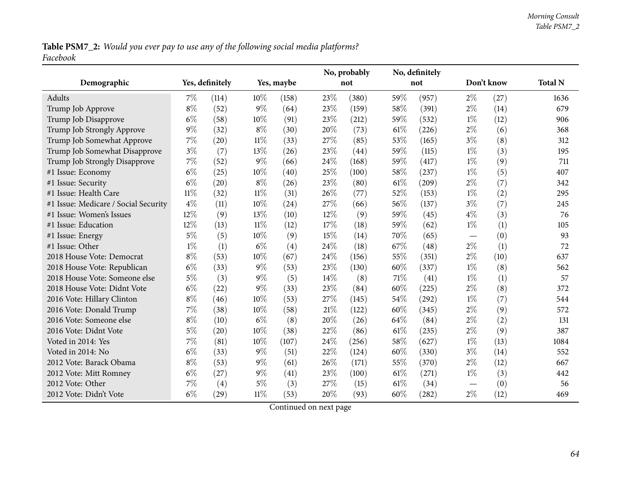Table PSM7\_2: Would you ever pay to use any of the following social media platforms? *Facebook*

|                                      |        |                 |        |            |      | No, probably |      | No, definitely |                                  |            |                |
|--------------------------------------|--------|-----------------|--------|------------|------|--------------|------|----------------|----------------------------------|------------|----------------|
| Demographic                          |        | Yes, definitely |        | Yes, maybe |      | not          |      | not            |                                  | Don't know | <b>Total N</b> |
| Adults                               | 7%     | (114)           | $10\%$ | (158)      | 23%  | (380)        | 59%  | (957)          | $2\%$                            | (27)       | 1636           |
| Trump Job Approve                    | $8\%$  | (52)            | $9\%$  | (64)       | 23%  | (159)        | 58%  | (391)          | $2\%$                            | (14)       | 679            |
| Trump Job Disapprove                 | $6\%$  | (58)            | $10\%$ | (91)       | 23%  | (212)        | 59%  | (532)          | $1\%$                            | (12)       | 906            |
| Trump Job Strongly Approve           | 9%     | (32)            | $8\%$  | (30)       | 20%  | (73)         | 61%  | (226)          | $2\%$                            | (6)        | 368            |
| Trump Job Somewhat Approve           | $7\%$  | (20)            | $11\%$ | (33)       | 27%  | (85)         | 53%  | (165)          | $3\%$                            | (8)        | 312            |
| Trump Job Somewhat Disapprove        | $3\%$  | (7)             | 13%    | (26)       | 23%  | (44)         | 59%  | (115)          | $1\%$                            | (3)        | 195            |
| Trump Job Strongly Disapprove        | 7%     | (52)            | $9\%$  | (66)       | 24%  | (168)        | 59%  | (417)          | $1\%$                            | (9)        | 711            |
| #1 Issue: Economy                    | $6\%$  | (25)            | 10%    | (40)       | 25%  | (100)        | 58%  | (237)          | $1\%$                            | (5)        | 407            |
| #1 Issue: Security                   | $6\%$  | (20)            | $8\%$  | (26)       | 23%  | (80)         | 61%  | (209)          | $2\%$                            | (7)        | 342            |
| #1 Issue: Health Care                | $11\%$ | (32)            | $11\%$ | (31)       | 26%  | (77)         | 52%  | (153)          | $1\%$                            | (2)        | 295            |
| #1 Issue: Medicare / Social Security | $4\%$  | (11)            | $10\%$ | (24)       | 27%  | (66)         | 56%  | (137)          | $3\%$                            | (7)        | 245            |
| #1 Issue: Women's Issues             | 12%    | (9)             | 13%    | (10)       | 12%  | (9)          | 59%  | (45)           | $4\%$                            | (3)        | 76             |
| #1 Issue: Education                  | 12%    | (13)            | $11\%$ | (12)       | 17%  | (18)         | 59%  | (62)           | $1\%$                            | (1)        | 105            |
| #1 Issue: Energy                     | $5\%$  | (5)             | 10%    | (9)        | 15%  | (14)         | 70%  | (65)           | $\overbrace{\phantom{12322111}}$ | (0)        | 93             |
| #1 Issue: Other                      | $1\%$  | (1)             | $6\%$  | (4)        | 24%  | (18)         | 67%  | (48)           | $2\%$                            | (1)        | 72             |
| 2018 House Vote: Democrat            | $8\%$  | (53)            | 10%    | (67)       | 24%  | (156)        | 55%  | (351)          | $2\%$                            | (10)       | 637            |
| 2018 House Vote: Republican          | $6\%$  | (33)            | $9\%$  | (53)       | 23%  | (130)        | 60%  | (337)          | $1\%$                            | (8)        | 562            |
| 2018 House Vote: Someone else        | $5\%$  | (3)             | $9\%$  | (5)        | 14%  | (8)          | 71\% | (41)           | $1\%$                            | (1)        | 57             |
| 2018 House Vote: Didnt Vote          | $6\%$  | (22)            | $9\%$  | (33)       | 23%  | (84)         | 60%  | (225)          | $2\%$                            | (8)        | 372            |
| 2016 Vote: Hillary Clinton           | $8\%$  | (46)            | 10%    | (53)       | 27%  | (145)        | 54%  | (292)          | $1\%$                            | (7)        | 544            |
| 2016 Vote: Donald Trump              | 7%     | (38)            | 10%    | (58)       | 21%  | (122)        | 60%  | (345)          | $2\%$                            | (9)        | 572            |
| 2016 Vote: Someone else              | $8\%$  | (10)            | $6\%$  | (8)        | 20%  | (26)         | 64%  | (84)           | $2\%$                            | (2)        | 131            |
| 2016 Vote: Didnt Vote                | $5\%$  | (20)            | 10%    | (38)       | 22%  | (86)         | 61\% | (235)          | $2\%$                            | (9)        | 387            |
| Voted in 2014: Yes                   | 7%     | (81)            | 10%    | (107)      | 24\% | (256)        | 58%  | (627)          | $1\%$                            | (13)       | 1084           |
| Voted in 2014: No                    | $6\%$  | (33)            | $9\%$  | (51)       | 22%  | (124)        | 60%  | (330)          | $3\%$                            | (14)       | 552            |
| 2012 Vote: Barack Obama              | $8\%$  | (53)            | $9\%$  | (61)       | 26%  | (171)        | 55%  | (370)          | $2\%$                            | (12)       | 667            |
| 2012 Vote: Mitt Romney               | $6\%$  | (27)            | $9\%$  | (41)       | 23%  | (100)        | 61\% | (271)          | $1\%$                            | (3)        | 442            |
| 2012 Vote: Other                     | 7%     | (4)             | $5\%$  | (3)        | 27%  | (15)         | 61%  | (34)           |                                  | (0)        | 56             |
| 2012 Vote: Didn't Vote               | $6\%$  | (29)            | $11\%$ | (53)       | 20%  | (93)         | 60%  | (282)          | $2\%$                            | (12)       | 469            |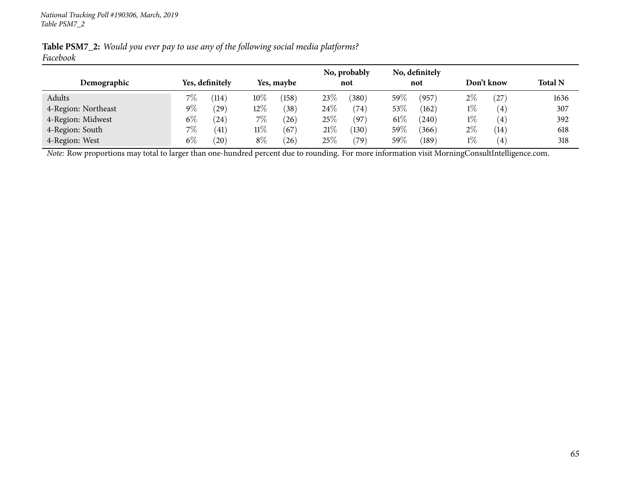| Demographic         |       | Yes, definitely    |        | Yes, maybe |        | No, probably<br>not |        | No, definitely<br>not |       | Don't know        | <b>Total N</b> |
|---------------------|-------|--------------------|--------|------------|--------|---------------------|--------|-----------------------|-------|-------------------|----------------|
| Adults              | $7\%$ | $\left(114\right)$ | $10\%$ | (158)      | 23\%   | $380^\circ$         | $59\%$ | (957)                 | $2\%$ | $^{\prime}27$     | 1636           |
| 4-Region: Northeast | $9\%$ | (29)               | $12\%$ | (38)       | 24\%   | (74)                | $53\%$ | (162)                 | $1\%$ | (4)               | 307            |
| 4-Region: Midwest   | $6\%$ | $^{\prime}24$      | $7\%$  | (26)       | 25\%   | (97)                | $61\%$ | (240)                 | $1\%$ | (4)               | 392            |
| 4-Region: South     | $7\%$ | (41)               | $11\%$ | (67)       | $21\%$ | $^{\prime}130)$     | $59\%$ | (366)                 | $2\%$ | $\left(14\right)$ | 618            |
| 4-Region: West      | $6\%$ | (20)               | $8\%$  | (26)       | 25%    | (79`                | $59\%$ | (189)                 | $1\%$ | $\left( 4\right)$ | 318            |

Table PSM7\_2: Would you ever pay to use any of the following social media platforms? *Facebook*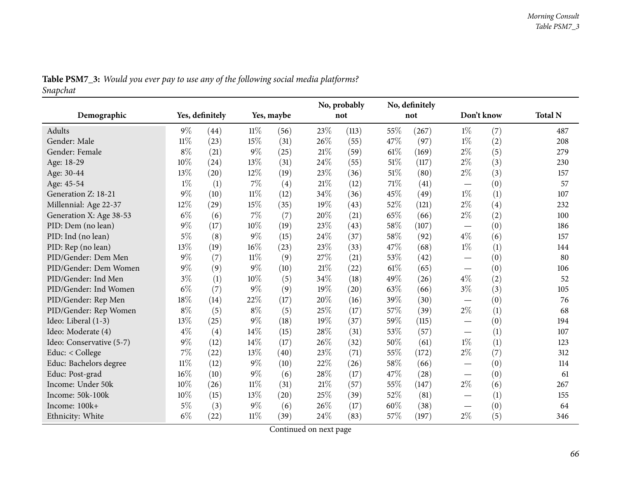|          |  | <b>Table PSM7_3:</b> Would you ever pay to use any of the following social media platforms? |
|----------|--|---------------------------------------------------------------------------------------------|
| Snapchat |  |                                                                                             |

|                          |        |                 |        |            |      | No, probably |        | No, definitely |                                 |                   |                |
|--------------------------|--------|-----------------|--------|------------|------|--------------|--------|----------------|---------------------------------|-------------------|----------------|
| Demographic              |        | Yes, definitely |        | Yes, maybe |      | not          |        | not            | Don't know                      |                   | <b>Total N</b> |
| Adults                   | $9\%$  | (44)            | $11\%$ | (56)       | 23\% | (113)        | 55%    | (267)          | $1\%$                           | (7)               | 487            |
| Gender: Male             | $11\%$ | (23)            | 15%    | (31)       | 26%  | (55)         | 47%    | (97)           | $1\%$                           | (2)               | 208            |
| Gender: Female           | $8\%$  | (21)            | 9%     | (25)       | 21%  | (59)         | $61\%$ | (169)          | $2\%$                           | (5)               | 279            |
| Age: 18-29               | 10%    | (24)            | 13%    | (31)       | 24%  | (55)         | 51\%   | (117)          | $2\%$                           | (3)               | 230            |
| Age: 30-44               | 13%    | (20)            | 12%    | (19)       | 23%  | (36)         | 51\%   | (80)           | $2\%$                           | (3)               | 157            |
| Age: 45-54               | $1\%$  | (1)             | 7%     | (4)        | 21%  | (12)         | 71\%   | (41)           | $\hspace{0.1mm}-\hspace{0.1mm}$ | (0)               | 57             |
| Generation Z: 18-21      | $9\%$  | (10)            | $11\%$ | (12)       | 34%  | (36)         | 45%    | (49)           | $1\%$                           | (1)               | 107            |
| Millennial: Age 22-37    | 12%    | (29)            | 15%    | (35)       | 19%  | (43)         | 52%    | (121)          | $2\%$                           | $\left( 4\right)$ | 232            |
| Generation X: Age 38-53  | $6\%$  | (6)             | $7\%$  | (7)        | 20%  | (21)         | 65%    | (66)           | $2\%$                           | (2)               | 100            |
| PID: Dem (no lean)       | $9\%$  | (17)            | 10%    | (19)       | 23%  | (43)         | 58%    | (107)          | $\hspace{0.1mm}-\hspace{0.1mm}$ | (0)               | 186            |
| PID: Ind (no lean)       | $5\%$  | (8)             | 9%     | (15)       | 24%  | (37)         | 58%    | (92)           | $4\%$                           | (6)               | 157            |
| PID: Rep (no lean)       | 13%    | (19)            | 16%    | (23)       | 23%  | (33)         | 47\%   | (68)           | $1\%$                           | (1)               | 144            |
| PID/Gender: Dem Men      | $9\%$  | (7)             | $11\%$ | (9)        | 27%  | (21)         | 53%    | (42)           |                                 | (0)               | 80             |
| PID/Gender: Dem Women    | $9\%$  | (9)             | 9%     | (10)       | 21%  | (22)         | 61%    | (65)           |                                 | (0)               | 106            |
| PID/Gender: Ind Men      | $3\%$  | (1)             | 10%    | (5)        | 34%  | (18)         | 49%    | (26)           | $4\%$                           | (2)               | 52             |
| PID/Gender: Ind Women    | $6\%$  | (7)             | 9%     | (9)        | 19%  | (20)         | 63%    | (66)           | $3\%$                           | (3)               | 105            |
| PID/Gender: Rep Men      | 18%    | (14)            | $22\%$ | (17)       | 20%  | (16)         | 39%    | (30)           | $\hspace{0.1mm}-\hspace{0.1mm}$ | (0)               | 76             |
| PID/Gender: Rep Women    | $8\%$  | (5)             | $8\%$  | (5)        | 25%  | (17)         | 57%    | (39)           | $2\%$                           | (1)               | 68             |
| Ideo: Liberal (1-3)      | 13%    | (25)            | 9%     | (18)       | 19%  | (37)         | 59%    | (115)          | $\hspace{0.1mm}-\hspace{0.1mm}$ | (0)               | 194            |
| Ideo: Moderate (4)       | $4\%$  | (4)             | 14%    | (15)       | 28%  | (31)         | 53%    | (57)           |                                 | (1)               | 107            |
| Ideo: Conservative (5-7) | $9\%$  | (12)            | 14%    | (17)       | 26%  | (32)         | 50%    | (61)           | $1\%$                           | (1)               | 123            |
| Educ: $<$ College        | 7%     | (22)            | 13%    | (40)       | 23%  | (71)         | 55%    | (172)          | $2\%$                           | (7)               | 312            |
| Educ: Bachelors degree   | $11\%$ | (12)            | 9%     | (10)       | 22%  | (26)         | 58%    | (66)           |                                 | (0)               | 114            |
| Educ: Post-grad          | 16%    | (10)            | 9%     | (6)        | 28%  | (17)         | 47%    | (28)           | $\overbrace{\phantom{1232211}}$ | (0)               | 61             |
| Income: Under 50k        | 10%    | (26)            | $11\%$ | (31)       | 21%  | (57)         | 55%    | (147)          | $2\%$                           | (6)               | 267            |
| Income: 50k-100k         | 10%    | (15)            | 13%    | (20)       | 25%  | (39)         | 52%    | (81)           | $\overbrace{\phantom{13333}}$   | (1)               | 155            |
| Income: 100k+            | 5%     | (3)             | $9\%$  | (6)        | 26%  | (17)         | 60%    | (38)           |                                 | (0)               | 64             |
| Ethnicity: White         | $6\%$  | (22)            | $11\%$ | (39)       | 24%  | (83)         | 57%    | (197)          | $2\%$                           | (5)               | 346            |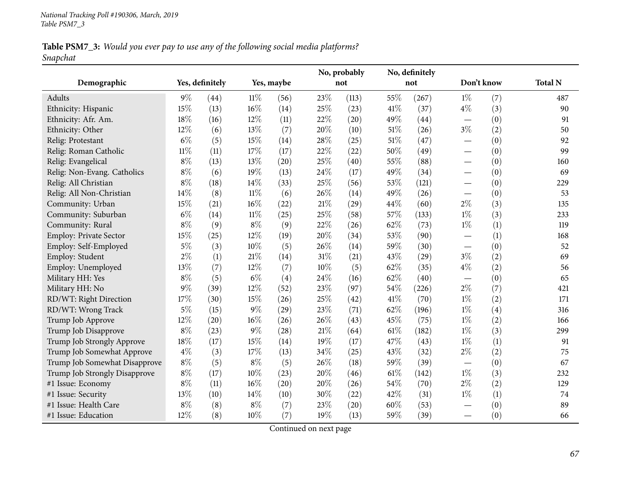## Table PSM7\_3: Would you ever pay to use any of the following social media platforms? *Snapchat*

|                               |        |                 |        |            |        | No, probably |        | No, definitely |                          |     |                |
|-------------------------------|--------|-----------------|--------|------------|--------|--------------|--------|----------------|--------------------------|-----|----------------|
| Demographic                   |        | Yes, definitely |        | Yes, maybe |        | not          |        | not            | Don't know               |     | <b>Total N</b> |
| Adults                        | $9\%$  | (44)            | $11\%$ | (56)       | 23%    | (113)        | 55%    | (267)          | $1\%$                    | (7) | 487            |
| Ethnicity: Hispanic           | 15%    | (13)            | 16%    | (14)       | 25%    | (23)         | 41\%   | (37)           | $4\%$                    | (3) | 90             |
| Ethnicity: Afr. Am.           | 18%    | (16)            | 12%    | (11)       | $22\%$ | (20)         | 49%    | (44)           | $\overline{\phantom{m}}$ | (0) | 91             |
| Ethnicity: Other              | 12%    | (6)             | 13%    | (7)        | 20%    | (10)         | 51\%   | (26)           | $3\%$                    | (2) | 50             |
| Relig: Protestant             | $6\%$  | (5)             | 15%    | (14)       | 28\%   | (25)         | $51\%$ | (47)           |                          | (0) | 92             |
| Relig: Roman Catholic         | $11\%$ | (11)            | 17%    | (17)       | 22%    | (22)         | 50%    | (49)           |                          | (0) | 99             |
| Relig: Evangelical            | $8\%$  | (13)            | 13%    | (20)       | 25%    | (40)         | 55%    | (88)           | $\qquad \qquad$          | (0) | 160            |
| Relig: Non-Evang. Catholics   | $8\%$  | (6)             | 19%    | (13)       | 24\%   | (17)         | 49%    | (34)           |                          | (0) | 69             |
| Relig: All Christian          | $8\%$  | (18)            | 14\%   | (33)       | 25%    | (56)         | 53%    | (121)          |                          | (0) | 229            |
| Relig: All Non-Christian      | 14%    | (8)             | $11\%$ | (6)        | 26%    | (14)         | 49%    | (26)           |                          | (0) | 53             |
| Community: Urban              | 15%    | (21)            | 16%    | (22)       | $21\%$ | (29)         | 44%    | (60)           | $2\%$                    | (3) | 135            |
| Community: Suburban           | $6\%$  | (14)            | $11\%$ | (25)       | 25%    | (58)         | 57%    | (133)          | $1\%$                    | (3) | 233            |
| Community: Rural              | $8\%$  | (9)             | $8\%$  | (9)        | 22%    | (26)         | 62%    | (73)           | $1\%$                    | (1) | 119            |
| Employ: Private Sector        | 15%    | (25)            | 12%    | (19)       | 20%    | (34)         | 53%    | (90)           |                          | (1) | 168            |
| Employ: Self-Employed         | $5\%$  | (3)             | 10%    | (5)        | 26%    | (14)         | 59%    | (30)           |                          | (0) | 52             |
| Employ: Student               | $2\%$  | (1)             | $21\%$ | (14)       | 31%    | (21)         | 43%    | (29)           | $3\%$                    | (2) | 69             |
| Employ: Unemployed            | 13%    | (7)             | 12%    | (7)        | 10%    | (5)          | 62%    | (35)           | $4\%$                    | (2) | 56             |
| Military HH: Yes              | $8\%$  | (5)             | $6\%$  | (4)        | 24\%   | (16)         | 62%    | (40)           | $\overline{\phantom{m}}$ | (0) | 65             |
| Military HH: No               | 9%     | (39)            | 12%    | (52)       | 23%    | (97)         | 54%    | (226)          | $2\%$                    | (7) | 421            |
| RD/WT: Right Direction        | 17%    | (30)            | 15%    | (26)       | 25%    | (42)         | 41\%   | (70)           | $1\%$                    | (2) | 171            |
| RD/WT: Wrong Track            | $5\%$  | (15)            | $9\%$  | (29)       | 23%    | (71)         | 62%    | (196)          | $1\%$                    | (4) | 316            |
| Trump Job Approve             | 12%    | (20)            | 16%    | (26)       | 26%    | (43)         | 45%    | (75)           | $1\%$                    | (2) | 166            |
| Trump Job Disapprove          | $8\%$  | (23)            | $9\%$  | (28)       | $21\%$ | (64)         | 61\%   | (182)          | $1\%$                    | (3) | 299            |
| Trump Job Strongly Approve    | $18\%$ | (17)            | 15%    | (14)       | 19%    | (17)         | 47%    | (43)           | $1\%$                    | (1) | 91             |
| Trump Job Somewhat Approve    | $4\%$  | (3)             | 17%    | (13)       | 34%    | (25)         | 43%    | (32)           | $2\%$                    | (2) | 75             |
| Trump Job Somewhat Disapprove | $8\%$  | (5)             | $8\%$  | (5)        | 26%    | (18)         | 59%    | (39)           | $\overline{\phantom{m}}$ | (0) | 67             |
| Trump Job Strongly Disapprove | $8\%$  | (17)            | 10%    | (23)       | 20%    | (46)         | 61%    | (142)          | $1\%$                    | (3) | 232            |
| #1 Issue: Economy             | $8\%$  | (11)            | 16%    | (20)       | 20%    | (26)         | 54%    | (70)           | $2\%$                    | (2) | 129            |
| #1 Issue: Security            | 13%    | (10)            | 14\%   | (10)       | 30%    | (22)         | 42%    | (31)           | $1\%$                    | (1) | 74             |
| #1 Issue: Health Care         | $8\%$  | (8)             | $8\%$  | (7)        | 23%    | (20)         | 60%    | (53)           |                          | (0) | 89             |
| #1 Issue: Education           | 12%    | (8)             | 10%    | (7)        | 19%    | (13)         | 59%    | (39)           |                          | (0) | 66             |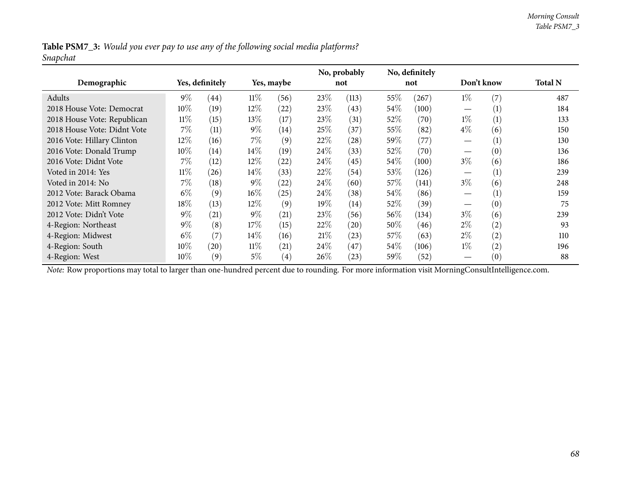Table PSM7\_3: Would you ever pay to use any of the following social media platforms? *Snapchat*

|                                                                                                                                                |        |                 |        |            |        | No, probably       |        | No, definitely |                 |     |                |
|------------------------------------------------------------------------------------------------------------------------------------------------|--------|-----------------|--------|------------|--------|--------------------|--------|----------------|-----------------|-----|----------------|
| Demographic                                                                                                                                    |        | Yes, definitely |        | Yes, maybe |        | not                |        | not            | Don't know      |     | <b>Total N</b> |
| Adults                                                                                                                                         | $9\%$  | (44)            | $11\%$ | (56)       | 23\%   | (113)              | 55\%   | (267)          | $1\%$           | (7) | 487            |
| 2018 House Vote: Democrat                                                                                                                      | $10\%$ | (19)            | $12\%$ | (22)       | 23\%   | (43)               | 54\%   | (100)          |                 | (1) | 184            |
| 2018 House Vote: Republican                                                                                                                    | $11\%$ | (15)            | $13\%$ | (17)       | 23\%   | (31)               | 52\%   | (70)           | $1\%$           | (1) | 133            |
| 2018 House Vote: Didnt Vote                                                                                                                    | $7\%$  | (11)            | $9\%$  | (14)       | 25%    | (37)               | $55\%$ | (82)           | $4\%$           | (6) | 150            |
| 2016 Vote: Hillary Clinton                                                                                                                     | $12\%$ | (16)            | $7\%$  | (9)        | 22%    | (28)               | 59\%   | (77)           |                 | (1) | 130            |
| 2016 Vote: Donald Trump                                                                                                                        | $10\%$ | (14)            | $14\%$ | (19)       | 24%    | (33)               | 52\%   | (70)           | $\qquad \qquad$ | (0) | 136            |
| 2016 Vote: Didnt Vote                                                                                                                          | $7\%$  | (12)            | $12\%$ | (22)       | 24\%   | (45)               | 54\%   | (100)          | $3\%$           | (6) | 186            |
| Voted in 2014: Yes                                                                                                                             | $11\%$ | (26)            | $14\%$ | (33)       | 22\%   | (54)               | $53\%$ | (126)          |                 | (1) | 239            |
| Voted in 2014: No                                                                                                                              | $7\%$  | (18)            | $9\%$  | (22)       | $24\%$ | (60)               | 57\%   | (141)          | $3\%$           | (6) | 248            |
| 2012 Vote: Barack Obama                                                                                                                        | $6\%$  | (9)             | $16\%$ | (25)       | $24\%$ | (38)               | 54\%   | (86)           |                 | (1) | 159            |
| 2012 Vote: Mitt Romney                                                                                                                         | 18%    | (13)            | $12\%$ | (9)        | $19\%$ | (14)               | $52\%$ | (39)           |                 | (0) | 75             |
| 2012 Vote: Didn't Vote                                                                                                                         | $9\%$  | (21)            | $9\%$  | (21)       | 23%    | (56)               | $56\%$ | (134)          | $3\%$           | (6) | 239            |
| 4-Region: Northeast                                                                                                                            | $9\%$  | (8)             | 17%    | (15)       | 22%    | $\left( 20\right)$ | $50\%$ | (46)           | $2\%$           | (2) | 93             |
| 4-Region: Midwest                                                                                                                              | $6\%$  | (7)             | $14\%$ | (16)       | 21%    | (23)               | 57%    | (63)           | $2\%$           | (2) | 110            |
| 4-Region: South                                                                                                                                | 10%    | (20)            | $11\%$ | (21)       | 24\%   | (47)               | $54\%$ | (106)          | $1\%$           | (2) | 196            |
| 4-Region: West                                                                                                                                 | 10%    | (9)             | $5\%$  | (4)        | 26%    | (23)               | 59\%   | (52)           |                 | (0) | 88             |
| Note: Row proportions may total to larger than one-hundred percent due to rounding. For more information visit MorningConsultIntelligence.com. |        |                 |        |            |        |                    |        |                |                 |     |                |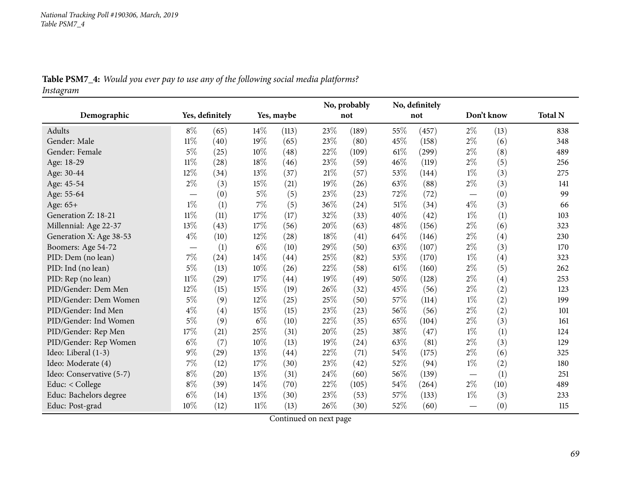| Table PSM7_4: Would you ever pay to use any of the following social media platforms? |  |  |  |
|--------------------------------------------------------------------------------------|--|--|--|
|                                                                                      |  |  |  |

*Instagram*

|                          |        |                    |            |       | No, probably |       |      | No, definitely |            |      |                |
|--------------------------|--------|--------------------|------------|-------|--------------|-------|------|----------------|------------|------|----------------|
| Demographic              |        | Yes, definitely    | Yes, maybe |       |              | not   | not  |                | Don't know |      | <b>Total N</b> |
| Adults                   | $8\%$  | (65)               | 14%        | (113) | 23%          | (189) | 55%  | (457)          | $2\%$      | (13) | 838            |
| Gender: Male             | $11\%$ | (40)               | 19%        | (65)  | 23%          | (80)  | 45%  | (158)          | $2\%$      | (6)  | 348            |
| Gender: Female           | $5\%$  | (25)               | 10%        | (48)  | 22%          | (109) | 61%  | (299)          | $2\%$      | (8)  | 489            |
| Age: 18-29               | $11\%$ | (28)               | 18%        | (46)  | 23%          | (59)  | 46%  | (119)          | $2\%$      | (5)  | 256            |
| Age: 30-44               | 12%    | (34)               | $13\%$     | (37)  | 21%          | (57)  | 53%  | (144)          | $1\%$      | (3)  | 275            |
| Age: 45-54               | $2\%$  | (3)                | 15%        | (21)  | 19%          | (26)  | 63\% | (88)           | $2\%$      | (3)  | 141            |
| Age: 55-64               |        | (0)                | $5\%$      | (5)   | 23%          | (23)  | 72%  | (72)           |            | (0)  | 99             |
| Age: 65+                 | $1\%$  | (1)                | $7\%$      | (5)   | 36%          | (24)  | 51%  | (34)           | $4\%$      | (3)  | 66             |
| Generation Z: 18-21      | $11\%$ | (11)               | 17%        | (17)  | 32%          | (33)  | 40%  | (42)           | $1\%$      | (1)  | 103            |
| Millennial: Age 22-37    | 13%    | (43)               | 17%        | (56)  | 20%          | (63)  | 48%  | (156)          | $2\%$      | (6)  | 323            |
| Generation X: Age 38-53  | $4\%$  | (10)               | $12\%$     | (28)  | 18%          | (41)  | 64%  | (146)          | $2\%$      | (4)  | 230            |
| Boomers: Age 54-72       |        | (1)                | $6\%$      | (10)  | 29%          | (50)  | 63%  | (107)          | $2\%$      | (3)  | 170            |
| PID: Dem (no lean)       | 7%     | (24)               | 14%        | (44)  | 25%          | (82)  | 53%  | (170)          | $1\%$      | (4)  | 323            |
| PID: Ind (no lean)       | $5\%$  | (13)               | 10%        | (26)  | 22%          | (58)  | 61\% | (160)          | $2\%$      | (5)  | 262            |
| PID: Rep (no lean)       | $11\%$ | $\left( 29\right)$ | 17%        | (44)  | 19%          | (49)  | 50%  | (128)          | $2\%$      | (4)  | 253            |
| PID/Gender: Dem Men      | 12%    | (15)               | 15%        | (19)  | 26%          | (32)  | 45%  | (56)           | $2\%$      | (2)  | 123            |
| PID/Gender: Dem Women    | $5\%$  | (9)                | 12%        | (25)  | 25%          | (50)  | 57%  | (114)          | $1\%$      | (2)  | 199            |
| PID/Gender: Ind Men      | $4\%$  | (4)                | 15%        | (15)  | 23%          | (23)  | 56\% | (56)           | $2\%$      | (2)  | 101            |
| PID/Gender: Ind Women    | $5\%$  | (9)                | $6\%$      | (10)  | 22%          | (35)  | 65%  | (104)          | $2\%$      | (3)  | 161            |
| PID/Gender: Rep Men      | 17%    | (21)               | 25%        | (31)  | 20%          | (25)  | 38%  | (47)           | $1\%$      | (1)  | 124            |
| PID/Gender: Rep Women    | $6\%$  | (7)                | 10%        | (13)  | 19%          | (24)  | 63%  | (81)           | $2\%$      | (3)  | 129            |
| Ideo: Liberal (1-3)      | $9\%$  | (29)               | 13%        | (44)  | 22%          | (71)  | 54%  | (175)          | $2\%$      | (6)  | 325            |
| Ideo: Moderate (4)       | $7\%$  | (12)               | $17\%$     | (30)  | 23%          | (42)  | 52%  | (94)           | $1\%$      | (2)  | 180            |
| Ideo: Conservative (5-7) | $8\%$  | (20)               | $13\%$     | (31)  | 24%          | (60)  | 56\% | (139)          |            | (1)  | 251            |
| Educ: < College          | $8\%$  | (39)               | 14%        | (70)  | 22%          | (105) | 54%  | (264)          | $2\%$      | (10) | 489            |
| Educ: Bachelors degree   | $6\%$  | (14)               | $13\%$     | (30)  | 23%          | (53)  | 57%  | (133)          | $1\%$      | (3)  | 233            |
| Educ: Post-grad          | 10%    | (12)               | $11\%$     | (13)  | 26%          | (30)  | 52%  | (60)           |            | (0)  | 115            |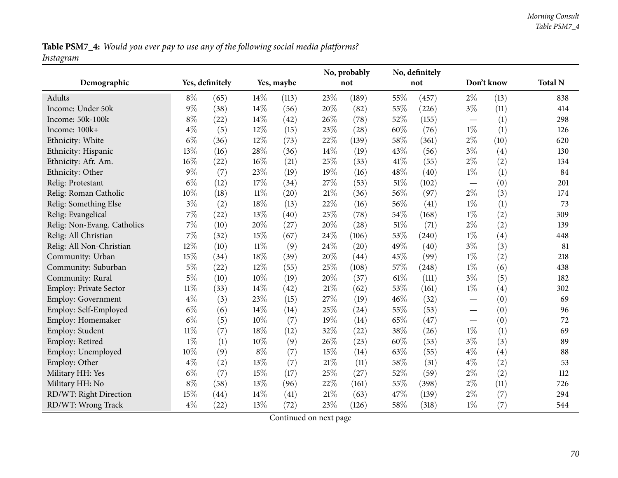Table PSM7\_4: Would you ever pay to use any of the following social media platforms? *Instagram*

|                               |        |                 |            |       | No, probably |       | No, definitely |       |                          |      |                |
|-------------------------------|--------|-----------------|------------|-------|--------------|-------|----------------|-------|--------------------------|------|----------------|
| Demographic                   |        | Yes, definitely | Yes, maybe |       |              | not   | not            |       | Don't know               |      | <b>Total N</b> |
| Adults                        | $8\%$  | (65)            | 14%        | (113) | 23%          | (189) | 55%            | (457) | $2\%$                    | (13) | 838            |
| Income: Under 50k             | $9\%$  | (38)            | 14%        | (56)  | 20%          | (82)  | 55%            | (226) | $3\%$                    | (11) | 414            |
| Income: 50k-100k              | $8\%$  | (22)            | 14\%       | (42)  | 26%          | (78)  | 52\%           | (155) | $\overline{\phantom{m}}$ | (1)  | 298            |
| Income: 100k+                 | $4\%$  | (5)             | 12%        | (15)  | 23%          | (28)  | 60%            | (76)  | $1\%$                    | (1)  | 126            |
| Ethnicity: White              | $6\%$  | (36)            | 12%        | (73)  | 22%          | (139) | 58%            | (361) | $2\%$                    | (10) | 620            |
| Ethnicity: Hispanic           | 13%    | (16)            | 28\%       | (36)  | 14%          | (19)  | 43\%           | (56)  | $3\%$                    | (4)  | 130            |
| Ethnicity: Afr. Am.           | 16%    | (22)            | $16\%$     | (21)  | 25%          | (33)  | 41\%           | (55)  | $2\%$                    | (2)  | 134            |
| Ethnicity: Other              | $9\%$  | (7)             | 23%        | (19)  | 19%          | (16)  | 48\%           | (40)  | $1\%$                    | (1)  | 84             |
| Relig: Protestant             | $6\%$  | (12)            | 17%        | (34)  | 27%          | (53)  | $51\%$         | (102) | $\overline{\phantom{m}}$ | (0)  | 201            |
| Relig: Roman Catholic         | 10%    | (18)            | $11\%$     | (20)  | 21%          | (36)  | 56%            | (97)  | $2\%$                    | (3)  | 174            |
| Relig: Something Else         | $3\%$  | (2)             | 18%        | (13)  | 22%          | (16)  | 56\%           | (41)  | $1\%$                    | (1)  | 73             |
| Relig: Evangelical            | $7\%$  | (22)            | 13%        | (40)  | 25%          | (78)  | 54%            | (168) | $1\%$                    | (2)  | 309            |
| Relig: Non-Evang. Catholics   | $7\%$  | (10)            | 20%        | (27)  | 20%          | (28)  | 51\%           | (71)  | $2\%$                    | (2)  | 139            |
| Relig: All Christian          | $7\%$  | (32)            | $15\%$     | (67)  | 24%          | (106) | 53%            | (240) | $1\%$                    | (4)  | 448            |
| Relig: All Non-Christian      | 12%    | (10)            | $11\%$     | (9)   | 24%          | (20)  | 49%            | (40)  | $3\%$                    | (3)  | 81             |
| Community: Urban              | 15%    | (34)            | 18%        | (39)  | 20%          | (44)  | 45\%           | (99)  | $1\%$                    | (2)  | 218            |
| Community: Suburban           | $5\%$  | (22)            | 12%        | (55)  | 25%          | (108) | 57%            | (248) | $1\%$                    | (6)  | 438            |
| Community: Rural              | $5\%$  | (10)            | $10\%$     | (19)  | 20%          | (37)  | 61\%           | (111) | $3\%$                    | (5)  | 182            |
| <b>Employ: Private Sector</b> | $11\%$ | (33)            | 14%        | (42)  | 21%          | (62)  | 53%            | (161) | $1\%$                    | (4)  | 302            |
| Employ: Government            | $4\%$  | (3)             | 23%        | (15)  | 27%          | (19)  | 46\%           | (32)  |                          | (0)  | 69             |
| Employ: Self-Employed         | $6\%$  | (6)             | $14\%$     | (14)  | 25%          | (24)  | 55%            | (53)  | $\overline{\phantom{m}}$ | (0)  | 96             |
| Employ: Homemaker             | $6\%$  | (5)             | $10\%$     | (7)   | 19%          | (14)  | 65%            | (47)  |                          | (0)  | 72             |
| Employ: Student               | $11\%$ | (7)             | 18%        | (12)  | 32%          | (22)  | 38%            | (26)  | $1\%$                    | (1)  | 69             |
| Employ: Retired               | $1\%$  | (1)             | $10\%$     | (9)   | 26%          | (23)  | 60%            | (53)  | $3\%$                    | (3)  | 89             |
| Employ: Unemployed            | 10%    | (9)             | $8\%$      | (7)   | 15%          | (14)  | 63\%           | (55)  | $4\%$                    | (4)  | 88             |
| Employ: Other                 | $4\%$  | (2)             | 13%        | (7)   | 21%          | (11)  | 58%            | (31)  | $4\%$                    | (2)  | 53             |
| Military HH: Yes              | $6\%$  | (7)             | 15%        | (17)  | 25%          | (27)  | 52%            | (59)  | $2\%$                    | (2)  | 112            |
| Military HH: No               | $8\%$  | (58)            | 13%        | (96)  | 22%          | (161) | 55%            | (398) | $2\%$                    | (11) | 726            |
| RD/WT: Right Direction        | 15%    | (44)            | 14%        | (41)  | 21%          | (63)  | 47%            | (139) | $2\%$                    | (7)  | 294            |
| RD/WT: Wrong Track            | $4\%$  | (22)            | 13%        | (72)  | 23%          | (126) | 58%            | (318) | $1\%$                    | (7)  | 544            |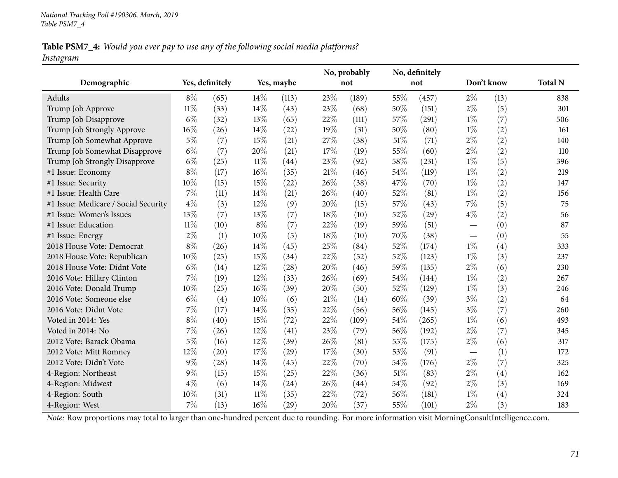### Table PSM7\_4: Would you ever pay to use any of the following social media platforms? *Instagram*

|                                      |        |                 |            |           |        | No, probably |        | No, definitely |                          |            |                |
|--------------------------------------|--------|-----------------|------------|-----------|--------|--------------|--------|----------------|--------------------------|------------|----------------|
| Demographic                          |        | Yes, definitely | Yes, maybe |           |        | not          |        | not            |                          | Don't know | <b>Total N</b> |
| Adults                               | $8\%$  | (65)            | $14\%$     | (113)     | 23%    | (189)        | 55%    | (457)          | $2\%$                    | (13)       | 838            |
| Trump Job Approve                    | $11\%$ | (33)            | 14\%       | (43)      | 23%    | (68)         | 50%    | (151)          | $2\%$                    | (5)        | 301            |
| Trump Job Disapprove                 | $6\%$  | (32)            | 13%        | (65)      | 22%    | (111)        | 57%    | (291)          | $1\%$                    | (7)        | 506            |
| Trump Job Strongly Approve           | 16%    | (26)            | 14%        | (22)      | 19%    | (31)         | 50%    | (80)           | $1\%$                    | (2)        | 161            |
| Trump Job Somewhat Approve           | $5\%$  | (7)             | 15%        | (21)      | 27%    | (38)         | $51\%$ | (71)           | $2\%$                    | (2)        | 140            |
| Trump Job Somewhat Disapprove        | $6\%$  | (7)             | 20%        | (21)      | 17%    | (19)         | 55%    | (60)           | $2\%$                    | (2)        | 110            |
| Trump Job Strongly Disapprove        | $6\%$  | (25)            | $11\%$     | (44)      | 23%    | (92)         | 58%    | (231)          | $1\%$                    | (5)        | 396            |
| #1 Issue: Economy                    | $8\%$  | (17)            | $16\%$     | (35)      | $21\%$ | (46)         | 54%    | (119)          | $1\%$                    | (2)        | 219            |
| #1 Issue: Security                   | 10%    | (15)            | 15%        | (22)      | 26%    | (38)         | 47%    | (70)           | $1\%$                    | (2)        | 147            |
| #1 Issue: Health Care                | 7%     | (11)            | 14%        | (21)      | 26%    | (40)         | 52%    | (81)           | $1\%$                    | (2)        | 156            |
| #1 Issue: Medicare / Social Security | $4\%$  | (3)             | 12%        | (9)       | 20%    | (15)         | 57%    | (43)           | $7\%$                    | (5)        | 75             |
| #1 Issue: Women's Issues             | 13%    | (7)             | 13%        | (7)       | 18%    | (10)         | 52%    | (29)           | $4\%$                    | (2)        | 56             |
| #1 Issue: Education                  | $11\%$ | (10)            | $8\%$      | (7)       | 22%    | (19)         | 59%    | (51)           | $\overline{\phantom{0}}$ | (0)        | 87             |
| #1 Issue: Energy                     | $2\%$  | (1)             | 10%        | (5)       | 18%    | (10)         | 70%    | (38)           |                          | (0)        | 55             |
| 2018 House Vote: Democrat            | $8\%$  | (26)            | 14%        | (45)      | 25%    | (84)         | 52%    | (174)          | $1\%$                    | (4)        | 333            |
| 2018 House Vote: Republican          | 10%    | (25)            | 15%        | (34)      | 22%    | (52)         | 52%    | (123)          | $1\%$                    | (3)        | 237            |
| 2018 House Vote: Didnt Vote          | $6\%$  | (14)            | 12%        | (28)      | 20%    | (46)         | 59%    | (135)          | $2\%$                    | (6)        | 230            |
| 2016 Vote: Hillary Clinton           | 7%     | (19)            | 12%        | (33)      | 26%    | (69)         | 54%    | (144)          | $1\%$                    | (2)        | 267            |
| 2016 Vote: Donald Trump              | 10%    | (25)            | $16\%$     | (39)      | 20%    | (50)         | 52%    | (129)          | $1\%$                    | (3)        | 246            |
| 2016 Vote: Someone else              | $6\%$  | (4)             | 10%        | (6)       | $21\%$ | (14)         | 60%    | (39)           | $3\%$                    | (2)        | 64             |
| 2016 Vote: Didnt Vote                | $7\%$  | (17)            | 14%        | (35)      | 22%    | (56)         | 56%    | (145)          | $3\%$                    | (7)        | 260            |
| Voted in 2014: Yes                   | $8\%$  | (40)            | 15%        | (72)      | 22%    | (109)        | 54%    | (265)          | $1\%$                    | (6)        | 493            |
| Voted in 2014: No                    | $7\%$  | (26)            | 12%        | (41)      | 23%    | (79)         | 56%    | (192)          | $2\%$                    | (7)        | 345            |
| 2012 Vote: Barack Obama              | $5\%$  | (16)            | 12%        | (39)      | 26%    | (81)         | 55%    | (175)          | $2\%$                    | (6)        | 317            |
| 2012 Vote: Mitt Romney               | 12%    | (20)            | 17%        | (29)      | 17%    | (30)         | 53%    | (91)           |                          | (1)        | 172            |
| 2012 Vote: Didn't Vote               | $9\%$  | (28)            | 14%        | (45)      | 22%    | (70)         | 54%    | (176)          | $2\%$                    | (7)        | 325            |
| 4-Region: Northeast                  | $9\%$  | (15)            | 15%        | (25)      | 22%    | (36)         | $51\%$ | (83)           | $2\%$                    | (4)        | 162            |
| 4-Region: Midwest                    | $4\%$  | (6)             | 14%        | (24)      | 26%    | (44)         | 54%    | (92)           | $2\%$                    | (3)        | 169            |
| 4-Region: South                      | 10%    | (31)            | $11\%$     | (35)      | 22%    | (72)         | 56%    | (181)          | $1\%$                    | (4)        | 324            |
| 4-Region: West                       | 7%     | (13)            | 16%        | $^{(29)}$ | 20%    | (37)         | 55%    | (101)          | $2\%$                    | (3)        | 183            |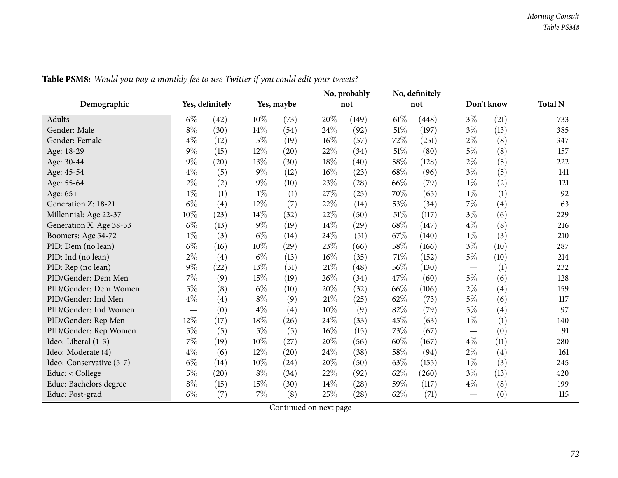|                          |        |                 |            |      | No, probably |       | No, definitely |       |                                 |      |                |
|--------------------------|--------|-----------------|------------|------|--------------|-------|----------------|-------|---------------------------------|------|----------------|
| Demographic              |        | Yes, definitely | Yes, maybe |      |              | not   | not            |       | Don't know                      |      | <b>Total N</b> |
| Adults                   | $6\%$  | (42)            | 10%        | (73) | 20%          | (149) | $61\%$         | (448) | $3\%$                           | (21) | 733            |
| Gender: Male             | $8\%$  | (30)            | 14\%       | (54) | 24%          | (92)  | 51%            | (197) | $3\%$                           | (13) | 385            |
| Gender: Female           | $4\%$  | (12)            | $5\%$      | (19) | 16%          | (57)  | 72%            | (251) | $2\%$                           | (8)  | 347            |
| Age: 18-29               | $9\%$  | (15)            | 12%        | (20) | 22%          | (34)  | 51%            | (80)  | $5\%$                           | (8)  | 157            |
| Age: 30-44               | 9%     | (20)            | 13%        | (30) | 18%          | (40)  | 58%            | (128) | $2\%$                           | (5)  | 222            |
| Age: 45-54               | $4\%$  | (5)             | $9\%$      | (12) | 16%          | (23)  | 68\%           | (96)  | $3\%$                           | (5)  | 141            |
| Age: 55-64               | $2\%$  | (2)             | $9\%$      | (10) | 23%          | (28)  | 66%            | (79)  | $1\%$                           | (2)  | 121            |
| Age: 65+                 | $1\%$  | (1)             | $1\%$      | (1)  | 27%          | (25)  | 70%            | (65)  | $1\%$                           | (1)  | 92             |
| Generation Z: 18-21      | $6\%$  | (4)             | 12%        | (7)  | 22%          | (14)  | 53%            | (34)  | $7\%$                           | (4)  | 63             |
| Millennial: Age 22-37    | 10%    | (23)            | $14\%$     | (32) | 22%          | (50)  | $51\%$         | (117) | $3\%$                           | (6)  | 229            |
| Generation X: Age 38-53  | $6\%$  | (13)            | $9\%$      | (19) | 14%          | (29)  | 68%            | (147) | $4\%$                           | (8)  | 216            |
| Boomers: Age 54-72       | $1\%$  | (3)             | $6\%$      | (14) | 24%          | (51)  | 67\%           | (140) | $1\%$                           | (3)  | 210            |
| PID: Dem (no lean)       | $6\%$  | (16)            | 10%        | (29) | 23%          | (66)  | 58%            | (166) | $3\%$                           | (10) | 287            |
| PID: Ind (no lean)       | $2\%$  | (4)             | $6\%$      | (13) | 16%          | (35)  | 71%            | (152) | $5\%$                           | (10) | 214            |
| PID: Rep (no lean)       | $9\%$  | (22)            | 13%        | (31) | 21%          | (48)  | 56%            | (130) | $\hspace{0.1mm}-\hspace{0.1mm}$ | (1)  | 232            |
| PID/Gender: Dem Men      | $7\%$  | (9)             | 15%        | (19) | 26%          | (34)  | 47\%           | (60)  | $5\%$                           | (6)  | 128            |
| PID/Gender: Dem Women    | 5%     | (8)             | $6\%$      | (10) | 20%          | (32)  | 66%            | (106) | $2\%$                           | (4)  | 159            |
| PID/Gender: Ind Men      | $4\%$  | (4)             | $8\%$      | (9)  | 21%          | (25)  | 62%            | (73)  | $5\%$                           | (6)  | 117            |
| PID/Gender: Ind Women    |        | (0)             | $4\%$      | (4)  | 10%          | (9)   | 82%            | (79)  | $5\%$                           | (4)  | 97             |
| PID/Gender: Rep Men      | $12\%$ | (17)            | 18%        | (26) | 24%          | (33)  | 45%            | (63)  | $1\%$                           | (1)  | 140            |
| PID/Gender: Rep Women    | 5%     | (5)             | $5\%$      | (5)  | 16%          | (15)  | 73%            | (67)  | $\hspace{0.1mm}-\hspace{0.1mm}$ | (0)  | 91             |
| Ideo: Liberal (1-3)      | 7%     | (19)            | $10\%$     | (27) | 20%          | (56)  | 60%            | (167) | $4\%$                           | (11) | 280            |
| Ideo: Moderate (4)       | 4%     | (6)             | 12%        | (20) | 24%          | (38)  | 58%            | (94)  | $2\%$                           | (4)  | 161            |
| Ideo: Conservative (5-7) | $6\%$  | (14)            | 10%        | (24) | 20%          | (50)  | 63%            | (155) | $1\%$                           | (3)  | 245            |
| Educ: < College          | 5%     | (20)            | $8\%$      | (34) | 22%          | (92)  | 62%            | (260) | $3\%$                           | (13) | 420            |
| Educ: Bachelors degree   | $8\%$  | (15)            | 15%        | (30) | 14%          | (28)  | 59%            | (117) | $4\%$                           | (8)  | 199            |
| Educ: Post-grad          | $6\%$  | (7)             | $7\%$      | (8)  | 25%          | (28)  | 62%            | (71)  | $\hspace{0.1mm}-\hspace{0.1mm}$ | (0)  | 115            |

Table PSM8: Would you pay a monthly fee to use Twitter if you could edit your tweets?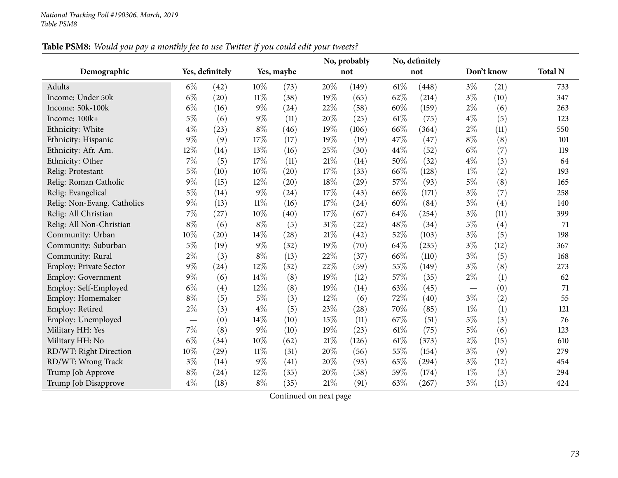|                             |       |                 |        |            |     | No, probably |        | No, definitely |       |            |                |
|-----------------------------|-------|-----------------|--------|------------|-----|--------------|--------|----------------|-------|------------|----------------|
| Demographic                 |       | Yes, definitely |        | Yes, maybe |     | not          |        | not            |       | Don't know | <b>Total N</b> |
| Adults                      | $6\%$ | (42)            | 10%    | (73)       | 20% | (149)        | $61\%$ | (448)          | $3\%$ | (21)       | 733            |
| Income: Under 50k           | $6\%$ | (20)            | $11\%$ | (38)       | 19% | (65)         | 62%    | (214)          | $3\%$ | (10)       | 347            |
| Income: 50k-100k            | $6\%$ | (16)            | $9\%$  | (24)       | 22% | (58)         | 60%    | (159)          | $2\%$ | (6)        | 263            |
| Income: 100k+               | $5\%$ | (6)             | $9\%$  | (11)       | 20% | (25)         | $61\%$ | (75)           | $4\%$ | (5)        | 123            |
| Ethnicity: White            | $4\%$ | (23)            | $8\%$  | (46)       | 19% | (106)        | 66%    | (364)          | $2\%$ | (11)       | 550            |
| Ethnicity: Hispanic         | $9\%$ | (9)             | 17%    | (17)       | 19% | (19)         | 47\%   | (47)           | $8\%$ | (8)        | 101            |
| Ethnicity: Afr. Am.         | 12%   | (14)            | 13%    | (16)       | 25% | (30)         | 44%    | (52)           | $6\%$ | (7)        | 119            |
| Ethnicity: Other            | 7%    | (5)             | 17%    | (11)       | 21% | (14)         | 50%    | (32)           | $4\%$ | (3)        | 64             |
| Relig: Protestant           | $5\%$ | (10)            | 10%    | (20)       | 17% | (33)         | 66%    | (128)          | $1\%$ | (2)        | 193            |
| Relig: Roman Catholic       | $9\%$ | (15)            | 12%    | (20)       | 18% | (29)         | 57%    | (93)           | $5\%$ | (8)        | 165            |
| Relig: Evangelical          | $5\%$ | (14)            | $9\%$  | (24)       | 17% | (43)         | 66%    | (171)          | $3\%$ | (7)        | 258            |
| Relig: Non-Evang. Catholics | $9\%$ | (13)            | $11\%$ | (16)       | 17% | (24)         | 60%    | (84)           | $3\%$ | (4)        | 140            |
| Relig: All Christian        | $7\%$ | (27)            | 10%    | (40)       | 17% | (67)         | 64\%   | (254)          | $3\%$ | (11)       | 399            |
| Relig: All Non-Christian    | $8\%$ | (6)             | $8\%$  | (5)        | 31% | (22)         | 48%    | (34)           | $5\%$ | (4)        | 71             |
| Community: Urban            | 10%   | (20)            | 14%    | (28)       | 21% | (42)         | 52%    | (103)          | $3\%$ | (5)        | 198            |
| Community: Suburban         | $5\%$ | (19)            | $9\%$  | (32)       | 19% | (70)         | 64\%   | (235)          | $3\%$ | (12)       | 367            |
| Community: Rural            | $2\%$ | (3)             | $8\%$  | (13)       | 22% | (37)         | 66%    | (110)          | $3\%$ | (5)        | 168            |
| Employ: Private Sector      | $9\%$ | (24)            | 12%    | (32)       | 22% | (59)         | 55%    | (149)          | $3\%$ | (8)        | 273            |
| <b>Employ: Government</b>   | $9\%$ | (6)             | 14%    | (8)        | 19% | (12)         | 57%    | (35)           | $2\%$ | (1)        | 62             |
| Employ: Self-Employed       | $6\%$ | (4)             | 12%    | (8)        | 19% | (14)         | 63%    | (45)           |       | (0)        | 71             |
| Employ: Homemaker           | $8\%$ | (5)             | $5\%$  | (3)        | 12% | (6)          | 72%    | (40)           | $3\%$ | (2)        | 55             |
| Employ: Retired             | $2\%$ | (3)             | $4\%$  | (5)        | 23% | (28)         | 70%    | (85)           | $1\%$ | (1)        | 121            |
| Employ: Unemployed          |       | (0)             | 14%    | (10)       | 15% | (11)         | 67%    | (51)           | $5\%$ | (3)        | 76             |
| Military HH: Yes            | $7\%$ | (8)             | $9\%$  | (10)       | 19% | (23)         | $61\%$ | (75)           | $5\%$ | (6)        | 123            |
| Military HH: No             | $6\%$ | (34)            | 10%    | (62)       | 21% | (126)        | $61\%$ | (373)          | $2\%$ | (15)       | 610            |
| RD/WT: Right Direction      | 10%   | (29)            | $11\%$ | (31)       | 20% | (56)         | 55%    | (154)          | $3\%$ | (9)        | 279            |
| RD/WT: Wrong Track          | $3\%$ | (14)            | $9\%$  | (41)       | 20% | (93)         | 65%    | (294)          | $3\%$ | (12)       | 454            |
| Trump Job Approve           | $8\%$ | (24)            | 12%    | (35)       | 20% | (58)         | 59%    | (174)          | $1\%$ | (3)        | 294            |
| Trump Job Disapprove        | $4\%$ | (18)            | $8\%$  | (35)       | 21% | (91)         | 63%    | (267)          | $3\%$ | (13)       | 424            |

Table PSM8: Would you pay a monthly fee to use Twitter if you could edit your tweets?

Continued on next page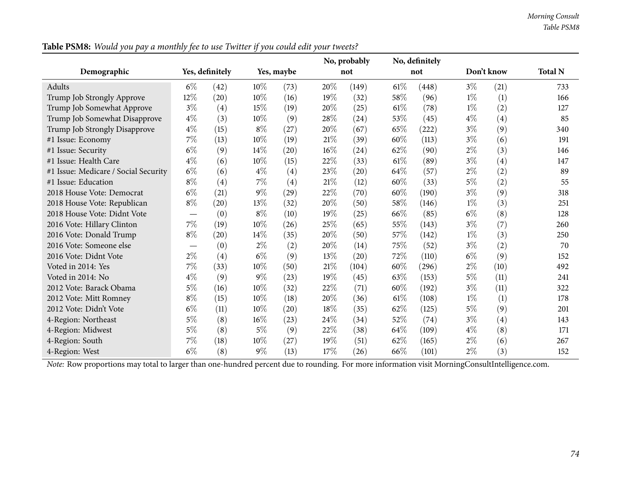|                                      |                               |                 |        |            |        | No, probably |        | No, definitely |            |      |                |
|--------------------------------------|-------------------------------|-----------------|--------|------------|--------|--------------|--------|----------------|------------|------|----------------|
| Demographic                          |                               | Yes, definitely |        | Yes, maybe |        | not          |        | not            | Don't know |      | <b>Total N</b> |
| Adults                               | $6\%$                         | (42)            | $10\%$ | (73)       | 20%    | (149)        | $61\%$ | (448)          | $3\%$      | (21) | 733            |
| Trump Job Strongly Approve           | 12%                           | (20)            | 10%    | (16)       | 19%    | (32)         | 58%    | (96)           | $1\%$      | (1)  | 166            |
| Trump Job Somewhat Approve           | $3\%$                         | (4)             | 15%    | (19)       | 20%    | (25)         | $61\%$ | (78)           | $1\%$      | (2)  | 127            |
| Trump Job Somewhat Disapprove        | $4\%$                         | (3)             | $10\%$ | (9)        | 28\%   | (24)         | 53%    | (45)           | $4\%$      | (4)  | 85             |
| Trump Job Strongly Disapprove        | $4\%$                         | (15)            | $8\%$  | (27)       | 20%    | (67)         | 65%    | (222)          | $3\%$      | (9)  | 340            |
| #1 Issue: Economy                    | $7\%$                         | (13)            | $10\%$ | (19)       | $21\%$ | (39)         | 60%    | (113)          | $3\%$      | (6)  | 191            |
| #1 Issue: Security                   | $6\%$                         | (9)             | 14%    | (20)       | $16\%$ | (24)         | 62%    | (90)           | 2%         | (3)  | 146            |
| #1 Issue: Health Care                | $4\%$                         | (6)             | $10\%$ | (15)       | $22\%$ | (33)         | $61\%$ | (89)           | $3\%$      | (4)  | 147            |
| #1 Issue: Medicare / Social Security | $6\%$                         | (6)             | $4\%$  | (4)        | 23%    | (20)         | 64\%   | (57)           | $2\%$      | (2)  | 89             |
| #1 Issue: Education                  | $8\%$                         | (4)             | $7\%$  | (4)        | $21\%$ | (12)         | 60%    | (33)           | $5\%$      | (2)  | 55             |
| 2018 House Vote: Democrat            | $6\%$                         | (21)            | $9\%$  | (29)       | 22\%   | (70)         | 60%    | (190)          | $3\%$      | (9)  | 318            |
| 2018 House Vote: Republican          | $8\%$                         | (20)            | $13\%$ | (32)       | 20%    | (50)         | 58\%   | (146)          | $1\%$      | (3)  | 251            |
| 2018 House Vote: Didnt Vote          | $\overbrace{\phantom{13333}}$ | (0)             | $8\%$  | (10)       | 19%    | (25)         | 66%    | (85)           | $6\%$      | (8)  | 128            |
| 2016 Vote: Hillary Clinton           | $7\%$                         | (19)            | $10\%$ | (26)       | 25%    | (65)         | 55%    | (143)          | $3\%$      | (7)  | 260            |
| 2016 Vote: Donald Trump              | $8\%$                         | (20)            | $14\%$ | (35)       | 20%    | (50)         | 57\%   | (142)          | $1\%$      | (3)  | 250            |
| 2016 Vote: Someone else              |                               | (0)             | $2\%$  | (2)        | 20%    | (14)         | 75%    | (52)           | $3\%$      | (2)  | 70             |
| 2016 Vote: Didnt Vote                | $2\%$                         | (4)             | $6\%$  | (9)        | $13\%$ | (20)         | 72%    | (110)          | $6\%$      | (9)  | 152            |
| Voted in 2014: Yes                   | $7\%$                         | (33)            | $10\%$ | (50)       | $21\%$ | (104)        | 60%    | (296)          | $2\%$      | (10) | 492            |
| Voted in 2014: No                    | $4\%$                         | (9)             | $9\%$  | (23)       | 19%    | (45)         | 63\%   | (153)          | $5\%$      | (11) | 241            |
| 2012 Vote: Barack Obama              | 5%                            | (16)            | $10\%$ | (32)       | 22%    | (71)         | 60%    | (192)          | $3\%$      | (11) | 322            |
| 2012 Vote: Mitt Romney               | $8\%$                         | (15)            | $10\%$ | (18)       | 20%    | (36)         | $61\%$ | (108)          | $1\%$      | (1)  | 178            |
| 2012 Vote: Didn't Vote               | $6\%$                         | (11)            | $10\%$ | (20)       | 18%    | (35)         | 62%    | (125)          | $5\%$      | (9)  | 201            |
| 4-Region: Northeast                  | $5\%$                         | (8)             | $16\%$ | (23)       | 24\%   | (34)         | 52\%   | (74)           | $3\%$      | (4)  | 143            |
| 4-Region: Midwest                    | $5\%$                         | (8)             | $5\%$  | (9)        | 22\%   | (38)         | 64%    | (109)          | $4\%$      | (8)  | 171            |
| 4-Region: South                      | 7%                            | (18)            | $10\%$ | (27)       | 19%    | (51)         | 62%    | (165)          | $2\%$      | (6)  | 267            |
| 4-Region: West                       | $6\%$                         | (8)             | $9\%$  | (13)       | 17%    | (26)         | 66%    | (101)          | $2\%$      | (3)  | 152            |

Table PSM8: Would you pay a monthly fee to use Twitter if you could edit your tweets?

*Note:* Row proportions may total to larger than one-hundred percen<sup>t</sup> due to rounding. For more information visit [MorningConsultIntelligence.com](https://morningconsultintelligence.com).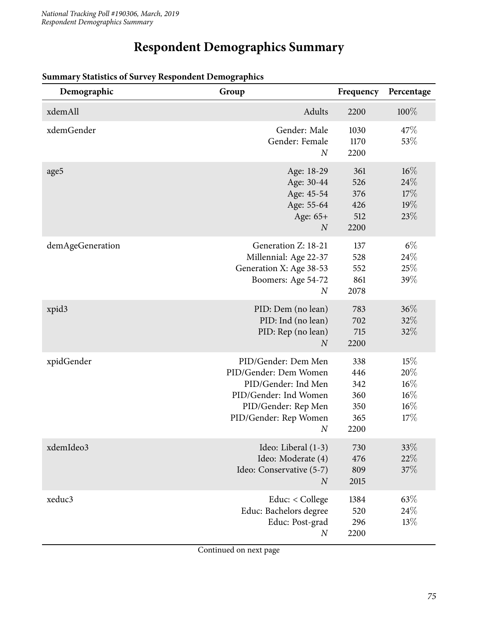# **Respondent Demographics Summary**

| Demographic      | Group                                                                                                                                             | Frequency                                      | Percentage                                      |
|------------------|---------------------------------------------------------------------------------------------------------------------------------------------------|------------------------------------------------|-------------------------------------------------|
| xdemAll          | Adults                                                                                                                                            | 2200                                           | 100%                                            |
| xdemGender       | Gender: Male<br>Gender: Female<br>$\boldsymbol{N}$                                                                                                | 1030<br>1170<br>2200                           | 47\%<br>53%                                     |
| age5             | Age: 18-29<br>Age: 30-44<br>Age: 45-54<br>Age: 55-64<br>Age: 65+<br>$\boldsymbol{N}$                                                              | 361<br>526<br>376<br>426<br>512<br>2200        | $16\%$<br>24%<br>17%<br>19%<br>23%              |
| demAgeGeneration | Generation Z: 18-21<br>Millennial: Age 22-37<br>Generation X: Age 38-53<br>Boomers: Age 54-72<br>$\boldsymbol{N}$                                 | 137<br>528<br>552<br>861<br>2078               | $6\%$<br>24\%<br>25%<br>39%                     |
| xpid3            | PID: Dem (no lean)<br>PID: Ind (no lean)<br>PID: Rep (no lean)<br>$\overline{N}$                                                                  | 783<br>702<br>715<br>2200                      | 36%<br>32%<br>32\%                              |
| xpidGender       | PID/Gender: Dem Men<br>PID/Gender: Dem Women<br>PID/Gender: Ind Men<br>PID/Gender: Ind Women<br>PID/Gender: Rep Men<br>PID/Gender: Rep Women<br>N | 338<br>446<br>342<br>360<br>350<br>365<br>2200 | 15%<br>20%<br>$16\%$<br>$16\%$<br>$16\%$<br>17% |
| xdemIdeo3        | Ideo: Liberal (1-3)<br>Ideo: Moderate (4)<br>Ideo: Conservative (5-7)<br>$\overline{N}$                                                           | 730<br>476<br>809<br>2015                      | 33%<br>22%<br>37%                               |
| xeduc3           | Educ: < College<br>Educ: Bachelors degree<br>Educ: Post-grad<br>$\boldsymbol{N}$                                                                  | 1384<br>520<br>296<br>2200                     | 63%<br>24\%<br>13%                              |

#### **Summary Statistics of Survey Respondent Demographics**

Continued on next page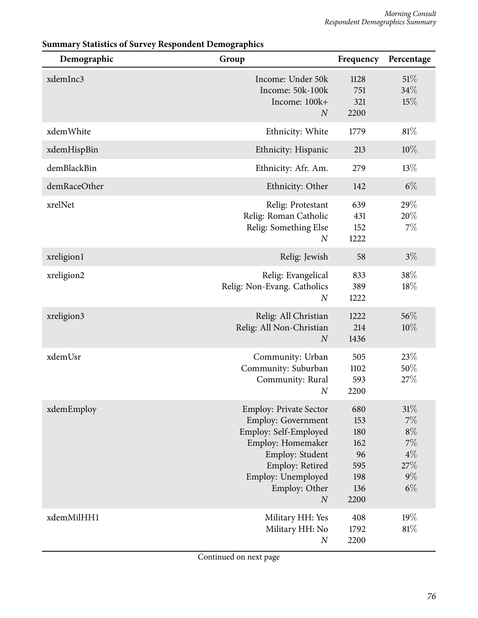| Demographic  | Group                                                                                                                                                                                                     | Frequency                                                   | Percentage                                                          |
|--------------|-----------------------------------------------------------------------------------------------------------------------------------------------------------------------------------------------------------|-------------------------------------------------------------|---------------------------------------------------------------------|
| xdemInc3     | Income: Under 50k<br>Income: 50k-100k<br>Income: 100k+<br>$\overline{N}$                                                                                                                                  | 1128<br>751<br>321<br>2200                                  | 51%<br>34%<br>15%                                                   |
| xdemWhite    | Ethnicity: White                                                                                                                                                                                          | 1779                                                        | 81%                                                                 |
| xdemHispBin  | Ethnicity: Hispanic                                                                                                                                                                                       | 213                                                         | $10\%$                                                              |
| demBlackBin  | Ethnicity: Afr. Am.                                                                                                                                                                                       | 279                                                         | 13%                                                                 |
| demRaceOther | Ethnicity: Other                                                                                                                                                                                          | 142                                                         | $6\%$                                                               |
| xrelNet      | Relig: Protestant<br>Relig: Roman Catholic<br>Relig: Something Else<br>$\boldsymbol{N}$                                                                                                                   | 639<br>431<br>152<br>1222                                   | 29%<br>20%<br>7%                                                    |
| xreligion1   | Relig: Jewish                                                                                                                                                                                             | 58                                                          | $3\%$                                                               |
| xreligion2   | Relig: Evangelical<br>Relig: Non-Evang. Catholics<br>$\overline{N}$                                                                                                                                       | 833<br>389<br>1222                                          | 38%<br>18%                                                          |
| xreligion3   | Relig: All Christian<br>Relig: All Non-Christian<br>$\boldsymbol{N}$                                                                                                                                      | 1222<br>214<br>1436                                         | 56%<br>10%                                                          |
| xdemUsr      | Community: Urban<br>Community: Suburban<br>Community: Rural<br>$\boldsymbol{N}$                                                                                                                           | 505<br>1102<br>593<br>2200                                  | 23%<br>50%<br>27%                                                   |
| xdemEmploy   | <b>Employ: Private Sector</b><br><b>Employ: Government</b><br>Employ: Self-Employed<br>Employ: Homemaker<br>Employ: Student<br>Employ: Retired<br>Employ: Unemployed<br>Employ: Other<br>$\boldsymbol{N}$ | 680<br>153<br>180<br>162<br>96<br>595<br>198<br>136<br>2200 | $31\%$<br>$7\%$<br>$8\%$<br>$7\%$<br>$4\%$<br>27%<br>$9\%$<br>$6\%$ |
| xdemMilHH1   | Military HH: Yes<br>Military HH: No<br>$\boldsymbol{N}$                                                                                                                                                   | 408<br>1792<br>2200                                         | 19%<br>81%                                                          |

## **Summary Statistics of Survey Respondent Demographics**

Continued on next page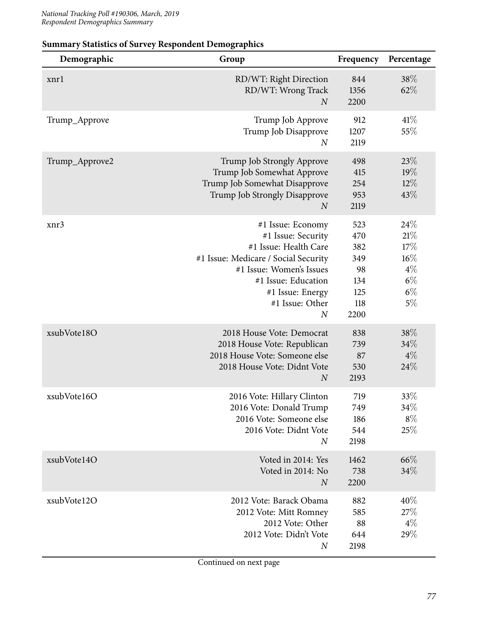| Demographic    | Group                                                                                                                                                                                                                  | Frequency                                                   | Percentage                                                       |
|----------------|------------------------------------------------------------------------------------------------------------------------------------------------------------------------------------------------------------------------|-------------------------------------------------------------|------------------------------------------------------------------|
| xnrl           | RD/WT: Right Direction<br>RD/WT: Wrong Track<br>$\boldsymbol{N}$                                                                                                                                                       | 844<br>1356<br>2200                                         | 38\%<br>62%                                                      |
| Trump_Approve  | Trump Job Approve<br>Trump Job Disapprove<br>$\boldsymbol{N}$                                                                                                                                                          | 912<br>1207<br>2119                                         | $41\%$<br>55%                                                    |
| Trump_Approve2 | Trump Job Strongly Approve<br>Trump Job Somewhat Approve<br>Trump Job Somewhat Disapprove<br>Trump Job Strongly Disapprove<br>$\overline{N}$                                                                           | 498<br>415<br>254<br>953<br>2119                            | 23%<br>19%<br>$12\%$<br>43%                                      |
| xnr3           | #1 Issue: Economy<br>#1 Issue: Security<br>#1 Issue: Health Care<br>#1 Issue: Medicare / Social Security<br>#1 Issue: Women's Issues<br>#1 Issue: Education<br>#1 Issue: Energy<br>#1 Issue: Other<br>$\boldsymbol{N}$ | 523<br>470<br>382<br>349<br>98<br>134<br>125<br>118<br>2200 | 24\%<br>$21\%$<br>17%<br>16%<br>$4\%$<br>$6\%$<br>$6\%$<br>$5\%$ |
| xsubVote18O    | 2018 House Vote: Democrat<br>2018 House Vote: Republican<br>2018 House Vote: Someone else<br>2018 House Vote: Didnt Vote<br>$\boldsymbol{N}$                                                                           | 838<br>739<br>87<br>530<br>2193                             | 38\%<br>34%<br>$4\%$<br>24%                                      |
| xsubVote16O    | 2016 Vote: Hillary Clinton<br>2016 Vote: Donald Trump<br>2016 Vote: Someone else<br>2016 Vote: Didnt Vote<br>$\boldsymbol{N}$                                                                                          | 719<br>749<br>186<br>544<br>2198                            | 33%<br>34%<br>$8\%$<br>25%                                       |
| xsubVote14O    | Voted in 2014: Yes<br>Voted in 2014: No<br>$\overline{N}$                                                                                                                                                              | 1462<br>738<br>2200                                         | 66\%<br>34%                                                      |
| xsubVote12O    | 2012 Vote: Barack Obama<br>2012 Vote: Mitt Romney<br>2012 Vote: Other<br>2012 Vote: Didn't Vote<br>$\boldsymbol{N}$                                                                                                    | 882<br>585<br>88<br>644<br>2198                             | 40%<br>$27\%$<br>$4\%$<br>29%                                    |

## **Summary Statistics of Survey Respondent Demographics**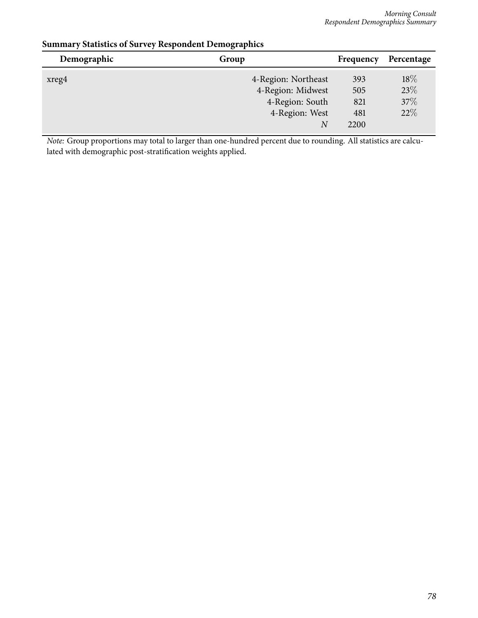| Demographic | Group               | Frequency | Percentage |
|-------------|---------------------|-----------|------------|
| xreg4       | 4-Region: Northeast | 393       | 18\%       |
|             | 4-Region: Midwest   | 505       | 23%        |
|             | 4-Region: South     | 821       | 37%        |
|             | 4-Region: West      | 481       | 22%        |
|             | $\overline{N}$      | 2200      |            |
|             |                     |           |            |

## **Summary Statistics of Survey Respondent Demographics**

*Note:* Group proportions may total to larger than one-hundred percent due to rounding. All statistics are calculated with demographic post-stratification weights applied.